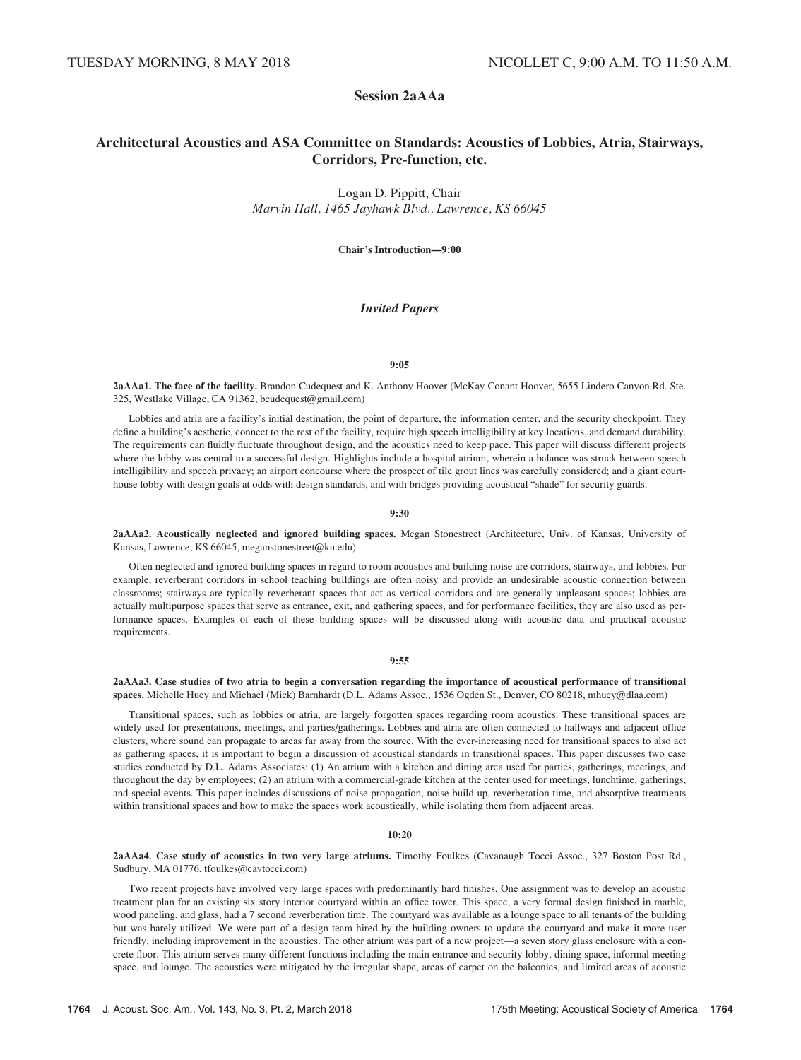# Session 2aAAa

# Architectural Acoustics and ASA Committee on Standards: Acoustics of Lobbies, Atria, Stairways, Corridors, Pre-function, etc.

Logan D. Pippitt, Chair Marvin Hall, 1465 Jayhawk Blvd., Lawrence, KS 66045

Chair's Introduction—9:00

### Invited Papers

#### 9:05

2aAAa1. The face of the facility. Brandon Cudequest and K. Anthony Hoover (McKay Conant Hoover, 5655 Lindero Canyon Rd. Ste. 325, Westlake Village, CA 91362, bcudequest@gmail.com)

Lobbies and atria are a facility's initial destination, the point of departure, the information center, and the security checkpoint. They define a building's aesthetic, connect to the rest of the facility, require high speech intelligibility at key locations, and demand durability. The requirements can fluidly fluctuate throughout design, and the acoustics need to keep pace. This paper will discuss different projects where the lobby was central to a successful design. Highlights include a hospital atrium, wherein a balance was struck between speech intelligibility and speech privacy; an airport concourse where the prospect of tile grout lines was carefully considered; and a giant courthouse lobby with design goals at odds with design standards, and with bridges providing acoustical "shade" for security guards.

#### 9:30

2aAAa2. Acoustically neglected and ignored building spaces. Megan Stonestreet (Architecture, Univ. of Kansas, University of Kansas, Lawrence, KS 66045, meganstonestreet@ku.edu)

Often neglected and ignored building spaces in regard to room acoustics and building noise are corridors, stairways, and lobbies. For example, reverberant corridors in school teaching buildings are often noisy and provide an undesirable acoustic connection between classrooms; stairways are typically reverberant spaces that act as vertical corridors and are generally unpleasant spaces; lobbies are actually multipurpose spaces that serve as entrance, exit, and gathering spaces, and for performance facilities, they are also used as performance spaces. Examples of each of these building spaces will be discussed along with acoustic data and practical acoustic requirements.

#### 9:55

2aAAa3. Case studies of two atria to begin a conversation regarding the importance of acoustical performance of transitional spaces. Michelle Huey and Michael (Mick) Barnhardt (D.L. Adams Assoc., 1536 Ogden St., Denver, CO 80218, mhuey@dlaa.com)

Transitional spaces, such as lobbies or atria, are largely forgotten spaces regarding room acoustics. These transitional spaces are widely used for presentations, meetings, and parties/gatherings. Lobbies and atria are often connected to hallways and adjacent office clusters, where sound can propagate to areas far away from the source. With the ever-increasing need for transitional spaces to also act as gathering spaces, it is important to begin a discussion of acoustical standards in transitional spaces. This paper discusses two case studies conducted by D.L. Adams Associates: (1) An atrium with a kitchen and dining area used for parties, gatherings, meetings, and throughout the day by employees; (2) an atrium with a commercial-grade kitchen at the center used for meetings, lunchtime, gatherings, and special events. This paper includes discussions of noise propagation, noise build up, reverberation time, and absorptive treatments within transitional spaces and how to make the spaces work acoustically, while isolating them from adjacent areas.

#### 10:20

2aAAa4. Case study of acoustics in two very large atriums. Timothy Foulkes (Cavanaugh Tocci Assoc., 327 Boston Post Rd., Sudbury, MA 01776, tfoulkes@cavtocci.com)

Two recent projects have involved very large spaces with predominantly hard finishes. One assignment was to develop an acoustic treatment plan for an existing six story interior courtyard within an office tower. This space, a very formal design finished in marble, wood paneling, and glass, had a 7 second reverberation time. The courtyard was available as a lounge space to all tenants of the building but was barely utilized. We were part of a design team hired by the building owners to update the courtyard and make it more user friendly, including improvement in the acoustics. The other atrium was part of a new project—a seven story glass enclosure with a concrete floor. This atrium serves many different functions including the main entrance and security lobby, dining space, informal meeting space, and lounge. The acoustics were mitigated by the irregular shape, areas of carpet on the balconies, and limited areas of acoustic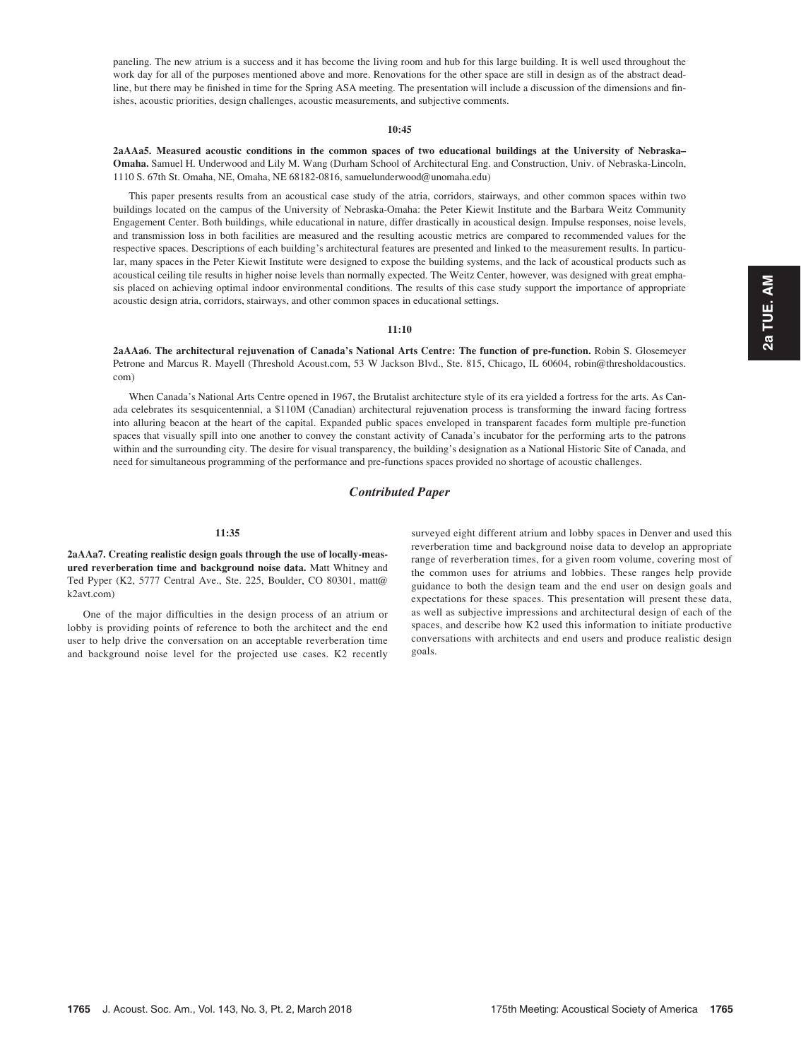paneling. The new atrium is a success and it has become the living room and hub for this large building. It is well used throughout the work day for all of the purposes mentioned above and more. Renovations for the other space are still in design as of the abstract deadline, but there may be finished in time for the Spring ASA meeting. The presentation will include a discussion of the dimensions and finishes, acoustic priorities, design challenges, acoustic measurements, and subjective comments.

#### 10:45

2aAAa5. Measured acoustic conditions in the common spaces of two educational buildings at the University of Nebraska– Omaha. Samuel H. Underwood and Lily M. Wang (Durham School of Architectural Eng. and Construction, Univ. of Nebraska-Lincoln, 1110 S. 67th St. Omaha, NE, Omaha, NE 68182-0816, samuelunderwood@unomaha.edu)

This paper presents results from an acoustical case study of the atria, corridors, stairways, and other common spaces within two buildings located on the campus of the University of Nebraska-Omaha: the Peter Kiewit Institute and the Barbara Weitz Community Engagement Center. Both buildings, while educational in nature, differ drastically in acoustical design. Impulse responses, noise levels, and transmission loss in both facilities are measured and the resulting acoustic metrics are compared to recommended values for the respective spaces. Descriptions of each building's architectural features are presented and linked to the measurement results. In particular, many spaces in the Peter Kiewit Institute were designed to expose the building systems, and the lack of acoustical products such as acoustical ceiling tile results in higher noise levels than normally expected. The Weitz Center, however, was designed with great emphasis placed on achieving optimal indoor environmental conditions. The results of this case study support the importance of appropriate acoustic design atria, corridors, stairways, and other common spaces in educational settings.

#### 11:10

2aAAa6. The architectural rejuvenation of Canada's National Arts Centre: The function of pre-function. Robin S. Glosemeyer Petrone and Marcus R. Mayell (Threshold Acoust.com, 53 W Jackson Blvd., Ste. 815, Chicago, IL 60604, robin@thresholdacoustics. com)

When Canada's National Arts Centre opened in 1967, the Brutalist architecture style of its era yielded a fortress for the arts. As Canada celebrates its sesquicentennial, a \$110M (Canadian) architectural rejuvenation process is transforming the inward facing fortress into alluring beacon at the heart of the capital. Expanded public spaces enveloped in transparent facades form multiple pre-function spaces that visually spill into one another to convey the constant activity of Canada's incubator for the performing arts to the patrons within and the surrounding city. The desire for visual transparency, the building's designation as a National Historic Site of Canada, and need for simultaneous programming of the performance and pre-functions spaces provided no shortage of acoustic challenges.

# Contributed Paper

#### 11:35

2aAAa7. Creating realistic design goals through the use of locally-measured reverberation time and background noise data. Matt Whitney and Ted Pyper (K2, 5777 Central Ave., Ste. 225, Boulder, CO 80301, matt@ k2avt.com)

One of the major difficulties in the design process of an atrium or lobby is providing points of reference to both the architect and the end user to help drive the conversation on an acceptable reverberation time and background noise level for the projected use cases. K2 recently surveyed eight different atrium and lobby spaces in Denver and used this reverberation time and background noise data to develop an appropriate range of reverberation times, for a given room volume, covering most of the common uses for atriums and lobbies. These ranges help provide guidance to both the design team and the end user on design goals and expectations for these spaces. This presentation will present these data, as well as subjective impressions and architectural design of each of the spaces, and describe how K2 used this information to initiate productive conversations with architects and end users and produce realistic design goals.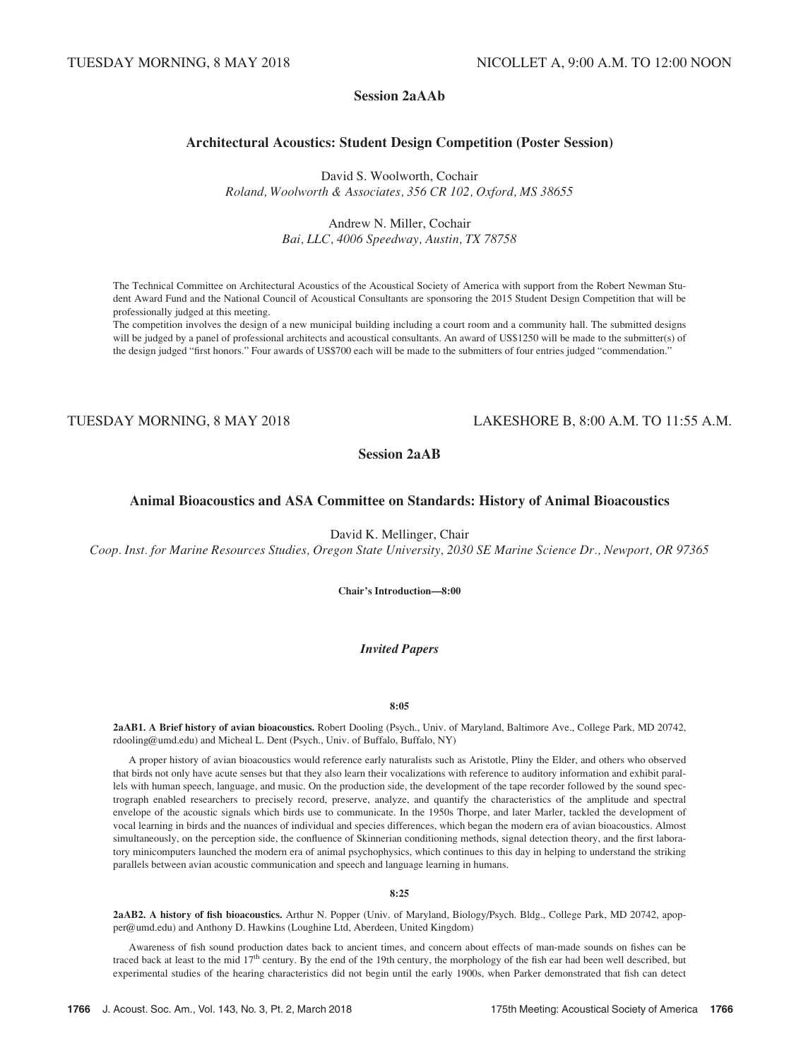# Session 2aAAb

# Architectural Acoustics: Student Design Competition (Poster Session)

David S. Woolworth, Cochair Roland, Woolworth & Associates, 356 CR 102, Oxford, MS 38655

> Andrew N. Miller, Cochair Bai, LLC, 4006 Speedway, Austin, TX 78758

The Technical Committee on Architectural Acoustics of the Acoustical Society of America with support from the Robert Newman Student Award Fund and the National Council of Acoustical Consultants are sponsoring the 2015 Student Design Competition that will be professionally judged at this meeting.

The competition involves the design of a new municipal building including a court room and a community hall. The submitted designs will be judged by a panel of professional architects and acoustical consultants. An award of US\$1250 will be made to the submitter(s) of the design judged "first honors." Four awards of US\$700 each will be made to the submitters of four entries judged "commendation."

# TUESDAY MORNING, 8 MAY 2018 LAKESHORE B, 8:00 A.M. TO 11:55 A.M.

Session 2aAB

# Animal Bioacoustics and ASA Committee on Standards: History of Animal Bioacoustics

David K. Mellinger, Chair

Coop. Inst. for Marine Resources Studies, Oregon State University, 2030 SE Marine Science Dr., Newport, OR 97365

Chair's Introduction—8:00

# Invited Papers

#### 8:05

2aAB1. A Brief history of avian bioacoustics. Robert Dooling (Psych., Univ. of Maryland, Baltimore Ave., College Park, MD 20742, rdooling@umd.edu) and Micheal L. Dent (Psych., Univ. of Buffalo, Buffalo, NY)

A proper history of avian bioacoustics would reference early naturalists such as Aristotle, Pliny the Elder, and others who observed that birds not only have acute senses but that they also learn their vocalizations with reference to auditory information and exhibit parallels with human speech, language, and music. On the production side, the development of the tape recorder followed by the sound spectrograph enabled researchers to precisely record, preserve, analyze, and quantify the characteristics of the amplitude and spectral envelope of the acoustic signals which birds use to communicate. In the 1950s Thorpe, and later Marler, tackled the development of vocal learning in birds and the nuances of individual and species differences, which began the modern era of avian bioacoustics. Almost simultaneously, on the perception side, the confluence of Skinnerian conditioning methods, signal detection theory, and the first laboratory minicomputers launched the modern era of animal psychophysics, which continues to this day in helping to understand the striking parallels between avian acoustic communication and speech and language learning in humans.

#### 8:25

2aAB2. A history of fish bioacoustics. Arthur N. Popper (Univ. of Maryland, Biology/Psych. Bldg., College Park, MD 20742, apopper@umd.edu) and Anthony D. Hawkins (Loughine Ltd, Aberdeen, United Kingdom)

Awareness of fish sound production dates back to ancient times, and concern about effects of man-made sounds on fishes can be traced back at least to the mid 17<sup>th</sup> century. By the end of the 19th century, the morphology of the fish ear had been well described, but experimental studies of the hearing characteristics did not begin until the early 1900s, when Parker demonstrated that fish can detect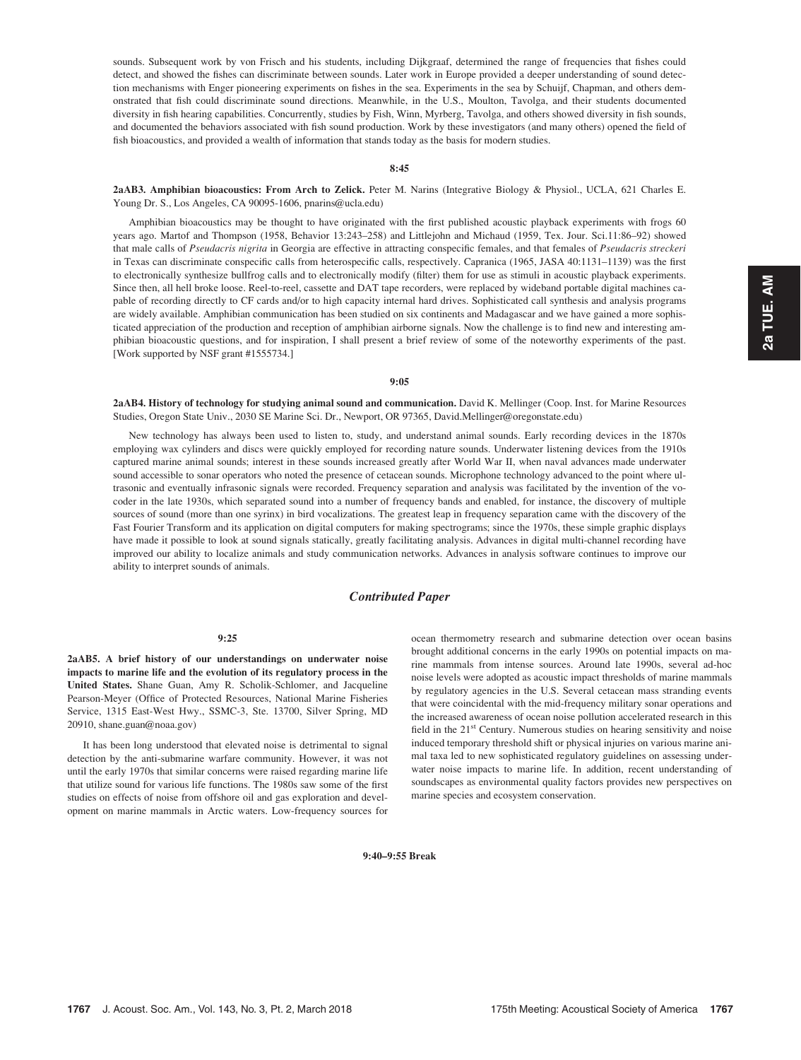#### 8:45

2aAB3. Amphibian bioacoustics: From Arch to Zelick. Peter M. Narins (Integrative Biology & Physiol., UCLA, 621 Charles E. Young Dr. S., Los Angeles, CA 90095-1606, pnarins@ucla.edu)

Amphibian bioacoustics may be thought to have originated with the first published acoustic playback experiments with frogs 60 years ago. Martof and Thompson (1958, Behavior 13:243–258) and Littlejohn and Michaud (1959, Tex. Jour. Sci.11:86–92) showed that male calls of Pseudacris nigrita in Georgia are effective in attracting conspecific females, and that females of Pseudacris streckeri in Texas can discriminate conspecific calls from heterospecific calls, respectively. Capranica (1965, JASA 40:1131–1139) was the first to electronically synthesize bullfrog calls and to electronically modify (filter) them for use as stimuli in acoustic playback experiments. Since then, all hell broke loose. Reel-to-reel, cassette and DAT tape recorders, were replaced by wideband portable digital machines capable of recording directly to CF cards and/or to high capacity internal hard drives. Sophisticated call synthesis and analysis programs are widely available. Amphibian communication has been studied on six continents and Madagascar and we have gained a more sophisticated appreciation of the production and reception of amphibian airborne signals. Now the challenge is to find new and interesting amphibian bioacoustic questions, and for inspiration, I shall present a brief review of some of the noteworthy experiments of the past. [Work supported by NSF grant #1555734.]

#### 9:05

2aAB4. History of technology for studying animal sound and communication. David K. Mellinger (Coop. Inst. for Marine Resources Studies, Oregon State Univ., 2030 SE Marine Sci. Dr., Newport, OR 97365, David.Mellinger@oregonstate.edu)

New technology has always been used to listen to, study, and understand animal sounds. Early recording devices in the 1870s employing wax cylinders and discs were quickly employed for recording nature sounds. Underwater listening devices from the 1910s captured marine animal sounds; interest in these sounds increased greatly after World War II, when naval advances made underwater sound accessible to sonar operators who noted the presence of cetacean sounds. Microphone technology advanced to the point where ultrasonic and eventually infrasonic signals were recorded. Frequency separation and analysis was facilitated by the invention of the vocoder in the late 1930s, which separated sound into a number of frequency bands and enabled, for instance, the discovery of multiple sources of sound (more than one syrinx) in bird vocalizations. The greatest leap in frequency separation came with the discovery of the Fast Fourier Transform and its application on digital computers for making spectrograms; since the 1970s, these simple graphic displays have made it possible to look at sound signals statically, greatly facilitating analysis. Advances in digital multi-channel recording have improved our ability to localize animals and study communication networks. Advances in analysis software continues to improve our ability to interpret sounds of animals.

# Contributed Paper

#### 9:25

2aAB5. A brief history of our understandings on underwater noise impacts to marine life and the evolution of its regulatory process in the United States. Shane Guan, Amy R. Scholik-Schlomer, and Jacqueline Pearson-Meyer (Office of Protected Resources, National Marine Fisheries Service, 1315 East-West Hwy., SSMC-3, Ste. 13700, Silver Spring, MD 20910, shane.guan@noaa.gov)

It has been long understood that elevated noise is detrimental to signal detection by the anti-submarine warfare community. However, it was not until the early 1970s that similar concerns were raised regarding marine life that utilize sound for various life functions. The 1980s saw some of the first studies on effects of noise from offshore oil and gas exploration and development on marine mammals in Arctic waters. Low-frequency sources for ocean thermometry research and submarine detection over ocean basins brought additional concerns in the early 1990s on potential impacts on marine mammals from intense sources. Around late 1990s, several ad-hoc noise levels were adopted as acoustic impact thresholds of marine mammals by regulatory agencies in the U.S. Several cetacean mass stranding events that were coincidental with the mid-frequency military sonar operations and the increased awareness of ocean noise pollution accelerated research in this field in the 21<sup>st</sup> Century. Numerous studies on hearing sensitivity and noise induced temporary threshold shift or physical injuries on various marine animal taxa led to new sophisticated regulatory guidelines on assessing underwater noise impacts to marine life. In addition, recent understanding of soundscapes as environmental quality factors provides new perspectives on marine species and ecosystem conservation.

9:40–9:55 Break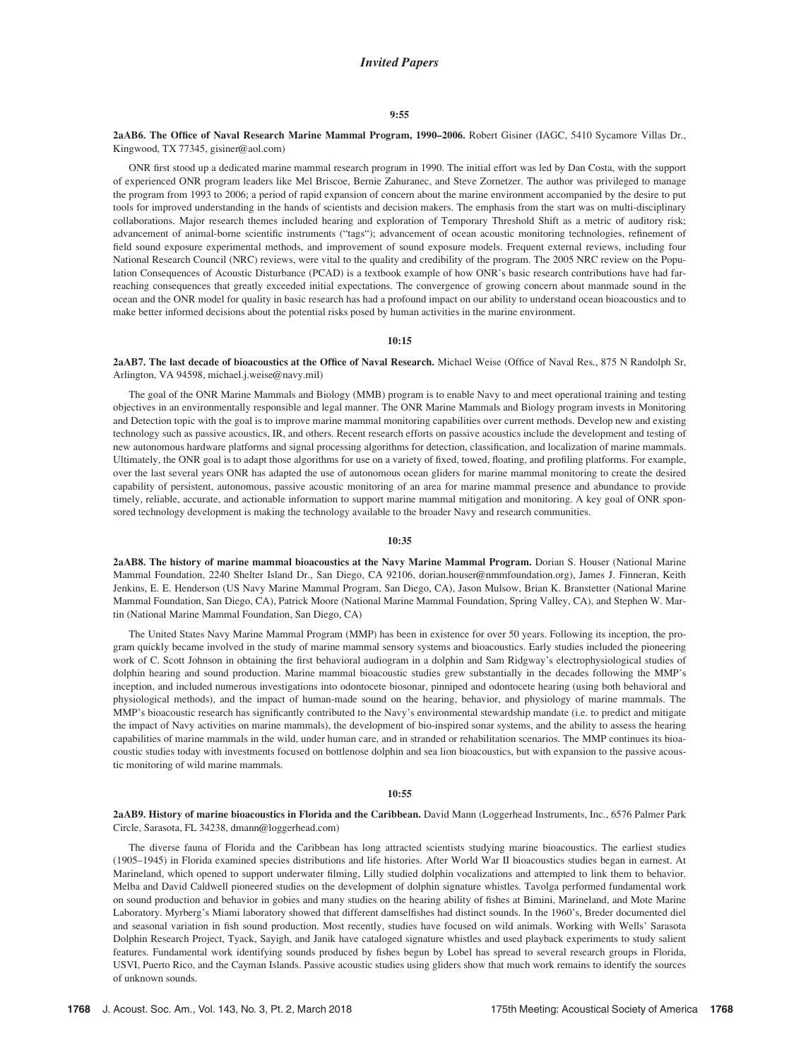#### Invited Papers

#### 9:55

#### 2aAB6. The Office of Naval Research Marine Mammal Program, 1990–2006. Robert Gisiner (IAGC, 5410 Sycamore Villas Dr., Kingwood, TX 77345, gisiner@aol.com)

ONR first stood up a dedicated marine mammal research program in 1990. The initial effort was led by Dan Costa, with the support of experienced ONR program leaders like Mel Briscoe, Bernie Zahuranec, and Steve Zornetzer. The author was privileged to manage the program from 1993 to 2006; a period of rapid expansion of concern about the marine environment accompanied by the desire to put tools for improved understanding in the hands of scientists and decision makers. The emphasis from the start was on multi-disciplinary collaborations. Major research themes included hearing and exploration of Temporary Threshold Shift as a metric of auditory risk; advancement of animal-borne scientific instruments ("tags"); advancement of ocean acoustic monitoring technologies, refinement of field sound exposure experimental methods, and improvement of sound exposure models. Frequent external reviews, including four National Research Council (NRC) reviews, were vital to the quality and credibility of the program. The 2005 NRC review on the Population Consequences of Acoustic Disturbance (PCAD) is a textbook example of how ONR's basic research contributions have had farreaching consequences that greatly exceeded initial expectations. The convergence of growing concern about manmade sound in the ocean and the ONR model for quality in basic research has had a profound impact on our ability to understand ocean bioacoustics and to make better informed decisions about the potential risks posed by human activities in the marine environment.

#### 10:15

2aAB7. The last decade of bioacoustics at the Office of Naval Research. Michael Weise (Office of Naval Res., 875 N Randolph Sr, Arlington, VA 94598, michael.j.weise@navy.mil)

The goal of the ONR Marine Mammals and Biology (MMB) program is to enable Navy to and meet operational training and testing objectives in an environmentally responsible and legal manner. The ONR Marine Mammals and Biology program invests in Monitoring and Detection topic with the goal is to improve marine mammal monitoring capabilities over current methods. Develop new and existing technology such as passive acoustics, IR, and others. Recent research efforts on passive acoustics include the development and testing of new autonomous hardware platforms and signal processing algorithms for detection, classification, and localization of marine mammals. Ultimately, the ONR goal is to adapt those algorithms for use on a variety of fixed, towed, floating, and profiling platforms. For example, over the last several years ONR has adapted the use of autonomous ocean gliders for marine mammal monitoring to create the desired capability of persistent, autonomous, passive acoustic monitoring of an area for marine mammal presence and abundance to provide timely, reliable, accurate, and actionable information to support marine mammal mitigation and monitoring. A key goal of ONR sponsored technology development is making the technology available to the broader Navy and research communities.

#### 10:35

2aAB8. The history of marine mammal bioacoustics at the Navy Marine Mammal Program. Dorian S. Houser (National Marine Mammal Foundation, 2240 Shelter Island Dr., San Diego, CA 92106, dorian.houser@nmmfoundation.org), James J. Finneran, Keith Jenkins, E. E. Henderson (US Navy Marine Mammal Program, San Diego, CA), Jason Mulsow, Brian K. Branstetter (National Marine Mammal Foundation, San Diego, CA), Patrick Moore (National Marine Mammal Foundation, Spring Valley, CA), and Stephen W. Martin (National Marine Mammal Foundation, San Diego, CA)

The United States Navy Marine Mammal Program (MMP) has been in existence for over 50 years. Following its inception, the program quickly became involved in the study of marine mammal sensory systems and bioacoustics. Early studies included the pioneering work of C. Scott Johnson in obtaining the first behavioral audiogram in a dolphin and Sam Ridgway's electrophysiological studies of dolphin hearing and sound production. Marine mammal bioacoustic studies grew substantially in the decades following the MMP's inception, and included numerous investigations into odontocete biosonar, pinniped and odontocete hearing (using both behavioral and physiological methods), and the impact of human-made sound on the hearing, behavior, and physiology of marine mammals. The MMP's bioacoustic research has significantly contributed to the Navy's environmental stewardship mandate (i.e. to predict and mitigate the impact of Navy activities on marine mammals), the development of bio-inspired sonar systems, and the ability to assess the hearing capabilities of marine mammals in the wild, under human care, and in stranded or rehabilitation scenarios. The MMP continues its bioacoustic studies today with investments focused on bottlenose dolphin and sea lion bioacoustics, but with expansion to the passive acoustic monitoring of wild marine mammals.

#### 10:55

2aAB9. History of marine bioacoustics in Florida and the Caribbean. David Mann (Loggerhead Instruments, Inc., 6576 Palmer Park Circle, Sarasota, FL 34238, dmann@loggerhead.com)

The diverse fauna of Florida and the Caribbean has long attracted scientists studying marine bioacoustics. The earliest studies (1905–1945) in Florida examined species distributions and life histories. After World War II bioacoustics studies began in earnest. At Marineland, which opened to support underwater filming, Lilly studied dolphin vocalizations and attempted to link them to behavior. Melba and David Caldwell pioneered studies on the development of dolphin signature whistles. Tavolga performed fundamental work on sound production and behavior in gobies and many studies on the hearing ability of fishes at Bimini, Marineland, and Mote Marine Laboratory. Myrberg's Miami laboratory showed that different damselfishes had distinct sounds. In the 1960's, Breder documented diel and seasonal variation in fish sound production. Most recently, studies have focused on wild animals. Working with Wells' Sarasota Dolphin Research Project, Tyack, Sayigh, and Janik have cataloged signature whistles and used playback experiments to study salient features. Fundamental work identifying sounds produced by fishes begun by Lobel has spread to several research groups in Florida, USVI, Puerto Rico, and the Cayman Islands. Passive acoustic studies using gliders show that much work remains to identify the sources of unknown sounds.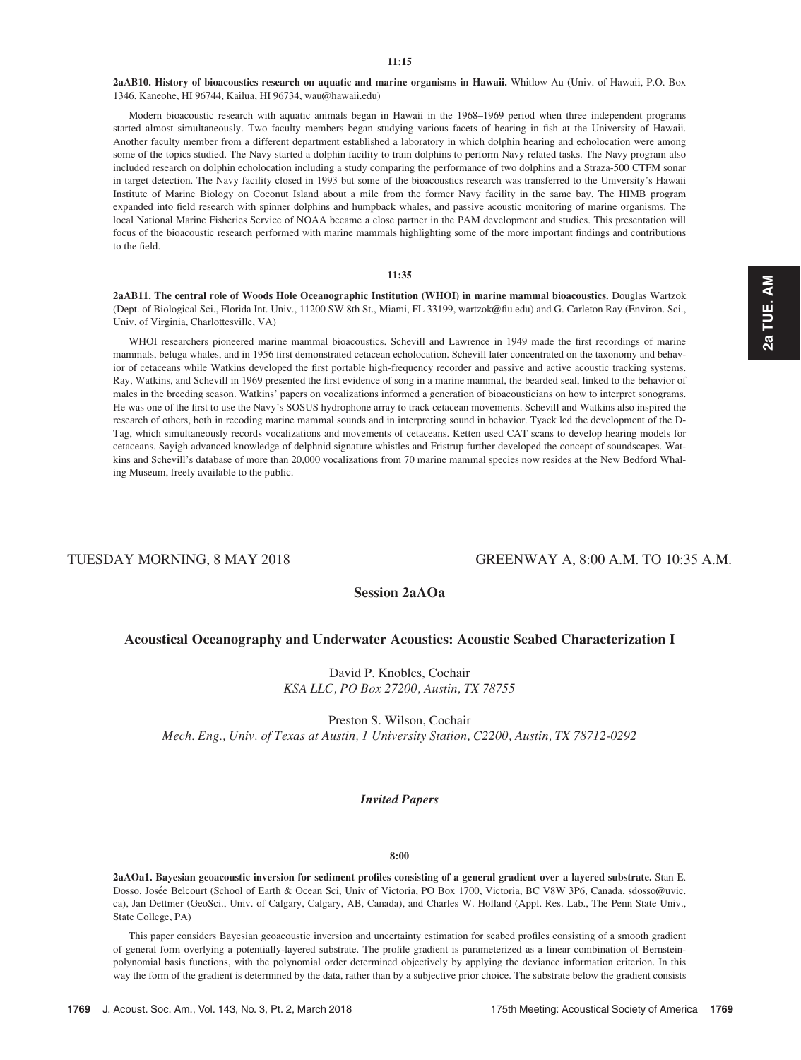2aAB10. History of bioacoustics research on aquatic and marine organisms in Hawaii. Whitlow Au (Univ. of Hawaii, P.O. Box 1346, Kaneohe, HI 96744, Kailua, HI 96734, wau@hawaii.edu)

Modern bioacoustic research with aquatic animals began in Hawaii in the 1968–1969 period when three independent programs started almost simultaneously. Two faculty members began studying various facets of hearing in fish at the University of Hawaii. Another faculty member from a different department established a laboratory in which dolphin hearing and echolocation were among some of the topics studied. The Navy started a dolphin facility to train dolphins to perform Navy related tasks. The Navy program also included research on dolphin echolocation including a study comparing the performance of two dolphins and a Straza-500 CTFM sonar in target detection. The Navy facility closed in 1993 but some of the bioacoustics research was transferred to the University's Hawaii Institute of Marine Biology on Coconut Island about a mile from the former Navy facility in the same bay. The HIMB program expanded into field research with spinner dolphins and humpback whales, and passive acoustic monitoring of marine organisms. The local National Marine Fisheries Service of NOAA became a close partner in the PAM development and studies. This presentation will focus of the bioacoustic research performed with marine mammals highlighting some of the more important findings and contributions to the field.

#### 11:35

2aAB11. The central role of Woods Hole Oceanographic Institution (WHOI) in marine mammal bioacoustics. Douglas Wartzok (Dept. of Biological Sci., Florida Int. Univ., 11200 SW 8th St., Miami, FL 33199, wartzok@fiu.edu) and G. Carleton Ray (Environ. Sci., Univ. of Virginia, Charlottesville, VA)

WHOI researchers pioneered marine mammal bioacoustics. Schevill and Lawrence in 1949 made the first recordings of marine mammals, beluga whales, and in 1956 first demonstrated cetacean echolocation. Schevill later concentrated on the taxonomy and behavior of cetaceans while Watkins developed the first portable high-frequency recorder and passive and active acoustic tracking systems. Ray, Watkins, and Schevill in 1969 presented the first evidence of song in a marine mammal, the bearded seal, linked to the behavior of males in the breeding season. Watkins' papers on vocalizations informed a generation of bioacousticians on how to interpret sonograms. He was one of the first to use the Navy's SOSUS hydrophone array to track cetacean movements. Schevill and Watkins also inspired the research of others, both in recoding marine mammal sounds and in interpreting sound in behavior. Tyack led the development of the D-Tag, which simultaneously records vocalizations and movements of cetaceans. Ketten used CAT scans to develop hearing models for cetaceans. Sayigh advanced knowledge of delphnid signature whistles and Fristrup further developed the concept of soundscapes. Watkins and Schevill's database of more than 20,000 vocalizations from 70 marine mammal species now resides at the New Bedford Whaling Museum, freely available to the public.

# TUESDAY MORNING, 8 MAY 2018 GREENWAY A, 8:00 A.M. TO 10:35 A.M.

# Session 2aAOa

### Acoustical Oceanography and Underwater Acoustics: Acoustic Seabed Characterization I

David P. Knobles, Cochair KSA LLC, PO Box 27200, Austin, TX 78755

Preston S. Wilson, Cochair Mech. Eng., Univ. of Texas at Austin, 1 University Station, C2200, Austin, TX 78712-0292

#### Invited Papers

# 8:00

2aAOa1. Bayesian geoacoustic inversion for sediment profiles consisting of a general gradient over a layered substrate. Stan E. Dosso, Josée Belcourt (School of Earth & Ocean Sci, Univ of Victoria, PO Box 1700, Victoria, BC V8W 3P6, Canada, sdosso@uvic. ca), Jan Dettmer (GeoSci., Univ. of Calgary, Calgary, AB, Canada), and Charles W. Holland (Appl. Res. Lab., The Penn State Univ., State College, PA)

This paper considers Bayesian geoacoustic inversion and uncertainty estimation for seabed profiles consisting of a smooth gradient of general form overlying a potentially-layered substrate. The profile gradient is parameterized as a linear combination of Bernsteinpolynomial basis functions, with the polynomial order determined objectively by applying the deviance information criterion. In this way the form of the gradient is determined by the data, rather than by a subjective prior choice. The substrate below the gradient consists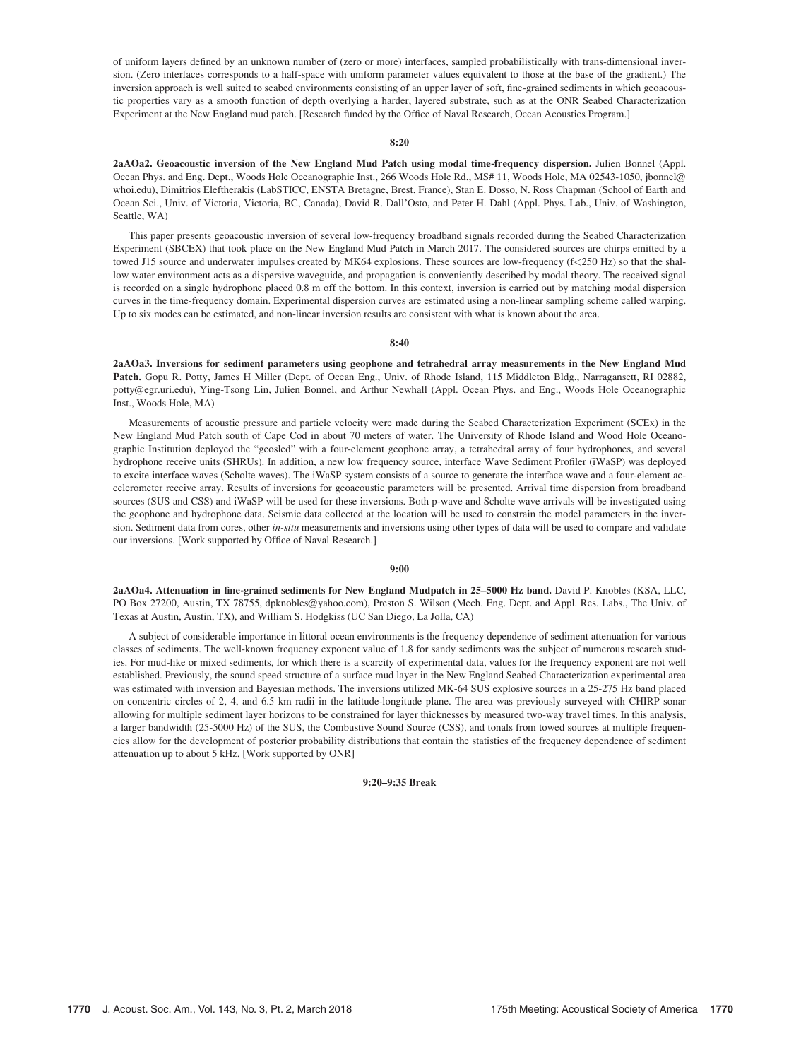of uniform layers defined by an unknown number of (zero or more) interfaces, sampled probabilistically with trans-dimensional inversion. (Zero interfaces corresponds to a half-space with uniform parameter values equivalent to those at the base of the gradient.) The inversion approach is well suited to seabed environments consisting of an upper layer of soft, fine-grained sediments in which geoacoustic properties vary as a smooth function of depth overlying a harder, layered substrate, such as at the ONR Seabed Characterization Experiment at the New England mud patch. [Research funded by the Office of Naval Research, Ocean Acoustics Program.]

#### 8:20

2aAOa2. Geoacoustic inversion of the New England Mud Patch using modal time-frequency dispersion. Julien Bonnel (Appl. Ocean Phys. and Eng. Dept., Woods Hole Oceanographic Inst., 266 Woods Hole Rd., MS# 11, Woods Hole, MA 02543-1050, jbonnel@ whoi.edu), Dimitrios Eleftherakis (LabSTICC, ENSTA Bretagne, Brest, France), Stan E. Dosso, N. Ross Chapman (School of Earth and Ocean Sci., Univ. of Victoria, Victoria, BC, Canada), David R. Dall'Osto, and Peter H. Dahl (Appl. Phys. Lab., Univ. of Washington, Seattle, WA)

This paper presents geoacoustic inversion of several low-frequency broadband signals recorded during the Seabed Characterization Experiment (SBCEX) that took place on the New England Mud Patch in March 2017. The considered sources are chirps emitted by a towed J15 source and underwater impulses created by MK64 explosions. These sources are low-frequency (f<250 Hz) so that the shallow water environment acts as a dispersive waveguide, and propagation is conveniently described by modal theory. The received signal is recorded on a single hydrophone placed 0.8 m off the bottom. In this context, inversion is carried out by matching modal dispersion curves in the time-frequency domain. Experimental dispersion curves are estimated using a non-linear sampling scheme called warping. Up to six modes can be estimated, and non-linear inversion results are consistent with what is known about the area.

#### 8:40

2aAOa3. Inversions for sediment parameters using geophone and tetrahedral array measurements in the New England Mud Patch. Gopu R. Potty, James H Miller (Dept. of Ocean Eng., Univ. of Rhode Island, 115 Middleton Bldg., Narragansett, RI 02882, potty@egr.uri.edu), Ying-Tsong Lin, Julien Bonnel, and Arthur Newhall (Appl. Ocean Phys. and Eng., Woods Hole Oceanographic Inst., Woods Hole, MA)

Measurements of acoustic pressure and particle velocity were made during the Seabed Characterization Experiment (SCEx) in the New England Mud Patch south of Cape Cod in about 70 meters of water. The University of Rhode Island and Wood Hole Oceanographic Institution deployed the "geosled" with a four-element geophone array, a tetrahedral array of four hydrophones, and several hydrophone receive units (SHRUs). In addition, a new low frequency source, interface Wave Sediment Profiler (iWaSP) was deployed to excite interface waves (Scholte waves). The iWaSP system consists of a source to generate the interface wave and a four-element accelerometer receive array. Results of inversions for geoacoustic parameters will be presented. Arrival time dispersion from broadband sources (SUS and CSS) and iWaSP will be used for these inversions. Both p-wave and Scholte wave arrivals will be investigated using the geophone and hydrophone data. Seismic data collected at the location will be used to constrain the model parameters in the inversion. Sediment data from cores, other in-situ measurements and inversions using other types of data will be used to compare and validate our inversions. [Work supported by Office of Naval Research.]

#### 9:00

2aAOa4. Attenuation in fine-grained sediments for New England Mudpatch in 25–5000 Hz band. David P. Knobles (KSA, LLC, PO Box 27200, Austin, TX 78755, dpknobles@yahoo.com), Preston S. Wilson (Mech. Eng. Dept. and Appl. Res. Labs., The Univ. of Texas at Austin, Austin, TX), and William S. Hodgkiss (UC San Diego, La Jolla, CA)

A subject of considerable importance in littoral ocean environments is the frequency dependence of sediment attenuation for various classes of sediments. The well-known frequency exponent value of 1.8 for sandy sediments was the subject of numerous research studies. For mud-like or mixed sediments, for which there is a scarcity of experimental data, values for the frequency exponent are not well established. Previously, the sound speed structure of a surface mud layer in the New England Seabed Characterization experimental area was estimated with inversion and Bayesian methods. The inversions utilized MK-64 SUS explosive sources in a 25-275 Hz band placed on concentric circles of 2, 4, and 6.5 km radii in the latitude-longitude plane. The area was previously surveyed with CHIRP sonar allowing for multiple sediment layer horizons to be constrained for layer thicknesses by measured two-way travel times. In this analysis, a larger bandwidth (25-5000 Hz) of the SUS, the Combustive Sound Source (CSS), and tonals from towed sources at multiple frequencies allow for the development of posterior probability distributions that contain the statistics of the frequency dependence of sediment attenuation up to about 5 kHz. [Work supported by ONR]

9:20–9:35 Break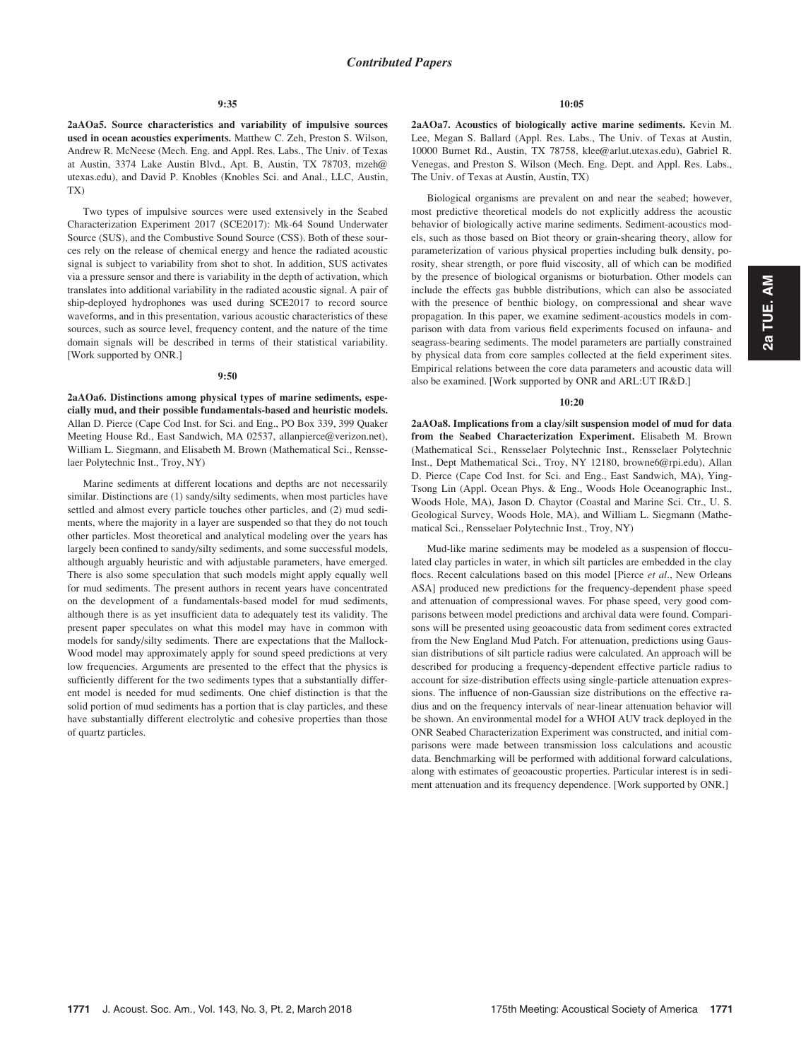2aAOa5. Source characteristics and variability of impulsive sources used in ocean acoustics experiments. Matthew C. Zeh, Preston S. Wilson, Andrew R. McNeese (Mech. Eng. and Appl. Res. Labs., The Univ. of Texas at Austin, 3374 Lake Austin Blvd., Apt. B, Austin, TX 78703, mzeh@ utexas.edu), and David P. Knobles (Knobles Sci. and Anal., LLC, Austin, TX)

Two types of impulsive sources were used extensively in the Seabed Characterization Experiment 2017 (SCE2017): Mk-64 Sound Underwater Source (SUS), and the Combustive Sound Source (CSS). Both of these sources rely on the release of chemical energy and hence the radiated acoustic signal is subject to variability from shot to shot. In addition, SUS activates via a pressure sensor and there is variability in the depth of activation, which translates into additional variability in the radiated acoustic signal. A pair of ship-deployed hydrophones was used during SCE2017 to record source waveforms, and in this presentation, various acoustic characteristics of these sources, such as source level, frequency content, and the nature of the time domain signals will be described in terms of their statistical variability. [Work supported by ONR.]

#### 9:50

2aAOa6. Distinctions among physical types of marine sediments, especially mud, and their possible fundamentals-based and heuristic models. Allan D. Pierce (Cape Cod Inst. for Sci. and Eng., PO Box 339, 399 Quaker Meeting House Rd., East Sandwich, MA 02537, allanpierce@verizon.net), William L. Siegmann, and Elisabeth M. Brown (Mathematical Sci., Rensselaer Polytechnic Inst., Troy, NY)

Marine sediments at different locations and depths are not necessarily similar. Distinctions are (1) sandy/silty sediments, when most particles have settled and almost every particle touches other particles, and (2) mud sediments, where the majority in a layer are suspended so that they do not touch other particles. Most theoretical and analytical modeling over the years has largely been confined to sandy/silty sediments, and some successful models, although arguably heuristic and with adjustable parameters, have emerged. There is also some speculation that such models might apply equally well for mud sediments. The present authors in recent years have concentrated on the development of a fundamentals-based model for mud sediments, although there is as yet insufficient data to adequately test its validity. The present paper speculates on what this model may have in common with models for sandy/silty sediments. There are expectations that the Mallock-Wood model may approximately apply for sound speed predictions at very low frequencies. Arguments are presented to the effect that the physics is sufficiently different for the two sediments types that a substantially different model is needed for mud sediments. One chief distinction is that the solid portion of mud sediments has a portion that is clay particles, and these have substantially different electrolytic and cohesive properties than those of quartz particles.

#### 10:05

2aAOa7. Acoustics of biologically active marine sediments. Kevin M. Lee, Megan S. Ballard (Appl. Res. Labs., The Univ. of Texas at Austin, 10000 Burnet Rd., Austin, TX 78758, klee@arlut.utexas.edu), Gabriel R. Venegas, and Preston S. Wilson (Mech. Eng. Dept. and Appl. Res. Labs., The Univ. of Texas at Austin, Austin, TX)

Biological organisms are prevalent on and near the seabed; however, most predictive theoretical models do not explicitly address the acoustic behavior of biologically active marine sediments. Sediment-acoustics models, such as those based on Biot theory or grain-shearing theory, allow for parameterization of various physical properties including bulk density, porosity, shear strength, or pore fluid viscosity, all of which can be modified by the presence of biological organisms or bioturbation. Other models can include the effects gas bubble distributions, which can also be associated with the presence of benthic biology, on compressional and shear wave propagation. In this paper, we examine sediment-acoustics models in comparison with data from various field experiments focused on infauna- and seagrass-bearing sediments. The model parameters are partially constrained by physical data from core samples collected at the field experiment sites. Empirical relations between the core data parameters and acoustic data will also be examined. [Work supported by ONR and ARL:UT IR&D.]

#### 10:20

2aAOa8. Implications from a clay/silt suspension model of mud for data from the Seabed Characterization Experiment. Elisabeth M. Brown (Mathematical Sci., Rensselaer Polytechnic Inst., Rensselaer Polytechnic Inst., Dept Mathematical Sci., Troy, NY 12180, browne6@rpi.edu), Allan D. Pierce (Cape Cod Inst. for Sci. and Eng., East Sandwich, MA), Ying-Tsong Lin (Appl. Ocean Phys. & Eng., Woods Hole Oceanographic Inst., Woods Hole, MA), Jason D. Chaytor (Coastal and Marine Sci. Ctr., U. S. Geological Survey, Woods Hole, MA), and William L. Siegmann (Mathematical Sci., Rensselaer Polytechnic Inst., Troy, NY)

Mud-like marine sediments may be modeled as a suspension of flocculated clay particles in water, in which silt particles are embedded in the clay flocs. Recent calculations based on this model [Pierce et al., New Orleans ASA] produced new predictions for the frequency-dependent phase speed and attenuation of compressional waves. For phase speed, very good comparisons between model predictions and archival data were found. Comparisons will be presented using geoacoustic data from sediment cores extracted from the New England Mud Patch. For attenuation, predictions using Gaussian distributions of silt particle radius were calculated. An approach will be described for producing a frequency-dependent effective particle radius to account for size-distribution effects using single-particle attenuation expressions. The influence of non-Gaussian size distributions on the effective radius and on the frequency intervals of near-linear attenuation behavior will be shown. An environmental model for a WHOI AUV track deployed in the ONR Seabed Characterization Experiment was constructed, and initial comparisons were made between transmission loss calculations and acoustic data. Benchmarking will be performed with additional forward calculations, along with estimates of geoacoustic properties. Particular interest is in sediment attenuation and its frequency dependence. [Work supported by ONR.]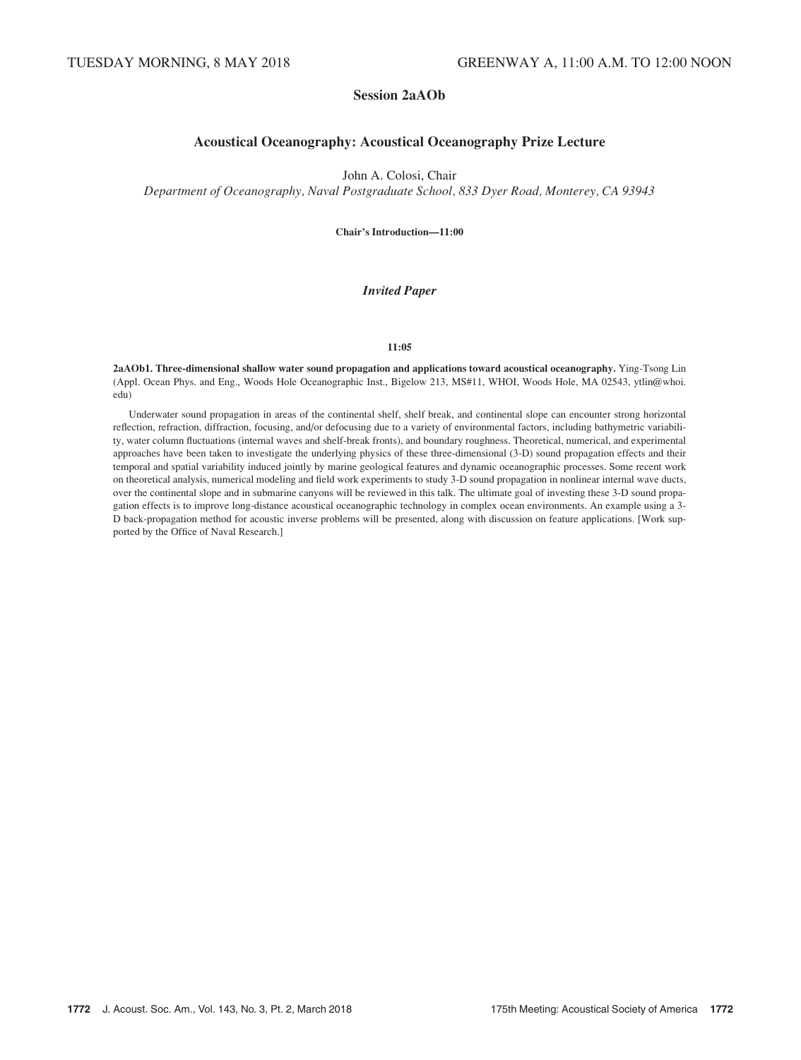# Session 2aAOb

# Acoustical Oceanography: Acoustical Oceanography Prize Lecture

John A. Colosi, Chair

Department of Oceanography, Naval Postgraduate School, 833 Dyer Road, Monterey, CA 93943

Chair's Introduction—11:00

# Invited Paper

### 11:05

2aAOb1. Three-dimensional shallow water sound propagation and applications toward acoustical oceanography. Ying-Tsong Lin (Appl. Ocean Phys. and Eng., Woods Hole Oceanographic Inst., Bigelow 213, MS#11, WHOI, Woods Hole, MA 02543, ytlin@whoi. edu)

Underwater sound propagation in areas of the continental shelf, shelf break, and continental slope can encounter strong horizontal reflection, refraction, diffraction, focusing, and/or defocusing due to a variety of environmental factors, including bathymetric variability, water column fluctuations (internal waves and shelf-break fronts), and boundary roughness. Theoretical, numerical, and experimental approaches have been taken to investigate the underlying physics of these three-dimensional (3-D) sound propagation effects and their temporal and spatial variability induced jointly by marine geological features and dynamic oceanographic processes. Some recent work on theoretical analysis, numerical modeling and field work experiments to study 3-D sound propagation in nonlinear internal wave ducts, over the continental slope and in submarine canyons will be reviewed in this talk. The ultimate goal of investing these 3-D sound propagation effects is to improve long-distance acoustical oceanographic technology in complex ocean environments. An example using a 3- D back-propagation method for acoustic inverse problems will be presented, along with discussion on feature applications. [Work supported by the Office of Naval Research.]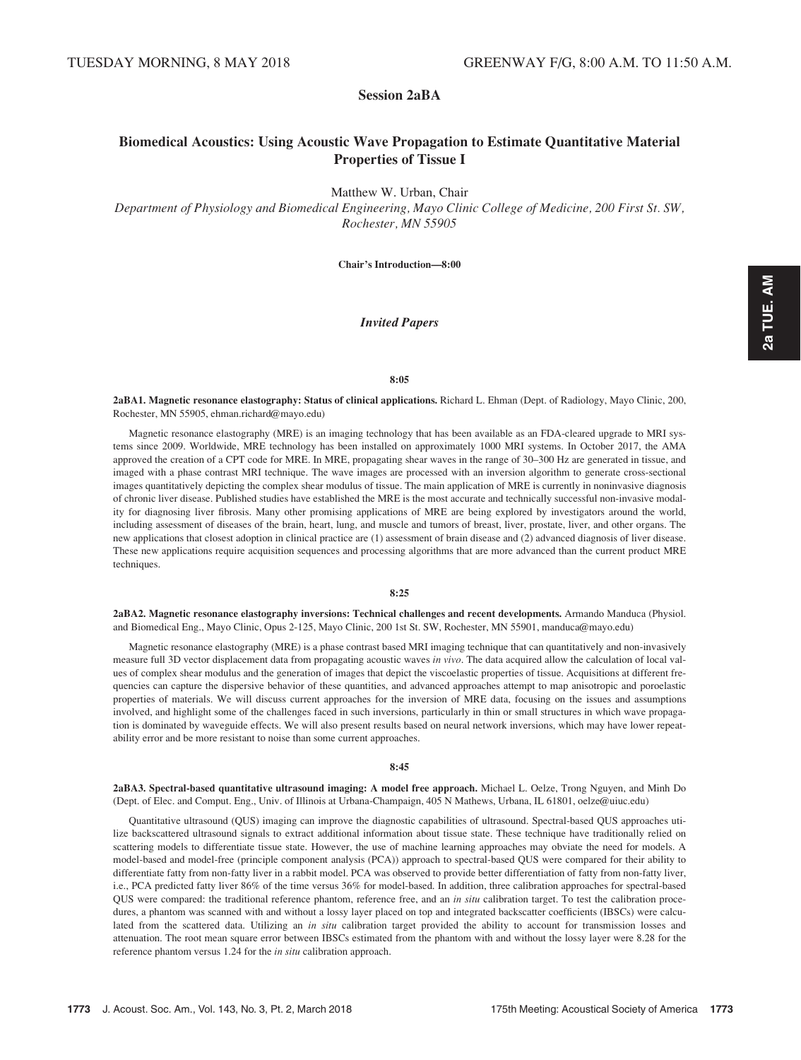Session 2aBA

# Biomedical Acoustics: Using Acoustic Wave Propagation to Estimate Quantitative Material Properties of Tissue I

Matthew W. Urban, Chair

Department of Physiology and Biomedical Engineering, Mayo Clinic College of Medicine, 200 First St. SW, Rochester, MN 55905

Chair's Introduction—8:00

### Invited Papers

### 8:05

2aBA1. Magnetic resonance elastography: Status of clinical applications. Richard L. Ehman (Dept. of Radiology, Mayo Clinic, 200, Rochester, MN 55905, ehman.richard@mayo.edu)

Magnetic resonance elastography (MRE) is an imaging technology that has been available as an FDA-cleared upgrade to MRI systems since 2009. Worldwide, MRE technology has been installed on approximately 1000 MRI systems. In October 2017, the AMA approved the creation of a CPT code for MRE. In MRE, propagating shear waves in the range of 30–300 Hz are generated in tissue, and imaged with a phase contrast MRI technique. The wave images are processed with an inversion algorithm to generate cross-sectional images quantitatively depicting the complex shear modulus of tissue. The main application of MRE is currently in noninvasive diagnosis of chronic liver disease. Published studies have established the MRE is the most accurate and technically successful non-invasive modality for diagnosing liver fibrosis. Many other promising applications of MRE are being explored by investigators around the world, including assessment of diseases of the brain, heart, lung, and muscle and tumors of breast, liver, prostate, liver, and other organs. The new applications that closest adoption in clinical practice are (1) assessment of brain disease and (2) advanced diagnosis of liver disease. These new applications require acquisition sequences and processing algorithms that are more advanced than the current product MRE techniques.

#### 8:25

2aBA2. Magnetic resonance elastography inversions: Technical challenges and recent developments. Armando Manduca (Physiol. and Biomedical Eng., Mayo Clinic, Opus 2-125, Mayo Clinic, 200 1st St. SW, Rochester, MN 55901, manduca@mayo.edu)

Magnetic resonance elastography (MRE) is a phase contrast based MRI imaging technique that can quantitatively and non-invasively measure full 3D vector displacement data from propagating acoustic waves in vivo. The data acquired allow the calculation of local values of complex shear modulus and the generation of images that depict the viscoelastic properties of tissue. Acquisitions at different frequencies can capture the dispersive behavior of these quantities, and advanced approaches attempt to map anisotropic and poroelastic properties of materials. We will discuss current approaches for the inversion of MRE data, focusing on the issues and assumptions involved, and highlight some of the challenges faced in such inversions, particularly in thin or small structures in which wave propagation is dominated by waveguide effects. We will also present results based on neural network inversions, which may have lower repeatability error and be more resistant to noise than some current approaches.

#### 8:45

2aBA3. Spectral-based quantitative ultrasound imaging: A model free approach. Michael L. Oelze, Trong Nguyen, and Minh Do (Dept. of Elec. and Comput. Eng., Univ. of Illinois at Urbana-Champaign, 405 N Mathews, Urbana, IL 61801, oelze@uiuc.edu)

Quantitative ultrasound (QUS) imaging can improve the diagnostic capabilities of ultrasound. Spectral-based QUS approaches utilize backscattered ultrasound signals to extract additional information about tissue state. These technique have traditionally relied on scattering models to differentiate tissue state. However, the use of machine learning approaches may obviate the need for models. A model-based and model-free (principle component analysis (PCA)) approach to spectral-based QUS were compared for their ability to differentiate fatty from non-fatty liver in a rabbit model. PCA was observed to provide better differentiation of fatty from non-fatty liver, i.e., PCA predicted fatty liver 86% of the time versus 36% for model-based. In addition, three calibration approaches for spectral-based QUS were compared: the traditional reference phantom, reference free, and an in situ calibration target. To test the calibration procedures, a phantom was scanned with and without a lossy layer placed on top and integrated backscatter coefficients (IBSCs) were calculated from the scattered data. Utilizing an in situ calibration target provided the ability to account for transmission losses and attenuation. The root mean square error between IBSCs estimated from the phantom with and without the lossy layer were 8.28 for the reference phantom versus 1.24 for the in situ calibration approach.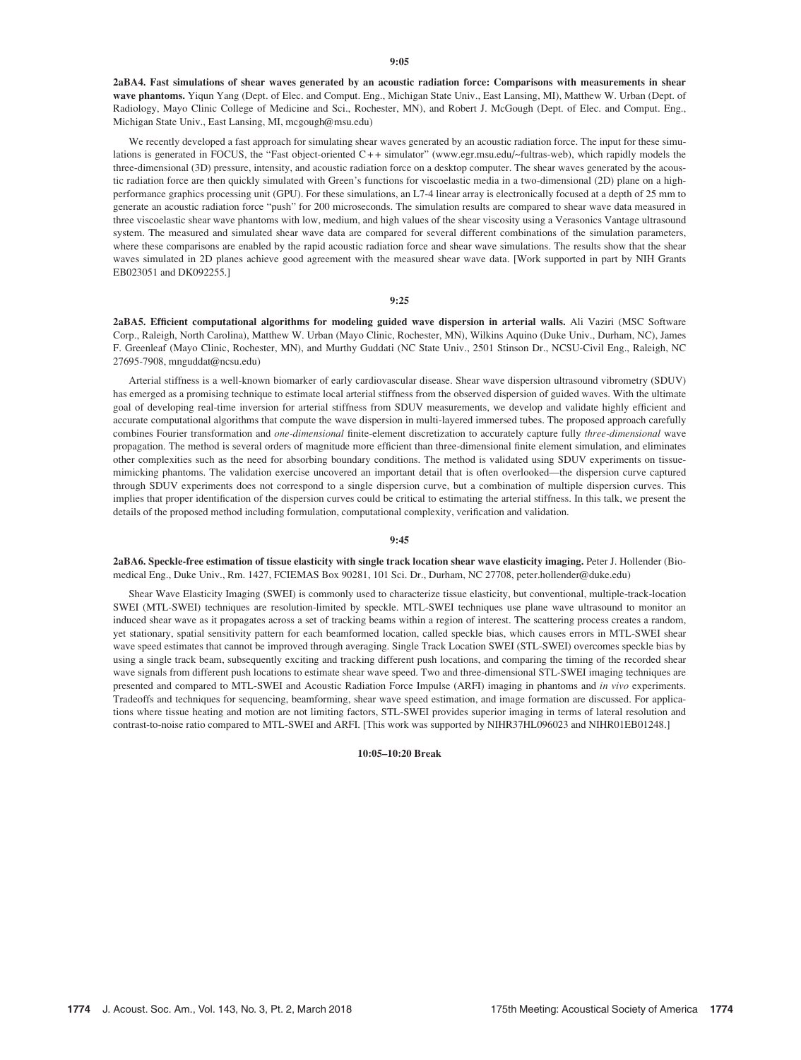2aBA4. Fast simulations of shear waves generated by an acoustic radiation force: Comparisons with measurements in shear wave phantoms. Yiqun Yang (Dept. of Elec. and Comput. Eng., Michigan State Univ., East Lansing, MI), Matthew W. Urban (Dept. of Radiology, Mayo Clinic College of Medicine and Sci., Rochester, MN), and Robert J. McGough (Dept. of Elec. and Comput. Eng., Michigan State Univ., East Lansing, MI, mcgough@msu.edu)

We recently developed a fast approach for simulating shear waves generated by an acoustic radiation force. The input for these simulations is generated in FOCUS, the "Fast object-oriented C + + simulator" (www.egr.msu.edu/~fultras-web), which rapidly models the three-dimensional (3D) pressure, intensity, and acoustic radiation force on a desktop computer. The shear waves generated by the acoustic radiation force are then quickly simulated with Green's functions for viscoelastic media in a two-dimensional (2D) plane on a highperformance graphics processing unit (GPU). For these simulations, an L7-4 linear array is electronically focused at a depth of 25 mm to generate an acoustic radiation force "push" for 200 microseconds. The simulation results are compared to shear wave data measured in three viscoelastic shear wave phantoms with low, medium, and high values of the shear viscosity using a Verasonics Vantage ultrasound system. The measured and simulated shear wave data are compared for several different combinations of the simulation parameters, where these comparisons are enabled by the rapid acoustic radiation force and shear wave simulations. The results show that the shear waves simulated in 2D planes achieve good agreement with the measured shear wave data. [Work supported in part by NIH Grants EB023051 and DK092255.]

#### 9:25

2aBA5. Efficient computational algorithms for modeling guided wave dispersion in arterial walls. Ali Vaziri (MSC Software Corp., Raleigh, North Carolina), Matthew W. Urban (Mayo Clinic, Rochester, MN), Wilkins Aquino (Duke Univ., Durham, NC), James F. Greenleaf (Mayo Clinic, Rochester, MN), and Murthy Guddati (NC State Univ., 2501 Stinson Dr., NCSU-Civil Eng., Raleigh, NC 27695-7908, mnguddat@ncsu.edu)

Arterial stiffness is a well-known biomarker of early cardiovascular disease. Shear wave dispersion ultrasound vibrometry (SDUV) has emerged as a promising technique to estimate local arterial stiffness from the observed dispersion of guided waves. With the ultimate goal of developing real-time inversion for arterial stiffness from SDUV measurements, we develop and validate highly efficient and accurate computational algorithms that compute the wave dispersion in multi-layered immersed tubes. The proposed approach carefully combines Fourier transformation and one-dimensional finite-element discretization to accurately capture fully three-dimensional wave propagation. The method is several orders of magnitude more efficient than three-dimensional finite element simulation, and eliminates other complexities such as the need for absorbing boundary conditions. The method is validated using SDUV experiments on tissuemimicking phantoms. The validation exercise uncovered an important detail that is often overlooked—the dispersion curve captured through SDUV experiments does not correspond to a single dispersion curve, but a combination of multiple dispersion curves. This implies that proper identification of the dispersion curves could be critical to estimating the arterial stiffness. In this talk, we present the details of the proposed method including formulation, computational complexity, verification and validation.

#### 9:45

2aBA6. Speckle-free estimation of tissue elasticity with single track location shear wave elasticity imaging. Peter J. Hollender (Biomedical Eng., Duke Univ., Rm. 1427, FCIEMAS Box 90281, 101 Sci. Dr., Durham, NC 27708, peter.hollender@duke.edu)

Shear Wave Elasticity Imaging (SWEI) is commonly used to characterize tissue elasticity, but conventional, multiple-track-location SWEI (MTL-SWEI) techniques are resolution-limited by speckle. MTL-SWEI techniques use plane wave ultrasound to monitor an induced shear wave as it propagates across a set of tracking beams within a region of interest. The scattering process creates a random, yet stationary, spatial sensitivity pattern for each beamformed location, called speckle bias, which causes errors in MTL-SWEI shear wave speed estimates that cannot be improved through averaging. Single Track Location SWEI (STL-SWEI) overcomes speckle bias by using a single track beam, subsequently exciting and tracking different push locations, and comparing the timing of the recorded shear wave signals from different push locations to estimate shear wave speed. Two and three-dimensional STL-SWEI imaging techniques are presented and compared to MTL-SWEI and Acoustic Radiation Force Impulse (ARFI) imaging in phantoms and in vivo experiments. Tradeoffs and techniques for sequencing, beamforming, shear wave speed estimation, and image formation are discussed. For applications where tissue heating and motion are not limiting factors, STL-SWEI provides superior imaging in terms of lateral resolution and contrast-to-noise ratio compared to MTL-SWEI and ARFI. [This work was supported by NIHR37HL096023 and NIHR01EB01248.]

10:05–10:20 Break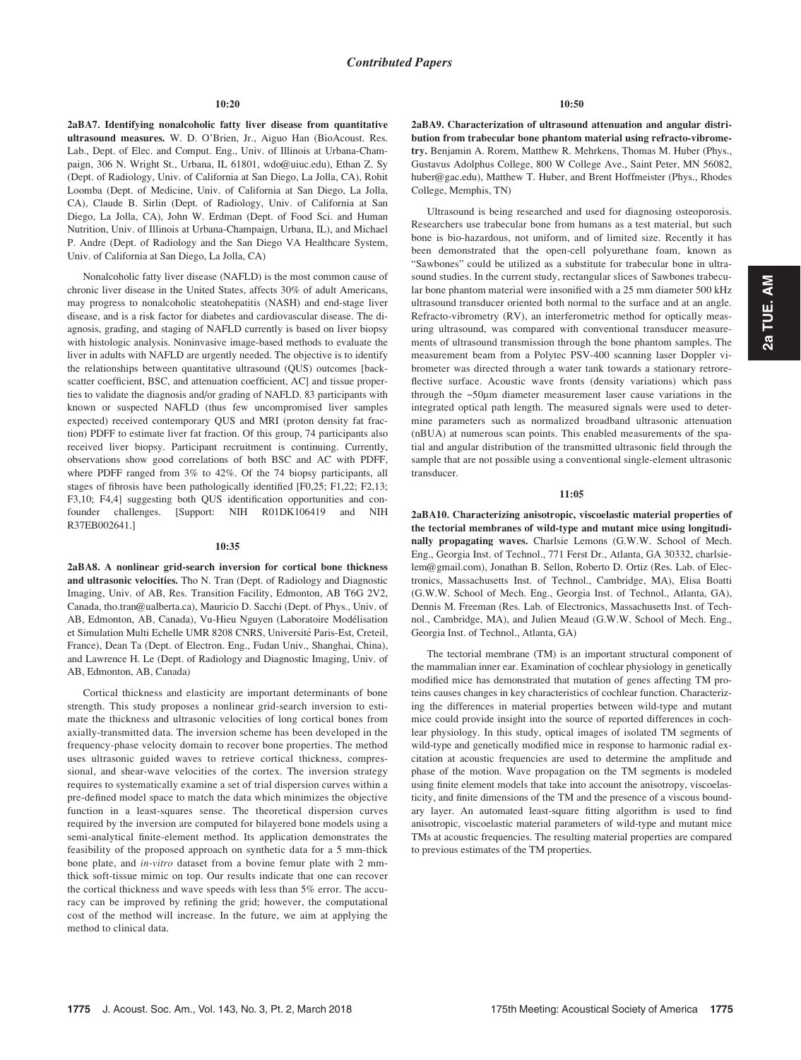#### 10:20

2aBA7. Identifying nonalcoholic fatty liver disease from quantitative ultrasound measures. W. D. O'Brien, Jr., Aiguo Han (BioAcoust. Res. Lab., Dept. of Elec. and Comput. Eng., Univ. of Illinois at Urbana-Champaign, 306 N. Wright St., Urbana, IL 61801, wdo@uiuc.edu), Ethan Z. Sy (Dept. of Radiology, Univ. of California at San Diego, La Jolla, CA), Rohit Loomba (Dept. of Medicine, Univ. of California at San Diego, La Jolla, CA), Claude B. Sirlin (Dept. of Radiology, Univ. of California at San Diego, La Jolla, CA), John W. Erdman (Dept. of Food Sci. and Human Nutrition, Univ. of Illinois at Urbana-Champaign, Urbana, IL), and Michael P. Andre (Dept. of Radiology and the San Diego VA Healthcare System, Univ. of California at San Diego, La Jolla, CA)

Nonalcoholic fatty liver disease (NAFLD) is the most common cause of chronic liver disease in the United States, affects 30% of adult Americans, may progress to nonalcoholic steatohepatitis (NASH) and end-stage liver disease, and is a risk factor for diabetes and cardiovascular disease. The diagnosis, grading, and staging of NAFLD currently is based on liver biopsy with histologic analysis. Noninvasive image-based methods to evaluate the liver in adults with NAFLD are urgently needed. The objective is to identify the relationships between quantitative ultrasound (QUS) outcomes [backscatter coefficient, BSC, and attenuation coefficient, AC] and tissue properties to validate the diagnosis and/or grading of NAFLD. 83 participants with known or suspected NAFLD (thus few uncompromised liver samples expected) received contemporary QUS and MRI (proton density fat fraction) PDFF to estimate liver fat fraction. Of this group, 74 participants also received liver biopsy. Participant recruitment is continuing. Currently, observations show good correlations of both BSC and AC with PDFF, where PDFF ranged from 3% to 42%. Of the 74 biopsy participants, all stages of fibrosis have been pathologically identified [F0,25; F1,22; F2,13; F3,10; F4,4] suggesting both QUS identification opportunities and confounder challenges. [Support: NIH R01DK106419 and NIH R37EB002641.]

#### 10:35

2aBA8. A nonlinear grid-search inversion for cortical bone thickness and ultrasonic velocities. Tho N. Tran (Dept. of Radiology and Diagnostic Imaging, Univ. of AB, Res. Transition Facility, Edmonton, AB T6G 2V2, Canada, tho.tran@ualberta.ca), Mauricio D. Sacchi (Dept. of Phys., Univ. of AB, Edmonton, AB, Canada), Vu-Hieu Nguyen (Laboratoire Modélisation et Simulation Multi Echelle UMR 8208 CNRS, Université Paris-Est, Creteil, France), Dean Ta (Dept. of Electron. Eng., Fudan Univ., Shanghai, China), and Lawrence H. Le (Dept. of Radiology and Diagnostic Imaging, Univ. of AB, Edmonton, AB, Canada)

Cortical thickness and elasticity are important determinants of bone strength. This study proposes a nonlinear grid-search inversion to estimate the thickness and ultrasonic velocities of long cortical bones from axially-transmitted data. The inversion scheme has been developed in the frequency-phase velocity domain to recover bone properties. The method uses ultrasonic guided waves to retrieve cortical thickness, compressional, and shear-wave velocities of the cortex. The inversion strategy requires to systematically examine a set of trial dispersion curves within a pre-defined model space to match the data which minimizes the objective function in a least-squares sense. The theoretical dispersion curves required by the inversion are computed for bilayered bone models using a semi-analytical finite-element method. Its application demonstrates the feasibility of the proposed approach on synthetic data for a 5 mm-thick bone plate, and in-vitro dataset from a bovine femur plate with 2 mmthick soft-tissue mimic on top. Our results indicate that one can recover the cortical thickness and wave speeds with less than 5% error. The accuracy can be improved by refining the grid; however, the computational cost of the method will increase. In the future, we aim at applying the method to clinical data.

2aBA9. Characterization of ultrasound attenuation and angular distribution from trabecular bone phantom material using refracto-vibrometry. Benjamin A. Rorem, Matthew R. Mehrkens, Thomas M. Huber (Phys., Gustavus Adolphus College, 800 W College Ave., Saint Peter, MN 56082, huber@gac.edu), Matthew T. Huber, and Brent Hoffmeister (Phys., Rhodes College, Memphis, TN)

Ultrasound is being researched and used for diagnosing osteoporosis. Researchers use trabecular bone from humans as a test material, but such bone is bio-hazardous, not uniform, and of limited size. Recently it has been demonstrated that the open-cell polyurethane foam, known as "Sawbones" could be utilized as a substitute for trabecular bone in ultrasound studies. In the current study, rectangular slices of Sawbones trabecular bone phantom material were insonified with a 25 mm diameter 500 kHz ultrasound transducer oriented both normal to the surface and at an angle. Refracto-vibrometry (RV), an interferometric method for optically measuring ultrasound, was compared with conventional transducer measurements of ultrasound transmission through the bone phantom samples. The measurement beam from a Polytec PSV-400 scanning laser Doppler vibrometer was directed through a water tank towards a stationary retroreflective surface. Acoustic wave fronts (density variations) which pass through the  $\sim$ 50 $\mu$ m diameter measurement laser cause variations in the integrated optical path length. The measured signals were used to determine parameters such as normalized broadband ultrasonic attenuation (nBUA) at numerous scan points. This enabled measurements of the spatial and angular distribution of the transmitted ultrasonic field through the sample that are not possible using a conventional single-element ultrasonic transducer.

#### 11:05

2aBA10. Characterizing anisotropic, viscoelastic material properties of the tectorial membranes of wild-type and mutant mice using longitudinally propagating waves. Charlsie Lemons (G.W.W. School of Mech. Eng., Georgia Inst. of Technol., 771 Ferst Dr., Atlanta, GA 30332, charlsielem@gmail.com), Jonathan B. Sellon, Roberto D. Ortiz (Res. Lab. of Electronics, Massachusetts Inst. of Technol., Cambridge, MA), Elisa Boatti (G.W.W. School of Mech. Eng., Georgia Inst. of Technol., Atlanta, GA), Dennis M. Freeman (Res. Lab. of Electronics, Massachusetts Inst. of Technol., Cambridge, MA), and Julien Meaud (G.W.W. School of Mech. Eng., Georgia Inst. of Technol., Atlanta, GA)

The tectorial membrane (TM) is an important structural component of the mammalian inner ear. Examination of cochlear physiology in genetically modified mice has demonstrated that mutation of genes affecting TM proteins causes changes in key characteristics of cochlear function. Characterizing the differences in material properties between wild-type and mutant mice could provide insight into the source of reported differences in cochlear physiology. In this study, optical images of isolated TM segments of wild-type and genetically modified mice in response to harmonic radial excitation at acoustic frequencies are used to determine the amplitude and phase of the motion. Wave propagation on the TM segments is modeled using finite element models that take into account the anisotropy, viscoelasticity, and finite dimensions of the TM and the presence of a viscous boundary layer. An automated least-square fitting algorithm is used to find anisotropic, viscoelastic material parameters of wild-type and mutant mice TMs at acoustic frequencies. The resulting material properties are compared to previous estimates of the TM properties.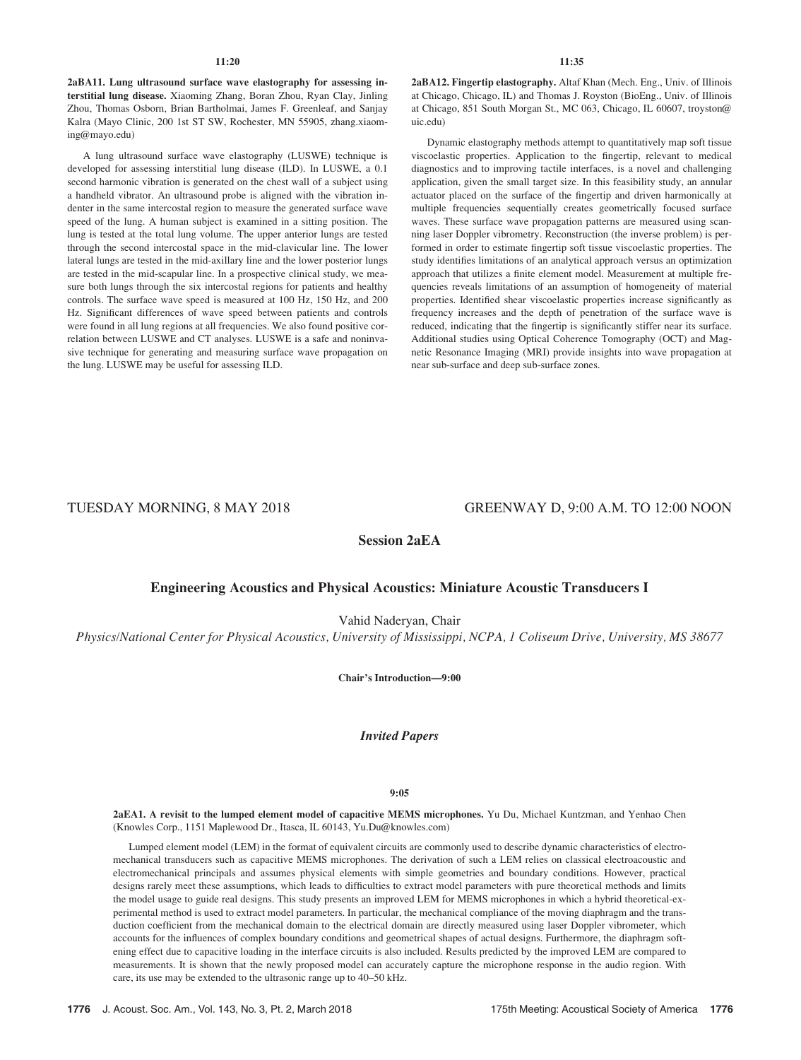2aBA11. Lung ultrasound surface wave elastography for assessing interstitial lung disease. Xiaoming Zhang, Boran Zhou, Ryan Clay, Jinling Zhou, Thomas Osborn, Brian Bartholmai, James F. Greenleaf, and Sanjay Kalra (Mayo Clinic, 200 1st ST SW, Rochester, MN 55905, zhang.xiaoming@mayo.edu)

A lung ultrasound surface wave elastography (LUSWE) technique is developed for assessing interstitial lung disease (ILD). In LUSWE, a 0.1 second harmonic vibration is generated on the chest wall of a subject using a handheld vibrator. An ultrasound probe is aligned with the vibration indenter in the same intercostal region to measure the generated surface wave speed of the lung. A human subject is examined in a sitting position. The lung is tested at the total lung volume. The upper anterior lungs are tested through the second intercostal space in the mid-clavicular line. The lower lateral lungs are tested in the mid-axillary line and the lower posterior lungs are tested in the mid-scapular line. In a prospective clinical study, we measure both lungs through the six intercostal regions for patients and healthy controls. The surface wave speed is measured at 100 Hz, 150 Hz, and 200 Hz. Significant differences of wave speed between patients and controls were found in all lung regions at all frequencies. We also found positive correlation between LUSWE and CT analyses. LUSWE is a safe and noninvasive technique for generating and measuring surface wave propagation on the lung. LUSWE may be useful for assessing ILD.

2aBA12. Fingertip elastography. Altaf Khan (Mech. Eng., Univ. of Illinois at Chicago, Chicago, IL) and Thomas J. Royston (BioEng., Univ. of Illinois at Chicago, 851 South Morgan St., MC 063, Chicago, IL 60607, troyston@ uic.edu)

Dynamic elastography methods attempt to quantitatively map soft tissue viscoelastic properties. Application to the fingertip, relevant to medical diagnostics and to improving tactile interfaces, is a novel and challenging application, given the small target size. In this feasibility study, an annular actuator placed on the surface of the fingertip and driven harmonically at multiple frequencies sequentially creates geometrically focused surface waves. These surface wave propagation patterns are measured using scanning laser Doppler vibrometry. Reconstruction (the inverse problem) is performed in order to estimate fingertip soft tissue viscoelastic properties. The study identifies limitations of an analytical approach versus an optimization approach that utilizes a finite element model. Measurement at multiple frequencies reveals limitations of an assumption of homogeneity of material properties. Identified shear viscoelastic properties increase significantly as frequency increases and the depth of penetration of the surface wave is reduced, indicating that the fingertip is significantly stiffer near its surface. Additional studies using Optical Coherence Tomography (OCT) and Magnetic Resonance Imaging (MRI) provide insights into wave propagation at near sub-surface and deep sub-surface zones.

# TUESDAY MORNING, 8 MAY 2018 GREENWAY D, 9:00 A.M. TO 12:00 NOON

Session 2aEA

### Engineering Acoustics and Physical Acoustics: Miniature Acoustic Transducers I

Vahid Naderyan, Chair

Physics/National Center for Physical Acoustics, University of Mississippi, NCPA, 1 Coliseum Drive, University, MS 38677

Chair's Introduction—9:00

Invited Papers

#### 9:05

2aEA1. A revisit to the lumped element model of capacitive MEMS microphones. Yu Du, Michael Kuntzman, and Yenhao Chen (Knowles Corp., 1151 Maplewood Dr., Itasca, IL 60143, Yu.Du@knowles.com)

Lumped element model (LEM) in the format of equivalent circuits are commonly used to describe dynamic characteristics of electromechanical transducers such as capacitive MEMS microphones. The derivation of such a LEM relies on classical electroacoustic and electromechanical principals and assumes physical elements with simple geometries and boundary conditions. However, practical designs rarely meet these assumptions, which leads to difficulties to extract model parameters with pure theoretical methods and limits the model usage to guide real designs. This study presents an improved LEM for MEMS microphones in which a hybrid theoretical-experimental method is used to extract model parameters. In particular, the mechanical compliance of the moving diaphragm and the transduction coefficient from the mechanical domain to the electrical domain are directly measured using laser Doppler vibrometer, which accounts for the influences of complex boundary conditions and geometrical shapes of actual designs. Furthermore, the diaphragm softening effect due to capacitive loading in the interface circuits is also included. Results predicted by the improved LEM are compared to measurements. It is shown that the newly proposed model can accurately capture the microphone response in the audio region. With care, its use may be extended to the ultrasonic range up to 40–50 kHz.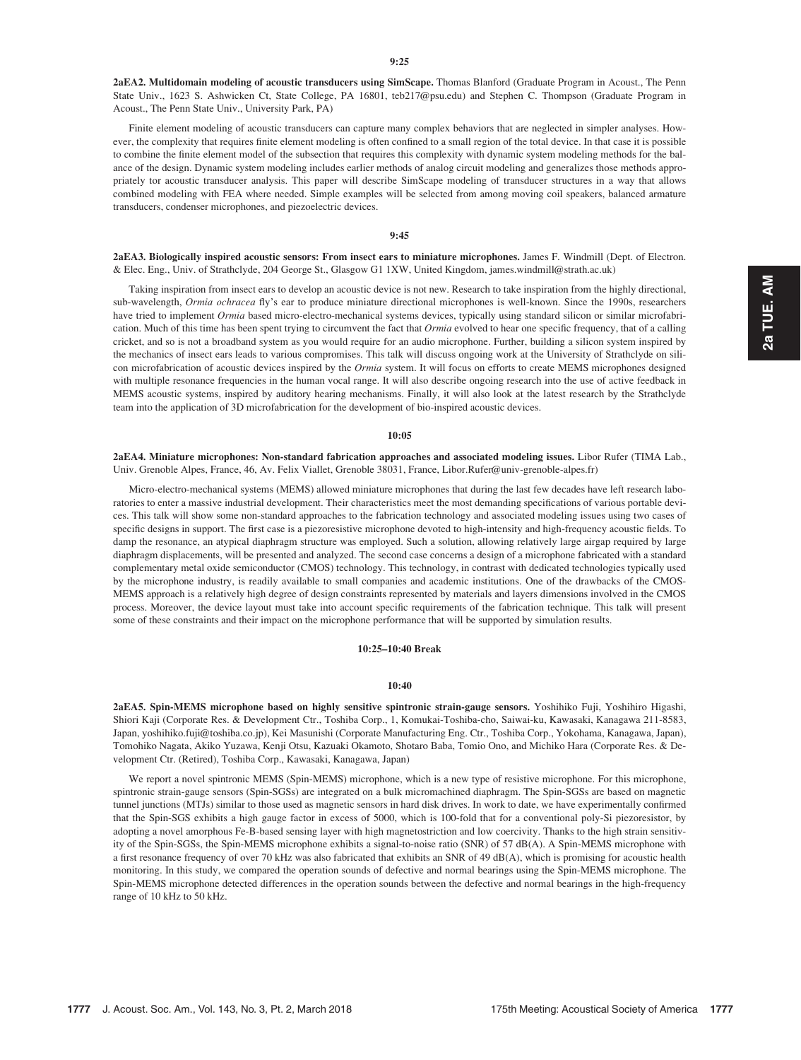2aEA2. Multidomain modeling of acoustic transducers using SimScape. Thomas Blanford (Graduate Program in Acoust., The Penn State Univ., 1623 S. Ashwicken Ct, State College, PA 16801, teb217@psu.edu) and Stephen C. Thompson (Graduate Program in Acoust., The Penn State Univ., University Park, PA)

Finite element modeling of acoustic transducers can capture many complex behaviors that are neglected in simpler analyses. However, the complexity that requires finite element modeling is often confined to a small region of the total device. In that case it is possible to combine the finite element model of the subsection that requires this complexity with dynamic system modeling methods for the balance of the design. Dynamic system modeling includes earlier methods of analog circuit modeling and generalizes those methods appropriately tor acoustic transducer analysis. This paper will describe SimScape modeling of transducer structures in a way that allows combined modeling with FEA where needed. Simple examples will be selected from among moving coil speakers, balanced armature transducers, condenser microphones, and piezoelectric devices.

### 9:45

2aEA3. Biologically inspired acoustic sensors: From insect ears to miniature microphones. James F. Windmill (Dept. of Electron. & Elec. Eng., Univ. of Strathclyde, 204 George St., Glasgow G1 1XW, United Kingdom, james.windmill@strath.ac.uk)

Taking inspiration from insect ears to develop an acoustic device is not new. Research to take inspiration from the highly directional, sub-wavelength, Ormia ochracea fly's ear to produce miniature directional microphones is well-known. Since the 1990s, researchers have tried to implement Ormia based micro-electro-mechanical systems devices, typically using standard silicon or similar microfabrication. Much of this time has been spent trying to circumvent the fact that *Ormia* evolved to hear one specific frequency, that of a calling cricket, and so is not a broadband system as you would require for an audio microphone. Further, building a silicon system inspired by the mechanics of insect ears leads to various compromises. This talk will discuss ongoing work at the University of Strathclyde on silicon microfabrication of acoustic devices inspired by the Ormia system. It will focus on efforts to create MEMS microphones designed with multiple resonance frequencies in the human vocal range. It will also describe ongoing research into the use of active feedback in MEMS acoustic systems, inspired by auditory hearing mechanisms. Finally, it will also look at the latest research by the Strathclyde team into the application of 3D microfabrication for the development of bio-inspired acoustic devices.

#### 10:05

2aEA4. Miniature microphones: Non-standard fabrication approaches and associated modeling issues. Libor Rufer (TIMA Lab., Univ. Grenoble Alpes, France, 46, Av. Felix Viallet, Grenoble 38031, France, Libor.Rufer@univ-grenoble-alpes.fr)

Micro-electro-mechanical systems (MEMS) allowed miniature microphones that during the last few decades have left research laboratories to enter a massive industrial development. Their characteristics meet the most demanding specifications of various portable devices. This talk will show some non-standard approaches to the fabrication technology and associated modeling issues using two cases of specific designs in support. The first case is a piezoresistive microphone devoted to high-intensity and high-frequency acoustic fields. To damp the resonance, an atypical diaphragm structure was employed. Such a solution, allowing relatively large airgap required by large diaphragm displacements, will be presented and analyzed. The second case concerns a design of a microphone fabricated with a standard complementary metal oxide semiconductor (CMOS) technology. This technology, in contrast with dedicated technologies typically used by the microphone industry, is readily available to small companies and academic institutions. One of the drawbacks of the CMOS-MEMS approach is a relatively high degree of design constraints represented by materials and layers dimensions involved in the CMOS process. Moreover, the device layout must take into account specific requirements of the fabrication technique. This talk will present some of these constraints and their impact on the microphone performance that will be supported by simulation results.

#### 10:25–10:40 Break

#### 10:40

2aEA5. Spin-MEMS microphone based on highly sensitive spintronic strain-gauge sensors. Yoshihiko Fuji, Yoshihiro Higashi, Shiori Kaji (Corporate Res. & Development Ctr., Toshiba Corp., 1, Komukai-Toshiba-cho, Saiwai-ku, Kawasaki, Kanagawa 211-8583, Japan, yoshihiko.fuji@toshiba.co.jp), Kei Masunishi (Corporate Manufacturing Eng. Ctr., Toshiba Corp., Yokohama, Kanagawa, Japan), Tomohiko Nagata, Akiko Yuzawa, Kenji Otsu, Kazuaki Okamoto, Shotaro Baba, Tomio Ono, and Michiko Hara (Corporate Res. & Development Ctr. (Retired), Toshiba Corp., Kawasaki, Kanagawa, Japan)

We report a novel spintronic MEMS (Spin-MEMS) microphone, which is a new type of resistive microphone. For this microphone, spintronic strain-gauge sensors (Spin-SGSs) are integrated on a bulk micromachined diaphragm. The Spin-SGSs are based on magnetic tunnel junctions (MTJs) similar to those used as magnetic sensors in hard disk drives. In work to date, we have experimentally confirmed that the Spin-SGS exhibits a high gauge factor in excess of 5000, which is 100-fold that for a conventional poly-Si piezoresistor, by adopting a novel amorphous Fe-B-based sensing layer with high magnetostriction and low coercivity. Thanks to the high strain sensitivity of the Spin-SGSs, the Spin-MEMS microphone exhibits a signal-to-noise ratio (SNR) of 57 dB(A). A Spin-MEMS microphone with a first resonance frequency of over 70 kHz was also fabricated that exhibits an SNR of 49 dB(A), which is promising for acoustic health monitoring. In this study, we compared the operation sounds of defective and normal bearings using the Spin-MEMS microphone. The Spin-MEMS microphone detected differences in the operation sounds between the defective and normal bearings in the high-frequency range of 10 kHz to 50 kHz.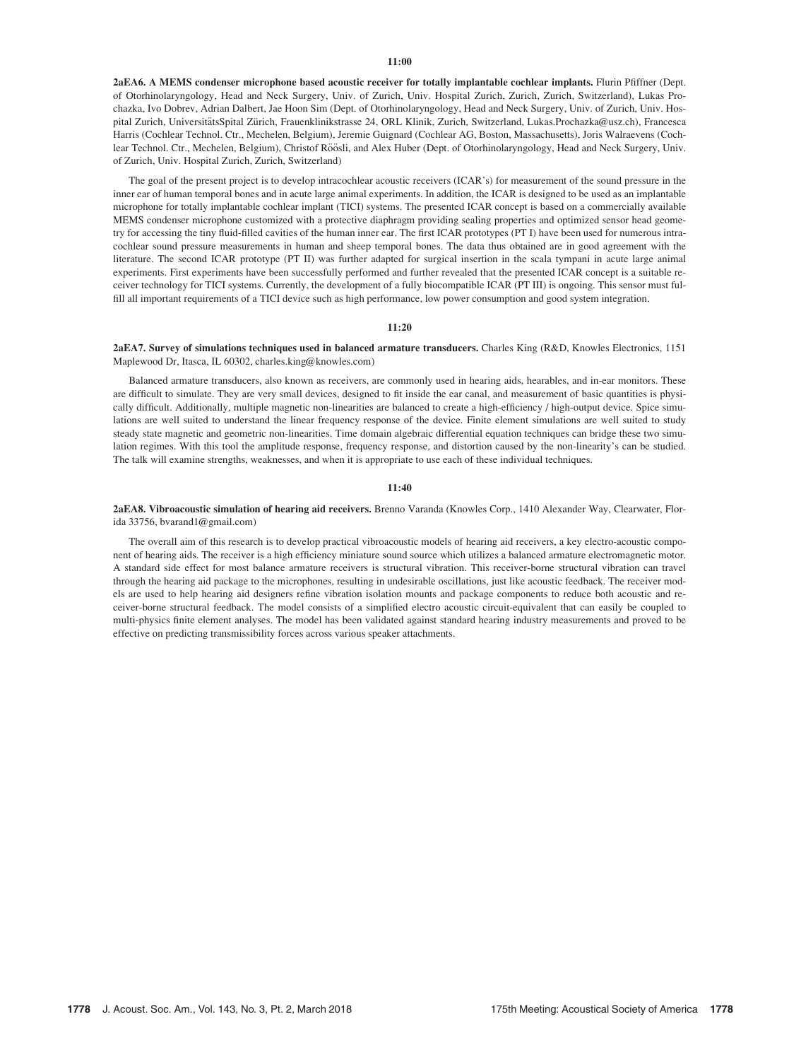#### 11:00

2aEA6. A MEMS condenser microphone based acoustic receiver for totally implantable cochlear implants. Flurin Pfiffner (Dept. of Otorhinolaryngology, Head and Neck Surgery, Univ. of Zurich, Univ. Hospital Zurich, Zurich, Zurich, Switzerland), Lukas Prochazka, Ivo Dobrev, Adrian Dalbert, Jae Hoon Sim (Dept. of Otorhinolaryngology, Head and Neck Surgery, Univ. of Zurich, Univ. Hospital Zurich, UniversitätsSpital Zürich, Frauenklinikstrasse 24, ORL Klinik, Zurich, Switzerland, Lukas.Prochazka@usz.ch), Francesca Harris (Cochlear Technol. Ctr., Mechelen, Belgium), Jeremie Guignard (Cochlear AG, Boston, Massachusetts), Joris Walraevens (Cochlear Technol. Ctr., Mechelen, Belgium), Christof Röösli, and Alex Huber (Dept. of Otorhinolaryngology, Head and Neck Surgery, Univ. of Zurich, Univ. Hospital Zurich, Zurich, Switzerland)

The goal of the present project is to develop intracochlear acoustic receivers (ICAR's) for measurement of the sound pressure in the inner ear of human temporal bones and in acute large animal experiments. In addition, the ICAR is designed to be used as an implantable microphone for totally implantable cochlear implant (TICI) systems. The presented ICAR concept is based on a commercially available MEMS condenser microphone customized with a protective diaphragm providing sealing properties and optimized sensor head geometry for accessing the tiny fluid-filled cavities of the human inner ear. The first ICAR prototypes (PT I) have been used for numerous intracochlear sound pressure measurements in human and sheep temporal bones. The data thus obtained are in good agreement with the literature. The second ICAR prototype (PT II) was further adapted for surgical insertion in the scala tympani in acute large animal experiments. First experiments have been successfully performed and further revealed that the presented ICAR concept is a suitable receiver technology for TICI systems. Currently, the development of a fully biocompatible ICAR (PT III) is ongoing. This sensor must fulfill all important requirements of a TICI device such as high performance, low power consumption and good system integration.

#### 11:20

2aEA7. Survey of simulations techniques used in balanced armature transducers. Charles King (R&D, Knowles Electronics, 1151 Maplewood Dr, Itasca, IL 60302, charles.king@knowles.com)

Balanced armature transducers, also known as receivers, are commonly used in hearing aids, hearables, and in-ear monitors. These are difficult to simulate. They are very small devices, designed to fit inside the ear canal, and measurement of basic quantities is physically difficult. Additionally, multiple magnetic non-linearities are balanced to create a high-efficiency / high-output device. Spice simulations are well suited to understand the linear frequency response of the device. Finite element simulations are well suited to study steady state magnetic and geometric non-linearities. Time domain algebraic differential equation techniques can bridge these two simulation regimes. With this tool the amplitude response, frequency response, and distortion caused by the non-linearity's can be studied. The talk will examine strengths, weaknesses, and when it is appropriate to use each of these individual techniques.

#### 11:40

2aEA8. Vibroacoustic simulation of hearing aid receivers. Brenno Varanda (Knowles Corp., 1410 Alexander Way, Clearwater, Florida 33756, bvarand1@gmail.com)

The overall aim of this research is to develop practical vibroacoustic models of hearing aid receivers, a key electro-acoustic component of hearing aids. The receiver is a high efficiency miniature sound source which utilizes a balanced armature electromagnetic motor. A standard side effect for most balance armature receivers is structural vibration. This receiver-borne structural vibration can travel through the hearing aid package to the microphones, resulting in undesirable oscillations, just like acoustic feedback. The receiver models are used to help hearing aid designers refine vibration isolation mounts and package components to reduce both acoustic and receiver-borne structural feedback. The model consists of a simplified electro acoustic circuit-equivalent that can easily be coupled to multi-physics finite element analyses. The model has been validated against standard hearing industry measurements and proved to be effective on predicting transmissibility forces across various speaker attachments.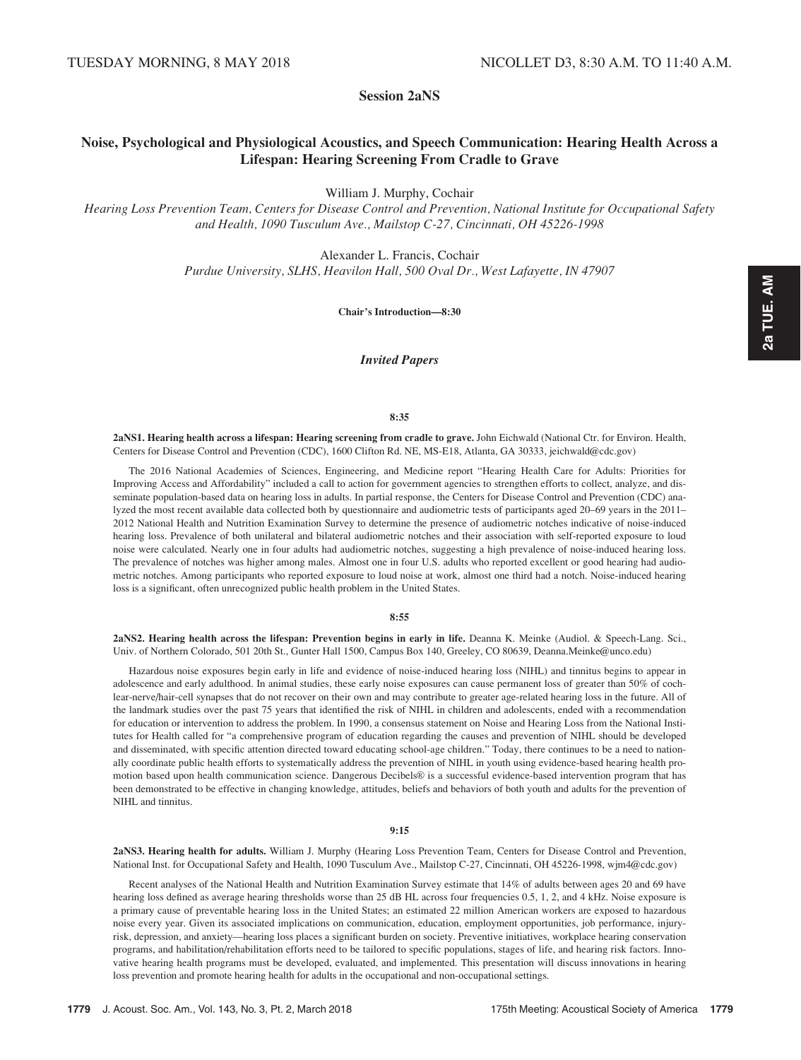Session 2aNS

# Noise, Psychological and Physiological Acoustics, and Speech Communication: Hearing Health Across a Lifespan: Hearing Screening From Cradle to Grave

William J. Murphy, Cochair

Hearing Loss Prevention Team, Centers for Disease Control and Prevention, National Institute for Occupational Safety and Health, 1090 Tusculum Ave., Mailstop C-27, Cincinnati, OH 45226-1998

> Alexander L. Francis, Cochair Purdue University, SLHS, Heavilon Hall, 500 Oval Dr., West Lafayette, IN 47907

> > Chair's Introduction—8:30

Invited Papers

#### 8:35

2aNS1. Hearing health across a lifespan: Hearing screening from cradle to grave. John Eichwald (National Ctr. for Environ. Health, Centers for Disease Control and Prevention (CDC), 1600 Clifton Rd. NE, MS-E18, Atlanta, GA 30333, jeichwald@cdc.gov)

The 2016 National Academies of Sciences, Engineering, and Medicine report "Hearing Health Care for Adults: Priorities for Improving Access and Affordability" included a call to action for government agencies to strengthen efforts to collect, analyze, and disseminate population-based data on hearing loss in adults. In partial response, the Centers for Disease Control and Prevention (CDC) analyzed the most recent available data collected both by questionnaire and audiometric tests of participants aged 20–69 years in the 2011– 2012 National Health and Nutrition Examination Survey to determine the presence of audiometric notches indicative of noise-induced hearing loss. Prevalence of both unilateral and bilateral audiometric notches and their association with self-reported exposure to loud noise were calculated. Nearly one in four adults had audiometric notches, suggesting a high prevalence of noise-induced hearing loss. The prevalence of notches was higher among males. Almost one in four U.S. adults who reported excellent or good hearing had audiometric notches. Among participants who reported exposure to loud noise at work, almost one third had a notch. Noise-induced hearing loss is a significant, often unrecognized public health problem in the United States.

#### 8:55

2aNS2. Hearing health across the lifespan: Prevention begins in early in life. Deanna K. Meinke (Audiol. & Speech-Lang. Sci., Univ. of Northern Colorado, 501 20th St., Gunter Hall 1500, Campus Box 140, Greeley, CO 80639, Deanna.Meinke@unco.edu)

Hazardous noise exposures begin early in life and evidence of noise-induced hearing loss (NIHL) and tinnitus begins to appear in adolescence and early adulthood. In animal studies, these early noise exposures can cause permanent loss of greater than 50% of cochlear-nerve/hair-cell synapses that do not recover on their own and may contribute to greater age-related hearing loss in the future. All of the landmark studies over the past 75 years that identified the risk of NIHL in children and adolescents, ended with a recommendation for education or intervention to address the problem. In 1990, a consensus statement on Noise and Hearing Loss from the National Institutes for Health called for "a comprehensive program of education regarding the causes and prevention of NIHL should be developed and disseminated, with specific attention directed toward educating school-age children." Today, there continues to be a need to nationally coordinate public health efforts to systematically address the prevention of NIHL in youth using evidence-based hearing health promotion based upon health communication science. Dangerous Decibels® is a successful evidence-based intervention program that has been demonstrated to be effective in changing knowledge, attitudes, beliefs and behaviors of both youth and adults for the prevention of NIHL and tinnitus.

#### 9:15

2aNS3. Hearing health for adults. William J. Murphy (Hearing Loss Prevention Team, Centers for Disease Control and Prevention, National Inst. for Occupational Safety and Health, 1090 Tusculum Ave., Mailstop C-27, Cincinnati, OH 45226-1998, wjm4@cdc.gov)

Recent analyses of the National Health and Nutrition Examination Survey estimate that 14% of adults between ages 20 and 69 have hearing loss defined as average hearing thresholds worse than 25 dB HL across four frequencies 0.5, 1, 2, and 4 kHz. Noise exposure is a primary cause of preventable hearing loss in the United States; an estimated 22 million American workers are exposed to hazardous noise every year. Given its associated implications on communication, education, employment opportunities, job performance, injuryrisk, depression, and anxiety—hearing loss places a significant burden on society. Preventive initiatives, workplace hearing conservation programs, and habilitation/rehabilitation efforts need to be tailored to specific populations, stages of life, and hearing risk factors. Innovative hearing health programs must be developed, evaluated, and implemented. This presentation will discuss innovations in hearing loss prevention and promote hearing health for adults in the occupational and non-occupational settings.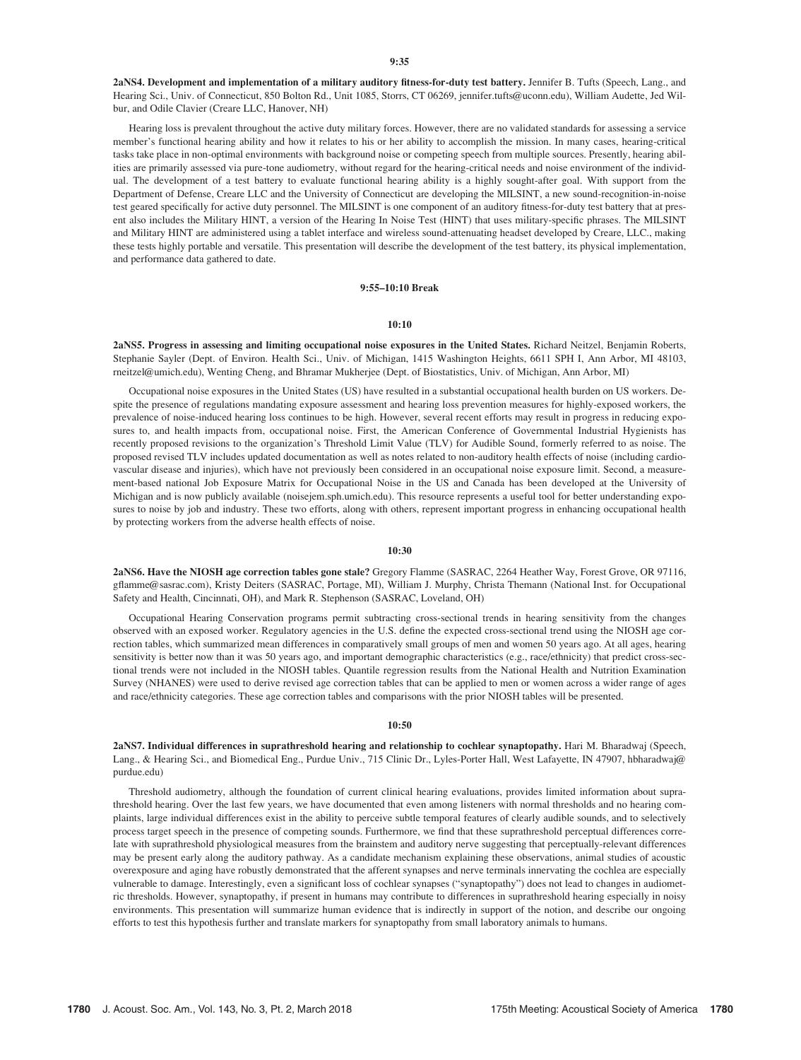2aNS4. Development and implementation of a military auditory fitness-for-duty test battery. Jennifer B. Tufts (Speech, Lang., and Hearing Sci., Univ. of Connecticut, 850 Bolton Rd., Unit 1085, Storrs, CT 06269, jennifer.tufts@uconn.edu), William Audette, Jed Wilbur, and Odile Clavier (Creare LLC, Hanover, NH)

Hearing loss is prevalent throughout the active duty military forces. However, there are no validated standards for assessing a service member's functional hearing ability and how it relates to his or her ability to accomplish the mission. In many cases, hearing-critical tasks take place in non-optimal environments with background noise or competing speech from multiple sources. Presently, hearing abilities are primarily assessed via pure-tone audiometry, without regard for the hearing-critical needs and noise environment of the individual. The development of a test battery to evaluate functional hearing ability is a highly sought-after goal. With support from the Department of Defense, Creare LLC and the University of Connecticut are developing the MILSINT, a new sound-recognition-in-noise test geared specifically for active duty personnel. The MILSINT is one component of an auditory fitness-for-duty test battery that at present also includes the Military HINT, a version of the Hearing In Noise Test (HINT) that uses military-specific phrases. The MILSINT and Military HINT are administered using a tablet interface and wireless sound-attenuating headset developed by Creare, LLC., making these tests highly portable and versatile. This presentation will describe the development of the test battery, its physical implementation, and performance data gathered to date.

### 9:55–10:10 Break

#### $10:10$

2aNS5. Progress in assessing and limiting occupational noise exposures in the United States. Richard Neitzel, Benjamin Roberts, Stephanie Sayler (Dept. of Environ. Health Sci., Univ. of Michigan, 1415 Washington Heights, 6611 SPH I, Ann Arbor, MI 48103, rneitzel@umich.edu), Wenting Cheng, and Bhramar Mukherjee (Dept. of Biostatistics, Univ. of Michigan, Ann Arbor, MI)

Occupational noise exposures in the United States (US) have resulted in a substantial occupational health burden on US workers. Despite the presence of regulations mandating exposure assessment and hearing loss prevention measures for highly-exposed workers, the prevalence of noise-induced hearing loss continues to be high. However, several recent efforts may result in progress in reducing exposures to, and health impacts from, occupational noise. First, the American Conference of Governmental Industrial Hygienists has recently proposed revisions to the organization's Threshold Limit Value (TLV) for Audible Sound, formerly referred to as noise. The proposed revised TLV includes updated documentation as well as notes related to non-auditory health effects of noise (including cardiovascular disease and injuries), which have not previously been considered in an occupational noise exposure limit. Second, a measurement-based national Job Exposure Matrix for Occupational Noise in the US and Canada has been developed at the University of Michigan and is now publicly available (noisejem.sph.umich.edu). This resource represents a useful tool for better understanding exposures to noise by job and industry. These two efforts, along with others, represent important progress in enhancing occupational health by protecting workers from the adverse health effects of noise.

#### 10:30

2aNS6. Have the NIOSH age correction tables gone stale? Gregory Flamme (SASRAC, 2264 Heather Way, Forest Grove, OR 97116, gflamme@sasrac.com), Kristy Deiters (SASRAC, Portage, MI), William J. Murphy, Christa Themann (National Inst. for Occupational Safety and Health, Cincinnati, OH), and Mark R. Stephenson (SASRAC, Loveland, OH)

Occupational Hearing Conservation programs permit subtracting cross-sectional trends in hearing sensitivity from the changes observed with an exposed worker. Regulatory agencies in the U.S. define the expected cross-sectional trend using the NIOSH age correction tables, which summarized mean differences in comparatively small groups of men and women 50 years ago. At all ages, hearing sensitivity is better now than it was 50 years ago, and important demographic characteristics (e.g., race/ethnicity) that predict cross-sectional trends were not included in the NIOSH tables. Quantile regression results from the National Health and Nutrition Examination Survey (NHANES) were used to derive revised age correction tables that can be applied to men or women across a wider range of ages and race/ethnicity categories. These age correction tables and comparisons with the prior NIOSH tables will be presented.

#### $10:50$

2aNS7. Individual differences in suprathreshold hearing and relationship to cochlear synaptopathy. Hari M. Bharadwaj (Speech, Lang., & Hearing Sci., and Biomedical Eng., Purdue Univ., 715 Clinic Dr., Lyles-Porter Hall, West Lafayette, IN 47907, hbharadwaj@ purdue.edu)

Threshold audiometry, although the foundation of current clinical hearing evaluations, provides limited information about suprathreshold hearing. Over the last few years, we have documented that even among listeners with normal thresholds and no hearing complaints, large individual differences exist in the ability to perceive subtle temporal features of clearly audible sounds, and to selectively process target speech in the presence of competing sounds. Furthermore, we find that these suprathreshold perceptual differences correlate with suprathreshold physiological measures from the brainstem and auditory nerve suggesting that perceptually-relevant differences may be present early along the auditory pathway. As a candidate mechanism explaining these observations, animal studies of acoustic overexposure and aging have robustly demonstrated that the afferent synapses and nerve terminals innervating the cochlea are especially vulnerable to damage. Interestingly, even a significant loss of cochlear synapses ("synaptopathy") does not lead to changes in audiometric thresholds. However, synaptopathy, if present in humans may contribute to differences in suprathreshold hearing especially in noisy environments. This presentation will summarize human evidence that is indirectly in support of the notion, and describe our ongoing efforts to test this hypothesis further and translate markers for synaptopathy from small laboratory animals to humans.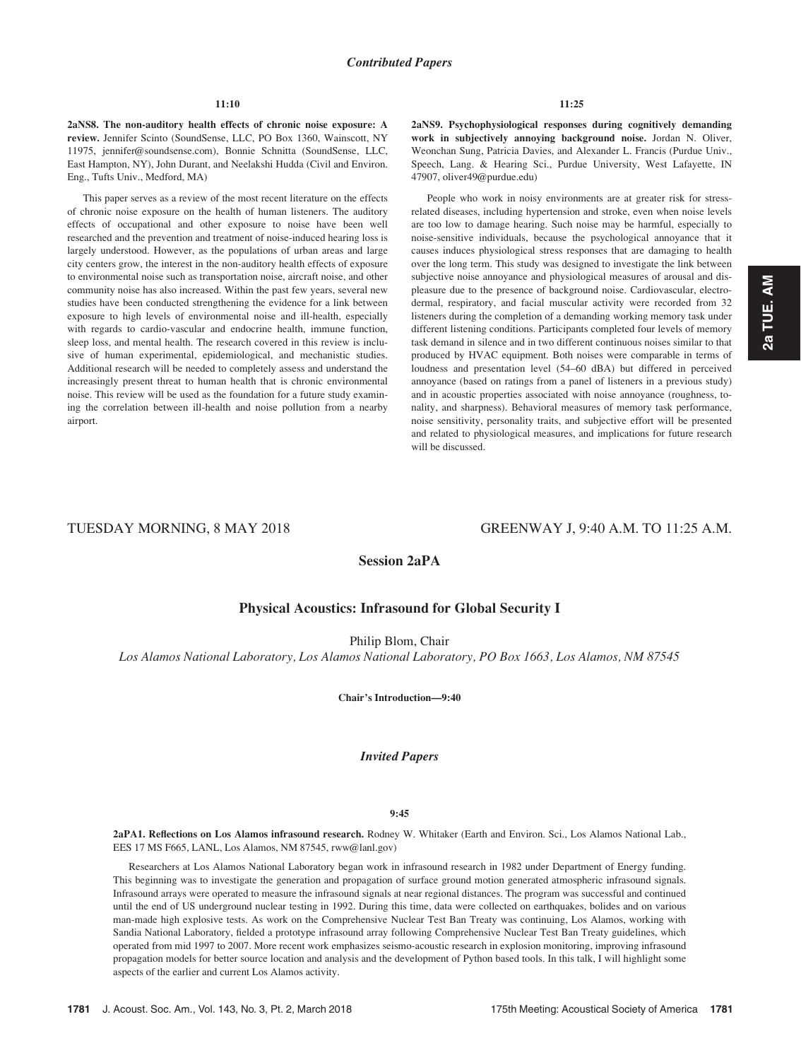### 11:10

2aNS8. The non-auditory health effects of chronic noise exposure: A review. Jennifer Scinto (SoundSense, LLC, PO Box 1360, Wainscott, NY 11975, jennifer@soundsense.com), Bonnie Schnitta (SoundSense, LLC, East Hampton, NY), John Durant, and Neelakshi Hudda (Civil and Environ. Eng., Tufts Univ., Medford, MA)

This paper serves as a review of the most recent literature on the effects of chronic noise exposure on the health of human listeners. The auditory effects of occupational and other exposure to noise have been well researched and the prevention and treatment of noise-induced hearing loss is largely understood. However, as the populations of urban areas and large city centers grow, the interest in the non-auditory health effects of exposure to environmental noise such as transportation noise, aircraft noise, and other community noise has also increased. Within the past few years, several new studies have been conducted strengthening the evidence for a link between exposure to high levels of environmental noise and ill-health, especially with regards to cardio-vascular and endocrine health, immune function, sleep loss, and mental health. The research covered in this review is inclusive of human experimental, epidemiological, and mechanistic studies. Additional research will be needed to completely assess and understand the increasingly present threat to human health that is chronic environmental noise. This review will be used as the foundation for a future study examining the correlation between ill-health and noise pollution from a nearby airport.

2aNS9. Psychophysiological responses during cognitively demanding work in subjectively annoying background noise. Jordan N. Oliver, Weonchan Sung, Patricia Davies, and Alexander L. Francis (Purdue Univ., Speech, Lang. & Hearing Sci., Purdue University, West Lafayette, IN 47907, oliver49@purdue.edu)

People who work in noisy environments are at greater risk for stressrelated diseases, including hypertension and stroke, even when noise levels are too low to damage hearing. Such noise may be harmful, especially to noise-sensitive individuals, because the psychological annoyance that it causes induces physiological stress responses that are damaging to health over the long term. This study was designed to investigate the link between subjective noise annoyance and physiological measures of arousal and displeasure due to the presence of background noise. Cardiovascular, electrodermal, respiratory, and facial muscular activity were recorded from 32 listeners during the completion of a demanding working memory task under different listening conditions. Participants completed four levels of memory task demand in silence and in two different continuous noises similar to that produced by HVAC equipment. Both noises were comparable in terms of loudness and presentation level (54–60 dBA) but differed in perceived annoyance (based on ratings from a panel of listeners in a previous study) and in acoustic properties associated with noise annoyance (roughness, tonality, and sharpness). Behavioral measures of memory task performance, noise sensitivity, personality traits, and subjective effort will be presented and related to physiological measures, and implications for future research will be discussed.

# TUESDAY MORNING, 8 MAY 2018 GREENWAY J, 9:40 A.M. TO 11:25 A.M.

Session 2aPA

# Physical Acoustics: Infrasound for Global Security I

Philip Blom, Chair

Los Alamos National Laboratory, Los Alamos National Laboratory, PO Box 1663, Los Alamos, NM 87545

Chair's Introduction—9:40

# Invited Papers

#### 9:45

2aPA1. Reflections on Los Alamos infrasound research. Rodney W. Whitaker (Earth and Environ. Sci., Los Alamos National Lab., EES 17 MS F665, LANL, Los Alamos, NM 87545, rww@lanl.gov)

Researchers at Los Alamos National Laboratory began work in infrasound research in 1982 under Department of Energy funding. This beginning was to investigate the generation and propagation of surface ground motion generated atmospheric infrasound signals. Infrasound arrays were operated to measure the infrasound signals at near regional distances. The program was successful and continued until the end of US underground nuclear testing in 1992. During this time, data were collected on earthquakes, bolides and on various man-made high explosive tests. As work on the Comprehensive Nuclear Test Ban Treaty was continuing, Los Alamos, working with Sandia National Laboratory, fielded a prototype infrasound array following Comprehensive Nuclear Test Ban Treaty guidelines, which operated from mid 1997 to 2007. More recent work emphasizes seismo-acoustic research in explosion monitoring, improving infrasound propagation models for better source location and analysis and the development of Python based tools. In this talk, I will highlight some aspects of the earlier and current Los Alamos activity.

2a TUE. AM 2a TUE. AM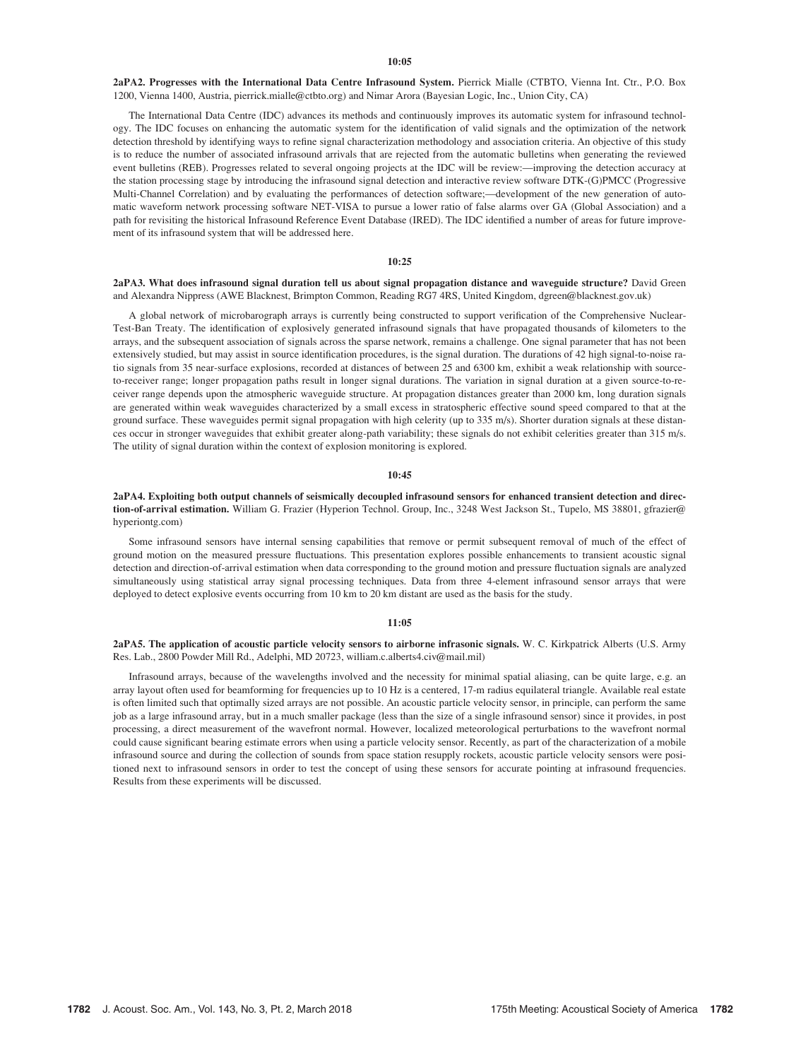#### 10:05

2aPA2. Progresses with the International Data Centre Infrasound System. Pierrick Mialle (CTBTO, Vienna Int. Ctr., P.O. Box 1200, Vienna 1400, Austria, pierrick.mialle@ctbto.org) and Nimar Arora (Bayesian Logic, Inc., Union City, CA)

The International Data Centre (IDC) advances its methods and continuously improves its automatic system for infrasound technology. The IDC focuses on enhancing the automatic system for the identification of valid signals and the optimization of the network detection threshold by identifying ways to refine signal characterization methodology and association criteria. An objective of this study is to reduce the number of associated infrasound arrivals that are rejected from the automatic bulletins when generating the reviewed event bulletins (REB). Progresses related to several ongoing projects at the IDC will be review:—improving the detection accuracy at the station processing stage by introducing the infrasound signal detection and interactive review software DTK-(G)PMCC (Progressive Multi-Channel Correlation) and by evaluating the performances of detection software;—development of the new generation of automatic waveform network processing software NET-VISA to pursue a lower ratio of false alarms over GA (Global Association) and a path for revisiting the historical Infrasound Reference Event Database (IRED). The IDC identified a number of areas for future improvement of its infrasound system that will be addressed here.

#### 10:25

#### 2aPA3. What does infrasound signal duration tell us about signal propagation distance and waveguide structure? David Green and Alexandra Nippress (AWE Blacknest, Brimpton Common, Reading RG7 4RS, United Kingdom, dgreen@blacknest.gov.uk)

A global network of microbarograph arrays is currently being constructed to support verification of the Comprehensive Nuclear-Test-Ban Treaty. The identification of explosively generated infrasound signals that have propagated thousands of kilometers to the arrays, and the subsequent association of signals across the sparse network, remains a challenge. One signal parameter that has not been extensively studied, but may assist in source identification procedures, is the signal duration. The durations of 42 high signal-to-noise ratio signals from 35 near-surface explosions, recorded at distances of between 25 and 6300 km, exhibit a weak relationship with sourceto-receiver range; longer propagation paths result in longer signal durations. The variation in signal duration at a given source-to-receiver range depends upon the atmospheric waveguide structure. At propagation distances greater than 2000 km, long duration signals are generated within weak waveguides characterized by a small excess in stratospheric effective sound speed compared to that at the ground surface. These waveguides permit signal propagation with high celerity (up to 335 m/s). Shorter duration signals at these distances occur in stronger waveguides that exhibit greater along-path variability; these signals do not exhibit celerities greater than 315 m/s. The utility of signal duration within the context of explosion monitoring is explored.

#### 10:45

#### 2aPA4. Exploiting both output channels of seismically decoupled infrasound sensors for enhanced transient detection and direction-of-arrival estimation. William G. Frazier (Hyperion Technol. Group, Inc., 3248 West Jackson St., Tupelo, MS 38801, gfrazier@ hyperiontg.com)

Some infrasound sensors have internal sensing capabilities that remove or permit subsequent removal of much of the effect of ground motion on the measured pressure fluctuations. This presentation explores possible enhancements to transient acoustic signal detection and direction-of-arrival estimation when data corresponding to the ground motion and pressure fluctuation signals are analyzed simultaneously using statistical array signal processing techniques. Data from three 4-element infrasound sensor arrays that were deployed to detect explosive events occurring from 10 km to 20 km distant are used as the basis for the study.

#### 11:05

#### 2aPA5. The application of acoustic particle velocity sensors to airborne infrasonic signals. W. C. Kirkpatrick Alberts (U.S. Army Res. Lab., 2800 Powder Mill Rd., Adelphi, MD 20723, william.c.alberts4.civ@mail.mil)

Infrasound arrays, because of the wavelengths involved and the necessity for minimal spatial aliasing, can be quite large, e.g. an array layout often used for beamforming for frequencies up to 10 Hz is a centered, 17-m radius equilateral triangle. Available real estate is often limited such that optimally sized arrays are not possible. An acoustic particle velocity sensor, in principle, can perform the same job as a large infrasound array, but in a much smaller package (less than the size of a single infrasound sensor) since it provides, in post processing, a direct measurement of the wavefront normal. However, localized meteorological perturbations to the wavefront normal could cause significant bearing estimate errors when using a particle velocity sensor. Recently, as part of the characterization of a mobile infrasound source and during the collection of sounds from space station resupply rockets, acoustic particle velocity sensors were positioned next to infrasound sensors in order to test the concept of using these sensors for accurate pointing at infrasound frequencies. Results from these experiments will be discussed.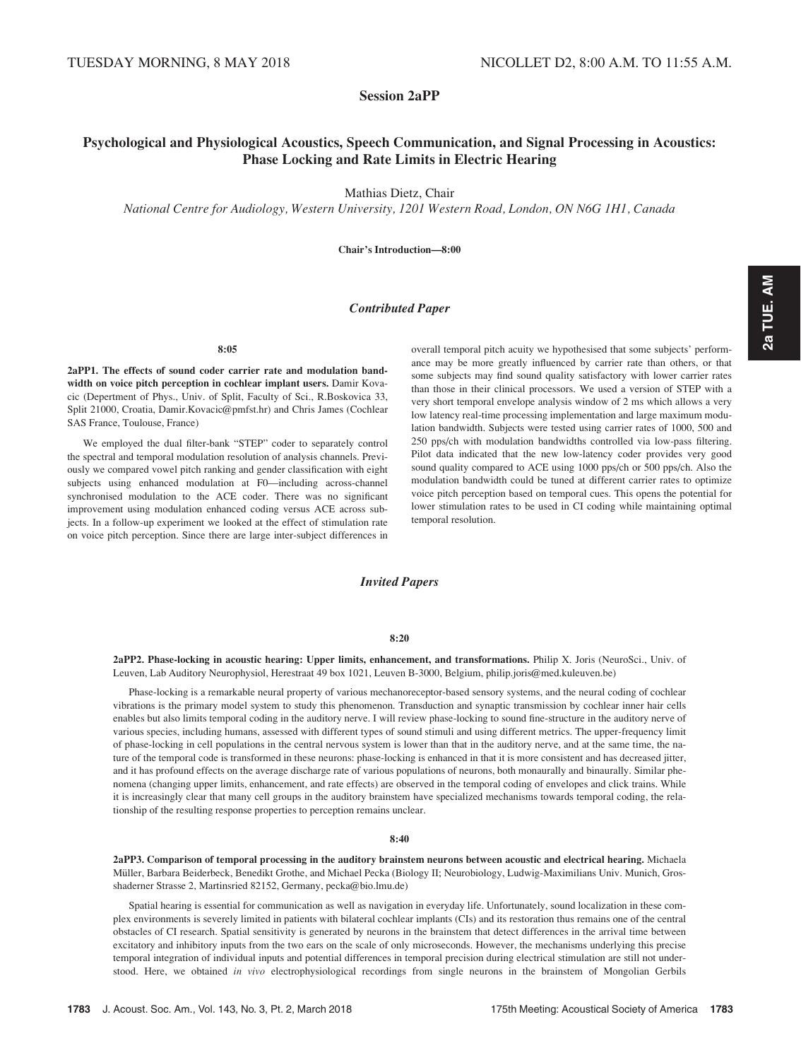Session 2aPP

# Psychological and Physiological Acoustics, Speech Communication, and Signal Processing in Acoustics: Phase Locking and Rate Limits in Electric Hearing

Mathias Dietz, Chair

National Centre for Audiology, Western University, 1201 Western Road, London, ON N6G 1H1, Canada

Chair's Introduction—8:00

### Contributed Paper

8:05

2aPP1. The effects of sound coder carrier rate and modulation bandwidth on voice pitch perception in cochlear implant users. Damir Kovacic (Depertment of Phys., Univ. of Split, Faculty of Sci., R.Boskovica 33, Split 21000, Croatia, Damir.Kovacic@pmfst.hr) and Chris James (Cochlear SAS France, Toulouse, France)

We employed the dual filter-bank "STEP" coder to separately control the spectral and temporal modulation resolution of analysis channels. Previously we compared vowel pitch ranking and gender classification with eight subjects using enhanced modulation at F0—including across-channel synchronised modulation to the ACE coder. There was no significant improvement using modulation enhanced coding versus ACE across subjects. In a follow-up experiment we looked at the effect of stimulation rate on voice pitch perception. Since there are large inter-subject differences in overall temporal pitch acuity we hypothesised that some subjects' performance may be more greatly influenced by carrier rate than others, or that some subjects may find sound quality satisfactory with lower carrier rates than those in their clinical processors. We used a version of STEP with a very short temporal envelope analysis window of 2 ms which allows a very low latency real-time processing implementation and large maximum modulation bandwidth. Subjects were tested using carrier rates of 1000, 500 and 250 pps/ch with modulation bandwidths controlled via low-pass filtering. Pilot data indicated that the new low-latency coder provides very good sound quality compared to ACE using 1000 pps/ch or 500 pps/ch. Also the modulation bandwidth could be tuned at different carrier rates to optimize voice pitch perception based on temporal cues. This opens the potential for lower stimulation rates to be used in CI coding while maintaining optimal temporal resolution.

# Invited Papers

8:20

2aPP2. Phase-locking in acoustic hearing: Upper limits, enhancement, and transformations. Philip X. Joris (NeuroSci., Univ. of Leuven, Lab Auditory Neurophysiol, Herestraat 49 box 1021, Leuven B-3000, Belgium, philip.joris@med.kuleuven.be)

Phase-locking is a remarkable neural property of various mechanoreceptor-based sensory systems, and the neural coding of cochlear vibrations is the primary model system to study this phenomenon. Transduction and synaptic transmission by cochlear inner hair cells enables but also limits temporal coding in the auditory nerve. I will review phase-locking to sound fine-structure in the auditory nerve of various species, including humans, assessed with different types of sound stimuli and using different metrics. The upper-frequency limit of phase-locking in cell populations in the central nervous system is lower than that in the auditory nerve, and at the same time, the nature of the temporal code is transformed in these neurons: phase-locking is enhanced in that it is more consistent and has decreased jitter, and it has profound effects on the average discharge rate of various populations of neurons, both monaurally and binaurally. Similar phenomena (changing upper limits, enhancement, and rate effects) are observed in the temporal coding of envelopes and click trains. While it is increasingly clear that many cell groups in the auditory brainstem have specialized mechanisms towards temporal coding, the relationship of the resulting response properties to perception remains unclear.

#### 8:40

2aPP3. Comparison of temporal processing in the auditory brainstem neurons between acoustic and electrical hearing. Michaela Müller, Barbara Beiderbeck, Benedikt Grothe, and Michael Pecka (Biology II; Neurobiology, Ludwig-Maximilians Univ. Munich, Grosshaderner Strasse 2, Martinsried 82152, Germany, pecka@bio.lmu.de)

Spatial hearing is essential for communication as well as navigation in everyday life. Unfortunately, sound localization in these complex environments is severely limited in patients with bilateral cochlear implants (CIs) and its restoration thus remains one of the central obstacles of CI research. Spatial sensitivity is generated by neurons in the brainstem that detect differences in the arrival time between excitatory and inhibitory inputs from the two ears on the scale of only microseconds. However, the mechanisms underlying this precise temporal integration of individual inputs and potential differences in temporal precision during electrical stimulation are still not understood. Here, we obtained in vivo electrophysiological recordings from single neurons in the brainstem of Mongolian Gerbils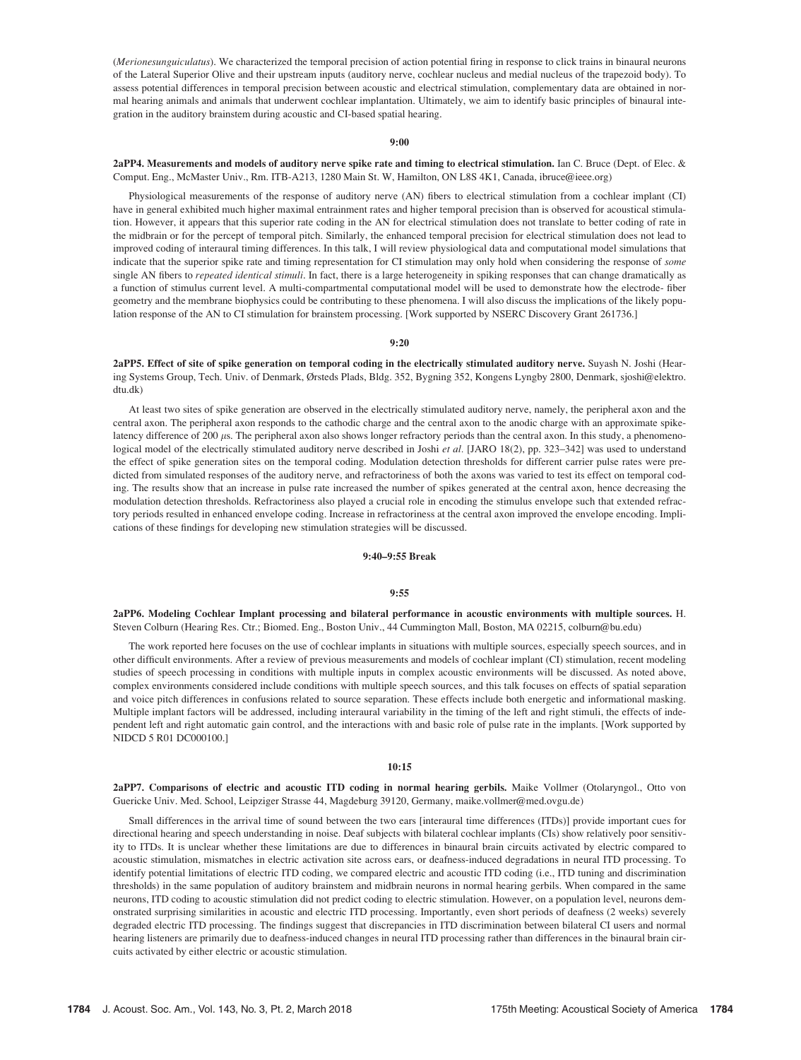(Merionesunguiculatus). We characterized the temporal precision of action potential firing in response to click trains in binaural neurons of the Lateral Superior Olive and their upstream inputs (auditory nerve, cochlear nucleus and medial nucleus of the trapezoid body). To assess potential differences in temporal precision between acoustic and electrical stimulation, complementary data are obtained in normal hearing animals and animals that underwent cochlear implantation. Ultimately, we aim to identify basic principles of binaural integration in the auditory brainstem during acoustic and CI-based spatial hearing.

#### 9:00

2aPP4. Measurements and models of auditory nerve spike rate and timing to electrical stimulation. Ian C. Bruce (Dept. of Elec. & Comput. Eng., McMaster Univ., Rm. ITB-A213, 1280 Main St. W, Hamilton, ON L8S 4K1, Canada, ibruce@ieee.org)

Physiological measurements of the response of auditory nerve (AN) fibers to electrical stimulation from a cochlear implant (CI) have in general exhibited much higher maximal entrainment rates and higher temporal precision than is observed for acoustical stimulation. However, it appears that this superior rate coding in the AN for electrical stimulation does not translate to better coding of rate in the midbrain or for the percept of temporal pitch. Similarly, the enhanced temporal precision for electrical stimulation does not lead to improved coding of interaural timing differences. In this talk, I will review physiological data and computational model simulations that indicate that the superior spike rate and timing representation for CI stimulation may only hold when considering the response of some single AN fibers to repeated identical stimuli. In fact, there is a large heterogeneity in spiking responses that can change dramatically as a function of stimulus current level. A multi-compartmental computational model will be used to demonstrate how the electrode- fiber geometry and the membrane biophysics could be contributing to these phenomena. I will also discuss the implications of the likely population response of the AN to CI stimulation for brainstem processing. [Work supported by NSERC Discovery Grant 261736.]

#### 9:20

2aPP5. Effect of site of spike generation on temporal coding in the electrically stimulated auditory nerve. Suyash N. Joshi (Hearing Systems Group, Tech. Univ. of Denmark, Ørsteds Plads, Bldg. 352, Bygning 352, Kongens Lyngby 2800, Denmark, sjoshi@elektro. dtu.dk)

At least two sites of spike generation are observed in the electrically stimulated auditory nerve, namely, the peripheral axon and the central axon. The peripheral axon responds to the cathodic charge and the central axon to the anodic charge with an approximate spikelatency difference of 200  $\mu$ s. The peripheral axon also shows longer refractory periods than the central axon. In this study, a phenomenological model of the electrically stimulated auditory nerve described in Joshi et al. [JARO 18(2), pp. 323–342] was used to understand the effect of spike generation sites on the temporal coding. Modulation detection thresholds for different carrier pulse rates were predicted from simulated responses of the auditory nerve, and refractoriness of both the axons was varied to test its effect on temporal coding. The results show that an increase in pulse rate increased the number of spikes generated at the central axon, hence decreasing the modulation detection thresholds. Refractoriness also played a crucial role in encoding the stimulus envelope such that extended refractory periods resulted in enhanced envelope coding. Increase in refractoriness at the central axon improved the envelope encoding. Implications of these findings for developing new stimulation strategies will be discussed.

#### 9:40–9:55 Break

#### 9:55

2aPP6. Modeling Cochlear Implant processing and bilateral performance in acoustic environments with multiple sources. H. Steven Colburn (Hearing Res. Ctr.; Biomed. Eng., Boston Univ., 44 Cummington Mall, Boston, MA 02215, colburn@bu.edu)

The work reported here focuses on the use of cochlear implants in situations with multiple sources, especially speech sources, and in other difficult environments. After a review of previous measurements and models of cochlear implant (CI) stimulation, recent modeling studies of speech processing in conditions with multiple inputs in complex acoustic environments will be discussed. As noted above, complex environments considered include conditions with multiple speech sources, and this talk focuses on effects of spatial separation and voice pitch differences in confusions related to source separation. These effects include both energetic and informational masking. Multiple implant factors will be addressed, including interaural variability in the timing of the left and right stimuli, the effects of independent left and right automatic gain control, and the interactions with and basic role of pulse rate in the implants. [Work supported by NIDCD 5 R01 DC000100.]

#### 10:15

2aPP7. Comparisons of electric and acoustic ITD coding in normal hearing gerbils. Maike Vollmer (Otolaryngol., Otto von Guericke Univ. Med. School, Leipziger Strasse 44, Magdeburg 39120, Germany, maike.vollmer@med.ovgu.de)

Small differences in the arrival time of sound between the two ears [interaural time differences (ITDs)] provide important cues for directional hearing and speech understanding in noise. Deaf subjects with bilateral cochlear implants (CIs) show relatively poor sensitivity to ITDs. It is unclear whether these limitations are due to differences in binaural brain circuits activated by electric compared to acoustic stimulation, mismatches in electric activation site across ears, or deafness-induced degradations in neural ITD processing. To identify potential limitations of electric ITD coding, we compared electric and acoustic ITD coding (i.e., ITD tuning and discrimination thresholds) in the same population of auditory brainstem and midbrain neurons in normal hearing gerbils. When compared in the same neurons, ITD coding to acoustic stimulation did not predict coding to electric stimulation. However, on a population level, neurons demonstrated surprising similarities in acoustic and electric ITD processing. Importantly, even short periods of deafness (2 weeks) severely degraded electric ITD processing. The findings suggest that discrepancies in ITD discrimination between bilateral CI users and normal hearing listeners are primarily due to deafness-induced changes in neural ITD processing rather than differences in the binaural brain circuits activated by either electric or acoustic stimulation.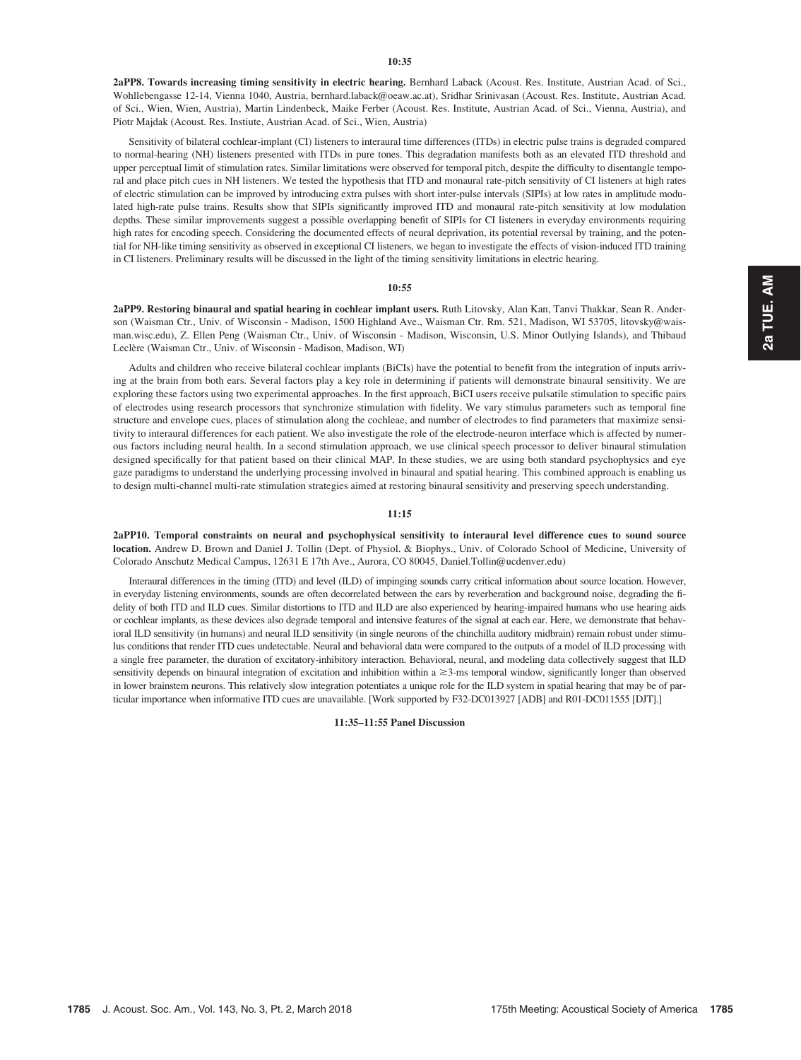2aPP8. Towards increasing timing sensitivity in electric hearing. Bernhard Laback (Acoust. Res. Institute, Austrian Acad. of Sci., Wohllebengasse 12-14, Vienna 1040, Austria, bernhard.laback@oeaw.ac.at), Sridhar Srinivasan (Acoust. Res. Institute, Austrian Acad. of Sci., Wien, Wien, Austria), Martin Lindenbeck, Maike Ferber (Acoust. Res. Institute, Austrian Acad. of Sci., Vienna, Austria), and Piotr Majdak (Acoust. Res. Instiute, Austrian Acad. of Sci., Wien, Austria)

Sensitivity of bilateral cochlear-implant (CI) listeners to interaural time differences (ITDs) in electric pulse trains is degraded compared to normal-hearing (NH) listeners presented with ITDs in pure tones. This degradation manifests both as an elevated ITD threshold and upper perceptual limit of stimulation rates. Similar limitations were observed for temporal pitch, despite the difficulty to disentangle temporal and place pitch cues in NH listeners. We tested the hypothesis that ITD and monaural rate-pitch sensitivity of CI listeners at high rates of electric stimulation can be improved by introducing extra pulses with short inter-pulse intervals (SIPIs) at low rates in amplitude modulated high-rate pulse trains. Results show that SIPIs significantly improved ITD and monaural rate-pitch sensitivity at low modulation depths. These similar improvements suggest a possible overlapping benefit of SIPIs for CI listeners in everyday environments requiring high rates for encoding speech. Considering the documented effects of neural deprivation, its potential reversal by training, and the potential for NH-like timing sensitivity as observed in exceptional CI listeners, we began to investigate the effects of vision-induced ITD training in CI listeners. Preliminary results will be discussed in the light of the timing sensitivity limitations in electric hearing.

#### 10:55

2aPP9. Restoring binaural and spatial hearing in cochlear implant users. Ruth Litovsky, Alan Kan, Tanvi Thakkar, Sean R. Anderson (Waisman Ctr., Univ. of Wisconsin - Madison, 1500 Highland Ave., Waisman Ctr. Rm. 521, Madison, WI 53705, litovsky@waisman.wisc.edu), Z. Ellen Peng (Waisman Ctr., Univ. of Wisconsin - Madison, Wisconsin, U.S. Minor Outlying Islands), and Thibaud Leclère (Waisman Ctr., Univ. of Wisconsin - Madison, Madison, WI)

Adults and children who receive bilateral cochlear implants (BiCIs) have the potential to benefit from the integration of inputs arriving at the brain from both ears. Several factors play a key role in determining if patients will demonstrate binaural sensitivity. We are exploring these factors using two experimental approaches. In the first approach, BiCI users receive pulsatile stimulation to specific pairs of electrodes using research processors that synchronize stimulation with fidelity. We vary stimulus parameters such as temporal fine structure and envelope cues, places of stimulation along the cochleae, and number of electrodes to find parameters that maximize sensitivity to interaural differences for each patient. We also investigate the role of the electrode-neuron interface which is affected by numerous factors including neural health. In a second stimulation approach, we use clinical speech processor to deliver binaural stimulation designed specifically for that patient based on their clinical MAP. In these studies, we are using both standard psychophysics and eye gaze paradigms to understand the underlying processing involved in binaural and spatial hearing. This combined approach is enabling us to design multi-channel multi-rate stimulation strategies aimed at restoring binaural sensitivity and preserving speech understanding.

#### 11:15

2aPP10. Temporal constraints on neural and psychophysical sensitivity to interaural level difference cues to sound source location. Andrew D. Brown and Daniel J. Tollin (Dept. of Physiol. & Biophys., Univ. of Colorado School of Medicine, University of Colorado Anschutz Medical Campus, 12631 E 17th Ave., Aurora, CO 80045, Daniel.Tollin@ucdenver.edu)

Interaural differences in the timing (ITD) and level (ILD) of impinging sounds carry critical information about source location. However, in everyday listening environments, sounds are often decorrelated between the ears by reverberation and background noise, degrading the fidelity of both ITD and ILD cues. Similar distortions to ITD and ILD are also experienced by hearing-impaired humans who use hearing aids or cochlear implants, as these devices also degrade temporal and intensive features of the signal at each ear. Here, we demonstrate that behavioral ILD sensitivity (in humans) and neural ILD sensitivity (in single neurons of the chinchilla auditory midbrain) remain robust under stimulus conditions that render ITD cues undetectable. Neural and behavioral data were compared to the outputs of a model of ILD processing with a single free parameter, the duration of excitatory-inhibitory interaction. Behavioral, neural, and modeling data collectively suggest that ILD sensitivity depends on binaural integration of excitation and inhibition within  $a \geq 3$ -ms temporal window, significantly longer than observed in lower brainstem neurons. This relatively slow integration potentiates a unique role for the ILD system in spatial hearing that may be of particular importance when informative ITD cues are unavailable. [Work supported by F32-DC013927 [ADB] and R01-DC011555 [DJT].]

#### 11:35–11:55 Panel Discussion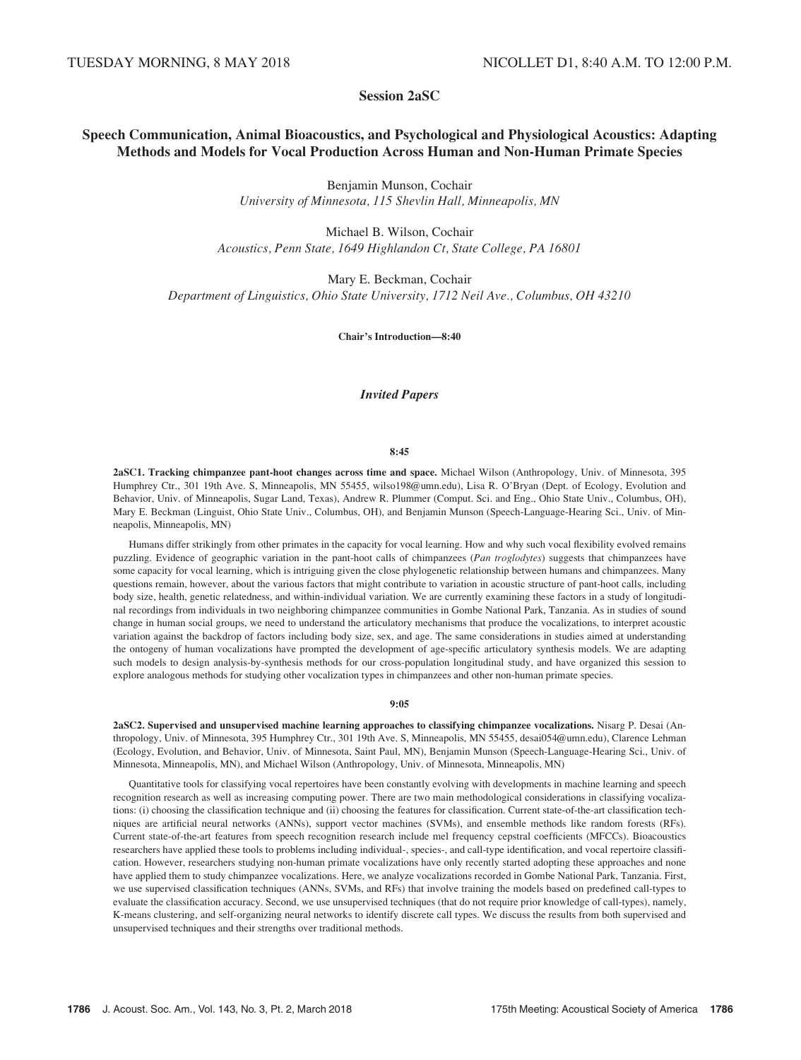# Session 2aSC

# Speech Communication, Animal Bioacoustics, and Psychological and Physiological Acoustics: Adapting Methods and Models for Vocal Production Across Human and Non-Human Primate Species

Benjamin Munson, Cochair University of Minnesota, 115 Shevlin Hall, Minneapolis, MN

Michael B. Wilson, Cochair Acoustics, Penn State, 1649 Highlandon Ct, State College, PA 16801

Mary E. Beckman, Cochair Department of Linguistics, Ohio State University, 1712 Neil Ave., Columbus, OH 43210

Chair's Introduction—8:40

# Invited Papers

#### 8:45

2aSC1. Tracking chimpanzee pant-hoot changes across time and space. Michael Wilson (Anthropology, Univ. of Minnesota, 395 Humphrey Ctr., 301 19th Ave. S, Minneapolis, MN 55455, wilso198@umn.edu), Lisa R. O'Bryan (Dept. of Ecology, Evolution and Behavior, Univ. of Minneapolis, Sugar Land, Texas), Andrew R. Plummer (Comput. Sci. and Eng., Ohio State Univ., Columbus, OH), Mary E. Beckman (Linguist, Ohio State Univ., Columbus, OH), and Benjamin Munson (Speech-Language-Hearing Sci., Univ. of Minneapolis, Minneapolis, MN)

Humans differ strikingly from other primates in the capacity for vocal learning. How and why such vocal flexibility evolved remains puzzling. Evidence of geographic variation in the pant-hoot calls of chimpanzees (Pan troglodytes) suggests that chimpanzees have some capacity for vocal learning, which is intriguing given the close phylogenetic relationship between humans and chimpanzees. Many questions remain, however, about the various factors that might contribute to variation in acoustic structure of pant-hoot calls, including body size, health, genetic relatedness, and within-individual variation. We are currently examining these factors in a study of longitudinal recordings from individuals in two neighboring chimpanzee communities in Gombe National Park, Tanzania. As in studies of sound change in human social groups, we need to understand the articulatory mechanisms that produce the vocalizations, to interpret acoustic variation against the backdrop of factors including body size, sex, and age. The same considerations in studies aimed at understanding the ontogeny of human vocalizations have prompted the development of age-specific articulatory synthesis models. We are adapting such models to design analysis-by-synthesis methods for our cross-population longitudinal study, and have organized this session to explore analogous methods for studying other vocalization types in chimpanzees and other non-human primate species.

### 9:05

2aSC2. Supervised and unsupervised machine learning approaches to classifying chimpanzee vocalizations. Nisarg P. Desai (Anthropology, Univ. of Minnesota, 395 Humphrey Ctr., 301 19th Ave. S, Minneapolis, MN 55455, desai054@umn.edu), Clarence Lehman (Ecology, Evolution, and Behavior, Univ. of Minnesota, Saint Paul, MN), Benjamin Munson (Speech-Language-Hearing Sci., Univ. of Minnesota, Minneapolis, MN), and Michael Wilson (Anthropology, Univ. of Minnesota, Minneapolis, MN)

Quantitative tools for classifying vocal repertoires have been constantly evolving with developments in machine learning and speech recognition research as well as increasing computing power. There are two main methodological considerations in classifying vocalizations: (i) choosing the classification technique and (ii) choosing the features for classification. Current state-of-the-art classification techniques are artificial neural networks (ANNs), support vector machines (SVMs), and ensemble methods like random forests (RFs). Current state-of-the-art features from speech recognition research include mel frequency cepstral coefficients (MFCCs). Bioacoustics researchers have applied these tools to problems including individual-, species-, and call-type identification, and vocal repertoire classification. However, researchers studying non-human primate vocalizations have only recently started adopting these approaches and none have applied them to study chimpanzee vocalizations. Here, we analyze vocalizations recorded in Gombe National Park, Tanzania. First, we use supervised classification techniques (ANNs, SVMs, and RFs) that involve training the models based on predefined call-types to evaluate the classification accuracy. Second, we use unsupervised techniques (that do not require prior knowledge of call-types), namely, K-means clustering, and self-organizing neural networks to identify discrete call types. We discuss the results from both supervised and unsupervised techniques and their strengths over traditional methods.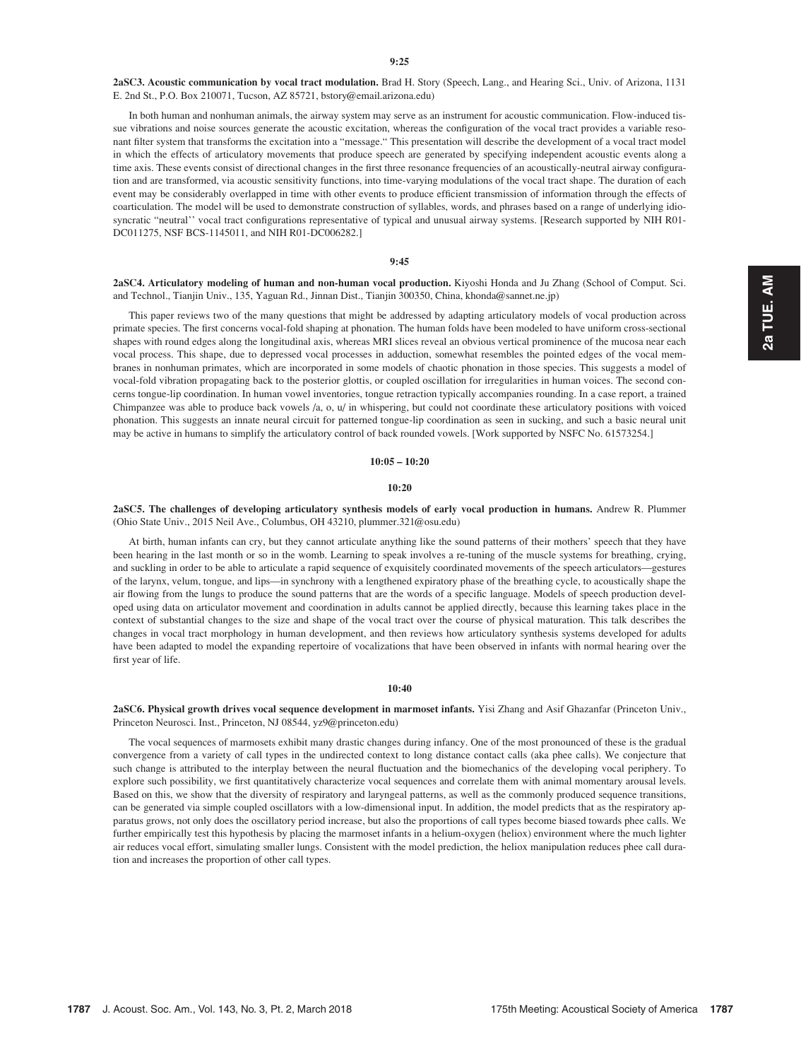2aSC3. Acoustic communication by vocal tract modulation. Brad H. Story (Speech, Lang., and Hearing Sci., Univ. of Arizona, 1131 E. 2nd St., P.O. Box 210071, Tucson, AZ 85721, bstory@email.arizona.edu)

In both human and nonhuman animals, the airway system may serve as an instrument for acoustic communication. Flow-induced tissue vibrations and noise sources generate the acoustic excitation, whereas the configuration of the vocal tract provides a variable resonant filter system that transforms the excitation into a "message." This presentation will describe the development of a vocal tract model in which the effects of articulatory movements that produce speech are generated by specifying independent acoustic events along a time axis. These events consist of directional changes in the first three resonance frequencies of an acoustically-neutral airway configuration and are transformed, via acoustic sensitivity functions, into time-varying modulations of the vocal tract shape. The duration of each event may be considerably overlapped in time with other events to produce efficient transmission of information through the effects of coarticulation. The model will be used to demonstrate construction of syllables, words, and phrases based on a range of underlying idiosyncratic "neutral'' vocal tract configurations representative of typical and unusual airway systems. [Research supported by NIH R01- DC011275, NSF BCS-1145011, and NIH R01-DC006282.]

#### 9:45

2aSC4. Articulatory modeling of human and non-human vocal production. Kiyoshi Honda and Ju Zhang (School of Comput. Sci. and Technol., Tianjin Univ., 135, Yaguan Rd., Jinnan Dist., Tianjin 300350, China, khonda@sannet.ne.jp)

This paper reviews two of the many questions that might be addressed by adapting articulatory models of vocal production across primate species. The first concerns vocal-fold shaping at phonation. The human folds have been modeled to have uniform cross-sectional shapes with round edges along the longitudinal axis, whereas MRI slices reveal an obvious vertical prominence of the mucosa near each vocal process. This shape, due to depressed vocal processes in adduction, somewhat resembles the pointed edges of the vocal membranes in nonhuman primates, which are incorporated in some models of chaotic phonation in those species. This suggests a model of vocal-fold vibration propagating back to the posterior glottis, or coupled oscillation for irregularities in human voices. The second concerns tongue-lip coordination. In human vowel inventories, tongue retraction typically accompanies rounding. In a case report, a trained Chimpanzee was able to produce back vowels /a, o, u/ in whispering, but could not coordinate these articulatory positions with voiced phonation. This suggests an innate neural circuit for patterned tongue-lip coordination as seen in sucking, and such a basic neural unit may be active in humans to simplify the articulatory control of back rounded vowels. [Work supported by NSFC No. 61573254.]

#### $10:05 - 10:20$

#### 10:20

2aSC5. The challenges of developing articulatory synthesis models of early vocal production in humans. Andrew R. Plummer (Ohio State Univ., 2015 Neil Ave., Columbus, OH 43210, plummer.321@osu.edu)

At birth, human infants can cry, but they cannot articulate anything like the sound patterns of their mothers' speech that they have been hearing in the last month or so in the womb. Learning to speak involves a re-tuning of the muscle systems for breathing, crying, and suckling in order to be able to articulate a rapid sequence of exquisitely coordinated movements of the speech articulators—gestures of the larynx, velum, tongue, and lips—in synchrony with a lengthened expiratory phase of the breathing cycle, to acoustically shape the air flowing from the lungs to produce the sound patterns that are the words of a specific language. Models of speech production developed using data on articulator movement and coordination in adults cannot be applied directly, because this learning takes place in the context of substantial changes to the size and shape of the vocal tract over the course of physical maturation. This talk describes the changes in vocal tract morphology in human development, and then reviews how articulatory synthesis systems developed for adults have been adapted to model the expanding repertoire of vocalizations that have been observed in infants with normal hearing over the first year of life.

#### 10:40

2aSC6. Physical growth drives vocal sequence development in marmoset infants. Yisi Zhang and Asif Ghazanfar (Princeton Univ., Princeton Neurosci. Inst., Princeton, NJ 08544, yz9@princeton.edu)

The vocal sequences of marmosets exhibit many drastic changes during infancy. One of the most pronounced of these is the gradual convergence from a variety of call types in the undirected context to long distance contact calls (aka phee calls). We conjecture that such change is attributed to the interplay between the neural fluctuation and the biomechanics of the developing vocal periphery. To explore such possibility, we first quantitatively characterize vocal sequences and correlate them with animal momentary arousal levels. Based on this, we show that the diversity of respiratory and laryngeal patterns, as well as the commonly produced sequence transitions, can be generated via simple coupled oscillators with a low-dimensional input. In addition, the model predicts that as the respiratory apparatus grows, not only does the oscillatory period increase, but also the proportions of call types become biased towards phee calls. We further empirically test this hypothesis by placing the marmoset infants in a helium-oxygen (heliox) environment where the much lighter air reduces vocal effort, simulating smaller lungs. Consistent with the model prediction, the heliox manipulation reduces phee call duration and increases the proportion of other call types.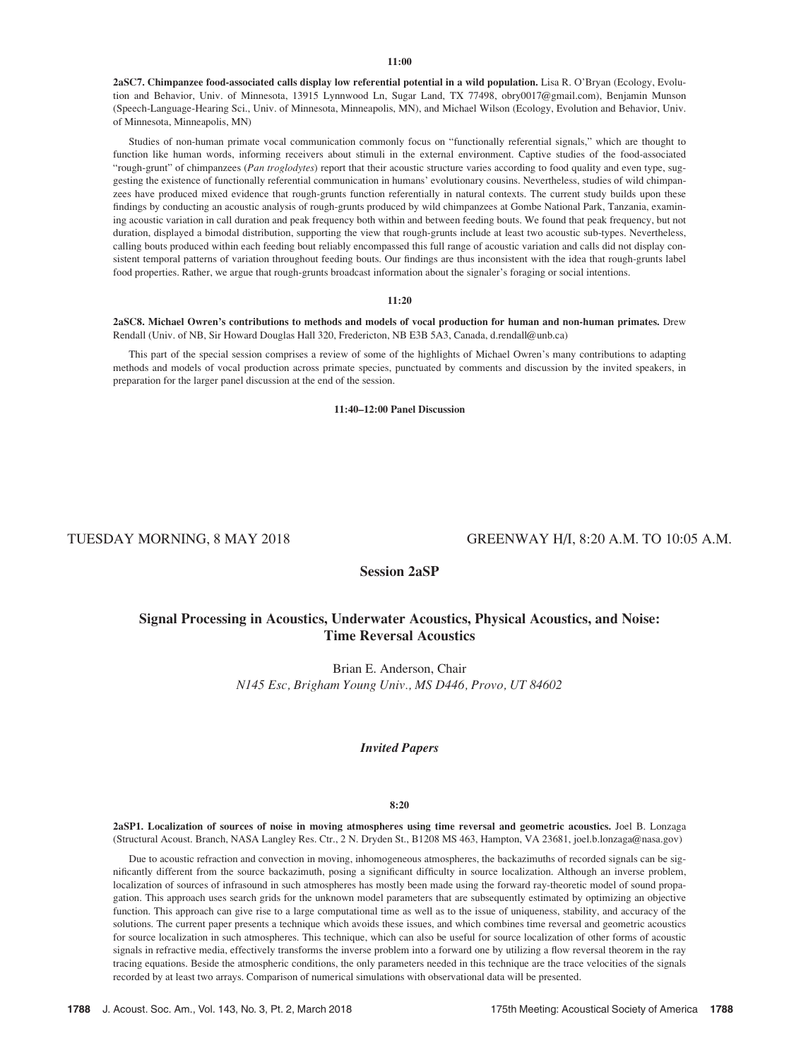2aSC7. Chimpanzee food-associated calls display low referential potential in a wild population. Lisa R. O'Bryan (Ecology, Evolution and Behavior, Univ. of Minnesota, 13915 Lynnwood Ln, Sugar Land, TX 77498, obry0017@gmail.com), Benjamin Munson (Speech-Language-Hearing Sci., Univ. of Minnesota, Minneapolis, MN), and Michael Wilson (Ecology, Evolution and Behavior, Univ. of Minnesota, Minneapolis, MN)

Studies of non-human primate vocal communication commonly focus on "functionally referential signals," which are thought to function like human words, informing receivers about stimuli in the external environment. Captive studies of the food-associated "rough-grunt" of chimpanzees (Pan troglodytes) report that their acoustic structure varies according to food quality and even type, suggesting the existence of functionally referential communication in humans' evolutionary cousins. Nevertheless, studies of wild chimpanzees have produced mixed evidence that rough-grunts function referentially in natural contexts. The current study builds upon these findings by conducting an acoustic analysis of rough-grunts produced by wild chimpanzees at Gombe National Park, Tanzania, examining acoustic variation in call duration and peak frequency both within and between feeding bouts. We found that peak frequency, but not duration, displayed a bimodal distribution, supporting the view that rough-grunts include at least two acoustic sub-types. Nevertheless, calling bouts produced within each feeding bout reliably encompassed this full range of acoustic variation and calls did not display consistent temporal patterns of variation throughout feeding bouts. Our findings are thus inconsistent with the idea that rough-grunts label food properties. Rather, we argue that rough-grunts broadcast information about the signaler's foraging or social intentions.

#### 11:20

2aSC8. Michael Owren's contributions to methods and models of vocal production for human and non-human primates. Drew Rendall (Univ. of NB, Sir Howard Douglas Hall 320, Fredericton, NB E3B 5A3, Canada, d.rendall@unb.ca)

This part of the special session comprises a review of some of the highlights of Michael Owren's many contributions to adapting methods and models of vocal production across primate species, punctuated by comments and discussion by the invited speakers, in preparation for the larger panel discussion at the end of the session.

11:40–12:00 Panel Discussion

# TUESDAY MORNING, 8 MAY 2018 GREENWAY H/I, 8:20 A.M. TO 10:05 A.M.

Session 2aSP

# Signal Processing in Acoustics, Underwater Acoustics, Physical Acoustics, and Noise: Time Reversal Acoustics

Brian E. Anderson, Chair N145 Esc, Brigham Young Univ., MS D446, Provo, UT 84602

# Invited Papers

#### 8:20

2aSP1. Localization of sources of noise in moving atmospheres using time reversal and geometric acoustics. Joel B. Lonzaga (Structural Acoust. Branch, NASA Langley Res. Ctr., 2 N. Dryden St., B1208 MS 463, Hampton, VA 23681, joel.b.lonzaga@nasa.gov)

Due to acoustic refraction and convection in moving, inhomogeneous atmospheres, the backazimuths of recorded signals can be significantly different from the source backazimuth, posing a significant difficulty in source localization. Although an inverse problem, localization of sources of infrasound in such atmospheres has mostly been made using the forward ray-theoretic model of sound propagation. This approach uses search grids for the unknown model parameters that are subsequently estimated by optimizing an objective function. This approach can give rise to a large computational time as well as to the issue of uniqueness, stability, and accuracy of the solutions. The current paper presents a technique which avoids these issues, and which combines time reversal and geometric acoustics for source localization in such atmospheres. This technique, which can also be useful for source localization of other forms of acoustic signals in refractive media, effectively transforms the inverse problem into a forward one by utilizing a flow reversal theorem in the ray tracing equations. Beside the atmospheric conditions, the only parameters needed in this technique are the trace velocities of the signals recorded by at least two arrays. Comparison of numerical simulations with observational data will be presented.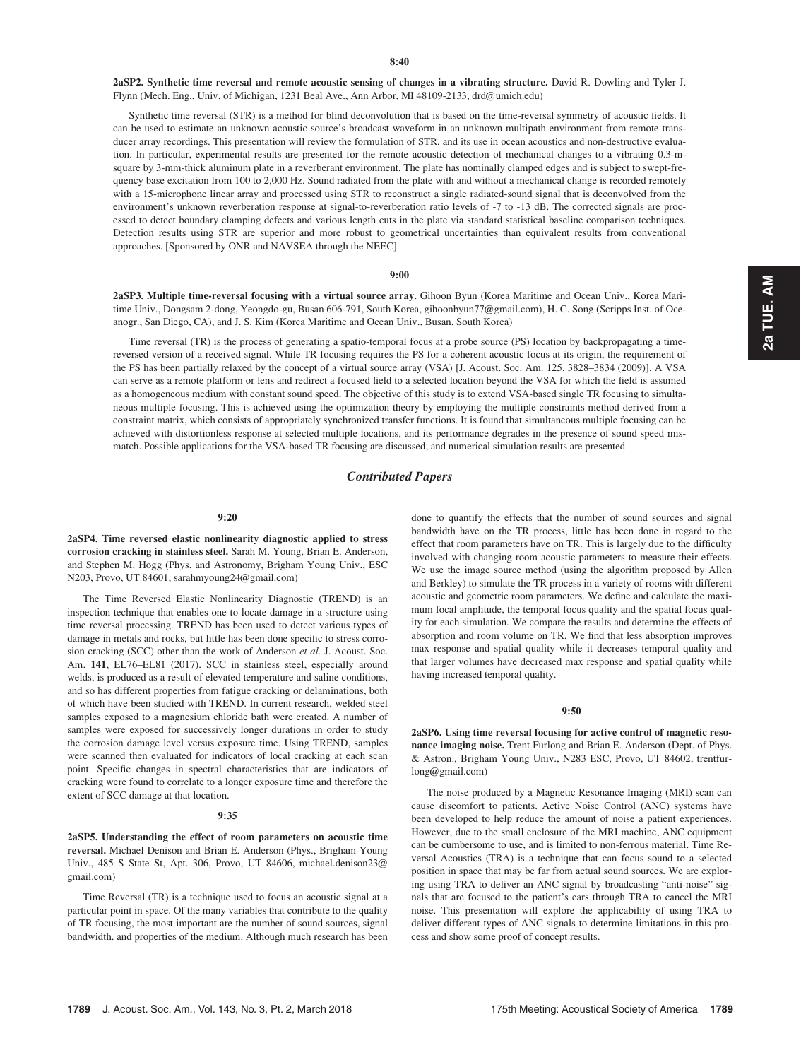2aSP2. Synthetic time reversal and remote acoustic sensing of changes in a vibrating structure. David R. Dowling and Tyler J. Flynn (Mech. Eng., Univ. of Michigan, 1231 Beal Ave., Ann Arbor, MI 48109-2133, drd@umich.edu)

Synthetic time reversal (STR) is a method for blind deconvolution that is based on the time-reversal symmetry of acoustic fields. It can be used to estimate an unknown acoustic source's broadcast waveform in an unknown multipath environment from remote transducer array recordings. This presentation will review the formulation of STR, and its use in ocean acoustics and non-destructive evaluation. In particular, experimental results are presented for the remote acoustic detection of mechanical changes to a vibrating 0.3-msquare by 3-mm-thick aluminum plate in a reverberant environment. The plate has nominally clamped edges and is subject to swept-frequency base excitation from 100 to 2,000 Hz. Sound radiated from the plate with and without a mechanical change is recorded remotely with a 15-microphone linear array and processed using STR to reconstruct a single radiated-sound signal that is deconvolved from the environment's unknown reverberation response at signal-to-reverberation ratio levels of -7 to -13 dB. The corrected signals are processed to detect boundary clamping defects and various length cuts in the plate via standard statistical baseline comparison techniques. Detection results using STR are superior and more robust to geometrical uncertainties than equivalent results from conventional approaches. [Sponsored by ONR and NAVSEA through the NEEC]

#### 9:00

2aSP3. Multiple time-reversal focusing with a virtual source array. Gihoon Byun (Korea Maritime and Ocean Univ., Korea Maritime Univ., Dongsam 2-dong, Yeongdo-gu, Busan 606-791, South Korea, gihoonbyun77@gmail.com), H. C. Song (Scripps Inst. of Oceanogr., San Diego, CA), and J. S. Kim (Korea Maritime and Ocean Univ., Busan, South Korea)

Time reversal (TR) is the process of generating a spatio-temporal focus at a probe source (PS) location by backpropagating a timereversed version of a received signal. While TR focusing requires the PS for a coherent acoustic focus at its origin, the requirement of the PS has been partially relaxed by the concept of a virtual source array (VSA) [J. Acoust. Soc. Am. 125, 3828–3834 (2009)]. A VSA can serve as a remote platform or lens and redirect a focused field to a selected location beyond the VSA for which the field is assumed as a homogeneous medium with constant sound speed. The objective of this study is to extend VSA-based single TR focusing to simultaneous multiple focusing. This is achieved using the optimization theory by employing the multiple constraints method derived from a constraint matrix, which consists of appropriately synchronized transfer functions. It is found that simultaneous multiple focusing can be achieved with distortionless response at selected multiple locations, and its performance degrades in the presence of sound speed mismatch. Possible applications for the VSA-based TR focusing are discussed, and numerical simulation results are presented

### Contributed Papers

#### 9:20

2aSP4. Time reversed elastic nonlinearity diagnostic applied to stress corrosion cracking in stainless steel. Sarah M. Young, Brian E. Anderson, and Stephen M. Hogg (Phys. and Astronomy, Brigham Young Univ., ESC N203, Provo, UT 84601, sarahmyoung24@gmail.com)

The Time Reversed Elastic Nonlinearity Diagnostic (TREND) is an inspection technique that enables one to locate damage in a structure using time reversal processing. TREND has been used to detect various types of damage in metals and rocks, but little has been done specific to stress corrosion cracking (SCC) other than the work of Anderson et al. J. Acoust. Soc. Am. 141, EL76–EL81 (2017). SCC in stainless steel, especially around welds, is produced as a result of elevated temperature and saline conditions, and so has different properties from fatigue cracking or delaminations, both of which have been studied with TREND. In current research, welded steel samples exposed to a magnesium chloride bath were created. A number of samples were exposed for successively longer durations in order to study the corrosion damage level versus exposure time. Using TREND, samples were scanned then evaluated for indicators of local cracking at each scan point. Specific changes in spectral characteristics that are indicators of cracking were found to correlate to a longer exposure time and therefore the extent of SCC damage at that location.

#### 9:35

2aSP5. Understanding the effect of room parameters on acoustic time reversal. Michael Denison and Brian E. Anderson (Phys., Brigham Young Univ., 485 S State St, Apt. 306, Provo, UT 84606, michael.denison23@ gmail.com)

Time Reversal (TR) is a technique used to focus an acoustic signal at a particular point in space. Of the many variables that contribute to the quality of TR focusing, the most important are the number of sound sources, signal bandwidth. and properties of the medium. Although much research has been done to quantify the effects that the number of sound sources and signal bandwidth have on the TR process, little has been done in regard to the effect that room parameters have on TR. This is largely due to the difficulty involved with changing room acoustic parameters to measure their effects. We use the image source method (using the algorithm proposed by Allen and Berkley) to simulate the TR process in a variety of rooms with different acoustic and geometric room parameters. We define and calculate the maximum focal amplitude, the temporal focus quality and the spatial focus quality for each simulation. We compare the results and determine the effects of absorption and room volume on TR. We find that less absorption improves max response and spatial quality while it decreases temporal quality and that larger volumes have decreased max response and spatial quality while having increased temporal quality.

#### 9:50

2aSP6. Using time reversal focusing for active control of magnetic resonance imaging noise. Trent Furlong and Brian E. Anderson (Dept. of Phys. & Astron., Brigham Young Univ., N283 ESC, Provo, UT 84602, trentfurlong@gmail.com)

The noise produced by a Magnetic Resonance Imaging (MRI) scan can cause discomfort to patients. Active Noise Control (ANC) systems have been developed to help reduce the amount of noise a patient experiences. However, due to the small enclosure of the MRI machine, ANC equipment can be cumbersome to use, and is limited to non-ferrous material. Time Reversal Acoustics (TRA) is a technique that can focus sound to a selected position in space that may be far from actual sound sources. We are exploring using TRA to deliver an ANC signal by broadcasting "anti-noise" signals that are focused to the patient's ears through TRA to cancel the MRI noise. This presentation will explore the applicability of using TRA to deliver different types of ANC signals to determine limitations in this process and show some proof of concept results.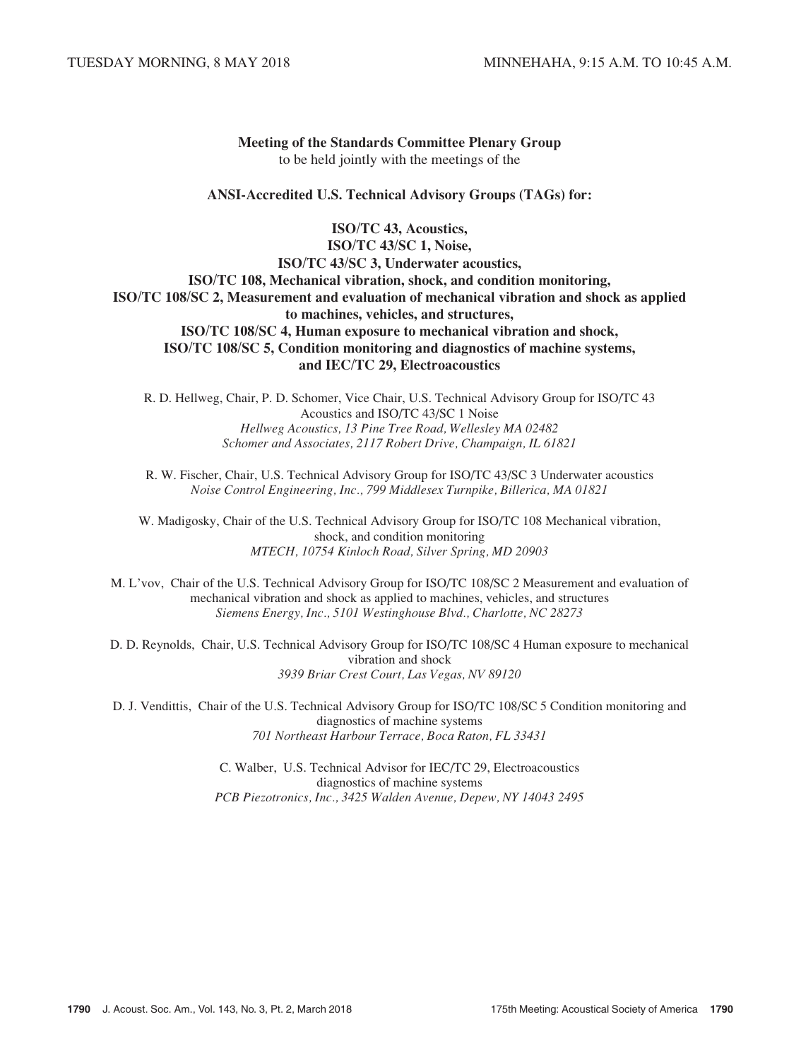# Meeting of the Standards Committee Plenary Group to be held jointly with the meetings of the

# ANSI-Accredited U.S. Technical Advisory Groups (TAGs) for:

ISO/TC 43, Acoustics, ISO/TC 43/SC 1, Noise, ISO/TC 43/SC 3, Underwater acoustics, ISO/TC 108, Mechanical vibration, shock, and condition monitoring, ISO/TC 108/SC 2, Measurement and evaluation of mechanical vibration and shock as applied to machines, vehicles, and structures, ISO/TC 108/SC 4, Human exposure to mechanical vibration and shock, ISO/TC 108/SC 5, Condition monitoring and diagnostics of machine systems, and IEC/TC 29, Electroacoustics

R. D. Hellweg, Chair, P. D. Schomer, Vice Chair, U.S. Technical Advisory Group for ISO/TC 43 Acoustics and ISO/TC 43/SC 1 Noise Hellweg Acoustics, 13 Pine Tree Road, Wellesley MA 02482 Schomer and Associates, 2117 Robert Drive, Champaign, IL 61821

R. W. Fischer, Chair, U.S. Technical Advisory Group for ISO/TC 43/SC 3 Underwater acoustics Noise Control Engineering, Inc., 799 Middlesex Turnpike, Billerica, MA 01821

W. Madigosky, Chair of the U.S. Technical Advisory Group for ISO/TC 108 Mechanical vibration, shock, and condition monitoring MTECH, 10754 Kinloch Road, Silver Spring, MD 20903

M. L'vov, Chair of the U.S. Technical Advisory Group for ISO/TC 108/SC 2 Measurement and evaluation of mechanical vibration and shock as applied to machines, vehicles, and structures Siemens Energy, Inc., 5101 Westinghouse Blvd., Charlotte, NC 28273

D. D. Reynolds, Chair, U.S. Technical Advisory Group for ISO/TC 108/SC 4 Human exposure to mechanical vibration and shock 3939 Briar Crest Court, Las Vegas, NV 89120

D. J. Vendittis, Chair of the U.S. Technical Advisory Group for ISO/TC 108/SC 5 Condition monitoring and diagnostics of machine systems 701 Northeast Harbour Terrace, Boca Raton, FL 33431

> C. Walber, U.S. Technical Advisor for IEC/TC 29, Electroacoustics diagnostics of machine systems PCB Piezotronics, Inc., 3425 Walden Avenue, Depew, NY 14043 2495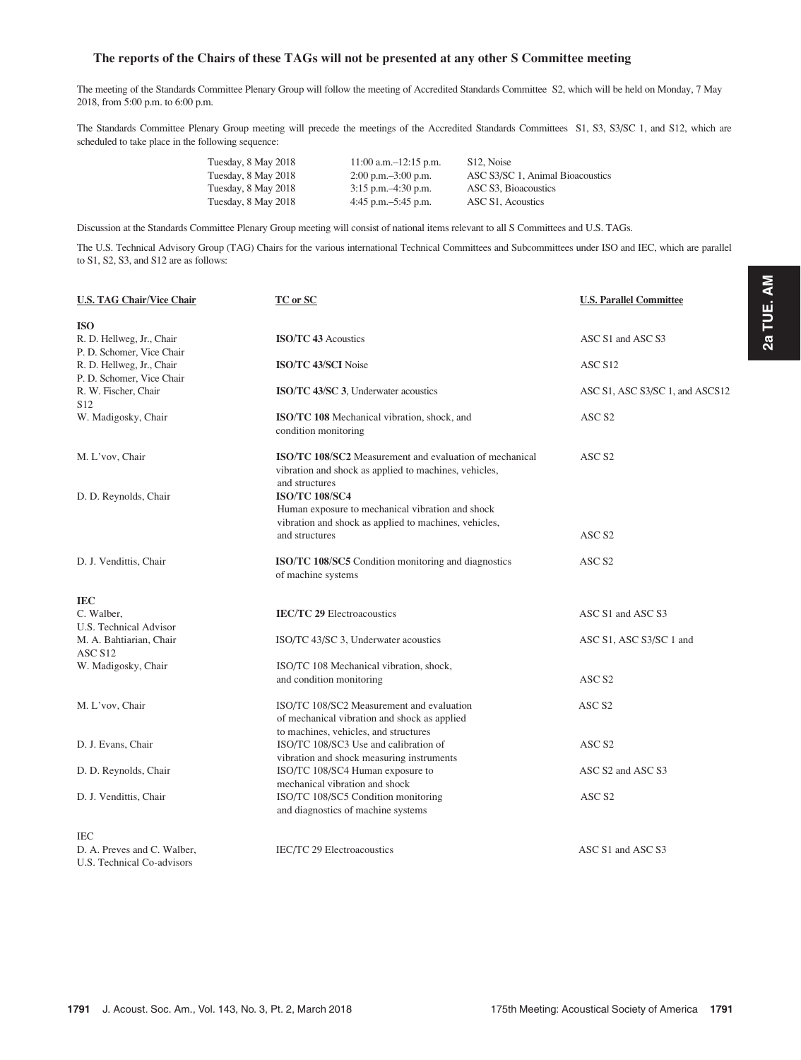# The reports of the Chairs of these TAGs will not be presented at any other S Committee meeting

The meeting of the Standards Committee Plenary Group will follow the meeting of Accredited Standards Committee S2, which will be held on Monday, 7 May 2018, from 5:00 p.m. to 6:00 p.m.

The Standards Committee Plenary Group meeting will precede the meetings of the Accredited Standards Committees S1, S3, S3/SC 1, and S12, which are scheduled to take place in the following sequence:

| Tuesday, 8 May 2018 | $11:00$ a.m. $-12:15$ p.m. | S <sub>12</sub> . Noise          |
|---------------------|----------------------------|----------------------------------|
| Tuesday, 8 May 2018 | $2:00$ p.m. $-3:00$ p.m.   | ASC S3/SC 1, Animal Bioacoustics |
| Tuesday, 8 May 2018 | $3:15$ p.m. $-4:30$ p.m.   | ASC S3, Bioacoustics             |
| Tuesday, 8 May 2018 | 4:45 p.m. $-5:45$ p.m.     | ASC S1. Acoustics                |

Discussion at the Standards Committee Plenary Group meeting will consist of national items relevant to all S Committees and U.S. TAGs.

The U.S. Technical Advisory Group (TAG) Chairs for the various international Technical Committees and Subcommittees under ISO and IEC, which are parallel to S1, S2, S3, and S12 are as follows:

| <b>U.S. TAG Chair/Vice Chair</b>                          | TC or SC                                                                                                                           | <b>U.S. Parallel Committee</b>  |
|-----------------------------------------------------------|------------------------------------------------------------------------------------------------------------------------------------|---------------------------------|
| <b>ISO</b>                                                |                                                                                                                                    |                                 |
| R. D. Hellweg, Jr., Chair<br>P. D. Schomer, Vice Chair    | <b>ISO/TC 43 Acoustics</b>                                                                                                         | ASC S1 and ASC S3               |
| R. D. Hellweg, Jr., Chair<br>P. D. Schomer, Vice Chair    | <b>ISO/TC 43/SCI Noise</b>                                                                                                         | ASC S <sub>12</sub>             |
| R. W. Fischer, Chair<br>S <sub>12</sub>                   | <b>ISO/TC 43/SC 3.</b> Underwater acoustics                                                                                        | ASC S1, ASC S3/SC 1, and ASCS12 |
| W. Madigosky, Chair                                       | ISO/TC 108 Mechanical vibration, shock, and<br>condition monitoring                                                                | ASC <sub>S2</sub>               |
| M. L'vov, Chair                                           | ISO/TC 108/SC2 Measurement and evaluation of mechanical<br>vibration and shock as applied to machines, vehicles,<br>and structures | ASC <sub>S2</sub>               |
| D. D. Reynolds, Chair                                     | <b>ISO/TC 108/SC4</b><br>Human exposure to mechanical vibration and shock<br>vibration and shock as applied to machines, vehicles, |                                 |
|                                                           | and structures                                                                                                                     | ASC <sub>S2</sub>               |
| D. J. Vendittis, Chair                                    | ISO/TC 108/SC5 Condition monitoring and diagnostics<br>of machine systems                                                          | ASC <sub>S2</sub>               |
| IEC                                                       |                                                                                                                                    |                                 |
| C. Walber.<br>U.S. Technical Advisor                      | <b>IEC/TC 29 Electroacoustics</b>                                                                                                  | ASC S1 and ASC S3               |
| M. A. Bahtiarian, Chair<br>ASC S <sub>12</sub>            | ISO/TC 43/SC 3, Underwater acoustics                                                                                               | ASC S1, ASC S3/SC 1 and         |
| W. Madigosky, Chair                                       | ISO/TC 108 Mechanical vibration, shock,<br>and condition monitoring                                                                | ASC <sub>S2</sub>               |
| M. L'vov, Chair                                           | ISO/TC 108/SC2 Measurement and evaluation<br>of mechanical vibration and shock as applied<br>to machines, vehicles, and structures | ASC <sub>S2</sub>               |
| D. J. Evans, Chair                                        | ISO/TC 108/SC3 Use and calibration of<br>vibration and shock measuring instruments                                                 | ASC <sub>S2</sub>               |
| D. D. Reynolds, Chair                                     | ISO/TC 108/SC4 Human exposure to<br>mechanical vibration and shock                                                                 | ASC S2 and ASC S3               |
| D. J. Vendittis, Chair                                    | ISO/TC 108/SC5 Condition monitoring<br>and diagnostics of machine systems                                                          | ASC <sub>S2</sub>               |
| IEC                                                       |                                                                                                                                    |                                 |
| D. A. Preves and C. Walber,<br>U.S. Technical Co-advisors | IEC/TC 29 Electroacoustics                                                                                                         | ASC S1 and ASC S3               |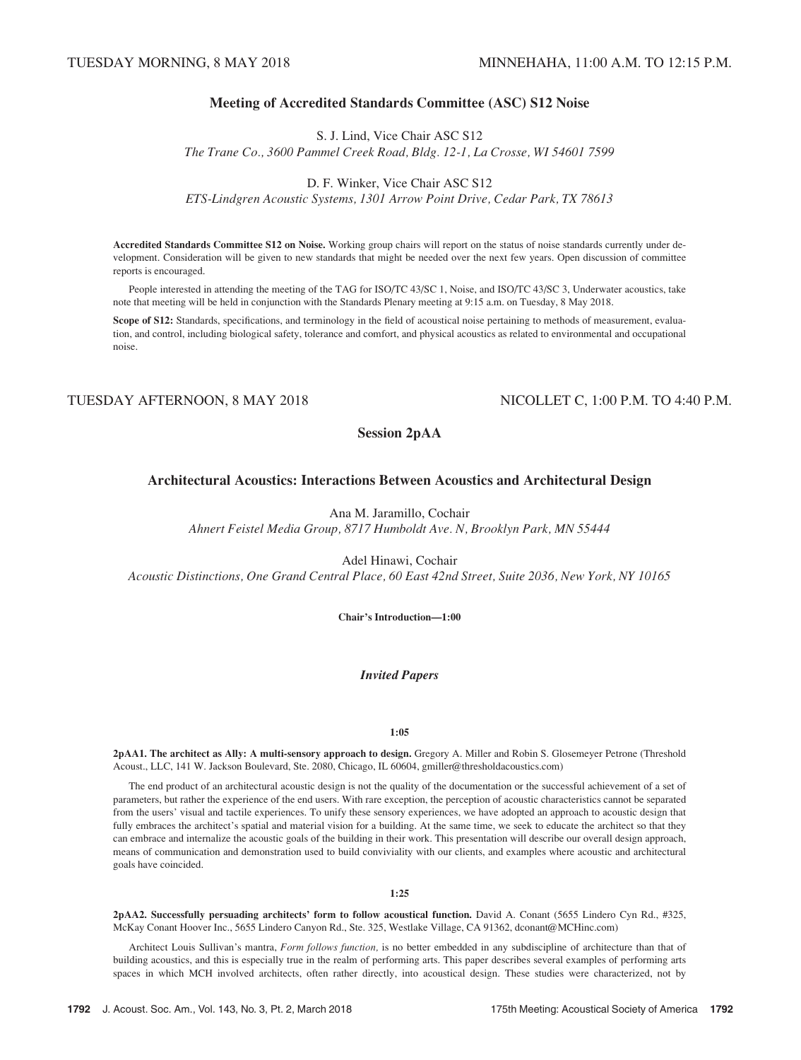# Meeting of Accredited Standards Committee (ASC) S12 Noise

S. J. Lind, Vice Chair ASC S12 The Trane Co., 3600 Pammel Creek Road, Bldg. 12-1, La Crosse, WI 54601 7599

D. F. Winker, Vice Chair ASC S12

ETS-Lindgren Acoustic Systems, 1301 Arrow Point Drive, Cedar Park, TX 78613

Accredited Standards Committee S12 on Noise. Working group chairs will report on the status of noise standards currently under development. Consideration will be given to new standards that might be needed over the next few years. Open discussion of committee reports is encouraged.

People interested in attending the meeting of the TAG for ISO/TC 43/SC 1, Noise, and ISO/TC 43/SC 3, Underwater acoustics, take note that meeting will be held in conjunction with the Standards Plenary meeting at 9:15 a.m. on Tuesday, 8 May 2018.

Scope of S12: Standards, specifications, and terminology in the field of acoustical noise pertaining to methods of measurement, evaluation, and control, including biological safety, tolerance and comfort, and physical acoustics as related to environmental and occupational noise.

TUESDAY AFTERNOON, 8 MAY 2018 NICOLLET C, 1:00 P.M. TO 4:40 P.M.

Session 2pAA

### Architectural Acoustics: Interactions Between Acoustics and Architectural Design

Ana M. Jaramillo, Cochair

Ahnert Feistel Media Group, 8717 Humboldt Ave. N, Brooklyn Park, MN 55444

Adel Hinawi, Cochair

Acoustic Distinctions, One Grand Central Place, 60 East 42nd Street, Suite 2036, New York, NY 10165

Chair's Introduction—1:00

# Invited Papers

1:05

2pAA1. The architect as Ally: A multi-sensory approach to design. Gregory A. Miller and Robin S. Glosemeyer Petrone (Threshold Acoust., LLC, 141 W. Jackson Boulevard, Ste. 2080, Chicago, IL 60604, gmiller@thresholdacoustics.com)

The end product of an architectural acoustic design is not the quality of the documentation or the successful achievement of a set of parameters, but rather the experience of the end users. With rare exception, the perception of acoustic characteristics cannot be separated from the users' visual and tactile experiences. To unify these sensory experiences, we have adopted an approach to acoustic design that fully embraces the architect's spatial and material vision for a building. At the same time, we seek to educate the architect so that they can embrace and internalize the acoustic goals of the building in their work. This presentation will describe our overall design approach, means of communication and demonstration used to build conviviality with our clients, and examples where acoustic and architectural goals have coincided.

#### 1:25

2pAA2. Successfully persuading architects' form to follow acoustical function. David A. Conant (5655 Lindero Cyn Rd., #325, McKay Conant Hoover Inc., 5655 Lindero Canyon Rd., Ste. 325, Westlake Village, CA 91362, dconant@MCHinc.com)

Architect Louis Sullivan's mantra, Form follows function, is no better embedded in any subdiscipline of architecture than that of building acoustics, and this is especially true in the realm of performing arts. This paper describes several examples of performing arts spaces in which MCH involved architects, often rather directly, into acoustical design. These studies were characterized, not by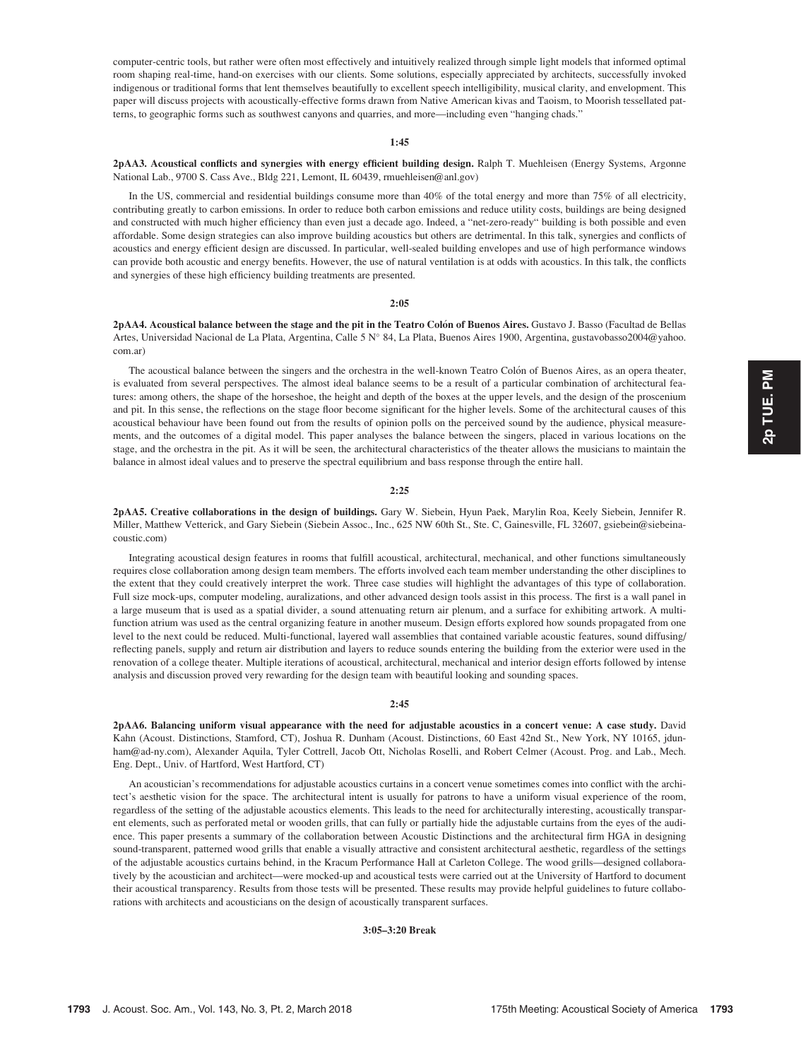computer-centric tools, but rather were often most effectively and intuitively realized through simple light models that informed optimal room shaping real-time, hand-on exercises with our clients. Some solutions, especially appreciated by architects, successfully invoked indigenous or traditional forms that lent themselves beautifully to excellent speech intelligibility, musical clarity, and envelopment. This paper will discuss projects with acoustically-effective forms drawn from Native American kivas and Taoism, to Moorish tessellated patterns, to geographic forms such as southwest canyons and quarries, and more—including even "hanging chads."

#### 1:45

2pAA3. Acoustical conflicts and synergies with energy efficient building design. Ralph T. Muehleisen (Energy Systems, Argonne National Lab., 9700 S. Cass Ave., Bldg 221, Lemont, IL 60439, rmuehleisen@anl.gov)

In the US, commercial and residential buildings consume more than 40% of the total energy and more than 75% of all electricity, contributing greatly to carbon emissions. In order to reduce both carbon emissions and reduce utility costs, buildings are being designed and constructed with much higher efficiency than even just a decade ago. Indeed, a "net-zero-ready" building is both possible and even affordable. Some design strategies can also improve building acoustics but others are detrimental. In this talk, synergies and conflicts of acoustics and energy efficient design are discussed. In particular, well-sealed building envelopes and use of high performance windows can provide both acoustic and energy benefits. However, the use of natural ventilation is at odds with acoustics. In this talk, the conflicts and synergies of these high efficiency building treatments are presented.

#### 2:05

2pAA4. Acoustical balance between the stage and the pit in the Teatro Colón of Buenos Aires. Gustavo J. Basso (Facultad de Bellas Artes, Universidad Nacional de La Plata, Argentina, Calle 5 N° 84, La Plata, Buenos Aires 1900, Argentina, gustavobasso2004@yahoo. com.ar)

The acoustical balance between the singers and the orchestra in the well-known Teatro Colón of Buenos Aires, as an opera theater, is evaluated from several perspectives. The almost ideal balance seems to be a result of a particular combination of architectural features: among others, the shape of the horseshoe, the height and depth of the boxes at the upper levels, and the design of the proscenium and pit. In this sense, the reflections on the stage floor become significant for the higher levels. Some of the architectural causes of this acoustical behaviour have been found out from the results of opinion polls on the perceived sound by the audience, physical measurements, and the outcomes of a digital model. This paper analyses the balance between the singers, placed in various locations on the stage, and the orchestra in the pit. As it will be seen, the architectural characteristics of the theater allows the musicians to maintain the balance in almost ideal values and to preserve the spectral equilibrium and bass response through the entire hall.

#### 2:25

2pAA5. Creative collaborations in the design of buildings. Gary W. Siebein, Hyun Paek, Marylin Roa, Keely Siebein, Jennifer R. Miller, Matthew Vetterick, and Gary Siebein (Siebein Assoc., Inc., 625 NW 60th St., Ste. C, Gainesville, FL 32607, gsiebein@siebeinacoustic.com)

Integrating acoustical design features in rooms that fulfill acoustical, architectural, mechanical, and other functions simultaneously requires close collaboration among design team members. The efforts involved each team member understanding the other disciplines to the extent that they could creatively interpret the work. Three case studies will highlight the advantages of this type of collaboration. Full size mock-ups, computer modeling, auralizations, and other advanced design tools assist in this process. The first is a wall panel in a large museum that is used as a spatial divider, a sound attenuating return air plenum, and a surface for exhibiting artwork. A multifunction atrium was used as the central organizing feature in another museum. Design efforts explored how sounds propagated from one level to the next could be reduced. Multi-functional, layered wall assemblies that contained variable acoustic features, sound diffusing/ reflecting panels, supply and return air distribution and layers to reduce sounds entering the building from the exterior were used in the renovation of a college theater. Multiple iterations of acoustical, architectural, mechanical and interior design efforts followed by intense analysis and discussion proved very rewarding for the design team with beautiful looking and sounding spaces.

#### 2:45

2pAA6. Balancing uniform visual appearance with the need for adjustable acoustics in a concert venue: A case study. David Kahn (Acoust. Distinctions, Stamford, CT), Joshua R. Dunham (Acoust. Distinctions, 60 East 42nd St., New York, NY 10165, jdunham@ad-ny.com), Alexander Aquila, Tyler Cottrell, Jacob Ott, Nicholas Roselli, and Robert Celmer (Acoust. Prog. and Lab., Mech. Eng. Dept., Univ. of Hartford, West Hartford, CT)

An acoustician's recommendations for adjustable acoustics curtains in a concert venue sometimes comes into conflict with the architect's aesthetic vision for the space. The architectural intent is usually for patrons to have a uniform visual experience of the room, regardless of the setting of the adjustable acoustics elements. This leads to the need for architecturally interesting, acoustically transparent elements, such as perforated metal or wooden grills, that can fully or partially hide the adjustable curtains from the eyes of the audience. This paper presents a summary of the collaboration between Acoustic Distinctions and the architectural firm HGA in designing sound-transparent, patterned wood grills that enable a visually attractive and consistent architectural aesthetic, regardless of the settings of the adjustable acoustics curtains behind, in the Kracum Performance Hall at Carleton College. The wood grills—designed collaboratively by the acoustician and architect—were mocked-up and acoustical tests were carried out at the University of Hartford to document their acoustical transparency. Results from those tests will be presented. These results may provide helpful guidelines to future collaborations with architects and acousticians on the design of acoustically transparent surfaces.

3:05–3:20 Break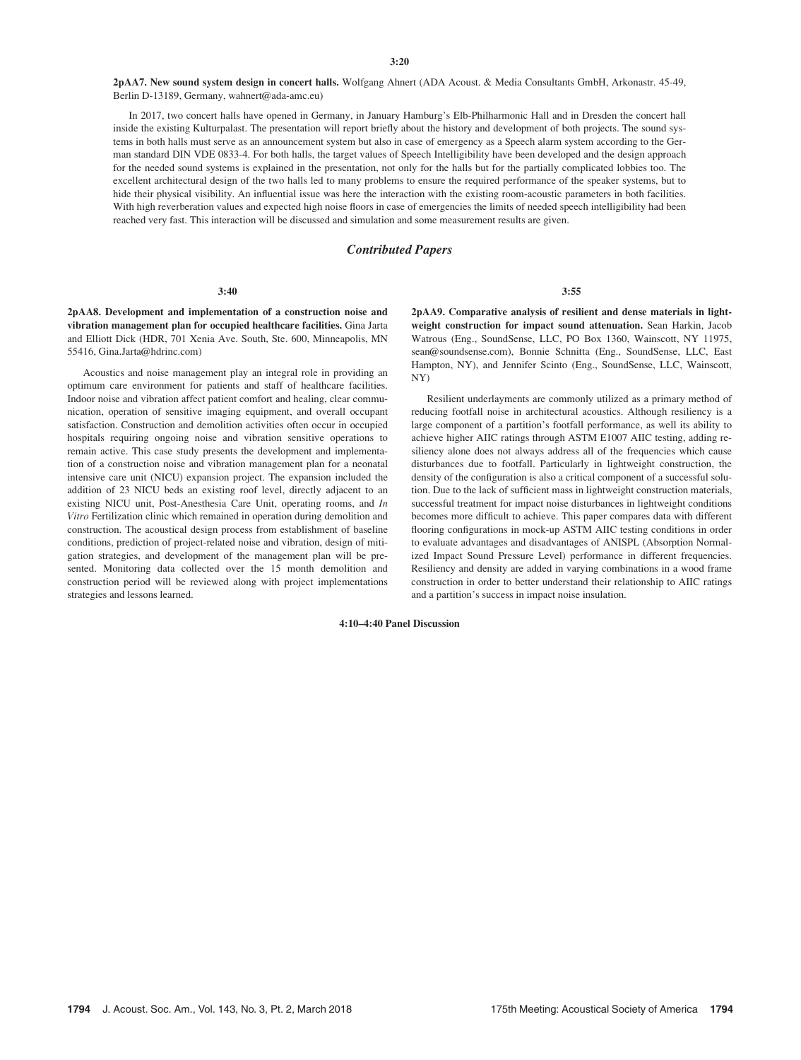2pAA7. New sound system design in concert halls. Wolfgang Ahnert (ADA Acoust. & Media Consultants GmbH, Arkonastr. 45-49, Berlin D-13189, Germany, wahnert@ada-amc.eu)

In 2017, two concert halls have opened in Germany, in January Hamburg's Elb-Philharmonic Hall and in Dresden the concert hall inside the existing Kulturpalast. The presentation will report briefly about the history and development of both projects. The sound systems in both halls must serve as an announcement system but also in case of emergency as a Speech alarm system according to the German standard DIN VDE 0833-4. For both halls, the target values of Speech Intelligibility have been developed and the design approach for the needed sound systems is explained in the presentation, not only for the halls but for the partially complicated lobbies too. The excellent architectural design of the two halls led to many problems to ensure the required performance of the speaker systems, but to hide their physical visibility. An influential issue was here the interaction with the existing room-acoustic parameters in both facilities. With high reverberation values and expected high noise floors in case of emergencies the limits of needed speech intelligibility had been reached very fast. This interaction will be discussed and simulation and some measurement results are given.

#### Contributed Papers

#### 3:40

2pAA8. Development and implementation of a construction noise and vibration management plan for occupied healthcare facilities. Gina Jarta and Elliott Dick (HDR, 701 Xenia Ave. South, Ste. 600, Minneapolis, MN 55416, Gina.Jarta@hdrinc.com)

Acoustics and noise management play an integral role in providing an optimum care environment for patients and staff of healthcare facilities. Indoor noise and vibration affect patient comfort and healing, clear communication, operation of sensitive imaging equipment, and overall occupant satisfaction. Construction and demolition activities often occur in occupied hospitals requiring ongoing noise and vibration sensitive operations to remain active. This case study presents the development and implementation of a construction noise and vibration management plan for a neonatal intensive care unit (NICU) expansion project. The expansion included the addition of 23 NICU beds an existing roof level, directly adjacent to an existing NICU unit, Post-Anesthesia Care Unit, operating rooms, and In Vitro Fertilization clinic which remained in operation during demolition and construction. The acoustical design process from establishment of baseline conditions, prediction of project-related noise and vibration, design of mitigation strategies, and development of the management plan will be presented. Monitoring data collected over the 15 month demolition and construction period will be reviewed along with project implementations strategies and lessons learned.

3:55

2pAA9. Comparative analysis of resilient and dense materials in lightweight construction for impact sound attenuation. Sean Harkin, Jacob Watrous (Eng., SoundSense, LLC, PO Box 1360, Wainscott, NY 11975, sean@soundsense.com), Bonnie Schnitta (Eng., SoundSense, LLC, East Hampton, NY), and Jennifer Scinto (Eng., SoundSense, LLC, Wainscott, NY)

Resilient underlayments are commonly utilized as a primary method of reducing footfall noise in architectural acoustics. Although resiliency is a large component of a partition's footfall performance, as well its ability to achieve higher AIIC ratings through ASTM E1007 AIIC testing, adding resiliency alone does not always address all of the frequencies which cause disturbances due to footfall. Particularly in lightweight construction, the density of the configuration is also a critical component of a successful solution. Due to the lack of sufficient mass in lightweight construction materials, successful treatment for impact noise disturbances in lightweight conditions becomes more difficult to achieve. This paper compares data with different flooring configurations in mock-up ASTM AIIC testing conditions in order to evaluate advantages and disadvantages of ANISPL (Absorption Normalized Impact Sound Pressure Level) performance in different frequencies. Resiliency and density are added in varying combinations in a wood frame construction in order to better understand their relationship to AIIC ratings and a partition's success in impact noise insulation.

4:10–4:40 Panel Discussion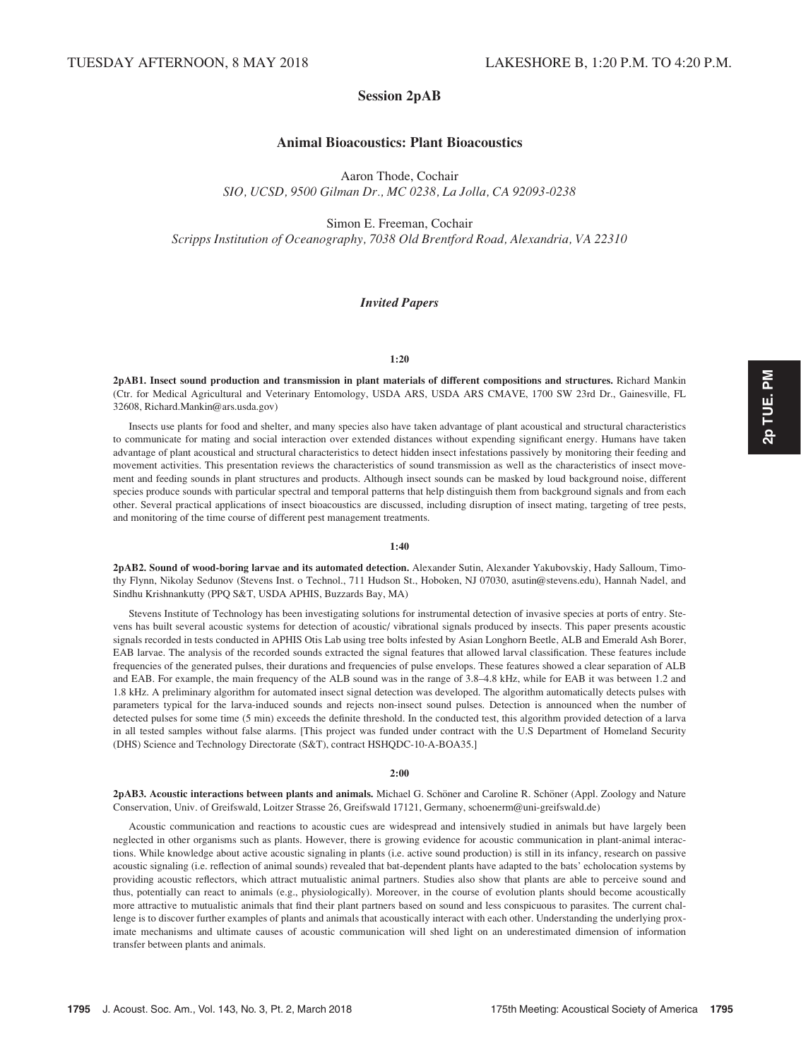# Session 2pAB

# Animal Bioacoustics: Plant Bioacoustics

Aaron Thode, Cochair

SIO, UCSD, 9500 Gilman Dr., MC 0238, La Jolla, CA 92093-0238

Simon E. Freeman, Cochair Scripps Institution of Oceanography, 7038 Old Brentford Road, Alexandria, VA 22310

#### Invited Papers

#### 1:20

2pAB1. Insect sound production and transmission in plant materials of different compositions and structures. Richard Mankin (Ctr. for Medical Agricultural and Veterinary Entomology, USDA ARS, USDA ARS CMAVE, 1700 SW 23rd Dr., Gainesville, FL 32608, Richard.Mankin@ars.usda.gov)

Insects use plants for food and shelter, and many species also have taken advantage of plant acoustical and structural characteristics to communicate for mating and social interaction over extended distances without expending significant energy. Humans have taken advantage of plant acoustical and structural characteristics to detect hidden insect infestations passively by monitoring their feeding and movement activities. This presentation reviews the characteristics of sound transmission as well as the characteristics of insect movement and feeding sounds in plant structures and products. Although insect sounds can be masked by loud background noise, different species produce sounds with particular spectral and temporal patterns that help distinguish them from background signals and from each other. Several practical applications of insect bioacoustics are discussed, including disruption of insect mating, targeting of tree pests, and monitoring of the time course of different pest management treatments.

#### 1:40

2pAB2. Sound of wood-boring larvae and its automated detection. Alexander Sutin, Alexander Yakubovskiy, Hady Salloum, Timothy Flynn, Nikolay Sedunov (Stevens Inst. o Technol., 711 Hudson St., Hoboken, NJ 07030, asutin@stevens.edu), Hannah Nadel, and Sindhu Krishnankutty (PPQ S&T, USDA APHIS, Buzzards Bay, MA)

Stevens Institute of Technology has been investigating solutions for instrumental detection of invasive species at ports of entry. Stevens has built several acoustic systems for detection of acoustic/ vibrational signals produced by insects. This paper presents acoustic signals recorded in tests conducted in APHIS Otis Lab using tree bolts infested by Asian Longhorn Beetle, ALB and Emerald Ash Borer, EAB larvae. The analysis of the recorded sounds extracted the signal features that allowed larval classification. These features include frequencies of the generated pulses, their durations and frequencies of pulse envelops. These features showed a clear separation of ALB and EAB. For example, the main frequency of the ALB sound was in the range of 3.8–4.8 kHz, while for EAB it was between 1.2 and 1.8 kHz. A preliminary algorithm for automated insect signal detection was developed. The algorithm automatically detects pulses with parameters typical for the larva-induced sounds and rejects non-insect sound pulses. Detection is announced when the number of detected pulses for some time (5 min) exceeds the definite threshold. In the conducted test, this algorithm provided detection of a larva in all tested samples without false alarms. [This project was funded under contract with the U.S Department of Homeland Security (DHS) Science and Technology Directorate (S&T), contract HSHQDC-10-A-BOA35.]

#### 2:00

2pAB3. Acoustic interactions between plants and animals. Michael G. Schöner and Caroline R. Schöner (Appl. Zoology and Nature Conservation, Univ. of Greifswald, Loitzer Strasse 26, Greifswald 17121, Germany, schoenerm@uni-greifswald.de)

Acoustic communication and reactions to acoustic cues are widespread and intensively studied in animals but have largely been neglected in other organisms such as plants. However, there is growing evidence for acoustic communication in plant-animal interactions. While knowledge about active acoustic signaling in plants (i.e. active sound production) is still in its infancy, research on passive acoustic signaling (i.e. reflection of animal sounds) revealed that bat-dependent plants have adapted to the bats' echolocation systems by providing acoustic reflectors, which attract mutualistic animal partners. Studies also show that plants are able to perceive sound and thus, potentially can react to animals (e.g., physiologically). Moreover, in the course of evolution plants should become acoustically more attractive to mutualistic animals that find their plant partners based on sound and less conspicuous to parasites. The current challenge is to discover further examples of plants and animals that acoustically interact with each other. Understanding the underlying proximate mechanisms and ultimate causes of acoustic communication will shed light on an underestimated dimension of information transfer between plants and animals.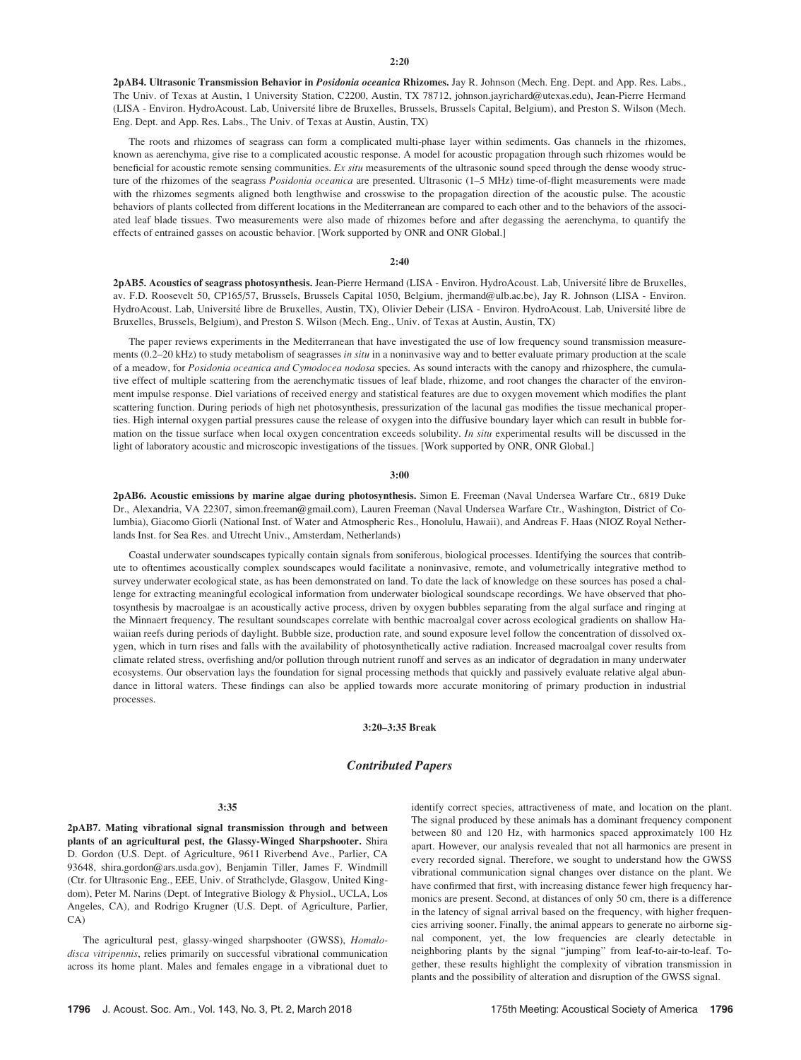2pAB4. Ultrasonic Transmission Behavior in Posidonia oceanica Rhizomes. Jay R. Johnson (Mech. Eng. Dept. and App. Res. Labs., The Univ. of Texas at Austin, 1 University Station, C2200, Austin, TX 78712, johnson.jayrichard@utexas.edu), Jean-Pierre Hermand (LISA - Environ. HydroAcoust. Lab, Université libre de Bruxelles, Brussels, Brussels Capital, Belgium), and Preston S. Wilson (Mech. Eng. Dept. and App. Res. Labs., The Univ. of Texas at Austin, Austin, TX)

The roots and rhizomes of seagrass can form a complicated multi-phase layer within sediments. Gas channels in the rhizomes, known as aerenchyma, give rise to a complicated acoustic response. A model for acoustic propagation through such rhizomes would be beneficial for acoustic remote sensing communities. Ex situ measurements of the ultrasonic sound speed through the dense woody structure of the rhizomes of the seagrass *Posidonia oceanica* are presented. Ultrasonic (1–5 MHz) time-of-flight measurements were made with the rhizomes segments aligned both lengthwise and crosswise to the propagation direction of the acoustic pulse. The acoustic behaviors of plants collected from different locations in the Mediterranean are compared to each other and to the behaviors of the associated leaf blade tissues. Two measurements were also made of rhizomes before and after degassing the aerenchyma, to quantify the effects of entrained gasses on acoustic behavior. [Work supported by ONR and ONR Global.]

#### $2:40$

2pAB5. Acoustics of seagrass photosynthesis. Jean-Pierre Hermand (LISA - Environ. HydroAcoust. Lab, Université libre de Bruxelles, av. F.D. Roosevelt 50, CP165/57, Brussels, Brussels Capital 1050, Belgium, jhermand@ulb.ac.be), Jay R. Johnson (LISA - Environ. HydroAcoust. Lab, Université libre de Bruxelles, Austin, TX), Olivier Debeir (LISA - Environ. HydroAcoust. Lab, Université libre de Bruxelles, Brussels, Belgium), and Preston S. Wilson (Mech. Eng., Univ. of Texas at Austin, Austin, TX)

The paper reviews experiments in the Mediterranean that have investigated the use of low frequency sound transmission measurements (0.2–20 kHz) to study metabolism of seagrasses in situ in a noninvasive way and to better evaluate primary production at the scale of a meadow, for Posidonia oceanica and Cymodocea nodosa species. As sound interacts with the canopy and rhizosphere, the cumulative effect of multiple scattering from the aerenchymatic tissues of leaf blade, rhizome, and root changes the character of the environment impulse response. Diel variations of received energy and statistical features are due to oxygen movement which modifies the plant scattering function. During periods of high net photosynthesis, pressurization of the lacunal gas modifies the tissue mechanical properties. High internal oxygen partial pressures cause the release of oxygen into the diffusive boundary layer which can result in bubble formation on the tissue surface when local oxygen concentration exceeds solubility. In situ experimental results will be discussed in the light of laboratory acoustic and microscopic investigations of the tissues. [Work supported by ONR, ONR Global.]

#### 3:00

2pAB6. Acoustic emissions by marine algae during photosynthesis. Simon E. Freeman (Naval Undersea Warfare Ctr., 6819 Duke Dr., Alexandria, VA 22307, simon.freeman@gmail.com), Lauren Freeman (Naval Undersea Warfare Ctr., Washington, District of Columbia), Giacomo Giorli (National Inst. of Water and Atmospheric Res., Honolulu, Hawaii), and Andreas F. Haas (NIOZ Royal Netherlands Inst. for Sea Res. and Utrecht Univ., Amsterdam, Netherlands)

Coastal underwater soundscapes typically contain signals from soniferous, biological processes. Identifying the sources that contribute to oftentimes acoustically complex soundscapes would facilitate a noninvasive, remote, and volumetrically integrative method to survey underwater ecological state, as has been demonstrated on land. To date the lack of knowledge on these sources has posed a challenge for extracting meaningful ecological information from underwater biological soundscape recordings. We have observed that photosynthesis by macroalgae is an acoustically active process, driven by oxygen bubbles separating from the algal surface and ringing at the Minnaert frequency. The resultant soundscapes correlate with benthic macroalgal cover across ecological gradients on shallow Hawaiian reefs during periods of daylight. Bubble size, production rate, and sound exposure level follow the concentration of dissolved oxygen, which in turn rises and falls with the availability of photosynthetically active radiation. Increased macroalgal cover results from climate related stress, overfishing and/or pollution through nutrient runoff and serves as an indicator of degradation in many underwater ecosystems. Our observation lays the foundation for signal processing methods that quickly and passively evaluate relative algal abundance in littoral waters. These findings can also be applied towards more accurate monitoring of primary production in industrial processes.

#### 3:20–3:35 Break

#### Contributed Papers

#### 3:35

2pAB7. Mating vibrational signal transmission through and between plants of an agricultural pest, the Glassy-Winged Sharpshooter. Shira D. Gordon (U.S. Dept. of Agriculture, 9611 Riverbend Ave., Parlier, CA 93648, shira.gordon@ars.usda.gov), Benjamin Tiller, James F. Windmill (Ctr. for Ultrasonic Eng., EEE, Univ. of Strathclyde, Glasgow, United Kingdom), Peter M. Narins (Dept. of Integrative Biology & Physiol., UCLA, Los Angeles, CA), and Rodrigo Krugner (U.S. Dept. of Agriculture, Parlier, CA)

The agricultural pest, glassy-winged sharpshooter (GWSS), Homalodisca vitripennis, relies primarily on successful vibrational communication across its home plant. Males and females engage in a vibrational duet to identify correct species, attractiveness of mate, and location on the plant. The signal produced by these animals has a dominant frequency component between 80 and 120 Hz, with harmonics spaced approximately 100 Hz apart. However, our analysis revealed that not all harmonics are present in every recorded signal. Therefore, we sought to understand how the GWSS vibrational communication signal changes over distance on the plant. We have confirmed that first, with increasing distance fewer high frequency harmonics are present. Second, at distances of only 50 cm, there is a difference in the latency of signal arrival based on the frequency, with higher frequencies arriving sooner. Finally, the animal appears to generate no airborne signal component, yet, the low frequencies are clearly detectable in neighboring plants by the signal "jumping" from leaf-to-air-to-leaf. Together, these results highlight the complexity of vibration transmission in plants and the possibility of alteration and disruption of the GWSS signal.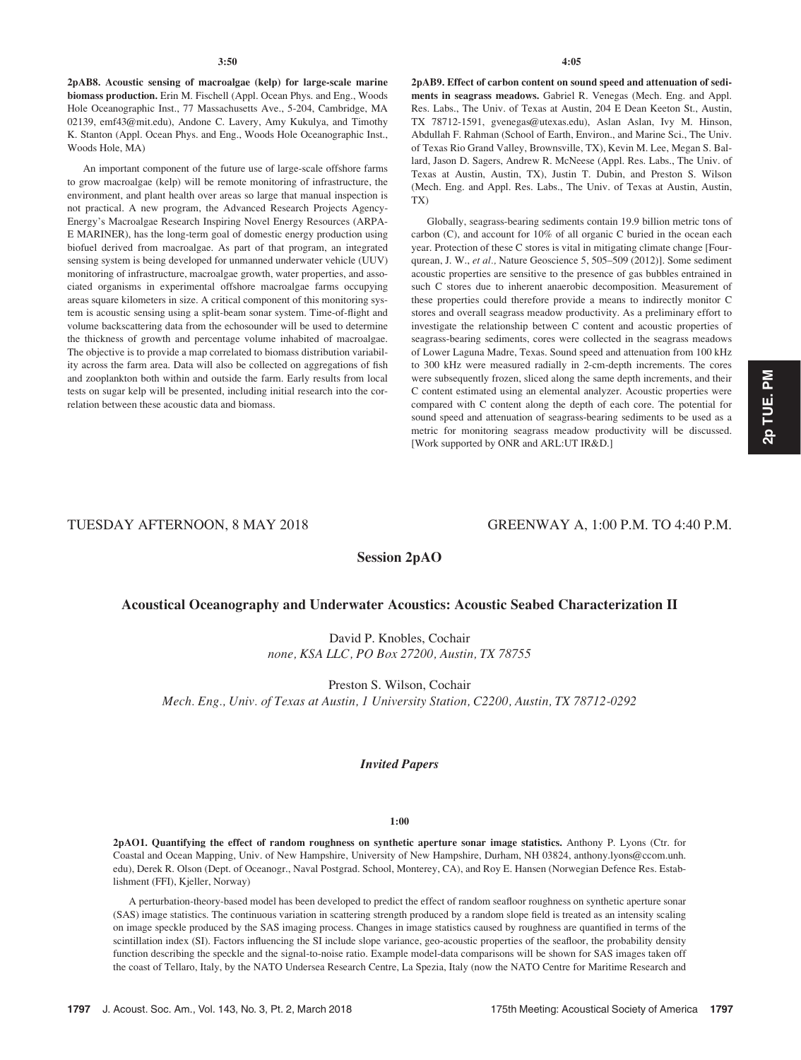2pAB8. Acoustic sensing of macroalgae (kelp) for large-scale marine biomass production. Erin M. Fischell (Appl. Ocean Phys. and Eng., Woods Hole Oceanographic Inst., 77 Massachusetts Ave., 5-204, Cambridge, MA 02139, emf43@mit.edu), Andone C. Lavery, Amy Kukulya, and Timothy K. Stanton (Appl. Ocean Phys. and Eng., Woods Hole Oceanographic Inst., Woods Hole, MA)

An important component of the future use of large-scale offshore farms to grow macroalgae (kelp) will be remote monitoring of infrastructure, the environment, and plant health over areas so large that manual inspection is not practical. A new program, the Advanced Research Projects Agency-Energy's Macroalgae Research Inspiring Novel Energy Resources (ARPA-E MARINER), has the long-term goal of domestic energy production using biofuel derived from macroalgae. As part of that program, an integrated sensing system is being developed for unmanned underwater vehicle (UUV) monitoring of infrastructure, macroalgae growth, water properties, and associated organisms in experimental offshore macroalgae farms occupying areas square kilometers in size. A critical component of this monitoring system is acoustic sensing using a split-beam sonar system. Time-of-flight and volume backscattering data from the echosounder will be used to determine the thickness of growth and percentage volume inhabited of macroalgae. The objective is to provide a map correlated to biomass distribution variability across the farm area. Data will also be collected on aggregations of fish and zooplankton both within and outside the farm. Early results from local tests on sugar kelp will be presented, including initial research into the correlation between these acoustic data and biomass.

2pAB9. Effect of carbon content on sound speed and attenuation of sediments in seagrass meadows. Gabriel R. Venegas (Mech. Eng. and Appl. Res. Labs., The Univ. of Texas at Austin, 204 E Dean Keeton St., Austin, TX 78712-1591, gvenegas@utexas.edu), Aslan Aslan, Ivy M. Hinson, Abdullah F. Rahman (School of Earth, Environ., and Marine Sci., The Univ. of Texas Rio Grand Valley, Brownsville, TX), Kevin M. Lee, Megan S. Ballard, Jason D. Sagers, Andrew R. McNeese (Appl. Res. Labs., The Univ. of Texas at Austin, Austin, TX), Justin T. Dubin, and Preston S. Wilson (Mech. Eng. and Appl. Res. Labs., The Univ. of Texas at Austin, Austin, TX)

Globally, seagrass-bearing sediments contain 19.9 billion metric tons of carbon (C), and account for 10% of all organic C buried in the ocean each year. Protection of these C stores is vital in mitigating climate change [Fourqurean, J. W., et al., Nature Geoscience 5, 505–509 (2012)]. Some sediment acoustic properties are sensitive to the presence of gas bubbles entrained in such C stores due to inherent anaerobic decomposition. Measurement of these properties could therefore provide a means to indirectly monitor C stores and overall seagrass meadow productivity. As a preliminary effort to investigate the relationship between C content and acoustic properties of seagrass-bearing sediments, cores were collected in the seagrass meadows of Lower Laguna Madre, Texas. Sound speed and attenuation from 100 kHz to 300 kHz were measured radially in 2-cm-depth increments. The cores were subsequently frozen, sliced along the same depth increments, and their C content estimated using an elemental analyzer. Acoustic properties were compared with C content along the depth of each core. The potential for sound speed and attenuation of seagrass-bearing sediments to be used as a metric for monitoring seagrass meadow productivity will be discussed. [Work supported by ONR and ARL:UT IR&D.]

# 2p TUE. PM 2p TUE. PM

# TUESDAY AFTERNOON, 8 MAY 2018 GREENWAY A, 1:00 P.M. TO 4:40 P.M.

Session 2pAO

# Acoustical Oceanography and Underwater Acoustics: Acoustic Seabed Characterization II

David P. Knobles, Cochair none, KSA LLC, PO Box 27200, Austin, TX 78755

Preston S. Wilson, Cochair Mech. Eng., Univ. of Texas at Austin, 1 University Station, C2200, Austin, TX 78712-0292

### Invited Papers

#### 1:00

2pAO1. Quantifying the effect of random roughness on synthetic aperture sonar image statistics. Anthony P. Lyons (Ctr. for Coastal and Ocean Mapping, Univ. of New Hampshire, University of New Hampshire, Durham, NH 03824, anthony.lyons@ccom.unh. edu), Derek R. Olson (Dept. of Oceanogr., Naval Postgrad. School, Monterey, CA), and Roy E. Hansen (Norwegian Defence Res. Establishment (FFI), Kjeller, Norway)

A perturbation-theory-based model has been developed to predict the effect of random seafloor roughness on synthetic aperture sonar (SAS) image statistics. The continuous variation in scattering strength produced by a random slope field is treated as an intensity scaling on image speckle produced by the SAS imaging process. Changes in image statistics caused by roughness are quantified in terms of the scintillation index (SI). Factors influencing the SI include slope variance, geo-acoustic properties of the seafloor, the probability density function describing the speckle and the signal-to-noise ratio. Example model-data comparisons will be shown for SAS images taken off the coast of Tellaro, Italy, by the NATO Undersea Research Centre, La Spezia, Italy (now the NATO Centre for Maritime Research and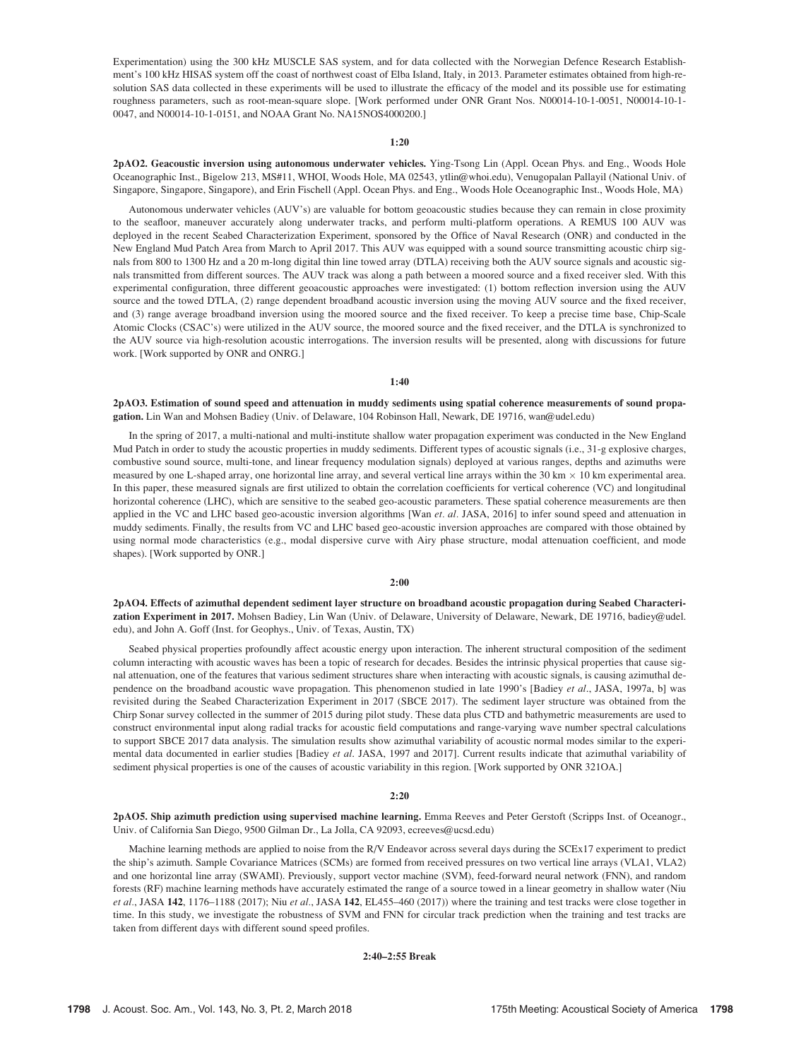Experimentation) using the 300 kHz MUSCLE SAS system, and for data collected with the Norwegian Defence Research Establishment's 100 kHz HISAS system off the coast of northwest coast of Elba Island, Italy, in 2013. Parameter estimates obtained from high-resolution SAS data collected in these experiments will be used to illustrate the efficacy of the model and its possible use for estimating roughness parameters, such as root-mean-square slope. [Work performed under ONR Grant Nos. N00014-10-1-0051, N00014-10-1- 0047, and N00014-10-1-0151, and NOAA Grant No. NA15NOS4000200.]

#### 1:20

2pAO2. Geacoustic inversion using autonomous underwater vehicles. Ying-Tsong Lin (Appl. Ocean Phys. and Eng., Woods Hole Oceanographic Inst., Bigelow 213, MS#11, WHOI, Woods Hole, MA 02543, ytlin@whoi.edu), Venugopalan Pallayil (National Univ. of Singapore, Singapore, Singapore), and Erin Fischell (Appl. Ocean Phys. and Eng., Woods Hole Oceanographic Inst., Woods Hole, MA)

Autonomous underwater vehicles (AUV's) are valuable for bottom geoacoustic studies because they can remain in close proximity to the seafloor, maneuver accurately along underwater tracks, and perform multi-platform operations. A REMUS 100 AUV was deployed in the recent Seabed Characterization Experiment, sponsored by the Office of Naval Research (ONR) and conducted in the New England Mud Patch Area from March to April 2017. This AUV was equipped with a sound source transmitting acoustic chirp signals from 800 to 1300 Hz and a 20 m-long digital thin line towed array (DTLA) receiving both the AUV source signals and acoustic signals transmitted from different sources. The AUV track was along a path between a moored source and a fixed receiver sled. With this experimental configuration, three different geoacoustic approaches were investigated: (1) bottom reflection inversion using the AUV source and the towed DTLA, (2) range dependent broadband acoustic inversion using the moving AUV source and the fixed receiver, and (3) range average broadband inversion using the moored source and the fixed receiver. To keep a precise time base, Chip-Scale Atomic Clocks (CSAC's) were utilized in the AUV source, the moored source and the fixed receiver, and the DTLA is synchronized to the AUV source via high-resolution acoustic interrogations. The inversion results will be presented, along with discussions for future work. [Work supported by ONR and ONRG.]

#### 1:40

2pAO3. Estimation of sound speed and attenuation in muddy sediments using spatial coherence measurements of sound propagation. Lin Wan and Mohsen Badiey (Univ. of Delaware, 104 Robinson Hall, Newark, DE 19716, wan@udel.edu)

In the spring of 2017, a multi-national and multi-institute shallow water propagation experiment was conducted in the New England Mud Patch in order to study the acoustic properties in muddy sediments. Different types of acoustic signals (i.e., 31-g explosive charges, combustive sound source, multi-tone, and linear frequency modulation signals) deployed at various ranges, depths and azimuths were measured by one L-shaped array, one horizontal line array, and several vertical line arrays within the  $30 \text{ km} \times 10 \text{ km}$  experimental area. In this paper, these measured signals are first utilized to obtain the correlation coefficients for vertical coherence (VC) and longitudinal horizontal coherence (LHC), which are sensitive to the seabed geo-acoustic parameters. These spatial coherence measurements are then applied in the VC and LHC based geo-acoustic inversion algorithms [Wan et. al. JASA, 2016] to infer sound speed and attenuation in muddy sediments. Finally, the results from VC and LHC based geo-acoustic inversion approaches are compared with those obtained by using normal mode characteristics (e.g., modal dispersive curve with Airy phase structure, modal attenuation coefficient, and mode shapes). [Work supported by ONR.]

#### 2:00

2pAO4. Effects of azimuthal dependent sediment layer structure on broadband acoustic propagation during Seabed Characterization Experiment in 2017. Mohsen Badiey, Lin Wan (Univ. of Delaware, University of Delaware, Newark, DE 19716, badiey@udel. edu), and John A. Goff (Inst. for Geophys., Univ. of Texas, Austin, TX)

Seabed physical properties profoundly affect acoustic energy upon interaction. The inherent structural composition of the sediment column interacting with acoustic waves has been a topic of research for decades. Besides the intrinsic physical properties that cause signal attenuation, one of the features that various sediment structures share when interacting with acoustic signals, is causing azimuthal dependence on the broadband acoustic wave propagation. This phenomenon studied in late 1990's [Badiey et al., JASA, 1997a, b] was revisited during the Seabed Characterization Experiment in 2017 (SBCE 2017). The sediment layer structure was obtained from the Chirp Sonar survey collected in the summer of 2015 during pilot study. These data plus CTD and bathymetric measurements are used to construct environmental input along radial tracks for acoustic field computations and range-varying wave number spectral calculations to support SBCE 2017 data analysis. The simulation results show azimuthal variability of acoustic normal modes similar to the experimental data documented in earlier studies [Badiey et al. JASA, 1997 and 2017]. Current results indicate that azimuthal variability of sediment physical properties is one of the causes of acoustic variability in this region. [Work supported by ONR 321OA.]

#### 2:20

2pAO5. Ship azimuth prediction using supervised machine learning. Emma Reeves and Peter Gerstoft (Scripps Inst. of Oceanogr., Univ. of California San Diego, 9500 Gilman Dr., La Jolla, CA 92093, ecreeves@ucsd.edu)

Machine learning methods are applied to noise from the R/V Endeavor across several days during the SCEx17 experiment to predict the ship's azimuth. Sample Covariance Matrices (SCMs) are formed from received pressures on two vertical line arrays (VLA1, VLA2) and one horizontal line array (SWAMI). Previously, support vector machine (SVM), feed-forward neural network (FNN), and random forests (RF) machine learning methods have accurately estimated the range of a source towed in a linear geometry in shallow water (Niu et al., JASA 142, 1176–1188 (2017); Niu et al., JASA 142, EL455–460 (2017)) where the training and test tracks were close together in time. In this study, we investigate the robustness of SVM and FNN for circular track prediction when the training and test tracks are taken from different days with different sound speed profiles.

#### 2:40–2:55 Break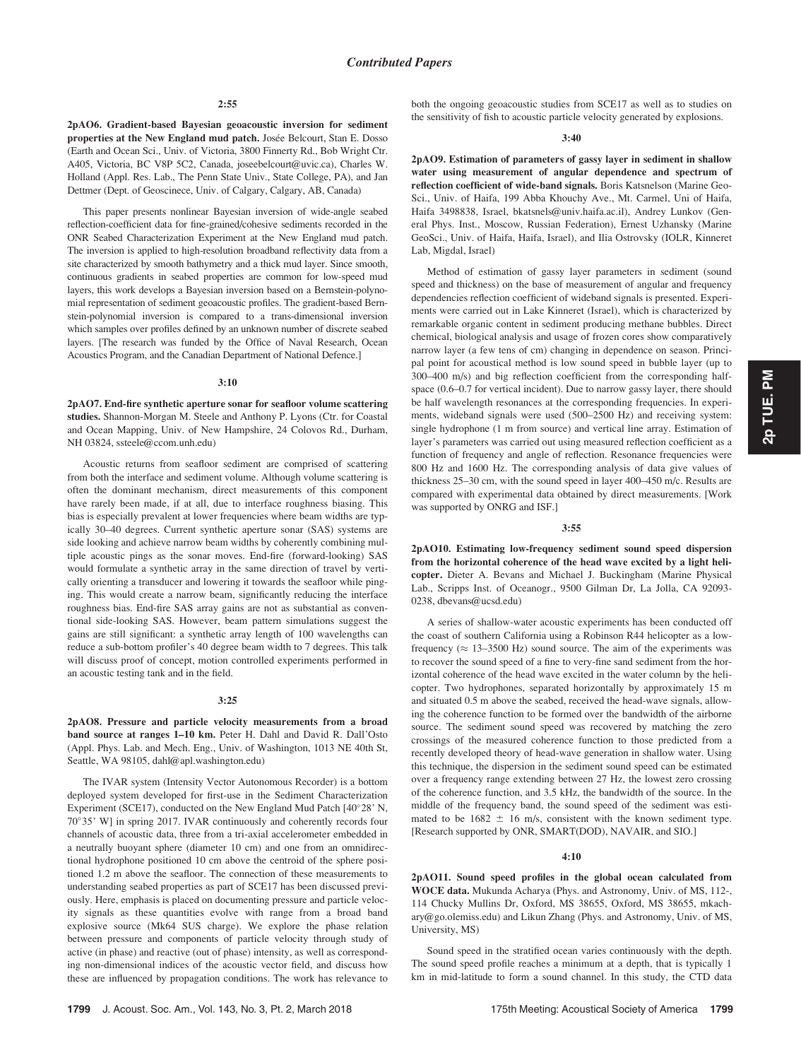2pAO6. Gradient-based Bayesian geoacoustic inversion for sediment properties at the New England mud patch. Josée Belcourt, Stan E. Dosso (Earth and Ocean Sci., Univ. of Victoria, 3800 Finnerty Rd., Bob Wright Ctr. A405, Victoria, BC V8P 5C2, Canada, joseebelcourt@uvic.ca), Charles W. Holland (Appl. Res. Lab., The Penn State Univ., State College, PA), and Jan Dettmer (Dept. of Geoscinece, Univ. of Calgary, Calgary, AB, Canada)

This paper presents nonlinear Bayesian inversion of wide-angle seabed reflection-coefficient data for fine-grained/cohesive sediments recorded in the ONR Seabed Characterization Experiment at the New England mud patch. The inversion is applied to high-resolution broadband reflectivity data from a site characterized by smooth bathymetry and a thick mud layer. Since smooth, continuous gradients in seabed properties are common for low-speed mud layers, this work develops a Bayesian inversion based on a Bernstein-polynomial representation of sediment geoacoustic profiles. The gradient-based Bernstein-polynomial inversion is compared to a trans-dimensional inversion which samples over profiles defined by an unknown number of discrete seabed layers. [The research was funded by the Office of Naval Research, Ocean Acoustics Program, and the Canadian Department of National Defence.]

#### 3:10

2pAO7. End-fire synthetic aperture sonar for seafloor volume scattering studies. Shannon-Morgan M. Steele and Anthony P. Lyons (Ctr. for Coastal and Ocean Mapping, Univ. of New Hampshire, 24 Colovos Rd., Durham, NH 03824, ssteele@ccom.unh.edu)

Acoustic returns from seafloor sediment are comprised of scattering from both the interface and sediment volume. Although volume scattering is often the dominant mechanism, direct measurements of this component have rarely been made, if at all, due to interface roughness biasing. This bias is especially prevalent at lower frequencies where beam widths are typically 30–40 degrees. Current synthetic aperture sonar (SAS) systems are side looking and achieve narrow beam widths by coherently combining multiple acoustic pings as the sonar moves. End-fire (forward-looking) SAS would formulate a synthetic array in the same direction of travel by vertically orienting a transducer and lowering it towards the seafloor while pinging. This would create a narrow beam, significantly reducing the interface roughness bias. End-fire SAS array gains are not as substantial as conventional side-looking SAS. However, beam pattern simulations suggest the gains are still significant: a synthetic array length of 100 wavelengths can reduce a sub-bottom profiler's 40 degree beam width to 7 degrees. This talk will discuss proof of concept, motion controlled experiments performed in an acoustic testing tank and in the field.

#### 3:25

2pAO8. Pressure and particle velocity measurements from a broad band source at ranges 1–10 km. Peter H. Dahl and David R. Dall'Osto (Appl. Phys. Lab. and Mech. Eng., Univ. of Washington, 1013 NE 40th St, Seattle, WA 98105, dahl@apl.washington.edu)

The IVAR system (Intensity Vector Autonomous Recorder) is a bottom deployed system developed for first-use in the Sediment Characterization Experiment (SCE17), conducted on the New England Mud Patch [40°28' N, 70°35' W] in spring 2017. IVAR continuously and coherently records four channels of acoustic data, three from a tri-axial accelerometer embedded in a neutrally buoyant sphere (diameter 10 cm) and one from an omnidirectional hydrophone positioned 10 cm above the centroid of the sphere positioned 1.2 m above the seafloor. The connection of these measurements to understanding seabed properties as part of SCE17 has been discussed previously. Here, emphasis is placed on documenting pressure and particle velocity signals as these quantities evolve with range from a broad band explosive source (Mk64 SUS charge). We explore the phase relation between pressure and components of particle velocity through study of active (in phase) and reactive (out of phase) intensity, as well as corresponding non-dimensional indices of the acoustic vector field, and discuss how these are influenced by propagation conditions. The work has relevance to both the ongoing geoacoustic studies from SCE17 as well as to studies on the sensitivity of fish to acoustic particle velocity generated by explosions.

#### 3:40

2pAO9. Estimation of parameters of gassy layer in sediment in shallow water using measurement of angular dependence and spectrum of reflection coefficient of wide-band signals. Boris Katsnelson (Marine Geo-Sci., Univ. of Haifa, 199 Abba Khouchy Ave., Mt. Carmel, Uni of Haifa, Haifa 3498838, Israel, bkatsnels@univ.haifa.ac.il), Andrey Lunkov (General Phys. Inst., Moscow, Russian Federation), Ernest Uzhansky (Marine GeoSci., Univ. of Haifa, Haifa, Israel), and Ilia Ostrovsky (IOLR, Kinneret Lab, Migdal, Israel)

Method of estimation of gassy layer parameters in sediment (sound speed and thickness) on the base of measurement of angular and frequency dependencies reflection coefficient of wideband signals is presented. Experiments were carried out in Lake Kinneret (Israel), which is characterized by remarkable organic content in sediment producing methane bubbles. Direct chemical, biological analysis and usage of frozen cores show comparatively narrow layer (a few tens of cm) changing in dependence on season. Principal point for acoustical method is low sound speed in bubble layer (up to 300–400 m/s) and big reflection coefficient from the corresponding halfspace (0.6–0.7 for vertical incident). Due to narrow gassy layer, there should be half wavelength resonances at the corresponding frequencies. In experiments, wideband signals were used (500–2500 Hz) and receiving system: single hydrophone (1 m from source) and vertical line array. Estimation of layer's parameters was carried out using measured reflection coefficient as a function of frequency and angle of reflection. Resonance frequencies were 800 Hz and 1600 Hz. The corresponding analysis of data give values of thickness 25–30 cm, with the sound speed in layer 400–450 m/c. Results are compared with experimental data obtained by direct measurements. [Work was supported by ONRG and ISF.]

#### 3:55

2pAO10. Estimating low-frequency sediment sound speed dispersion from the horizontal coherence of the head wave excited by a light helicopter. Dieter A. Bevans and Michael J. Buckingham (Marine Physical Lab., Scripps Inst. of Oceanogr., 9500 Gilman Dr, La Jolla, CA 92093- 0238, dbevans@ucsd.edu)

A series of shallow-water acoustic experiments has been conducted off the coast of southern California using a Robinson R44 helicopter as a lowfrequency ( $\approx 13$ –3500 Hz) sound source. The aim of the experiments was to recover the sound speed of a fine to very-fine sand sediment from the horizontal coherence of the head wave excited in the water column by the helicopter. Two hydrophones, separated horizontally by approximately 15 m and situated 0.5 m above the seabed, received the head-wave signals, allowing the coherence function to be formed over the bandwidth of the airborne source. The sediment sound speed was recovered by matching the zero crossings of the measured coherence function to those predicted from a recently developed theory of head-wave generation in shallow water. Using this technique, the dispersion in the sediment sound speed can be estimated over a frequency range extending between 27 Hz, the lowest zero crossing of the coherence function, and 3.5 kHz, the bandwidth of the source. In the middle of the frequency band, the sound speed of the sediment was estimated to be  $1682 \pm 16$  m/s, consistent with the known sediment type. [Research supported by ONR, SMART(DOD), NAVAIR, and SIO.]

#### $4:10$

2pAO11. Sound speed profiles in the global ocean calculated from WOCE data. Mukunda Acharya (Phys. and Astronomy, Univ. of MS, 112-, 114 Chucky Mullins Dr, Oxford, MS 38655, Oxford, MS 38655, mkachary@go.olemiss.edu) and Likun Zhang (Phys. and Astronomy, Univ. of MS, University, MS)

Sound speed in the stratified ocean varies continuously with the depth. The sound speed profile reaches a minimum at a depth, that is typically 1 km in mid-latitude to form a sound channel. In this study, the CTD data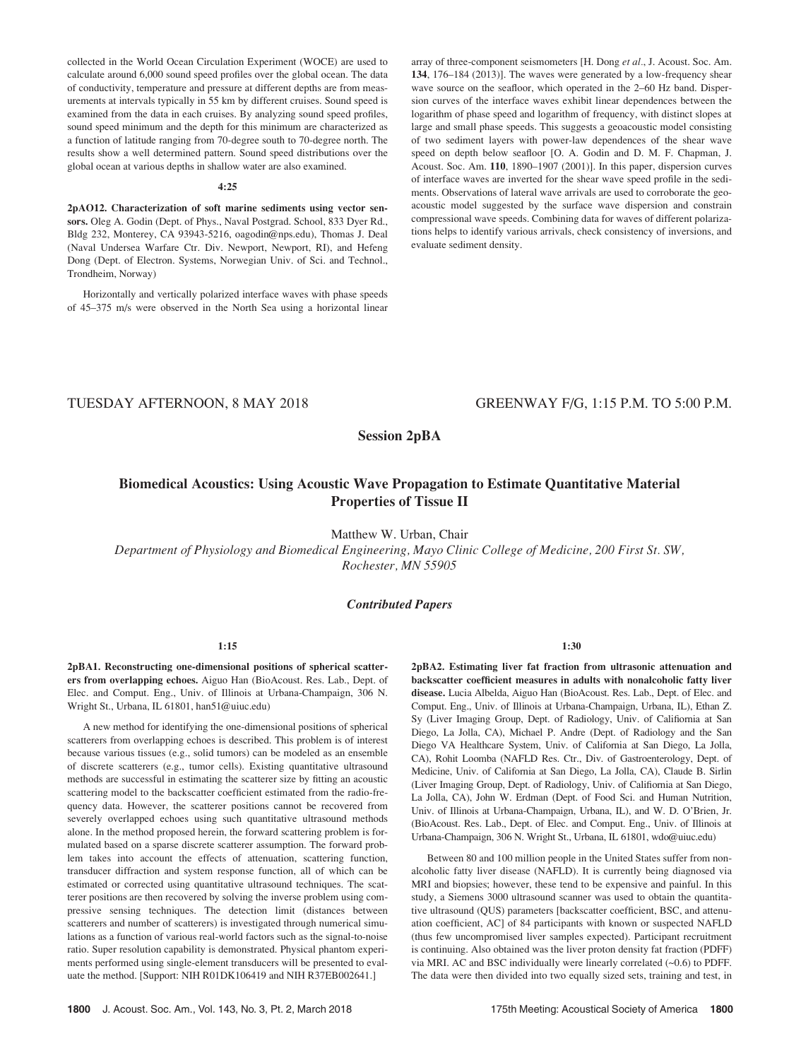collected in the World Ocean Circulation Experiment (WOCE) are used to calculate around 6,000 sound speed profiles over the global ocean. The data of conductivity, temperature and pressure at different depths are from measurements at intervals typically in 55 km by different cruises. Sound speed is examined from the data in each cruises. By analyzing sound speed profiles, sound speed minimum and the depth for this minimum are characterized as a function of latitude ranging from 70-degree south to 70-degree north. The results show a well determined pattern. Sound speed distributions over the global ocean at various depths in shallow water are also examined.

#### 4:25

2pAO12. Characterization of soft marine sediments using vector sensors. Oleg A. Godin (Dept. of Phys., Naval Postgrad. School, 833 Dyer Rd., Bldg 232, Monterey, CA 93943-5216, oagodin@nps.edu), Thomas J. Deal (Naval Undersea Warfare Ctr. Div. Newport, Newport, RI), and Hefeng Dong (Dept. of Electron. Systems, Norwegian Univ. of Sci. and Technol., Trondheim, Norway)

Horizontally and vertically polarized interface waves with phase speeds of 45–375 m/s were observed in the North Sea using a horizontal linear array of three-component seismometers [H. Dong et al., J. Acoust. Soc. Am. 134, 176–184 (2013)]. The waves were generated by a low-frequency shear wave source on the seafloor, which operated in the 2–60 Hz band. Dispersion curves of the interface waves exhibit linear dependences between the logarithm of phase speed and logarithm of frequency, with distinct slopes at large and small phase speeds. This suggests a geoacoustic model consisting of two sediment layers with power-law dependences of the shear wave speed on depth below seafloor [O. A. Godin and D. M. F. Chapman, J. Acoust. Soc. Am. 110, 1890–1907 (2001)]. In this paper, dispersion curves of interface waves are inverted for the shear wave speed profile in the sediments. Observations of lateral wave arrivals are used to corroborate the geoacoustic model suggested by the surface wave dispersion and constrain compressional wave speeds. Combining data for waves of different polarizations helps to identify various arrivals, check consistency of inversions, and evaluate sediment density.

# TUESDAY AFTERNOON, 8 MAY 2018 GREENWAY F/G, 1:15 P.M. TO 5:00 P.M.

Session 2pBA

# Biomedical Acoustics: Using Acoustic Wave Propagation to Estimate Quantitative Material Properties of Tissue II

Matthew W. Urban, Chair

Department of Physiology and Biomedical Engineering, Mayo Clinic College of Medicine, 200 First St. SW, Rochester, MN 55905

## Contributed Papers

#### 1:15

2pBA1. Reconstructing one-dimensional positions of spherical scatterers from overlapping echoes. Aiguo Han (BioAcoust. Res. Lab., Dept. of Elec. and Comput. Eng., Univ. of Illinois at Urbana-Champaign, 306 N. Wright St., Urbana, IL 61801, han51@uiuc.edu)

A new method for identifying the one-dimensional positions of spherical scatterers from overlapping echoes is described. This problem is of interest because various tissues (e.g., solid tumors) can be modeled as an ensemble of discrete scatterers (e.g., tumor cells). Existing quantitative ultrasound methods are successful in estimating the scatterer size by fitting an acoustic scattering model to the backscatter coefficient estimated from the radio-frequency data. However, the scatterer positions cannot be recovered from severely overlapped echoes using such quantitative ultrasound methods alone. In the method proposed herein, the forward scattering problem is formulated based on a sparse discrete scatterer assumption. The forward problem takes into account the effects of attenuation, scattering function, transducer diffraction and system response function, all of which can be estimated or corrected using quantitative ultrasound techniques. The scatterer positions are then recovered by solving the inverse problem using compressive sensing techniques. The detection limit (distances between scatterers and number of scatterers) is investigated through numerical simulations as a function of various real-world factors such as the signal-to-noise ratio. Super resolution capability is demonstrated. Physical phantom experiments performed using single-element transducers will be presented to evaluate the method. [Support: NIH R01DK106419 and NIH R37EB002641.]

1:30

2pBA2. Estimating liver fat fraction from ultrasonic attenuation and backscatter coefficient measures in adults with nonalcoholic fatty liver disease. Lucia Albelda, Aiguo Han (BioAcoust. Res. Lab., Dept. of Elec. and Comput. Eng., Univ. of Illinois at Urbana-Champaign, Urbana, IL), Ethan Z. Sy (Liver Imaging Group, Dept. of Radiology, Univ. of Califiornia at San Diego, La Jolla, CA), Michael P. Andre (Dept. of Radiology and the San Diego VA Healthcare System, Univ. of California at San Diego, La Jolla, CA), Rohit Loomba (NAFLD Res. Ctr., Div. of Gastroenterology, Dept. of Medicine, Univ. of California at San Diego, La Jolla, CA), Claude B. Sirlin (Liver Imaging Group, Dept. of Radiology, Univ. of Califiornia at San Diego, La Jolla, CA), John W. Erdman (Dept. of Food Sci. and Human Nutrition, Univ. of Illinois at Urbana-Champaign, Urbana, IL), and W. D. O'Brien, Jr. (BioAcoust. Res. Lab., Dept. of Elec. and Comput. Eng., Univ. of Illinois at Urbana-Champaign, 306 N. Wright St., Urbana, IL 61801, wdo@uiuc.edu)

Between 80 and 100 million people in the United States suffer from nonalcoholic fatty liver disease (NAFLD). It is currently being diagnosed via MRI and biopsies; however, these tend to be expensive and painful. In this study, a Siemens 3000 ultrasound scanner was used to obtain the quantitative ultrasound (QUS) parameters [backscatter coefficient, BSC, and attenuation coefficient, AC] of 84 participants with known or suspected NAFLD (thus few uncompromised liver samples expected). Participant recruitment is continuing. Also obtained was the liver proton density fat fraction (PDFF) via MRI. AC and BSC individually were linearly correlated (~0.6) to PDFF. The data were then divided into two equally sized sets, training and test, in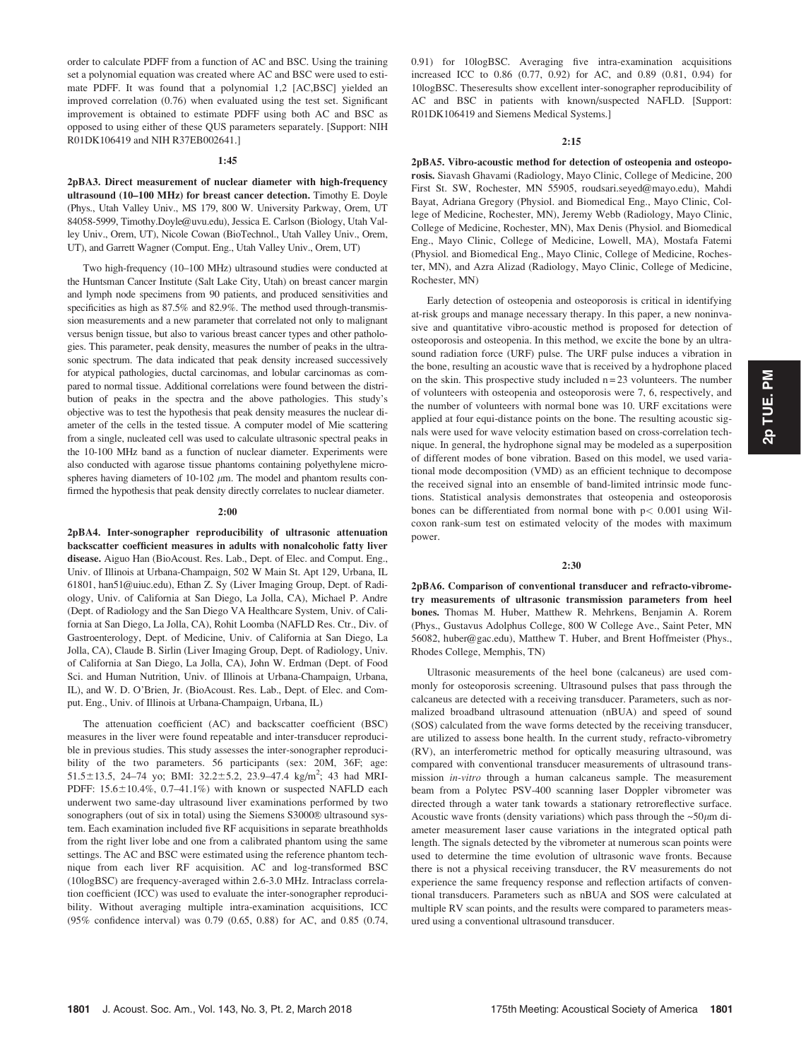order to calculate PDFF from a function of AC and BSC. Using the training set a polynomial equation was created where AC and BSC were used to estimate PDFF. It was found that a polynomial 1,2 [AC,BSC] yielded an improved correlation (0.76) when evaluated using the test set. Significant improvement is obtained to estimate PDFF using both AC and BSC as opposed to using either of these QUS parameters separately. [Support: NIH R01DK106419 and NIH R37EB002641.]

#### 1:45

2pBA3. Direct measurement of nuclear diameter with high-frequency ultrasound (10–100 MHz) for breast cancer detection. Timothy E. Doyle (Phys., Utah Valley Univ., MS 179, 800 W. University Parkway, Orem, UT 84058-5999, Timothy.Doyle@uvu.edu), Jessica E. Carlson (Biology, Utah Valley Univ., Orem, UT), Nicole Cowan (BioTechnol., Utah Valley Univ., Orem, UT), and Garrett Wagner (Comput. Eng., Utah Valley Univ., Orem, UT)

Two high-frequency (10–100 MHz) ultrasound studies were conducted at the Huntsman Cancer Institute (Salt Lake City, Utah) on breast cancer margin and lymph node specimens from 90 patients, and produced sensitivities and specificities as high as 87.5% and 82.9%. The method used through-transmission measurements and a new parameter that correlated not only to malignant versus benign tissue, but also to various breast cancer types and other pathologies. This parameter, peak density, measures the number of peaks in the ultrasonic spectrum. The data indicated that peak density increased successively for atypical pathologies, ductal carcinomas, and lobular carcinomas as compared to normal tissue. Additional correlations were found between the distribution of peaks in the spectra and the above pathologies. This study's objective was to test the hypothesis that peak density measures the nuclear diameter of the cells in the tested tissue. A computer model of Mie scattering from a single, nucleated cell was used to calculate ultrasonic spectral peaks in the 10-100 MHz band as a function of nuclear diameter. Experiments were also conducted with agarose tissue phantoms containing polyethylene microspheres having diameters of 10-102  $\mu$ m. The model and phantom results confirmed the hypothesis that peak density directly correlates to nuclear diameter.

#### 2:00

2pBA4. Inter-sonographer reproducibility of ultrasonic attenuation backscatter coefficient measures in adults with nonalcoholic fatty liver disease. Aiguo Han (BioAcoust. Res. Lab., Dept. of Elec. and Comput. Eng., Univ. of Illinois at Urbana-Champaign, 502 W Main St. Apt 129, Urbana, IL 61801, han51@uiuc.edu), Ethan Z. Sy (Liver Imaging Group, Dept. of Radiology, Univ. of California at San Diego, La Jolla, CA), Michael P. Andre (Dept. of Radiology and the San Diego VA Healthcare System, Univ. of California at San Diego, La Jolla, CA), Rohit Loomba (NAFLD Res. Ctr., Div. of Gastroenterology, Dept. of Medicine, Univ. of California at San Diego, La Jolla, CA), Claude B. Sirlin (Liver Imaging Group, Dept. of Radiology, Univ. of California at San Diego, La Jolla, CA), John W. Erdman (Dept. of Food Sci. and Human Nutrition, Univ. of Illinois at Urbana-Champaign, Urbana, IL), and W. D. O'Brien, Jr. (BioAcoust. Res. Lab., Dept. of Elec. and Comput. Eng., Univ. of Illinois at Urbana-Champaign, Urbana, IL)

The attenuation coefficient (AC) and backscatter coefficient (BSC) measures in the liver were found repeatable and inter-transducer reproducible in previous studies. This study assesses the inter-sonographer reproducibility of the two parameters. 56 participants (sex: 20M, 36F; age: 51.5 $\pm$ 13.5, 24–74 yo; BMI: 32.2 $\pm$ 5.2, 23.9–47.4 kg/m<sup>2</sup>; 43 had MRI-PDFF:  $15.6 \pm 10.4\%$ ,  $0.7 - 41.1\%$ ) with known or suspected NAFLD each underwent two same-day ultrasound liver examinations performed by two sonographers (out of six in total) using the Siemens S3000® ultrasound system. Each examination included five RF acquisitions in separate breathholds from the right liver lobe and one from a calibrated phantom using the same settings. The AC and BSC were estimated using the reference phantom technique from each liver RF acquisition. AC and log-transformed BSC (10logBSC) are frequency-averaged within 2.6-3.0 MHz. Intraclass correlation coefficient (ICC) was used to evaluate the inter-sonographer reproducibility. Without averaging multiple intra-examination acquisitions, ICC (95% confidence interval) was 0.79 (0.65, 0.88) for AC, and 0.85 (0.74, 0.91) for 10logBSC. Averaging five intra-examination acquisitions increased ICC to 0.86 (0.77, 0.92) for AC, and 0.89 (0.81, 0.94) for 10logBSC. Theseresults show excellent inter-sonographer reproducibility of AC and BSC in patients with known/suspected NAFLD. [Support: R01DK106419 and Siemens Medical Systems.]

#### 2:15

2pBA5. Vibro-acoustic method for detection of osteopenia and osteoporosis. Siavash Ghavami (Radiology, Mayo Clinic, College of Medicine, 200 First St. SW, Rochester, MN 55905, roudsari.seyed@mayo.edu), Mahdi Bayat, Adriana Gregory (Physiol. and Biomedical Eng., Mayo Clinic, College of Medicine, Rochester, MN), Jeremy Webb (Radiology, Mayo Clinic, College of Medicine, Rochester, MN), Max Denis (Physiol. and Biomedical Eng., Mayo Clinic, College of Medicine, Lowell, MA), Mostafa Fatemi (Physiol. and Biomedical Eng., Mayo Clinic, College of Medicine, Rochester, MN), and Azra Alizad (Radiology, Mayo Clinic, College of Medicine, Rochester, MN)

Early detection of osteopenia and osteoporosis is critical in identifying at-risk groups and manage necessary therapy. In this paper, a new noninvasive and quantitative vibro-acoustic method is proposed for detection of osteoporosis and osteopenia. In this method, we excite the bone by an ultrasound radiation force (URF) pulse. The URF pulse induces a vibration in the bone, resulting an acoustic wave that is received by a hydrophone placed on the skin. This prospective study included  $n = 23$  volunteers. The number of volunteers with osteopenia and osteoporosis were 7, 6, respectively, and the number of volunteers with normal bone was 10. URF excitations were applied at four equi-distance points on the bone. The resulting acoustic signals were used for wave velocity estimation based on cross-correlation technique. In general, the hydrophone signal may be modeled as a superposition of different modes of bone vibration. Based on this model, we used variational mode decomposition (VMD) as an efficient technique to decompose the received signal into an ensemble of band-limited intrinsic mode functions. Statistical analysis demonstrates that osteopenia and osteoporosis bones can be differentiated from normal bone with  $p < 0.001$  using Wilcoxon rank-sum test on estimated velocity of the modes with maximum power.

#### 2:30

2pBA6. Comparison of conventional transducer and refracto-vibrometry measurements of ultrasonic transmission parameters from heel bones. Thomas M. Huber, Matthew R. Mehrkens, Benjamin A. Rorem (Phys., Gustavus Adolphus College, 800 W College Ave., Saint Peter, MN 56082, huber@gac.edu), Matthew T. Huber, and Brent Hoffmeister (Phys., Rhodes College, Memphis, TN)

Ultrasonic measurements of the heel bone (calcaneus) are used commonly for osteoporosis screening. Ultrasound pulses that pass through the calcaneus are detected with a receiving transducer. Parameters, such as normalized broadband ultrasound attenuation (nBUA) and speed of sound (SOS) calculated from the wave forms detected by the receiving transducer, are utilized to assess bone health. In the current study, refracto-vibrometry (RV), an interferometric method for optically measuring ultrasound, was compared with conventional transducer measurements of ultrasound transmission in-vitro through a human calcaneus sample. The measurement beam from a Polytec PSV-400 scanning laser Doppler vibrometer was directed through a water tank towards a stationary retroreflective surface. Acoustic wave fronts (density variations) which pass through the  $\sim 50 \mu m$  diameter measurement laser cause variations in the integrated optical path length. The signals detected by the vibrometer at numerous scan points were used to determine the time evolution of ultrasonic wave fronts. Because there is not a physical receiving transducer, the RV measurements do not experience the same frequency response and reflection artifacts of conventional transducers. Parameters such as nBUA and SOS were calculated at multiple RV scan points, and the results were compared to parameters measured using a conventional ultrasound transducer.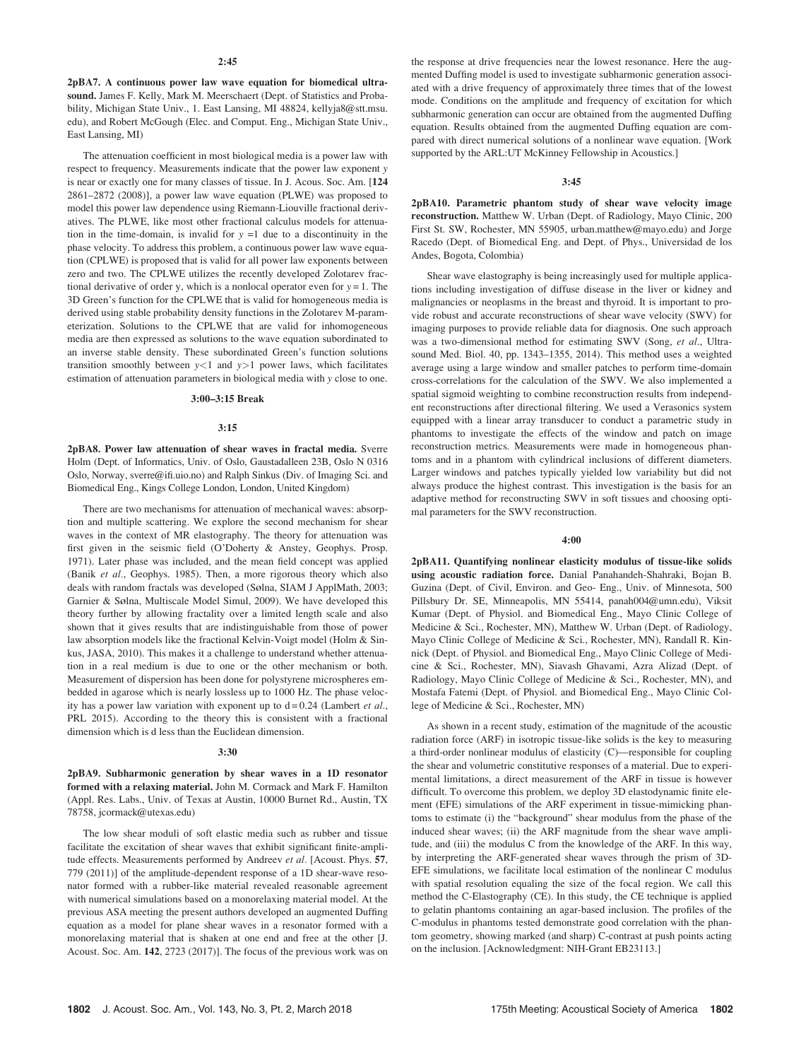2pBA7. A continuous power law wave equation for biomedical ultrasound. James F. Kelly, Mark M. Meerschaert (Dept. of Statistics and Probability, Michigan State Univ., 1. East Lansing, MI 48824, kellyja8@stt.msu. edu), and Robert McGough (Elec. and Comput. Eng., Michigan State Univ., East Lansing, MI)

The attenuation coefficient in most biological media is a power law with respect to frequency. Measurements indicate that the power law exponent y is near or exactly one for many classes of tissue. In J. Acous. Soc. Am. [124 2861–2872 (2008)], a power law wave equation (PLWE) was proposed to model this power law dependence using Riemann-Liouville fractional derivatives. The PLWE, like most other fractional calculus models for attenuation in the time-domain, is invalid for  $y = 1$  due to a discontinuity in the phase velocity. To address this problem, a continuous power law wave equation (CPLWE) is proposed that is valid for all power law exponents between zero and two. The CPLWE utilizes the recently developed Zolotarev fractional derivative of order y, which is a nonlocal operator even for  $y = 1$ . The 3D Green's function for the CPLWE that is valid for homogeneous media is derived using stable probability density functions in the Zolotarev M-parameterization. Solutions to the CPLWE that are valid for inhomogeneous media are then expressed as solutions to the wave equation subordinated to an inverse stable density. These subordinated Green's function solutions transition smoothly between  $y<1$  and  $y>1$  power laws, which facilitates estimation of attenuation parameters in biological media with y close to one.

#### 3:00–3:15 Break

#### 3:15

2pBA8. Power law attenuation of shear waves in fractal media. Sverre Holm (Dept. of Informatics, Univ. of Oslo, Gaustadalleen 23B, Oslo N 0316 Oslo, Norway, sverre@ifi.uio.no) and Ralph Sinkus (Div. of Imaging Sci. and Biomedical Eng., Kings College London, London, United Kingdom)

There are two mechanisms for attenuation of mechanical waves: absorption and multiple scattering. We explore the second mechanism for shear waves in the context of MR elastography. The theory for attenuation was first given in the seismic field (O'Doherty & Anstey, Geophys. Prosp. 1971). Later phase was included, and the mean field concept was applied (Banik et al., Geophys. 1985). Then, a more rigorous theory which also deals with random fractals was developed (Sølna, SIAM J ApplMath, 2003; Garnier & Sølna, Multiscale Model Simul, 2009). We have developed this theory further by allowing fractality over a limited length scale and also shown that it gives results that are indistinguishable from those of power law absorption models like the fractional Kelvin-Voigt model (Holm & Sinkus, JASA, 2010). This makes it a challenge to understand whether attenuation in a real medium is due to one or the other mechanism or both. Measurement of dispersion has been done for polystyrene microspheres embedded in agarose which is nearly lossless up to 1000 Hz. The phase velocity has a power law variation with exponent up to  $d = 0.24$  (Lambert et al., PRL 2015). According to the theory this is consistent with a fractional dimension which is d less than the Euclidean dimension.

#### 3:30

2pBA9. Subharmonic generation by shear waves in a 1D resonator formed with a relaxing material. John M. Cormack and Mark F. Hamilton (Appl. Res. Labs., Univ. of Texas at Austin, 10000 Burnet Rd., Austin, TX 78758, jcormack@utexas.edu)

The low shear moduli of soft elastic media such as rubber and tissue facilitate the excitation of shear waves that exhibit significant finite-amplitude effects. Measurements performed by Andreev et al. [Acoust. Phys. 57, 779 (2011)] of the amplitude-dependent response of a 1D shear-wave resonator formed with a rubber-like material revealed reasonable agreement with numerical simulations based on a monorelaxing material model. At the previous ASA meeting the present authors developed an augmented Duffing equation as a model for plane shear waves in a resonator formed with a monorelaxing material that is shaken at one end and free at the other [J. Acoust. Soc. Am. 142, 2723 (2017)]. The focus of the previous work was on the response at drive frequencies near the lowest resonance. Here the augmented Duffing model is used to investigate subharmonic generation associated with a drive frequency of approximately three times that of the lowest mode. Conditions on the amplitude and frequency of excitation for which subharmonic generation can occur are obtained from the augmented Duffing equation. Results obtained from the augmented Duffing equation are compared with direct numerical solutions of a nonlinear wave equation. [Work supported by the ARL:UT McKinney Fellowship in Acoustics.]

#### 3:45

2pBA10. Parametric phantom study of shear wave velocity image reconstruction. Matthew W. Urban (Dept. of Radiology, Mayo Clinic, 200 First St. SW, Rochester, MN 55905, urban.matthew@mayo.edu) and Jorge Racedo (Dept. of Biomedical Eng. and Dept. of Phys., Universidad de los Andes, Bogota, Colombia)

Shear wave elastography is being increasingly used for multiple applications including investigation of diffuse disease in the liver or kidney and malignancies or neoplasms in the breast and thyroid. It is important to provide robust and accurate reconstructions of shear wave velocity (SWV) for imaging purposes to provide reliable data for diagnosis. One such approach was a two-dimensional method for estimating SWV (Song, et al., Ultrasound Med. Biol. 40, pp. 1343–1355, 2014). This method uses a weighted average using a large window and smaller patches to perform time-domain cross-correlations for the calculation of the SWV. We also implemented a spatial sigmoid weighting to combine reconstruction results from independent reconstructions after directional filtering. We used a Verasonics system equipped with a linear array transducer to conduct a parametric study in phantoms to investigate the effects of the window and patch on image reconstruction metrics. Measurements were made in homogeneous phantoms and in a phantom with cylindrical inclusions of different diameters. Larger windows and patches typically yielded low variability but did not always produce the highest contrast. This investigation is the basis for an adaptive method for reconstructing SWV in soft tissues and choosing optimal parameters for the SWV reconstruction.

#### 4:00

2pBA11. Quantifying nonlinear elasticity modulus of tissue-like solids using acoustic radiation force. Danial Panahandeh-Shahraki, Bojan B. Guzina (Dept. of Civil, Environ. and Geo- Eng., Univ. of Minnesota, 500 Pillsbury Dr. SE, Minneapolis, MN 55414, panah004@umn.edu), Viksit Kumar (Dept. of Physiol. and Biomedical Eng., Mayo Clinic College of Medicine & Sci., Rochester, MN), Matthew W. Urban (Dept. of Radiology, Mayo Clinic College of Medicine & Sci., Rochester, MN), Randall R. Kinnick (Dept. of Physiol. and Biomedical Eng., Mayo Clinic College of Medicine & Sci., Rochester, MN), Siavash Ghavami, Azra Alizad (Dept. of Radiology, Mayo Clinic College of Medicine & Sci., Rochester, MN), and Mostafa Fatemi (Dept. of Physiol. and Biomedical Eng., Mayo Clinic College of Medicine & Sci., Rochester, MN)

As shown in a recent study, estimation of the magnitude of the acoustic radiation force (ARF) in isotropic tissue-like solids is the key to measuring a third-order nonlinear modulus of elasticity (C)—responsible for coupling the shear and volumetric constitutive responses of a material. Due to experimental limitations, a direct measurement of the ARF in tissue is however difficult. To overcome this problem, we deploy 3D elastodynamic finite element (EFE) simulations of the ARF experiment in tissue-mimicking phantoms to estimate (i) the "background" shear modulus from the phase of the induced shear waves; (ii) the ARF magnitude from the shear wave amplitude, and (iii) the modulus C from the knowledge of the ARF. In this way, by interpreting the ARF-generated shear waves through the prism of 3D-EFE simulations, we facilitate local estimation of the nonlinear C modulus with spatial resolution equaling the size of the focal region. We call this method the C-Elastography (CE). In this study, the CE technique is applied to gelatin phantoms containing an agar-based inclusion. The profiles of the C-modulus in phantoms tested demonstrate good correlation with the phantom geometry, showing marked (and sharp) C-contrast at push points acting on the inclusion. [Acknowledgment: NIH-Grant EB23113.]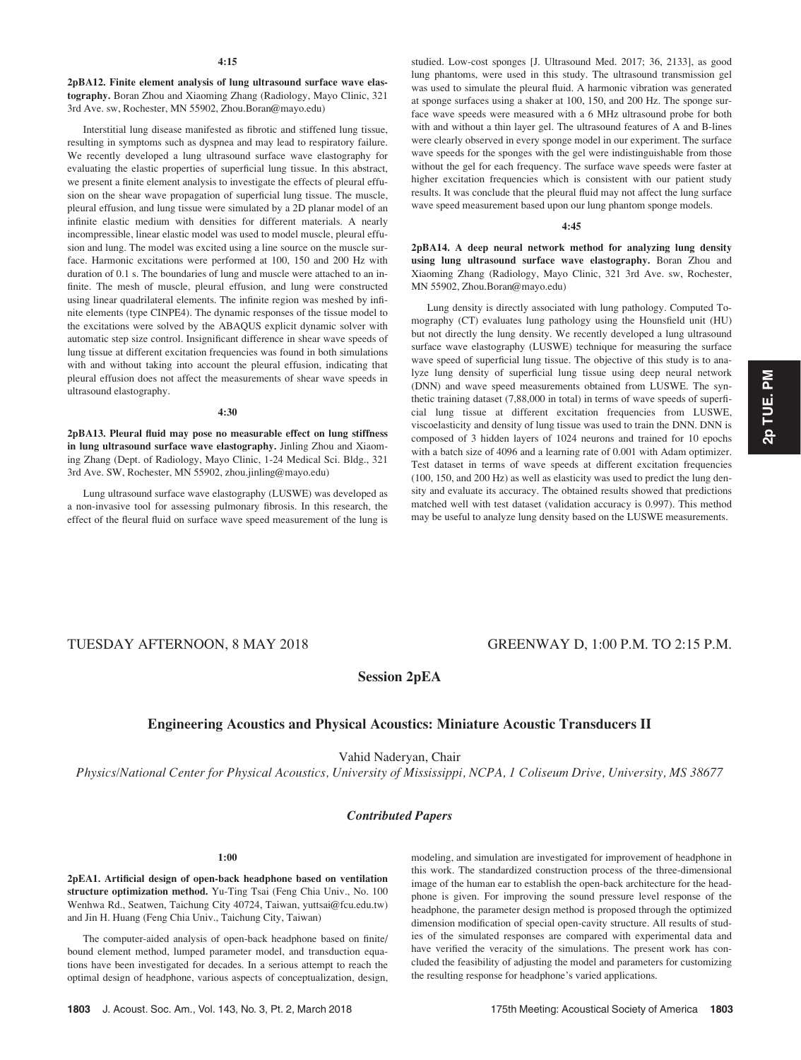2pBA12. Finite element analysis of lung ultrasound surface wave elastography. Boran Zhou and Xiaoming Zhang (Radiology, Mayo Clinic, 321 3rd Ave. sw, Rochester, MN 55902, Zhou.Boran@mayo.edu)

Interstitial lung disease manifested as fibrotic and stiffened lung tissue, resulting in symptoms such as dyspnea and may lead to respiratory failure. We recently developed a lung ultrasound surface wave elastography for evaluating the elastic properties of superficial lung tissue. In this abstract, we present a finite element analysis to investigate the effects of pleural effusion on the shear wave propagation of superficial lung tissue. The muscle, pleural effusion, and lung tissue were simulated by a 2D planar model of an infinite elastic medium with densities for different materials. A nearly incompressible, linear elastic model was used to model muscle, pleural effusion and lung. The model was excited using a line source on the muscle surface. Harmonic excitations were performed at 100, 150 and 200 Hz with duration of 0.1 s. The boundaries of lung and muscle were attached to an infinite. The mesh of muscle, pleural effusion, and lung were constructed using linear quadrilateral elements. The infinite region was meshed by infinite elements (type CINPE4). The dynamic responses of the tissue model to the excitations were solved by the ABAQUS explicit dynamic solver with automatic step size control. Insignificant difference in shear wave speeds of lung tissue at different excitation frequencies was found in both simulations with and without taking into account the pleural effusion, indicating that pleural effusion does not affect the measurements of shear wave speeds in ultrasound elastography.

#### 4:30

2pBA13. Pleural fluid may pose no measurable effect on lung stiffness in lung ultrasound surface wave elastography. Jinling Zhou and Xiaoming Zhang (Dept. of Radiology, Mayo Clinic, 1-24 Medical Sci. Bldg., 321 3rd Ave. SW, Rochester, MN 55902, zhou.jinling@mayo.edu)

Lung ultrasound surface wave elastography (LUSWE) was developed as a non-invasive tool for assessing pulmonary fibrosis. In this research, the effect of the fleural fluid on surface wave speed measurement of the lung is studied. Low-cost sponges [J. Ultrasound Med. 2017; 36, 2133], as good lung phantoms, were used in this study. The ultrasound transmission gel was used to simulate the pleural fluid. A harmonic vibration was generated at sponge surfaces using a shaker at 100, 150, and 200 Hz. The sponge surface wave speeds were measured with a 6 MHz ultrasound probe for both with and without a thin layer gel. The ultrasound features of A and B-lines were clearly observed in every sponge model in our experiment. The surface wave speeds for the sponges with the gel were indistinguishable from those without the gel for each frequency. The surface wave speeds were faster at higher excitation frequencies which is consistent with our patient study results. It was conclude that the pleural fluid may not affect the lung surface wave speed measurement based upon our lung phantom sponge models.

#### 4:45

2pBA14. A deep neural network method for analyzing lung density using lung ultrasound surface wave elastography. Boran Zhou and Xiaoming Zhang (Radiology, Mayo Clinic, 321 3rd Ave. sw, Rochester, MN 55902, Zhou.Boran@mayo.edu)

Lung density is directly associated with lung pathology. Computed Tomography (CT) evaluates lung pathology using the Hounsfield unit (HU) but not directly the lung density. We recently developed a lung ultrasound surface wave elastography (LUSWE) technique for measuring the surface wave speed of superficial lung tissue. The objective of this study is to analyze lung density of superficial lung tissue using deep neural network (DNN) and wave speed measurements obtained from LUSWE. The synthetic training dataset (7,88,000 in total) in terms of wave speeds of superficial lung tissue at different excitation frequencies from LUSWE, viscoelasticity and density of lung tissue was used to train the DNN. DNN is composed of 3 hidden layers of 1024 neurons and trained for 10 epochs with a batch size of 4096 and a learning rate of 0.001 with Adam optimizer. Test dataset in terms of wave speeds at different excitation frequencies (100, 150, and 200 Hz) as well as elasticity was used to predict the lung density and evaluate its accuracy. The obtained results showed that predictions matched well with test dataset (validation accuracy is 0.997). This method may be useful to analyze lung density based on the LUSWE measurements.

# TUESDAY AFTERNOON, 8 MAY 2018 GREENWAY D, 1:00 P.M. TO 2:15 P.M.

Session 2pEA

# Engineering Acoustics and Physical Acoustics: Miniature Acoustic Transducers II

Vahid Naderyan, Chair

Physics/National Center for Physical Acoustics, University of Mississippi, NCPA, 1 Coliseum Drive, University, MS 38677

#### Contributed Papers

#### 1:00

2pEA1. Artificial design of open-back headphone based on ventilation structure optimization method. Yu-Ting Tsai (Feng Chia Univ., No. 100 Wenhwa Rd., Seatwen, Taichung City 40724, Taiwan, yuttsai@fcu.edu.tw) and Jin H. Huang (Feng Chia Univ., Taichung City, Taiwan)

The computer-aided analysis of open-back headphone based on finite/ bound element method, lumped parameter model, and transduction equations have been investigated for decades. In a serious attempt to reach the optimal design of headphone, various aspects of conceptualization, design, modeling, and simulation are investigated for improvement of headphone in this work. The standardized construction process of the three-dimensional image of the human ear to establish the open-back architecture for the headphone is given. For improving the sound pressure level response of the headphone, the parameter design method is proposed through the optimized dimension modification of special open-cavity structure. All results of studies of the simulated responses are compared with experimental data and have verified the veracity of the simulations. The present work has concluded the feasibility of adjusting the model and parameters for customizing the resulting response for headphone's varied applications.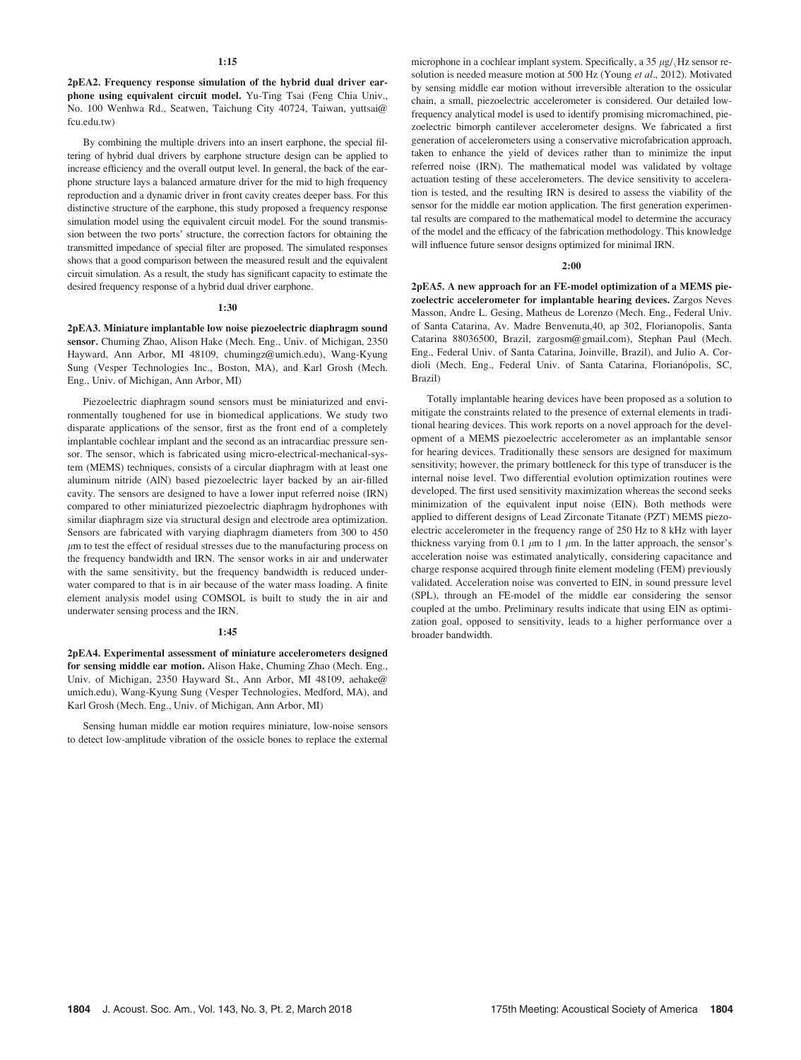2pEA2. Frequency response simulation of the hybrid dual driver earphone using equivalent circuit model. Yu-Ting Tsai (Feng Chia Univ., No. 100 Wenhwa Rd., Seatwen, Taichung City 40724, Taiwan, yuttsai@ fcu.edu.tw)

By combining the multiple drivers into an insert earphone, the special filtering of hybrid dual drivers by earphone structure design can be applied to increase efficiency and the overall output level. In general, the back of the earphone structure lays a balanced armature driver for the mid to high frequency reproduction and a dynamic driver in front cavity creates deeper bass. For this distinctive structure of the earphone, this study proposed a frequency response simulation model using the equivalent circuit model. For the sound transmission between the two ports' structure, the correction factors for obtaining the transmitted impedance of special filter are proposed. The simulated responses shows that a good comparison between the measured result and the equivalent circuit simulation. As a result, the study has significant capacity to estimate the desired frequency response of a hybrid dual driver earphone.

### 1:30

2pEA3. Miniature implantable low noise piezoelectric diaphragm sound sensor. Chuming Zhao, Alison Hake (Mech. Eng., Univ. of Michigan, 2350 Hayward, Ann Arbor, MI 48109, chumingz@umich.edu), Wang-Kyung Sung (Vesper Technologies Inc., Boston, MA), and Karl Grosh (Mech. Eng., Univ. of Michigan, Ann Arbor, MI)

Piezoelectric diaphragm sound sensors must be miniaturized and environmentally toughened for use in biomedical applications. We study two disparate applications of the sensor, first as the front end of a completely implantable cochlear implant and the second as an intracardiac pressure sensor. The sensor, which is fabricated using micro-electrical-mechanical-system (MEMS) techniques, consists of a circular diaphragm with at least one aluminum nitride (AlN) based piezoelectric layer backed by an air-filled cavity. The sensors are designed to have a lower input referred noise (IRN) compared to other miniaturized piezoelectric diaphragm hydrophones with similar diaphragm size via structural design and electrode area optimization. Sensors are fabricated with varying diaphragm diameters from 300 to 450  $\mu$ m to test the effect of residual stresses due to the manufacturing process on the frequency bandwidth and IRN. The sensor works in air and underwater with the same sensitivity, but the frequency bandwidth is reduced underwater compared to that is in air because of the water mass loading. A finite element analysis model using COMSOL is built to study the in air and underwater sensing process and the IRN.

#### 1:45

2pEA4. Experimental assessment of miniature accelerometers designed for sensing middle ear motion. Alison Hake, Chuming Zhao (Mech. Eng., Univ. of Michigan, 2350 Hayward St., Ann Arbor, MI 48109, aehake@ umich.edu), Wang-Kyung Sung (Vesper Technologies, Medford, MA), and Karl Grosh (Mech. Eng., Univ. of Michigan, Ann Arbor, MI)

Sensing human middle ear motion requires miniature, low-noise sensors to detect low-amplitude vibration of the ossicle bones to replace the external

microphone in a cochlear implant system. Specifically, a  $35 \mu g/\sqrt{Hz}$  sensor resolution is needed measure motion at 500 Hz (Young et al., 2012). Motivated by sensing middle ear motion without irreversible alteration to the ossicular chain, a small, piezoelectric accelerometer is considered. Our detailed lowfrequency analytical model is used to identify promising micromachined, piezoelectric bimorph cantilever accelerometer designs. We fabricated a first generation of accelerometers using a conservative microfabrication approach, taken to enhance the yield of devices rather than to minimize the input referred noise (IRN). The mathematical model was validated by voltage actuation testing of these accelerometers. The device sensitivity to acceleration is tested, and the resulting IRN is desired to assess the viability of the sensor for the middle ear motion application. The first generation experimental results are compared to the mathematical model to determine the accuracy of the model and the efficacy of the fabrication methodology. This knowledge will influence future sensor designs optimized for minimal IRN.

#### $2:00$

2pEA5. A new approach for an FE-model optimization of a MEMS piezoelectric accelerometer for implantable hearing devices. Zargos Neves Masson, Andre L. Gesing, Matheus de Lorenzo (Mech. Eng., Federal Univ. of Santa Catarina, Av. Madre Benvenuta,40, ap 302, Florianopolis, Santa Catarina 88036500, Brazil, zargosm@gmail.com), Stephan Paul (Mech. Eng., Federal Univ. of Santa Catarina, Joinville, Brazil), and Julio A. Cordioli (Mech. Eng., Federal Univ. of Santa Catarina, Florianópolis, SC, Brazil)

Totally implantable hearing devices have been proposed as a solution to mitigate the constraints related to the presence of external elements in traditional hearing devices. This work reports on a novel approach for the development of a MEMS piezoelectric accelerometer as an implantable sensor for hearing devices. Traditionally these sensors are designed for maximum sensitivity; however, the primary bottleneck for this type of transducer is the internal noise level. Two differential evolution optimization routines were developed. The first used sensitivity maximization whereas the second seeks minimization of the equivalent input noise (EIN). Both methods were applied to different designs of Lead Zirconate Titanate (PZT) MEMS piezoelectric accelerometer in the frequency range of 250 Hz to 8 kHz with layer thickness varying from 0.1  $\mu$ m to 1  $\mu$ m. In the latter approach, the sensor's acceleration noise was estimated analytically, considering capacitance and charge response acquired through finite element modeling (FEM) previously validated. Acceleration noise was converted to EIN, in sound pressure level (SPL), through an FE-model of the middle ear considering the sensor coupled at the umbo. Preliminary results indicate that using EIN as optimization goal, opposed to sensitivity, leads to a higher performance over a broader bandwidth.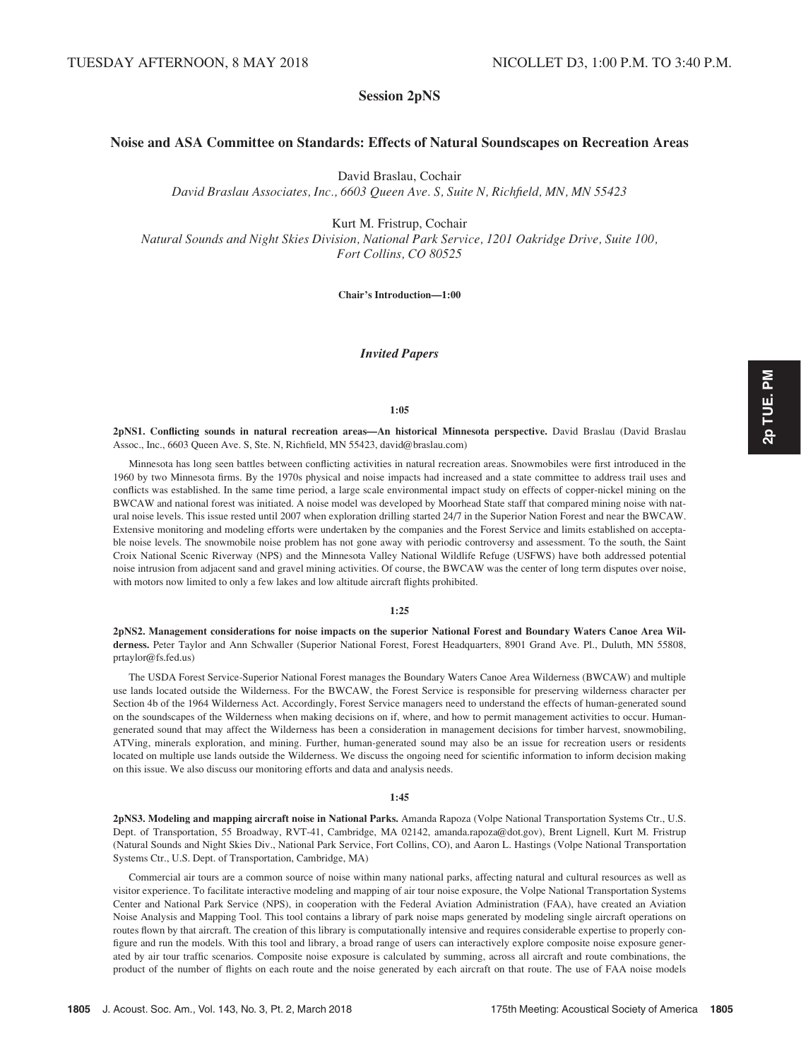# Session 2pNS

# Noise and ASA Committee on Standards: Effects of Natural Soundscapes on Recreation Areas

David Braslau, Cochair

David Braslau Associates, Inc., 6603 Queen Ave. S, Suite N, Richfield, MN, MN 55423

Kurt M. Fristrup, Cochair Natural Sounds and Night Skies Division, National Park Service, 1201 Oakridge Drive, Suite 100, Fort Collins, CO 80525

Chair's Introduction—1:00

# Invited Papers

#### 1:05

2pNS1. Conflicting sounds in natural recreation areas—An historical Minnesota perspective. David Braslau (David Braslau Assoc., Inc., 6603 Queen Ave. S, Ste. N, Richfield, MN 55423, david@braslau.com)

Minnesota has long seen battles between conflicting activities in natural recreation areas. Snowmobiles were first introduced in the 1960 by two Minnesota firms. By the 1970s physical and noise impacts had increased and a state committee to address trail uses and conflicts was established. In the same time period, a large scale environmental impact study on effects of copper-nickel mining on the BWCAW and national forest was initiated. A noise model was developed by Moorhead State staff that compared mining noise with natural noise levels. This issue rested until 2007 when exploration drilling started 24/7 in the Superior Nation Forest and near the BWCAW. Extensive monitoring and modeling efforts were undertaken by the companies and the Forest Service and limits established on acceptable noise levels. The snowmobile noise problem has not gone away with periodic controversy and assessment. To the south, the Saint Croix National Scenic Riverway (NPS) and the Minnesota Valley National Wildlife Refuge (USFWS) have both addressed potential noise intrusion from adjacent sand and gravel mining activities. Of course, the BWCAW was the center of long term disputes over noise, with motors now limited to only a few lakes and low altitude aircraft flights prohibited.

#### 1:25

2pNS2. Management considerations for noise impacts on the superior National Forest and Boundary Waters Canoe Area Wilderness. Peter Taylor and Ann Schwaller (Superior National Forest, Forest Headquarters, 8901 Grand Ave. Pl., Duluth, MN 55808, prtaylor@fs.fed.us)

The USDA Forest Service-Superior National Forest manages the Boundary Waters Canoe Area Wilderness (BWCAW) and multiple use lands located outside the Wilderness. For the BWCAW, the Forest Service is responsible for preserving wilderness character per Section 4b of the 1964 Wilderness Act. Accordingly, Forest Service managers need to understand the effects of human-generated sound on the soundscapes of the Wilderness when making decisions on if, where, and how to permit management activities to occur. Humangenerated sound that may affect the Wilderness has been a consideration in management decisions for timber harvest, snowmobiling, ATVing, minerals exploration, and mining. Further, human-generated sound may also be an issue for recreation users or residents located on multiple use lands outside the Wilderness. We discuss the ongoing need for scientific information to inform decision making on this issue. We also discuss our monitoring efforts and data and analysis needs.

#### 1:45

2pNS3. Modeling and mapping aircraft noise in National Parks. Amanda Rapoza (Volpe National Transportation Systems Ctr., U.S. Dept. of Transportation, 55 Broadway, RVT-41, Cambridge, MA 02142, amanda.rapoza@dot.gov), Brent Lignell, Kurt M. Fristrup (Natural Sounds and Night Skies Div., National Park Service, Fort Collins, CO), and Aaron L. Hastings (Volpe National Transportation Systems Ctr., U.S. Dept. of Transportation, Cambridge, MA)

Commercial air tours are a common source of noise within many national parks, affecting natural and cultural resources as well as visitor experience. To facilitate interactive modeling and mapping of air tour noise exposure, the Volpe National Transportation Systems Center and National Park Service (NPS), in cooperation with the Federal Aviation Administration (FAA), have created an Aviation Noise Analysis and Mapping Tool. This tool contains a library of park noise maps generated by modeling single aircraft operations on routes flown by that aircraft. The creation of this library is computationally intensive and requires considerable expertise to properly configure and run the models. With this tool and library, a broad range of users can interactively explore composite noise exposure generated by air tour traffic scenarios. Composite noise exposure is calculated by summing, across all aircraft and route combinations, the product of the number of flights on each route and the noise generated by each aircraft on that route. The use of FAA noise models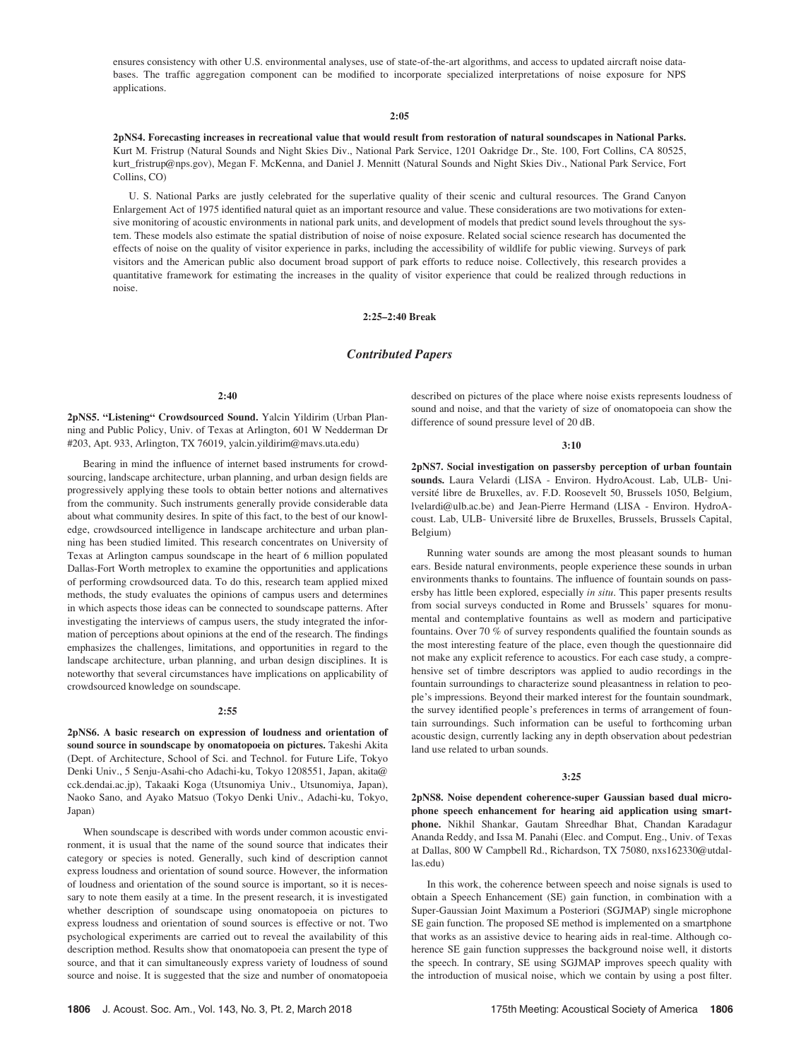ensures consistency with other U.S. environmental analyses, use of state-of-the-art algorithms, and access to updated aircraft noise databases. The traffic aggregation component can be modified to incorporate specialized interpretations of noise exposure for NPS applications.

#### 2:05

2pNS4. Forecasting increases in recreational value that would result from restoration of natural soundscapes in National Parks. Kurt M. Fristrup (Natural Sounds and Night Skies Div., National Park Service, 1201 Oakridge Dr., Ste. 100, Fort Collins, CA 80525, kurt\_fristrup@nps.gov), Megan F. McKenna, and Daniel J. Mennitt (Natural Sounds and Night Skies Div., National Park Service, Fort Collins, CO)

U. S. National Parks are justly celebrated for the superlative quality of their scenic and cultural resources. The Grand Canyon Enlargement Act of 1975 identified natural quiet as an important resource and value. These considerations are two motivations for extensive monitoring of acoustic environments in national park units, and development of models that predict sound levels throughout the system. These models also estimate the spatial distribution of noise of noise exposure. Related social science research has documented the effects of noise on the quality of visitor experience in parks, including the accessibility of wildlife for public viewing. Surveys of park visitors and the American public also document broad support of park efforts to reduce noise. Collectively, this research provides a quantitative framework for estimating the increases in the quality of visitor experience that could be realized through reductions in noise.

#### 2:25–2:40 Break

# Contributed Papers

#### 2:40

2pNS5. "Listening" Crowdsourced Sound. Yalcin Yildirim (Urban Planning and Public Policy, Univ. of Texas at Arlington, 601 W Nedderman Dr #203, Apt. 933, Arlington, TX 76019, yalcin.yildirim@mavs.uta.edu)

Bearing in mind the influence of internet based instruments for crowdsourcing, landscape architecture, urban planning, and urban design fields are progressively applying these tools to obtain better notions and alternatives from the community. Such instruments generally provide considerable data about what community desires. In spite of this fact, to the best of our knowledge, crowdsourced intelligence in landscape architecture and urban planning has been studied limited. This research concentrates on University of Texas at Arlington campus soundscape in the heart of 6 million populated Dallas-Fort Worth metroplex to examine the opportunities and applications of performing crowdsourced data. To do this, research team applied mixed methods, the study evaluates the opinions of campus users and determines in which aspects those ideas can be connected to soundscape patterns. After investigating the interviews of campus users, the study integrated the information of perceptions about opinions at the end of the research. The findings emphasizes the challenges, limitations, and opportunities in regard to the landscape architecture, urban planning, and urban design disciplines. It is noteworthy that several circumstances have implications on applicability of crowdsourced knowledge on soundscape.

#### 2:55

2pNS6. A basic research on expression of loudness and orientation of sound source in soundscape by onomatopoeia on pictures. Takeshi Akita (Dept. of Architecture, School of Sci. and Technol. for Future Life, Tokyo Denki Univ., 5 Senju-Asahi-cho Adachi-ku, Tokyo 1208551, Japan, akita@ cck.dendai.ac.jp), Takaaki Koga (Utsunomiya Univ., Utsunomiya, Japan), Naoko Sano, and Ayako Matsuo (Tokyo Denki Univ., Adachi-ku, Tokyo, Japan)

When soundscape is described with words under common acoustic environment, it is usual that the name of the sound source that indicates their category or species is noted. Generally, such kind of description cannot express loudness and orientation of sound source. However, the information of loudness and orientation of the sound source is important, so it is necessary to note them easily at a time. In the present research, it is investigated whether description of soundscape using onomatopoeia on pictures to express loudness and orientation of sound sources is effective or not. Two psychological experiments are carried out to reveal the availability of this description method. Results show that onomatopoeia can present the type of source, and that it can simultaneously express variety of loudness of sound source and noise. It is suggested that the size and number of onomatopoeia described on pictures of the place where noise exists represents loudness of sound and noise, and that the variety of size of onomatopoeia can show the difference of sound pressure level of 20 dB.

#### 3:10

2pNS7. Social investigation on passersby perception of urban fountain sounds. Laura Velardi (LISA - Environ. HydroAcoust. Lab, ULB- Université libre de Bruxelles, av. F.D. Roosevelt 50, Brussels 1050, Belgium, lvelardi@ulb.ac.be) and Jean-Pierre Hermand (LISA - Environ. HydroAcoust. Lab, ULB- Université libre de Bruxelles, Brussels, Brussels Capital, Belgium)

Running water sounds are among the most pleasant sounds to human ears. Beside natural environments, people experience these sounds in urban environments thanks to fountains. The influence of fountain sounds on passersby has little been explored, especially in situ. This paper presents results from social surveys conducted in Rome and Brussels' squares for monumental and contemplative fountains as well as modern and participative fountains. Over 70 % of survey respondents qualified the fountain sounds as the most interesting feature of the place, even though the questionnaire did not make any explicit reference to acoustics. For each case study, a comprehensive set of timbre descriptors was applied to audio recordings in the fountain surroundings to characterize sound pleasantness in relation to people's impressions. Beyond their marked interest for the fountain soundmark, the survey identified people's preferences in terms of arrangement of fountain surroundings. Such information can be useful to forthcoming urban acoustic design, currently lacking any in depth observation about pedestrian land use related to urban sounds.

#### 3:25

2pNS8. Noise dependent coherence-super Gaussian based dual microphone speech enhancement for hearing aid application using smartphone. Nikhil Shankar, Gautam Shreedhar Bhat, Chandan Karadagur Ananda Reddy, and Issa M. Panahi (Elec. and Comput. Eng., Univ. of Texas at Dallas, 800 W Campbell Rd., Richardson, TX 75080, nxs162330@utdallas.edu)

In this work, the coherence between speech and noise signals is used to obtain a Speech Enhancement (SE) gain function, in combination with a Super-Gaussian Joint Maximum a Posteriori (SGJMAP) single microphone SE gain function. The proposed SE method is implemented on a smartphone that works as an assistive device to hearing aids in real-time. Although coherence SE gain function suppresses the background noise well, it distorts the speech. In contrary, SE using SGJMAP improves speech quality with the introduction of musical noise, which we contain by using a post filter.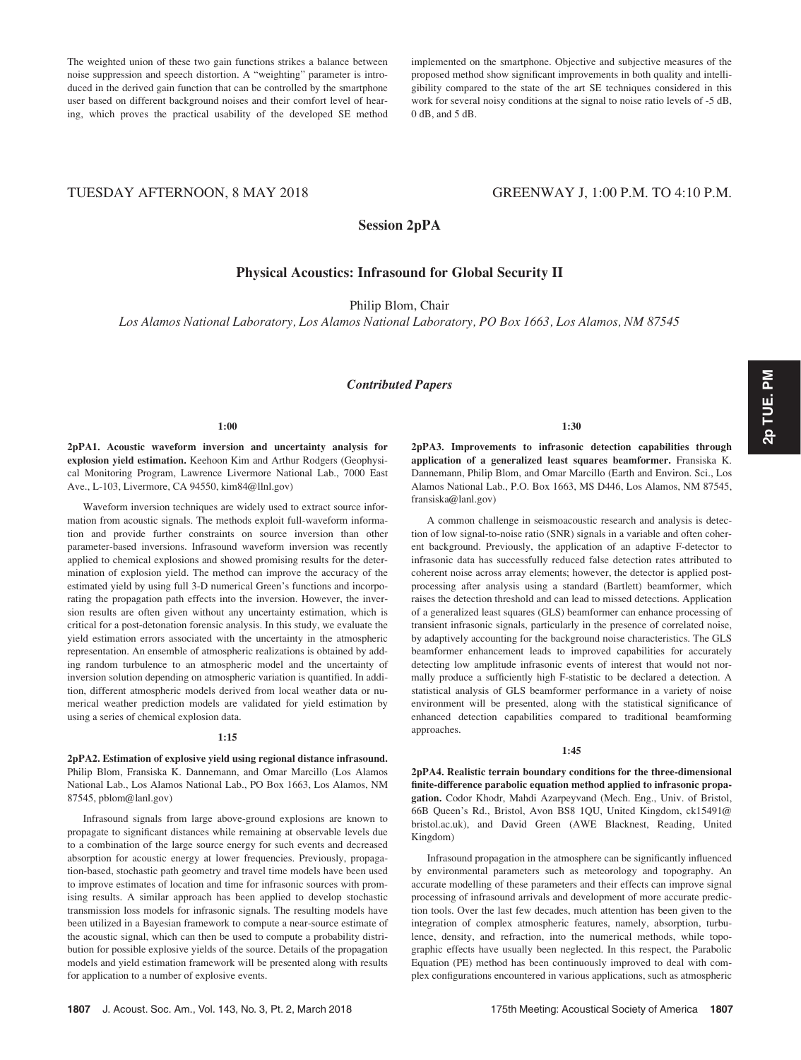The weighted union of these two gain functions strikes a balance between noise suppression and speech distortion. A "weighting" parameter is introduced in the derived gain function that can be controlled by the smartphone user based on different background noises and their comfort level of hearing, which proves the practical usability of the developed SE method implemented on the smartphone. Objective and subjective measures of the proposed method show significant improvements in both quality and intelligibility compared to the state of the art SE techniques considered in this work for several noisy conditions at the signal to noise ratio levels of -5 dB, 0 dB, and 5 dB.

# TUESDAY AFTERNOON, 8 MAY 2018 GREENWAY J, 1:00 P.M. TO 4:10 P.M.

Session 2pPA

# Physical Acoustics: Infrasound for Global Security II

Philip Blom, Chair

Los Alamos National Laboratory, Los Alamos National Laboratory, PO Box 1663, Los Alamos, NM 87545

### Contributed Papers

#### 1:00

2pPA1. Acoustic waveform inversion and uncertainty analysis for explosion yield estimation. Keehoon Kim and Arthur Rodgers (Geophysical Monitoring Program, Lawrence Livermore National Lab., 7000 East Ave., L-103, Livermore, CA 94550, kim84@llnl.gov)

Waveform inversion techniques are widely used to extract source information from acoustic signals. The methods exploit full-waveform information and provide further constraints on source inversion than other parameter-based inversions. Infrasound waveform inversion was recently applied to chemical explosions and showed promising results for the determination of explosion yield. The method can improve the accuracy of the estimated yield by using full 3-D numerical Green's functions and incorporating the propagation path effects into the inversion. However, the inversion results are often given without any uncertainty estimation, which is critical for a post-detonation forensic analysis. In this study, we evaluate the yield estimation errors associated with the uncertainty in the atmospheric representation. An ensemble of atmospheric realizations is obtained by adding random turbulence to an atmospheric model and the uncertainty of inversion solution depending on atmospheric variation is quantified. In addition, different atmospheric models derived from local weather data or numerical weather prediction models are validated for yield estimation by using a series of chemical explosion data.

#### 1:15

2pPA2. Estimation of explosive yield using regional distance infrasound. Philip Blom, Fransiska K. Dannemann, and Omar Marcillo (Los Alamos National Lab., Los Alamos National Lab., PO Box 1663, Los Alamos, NM 87545, pblom@lanl.gov)

Infrasound signals from large above-ground explosions are known to propagate to significant distances while remaining at observable levels due to a combination of the large source energy for such events and decreased absorption for acoustic energy at lower frequencies. Previously, propagation-based, stochastic path geometry and travel time models have been used to improve estimates of location and time for infrasonic sources with promising results. A similar approach has been applied to develop stochastic transmission loss models for infrasonic signals. The resulting models have been utilized in a Bayesian framework to compute a near-source estimate of the acoustic signal, which can then be used to compute a probability distribution for possible explosive yields of the source. Details of the propagation models and yield estimation framework will be presented along with results for application to a number of explosive events.

2pPA3. Improvements to infrasonic detection capabilities through application of a generalized least squares beamformer. Fransiska K. Dannemann, Philip Blom, and Omar Marcillo (Earth and Environ. Sci., Los Alamos National Lab., P.O. Box 1663, MS D446, Los Alamos, NM 87545, fransiska@lanl.gov)

A common challenge in seismoacoustic research and analysis is detection of low signal-to-noise ratio (SNR) signals in a variable and often coherent background. Previously, the application of an adaptive F-detector to infrasonic data has successfully reduced false detection rates attributed to coherent noise across array elements; however, the detector is applied postprocessing after analysis using a standard (Bartlett) beamformer, which raises the detection threshold and can lead to missed detections. Application of a generalized least squares (GLS) beamformer can enhance processing of transient infrasonic signals, particularly in the presence of correlated noise, by adaptively accounting for the background noise characteristics. The GLS beamformer enhancement leads to improved capabilities for accurately detecting low amplitude infrasonic events of interest that would not normally produce a sufficiently high F-statistic to be declared a detection. A statistical analysis of GLS beamformer performance in a variety of noise environment will be presented, along with the statistical significance of enhanced detection capabilities compared to traditional beamforming approaches.

#### 1:45

2pPA4. Realistic terrain boundary conditions for the three-dimensional finite-difference parabolic equation method applied to infrasonic propagation. Codor Khodr, Mahdi Azarpeyvand (Mech. Eng., Univ. of Bristol, 66B Queen's Rd., Bristol, Avon BS8 1QU, United Kingdom, ck15491@ bristol.ac.uk), and David Green (AWE Blacknest, Reading, United Kingdom)

Infrasound propagation in the atmosphere can be significantly influenced by environmental parameters such as meteorology and topography. An accurate modelling of these parameters and their effects can improve signal processing of infrasound arrivals and development of more accurate prediction tools. Over the last few decades, much attention has been given to the integration of complex atmospheric features, namely, absorption, turbulence, density, and refraction, into the numerical methods, while topographic effects have usually been neglected. In this respect, the Parabolic Equation (PE) method has been continuously improved to deal with complex configurations encountered in various applications, such as atmospheric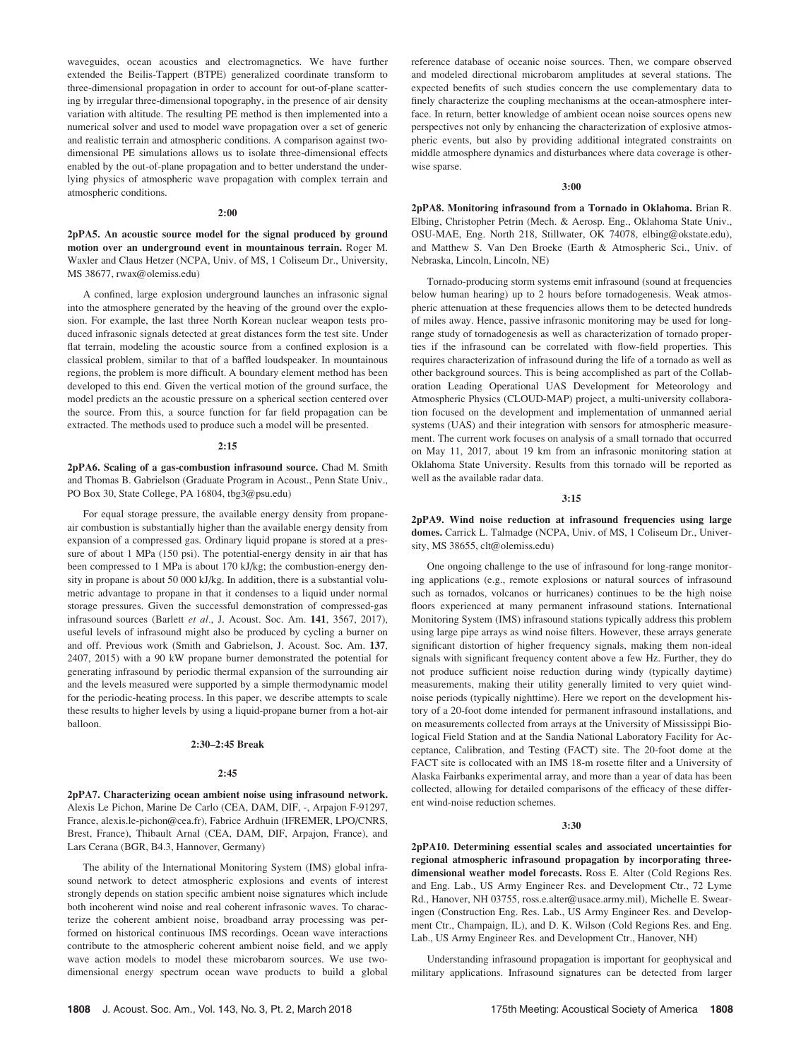waveguides, ocean acoustics and electromagnetics. We have further extended the Beilis-Tappert (BTPE) generalized coordinate transform to three-dimensional propagation in order to account for out-of-plane scattering by irregular three-dimensional topography, in the presence of air density variation with altitude. The resulting PE method is then implemented into a numerical solver and used to model wave propagation over a set of generic and realistic terrain and atmospheric conditions. A comparison against twodimensional PE simulations allows us to isolate three-dimensional effects enabled by the out-of-plane propagation and to better understand the underlying physics of atmospheric wave propagation with complex terrain and atmospheric conditions.

#### 2:00

2pPA5. An acoustic source model for the signal produced by ground motion over an underground event in mountainous terrain. Roger M. Waxler and Claus Hetzer (NCPA, Univ. of MS, 1 Coliseum Dr., University, MS 38677, rwax@olemiss.edu)

A confined, large explosion underground launches an infrasonic signal into the atmosphere generated by the heaving of the ground over the explosion. For example, the last three North Korean nuclear weapon tests produced infrasonic signals detected at great distances form the test site. Under flat terrain, modeling the acoustic source from a confined explosion is a classical problem, similar to that of a baffled loudspeaker. In mountainous regions, the problem is more difficult. A boundary element method has been developed to this end. Given the vertical motion of the ground surface, the model predicts an the acoustic pressure on a spherical section centered over the source. From this, a source function for far field propagation can be extracted. The methods used to produce such a model will be presented.

#### 2:15

2pPA6. Scaling of a gas-combustion infrasound source. Chad M. Smith and Thomas B. Gabrielson (Graduate Program in Acoust., Penn State Univ., PO Box 30, State College, PA 16804, tbg3@psu.edu)

For equal storage pressure, the available energy density from propaneair combustion is substantially higher than the available energy density from expansion of a compressed gas. Ordinary liquid propane is stored at a pressure of about 1 MPa (150 psi). The potential-energy density in air that has been compressed to 1 MPa is about 170 kJ/kg; the combustion-energy density in propane is about 50 000 kJ/kg. In addition, there is a substantial volumetric advantage to propane in that it condenses to a liquid under normal storage pressures. Given the successful demonstration of compressed-gas infrasound sources (Barlett et al., J. Acoust. Soc. Am. 141, 3567, 2017), useful levels of infrasound might also be produced by cycling a burner on and off. Previous work (Smith and Gabrielson, J. Acoust. Soc. Am. 137, 2407, 2015) with a 90 kW propane burner demonstrated the potential for generating infrasound by periodic thermal expansion of the surrounding air and the levels measured were supported by a simple thermodynamic model for the periodic-heating process. In this paper, we describe attempts to scale these results to higher levels by using a liquid-propane burner from a hot-air balloon.

#### 2:30–2:45 Break

#### 2:45

2pPA7. Characterizing ocean ambient noise using infrasound network. Alexis Le Pichon, Marine De Carlo (CEA, DAM, DIF, -, Arpajon F-91297, France, alexis.le-pichon@cea.fr), Fabrice Ardhuin (IFREMER, LPO/CNRS, Brest, France), Thibault Arnal (CEA, DAM, DIF, Arpajon, France), and Lars Cerana (BGR, B4.3, Hannover, Germany)

The ability of the International Monitoring System (IMS) global infrasound network to detect atmospheric explosions and events of interest strongly depends on station specific ambient noise signatures which include both incoherent wind noise and real coherent infrasonic waves. To characterize the coherent ambient noise, broadband array processing was performed on historical continuous IMS recordings. Ocean wave interactions contribute to the atmospheric coherent ambient noise field, and we apply wave action models to model these microbarom sources. We use twodimensional energy spectrum ocean wave products to build a global reference database of oceanic noise sources. Then, we compare observed and modeled directional microbarom amplitudes at several stations. The expected benefits of such studies concern the use complementary data to finely characterize the coupling mechanisms at the ocean-atmosphere interface. In return, better knowledge of ambient ocean noise sources opens new perspectives not only by enhancing the characterization of explosive atmospheric events, but also by providing additional integrated constraints on middle atmosphere dynamics and disturbances where data coverage is otherwise sparse.

#### 3:00

2pPA8. Monitoring infrasound from a Tornado in Oklahoma. Brian R. Elbing, Christopher Petrin (Mech. & Aerosp. Eng., Oklahoma State Univ., OSU-MAE, Eng. North 218, Stillwater, OK 74078, elbing@okstate.edu), and Matthew S. Van Den Broeke (Earth & Atmospheric Sci., Univ. of Nebraska, Lincoln, Lincoln, NE)

Tornado-producing storm systems emit infrasound (sound at frequencies below human hearing) up to 2 hours before tornadogenesis. Weak atmospheric attenuation at these frequencies allows them to be detected hundreds of miles away. Hence, passive infrasonic monitoring may be used for longrange study of tornadogenesis as well as characterization of tornado properties if the infrasound can be correlated with flow-field properties. This requires characterization of infrasound during the life of a tornado as well as other background sources. This is being accomplished as part of the Collaboration Leading Operational UAS Development for Meteorology and Atmospheric Physics (CLOUD-MAP) project, a multi-university collaboration focused on the development and implementation of unmanned aerial systems (UAS) and their integration with sensors for atmospheric measurement. The current work focuses on analysis of a small tornado that occurred on May 11, 2017, about 19 km from an infrasonic monitoring station at Oklahoma State University. Results from this tornado will be reported as well as the available radar data.

#### 3:15

2pPA9. Wind noise reduction at infrasound frequencies using large domes. Carrick L. Talmadge (NCPA, Univ. of MS, 1 Coliseum Dr., University, MS 38655, clt@olemiss.edu)

One ongoing challenge to the use of infrasound for long-range monitoring applications (e.g., remote explosions or natural sources of infrasound such as tornados, volcanos or hurricanes) continues to be the high noise floors experienced at many permanent infrasound stations. International Monitoring System (IMS) infrasound stations typically address this problem using large pipe arrays as wind noise filters. However, these arrays generate significant distortion of higher frequency signals, making them non-ideal signals with significant frequency content above a few Hz. Further, they do not produce sufficient noise reduction during windy (typically daytime) measurements, making their utility generally limited to very quiet windnoise periods (typically nighttime). Here we report on the development history of a 20-foot dome intended for permanent infrasound installations, and on measurements collected from arrays at the University of Mississippi Biological Field Station and at the Sandia National Laboratory Facility for Acceptance, Calibration, and Testing (FACT) site. The 20-foot dome at the FACT site is collocated with an IMS 18-m rosette filter and a University of Alaska Fairbanks experimental array, and more than a year of data has been collected, allowing for detailed comparisons of the efficacy of these different wind-noise reduction schemes.

#### 3:30

2pPA10. Determining essential scales and associated uncertainties for regional atmospheric infrasound propagation by incorporating threedimensional weather model forecasts. Ross E. Alter (Cold Regions Res. and Eng. Lab., US Army Engineer Res. and Development Ctr., 72 Lyme Rd., Hanover, NH 03755, ross.e.alter@usace.army.mil), Michelle E. Swearingen (Construction Eng. Res. Lab., US Army Engineer Res. and Development Ctr., Champaign, IL), and D. K. Wilson (Cold Regions Res. and Eng. Lab., US Army Engineer Res. and Development Ctr., Hanover, NH)

Understanding infrasound propagation is important for geophysical and military applications. Infrasound signatures can be detected from larger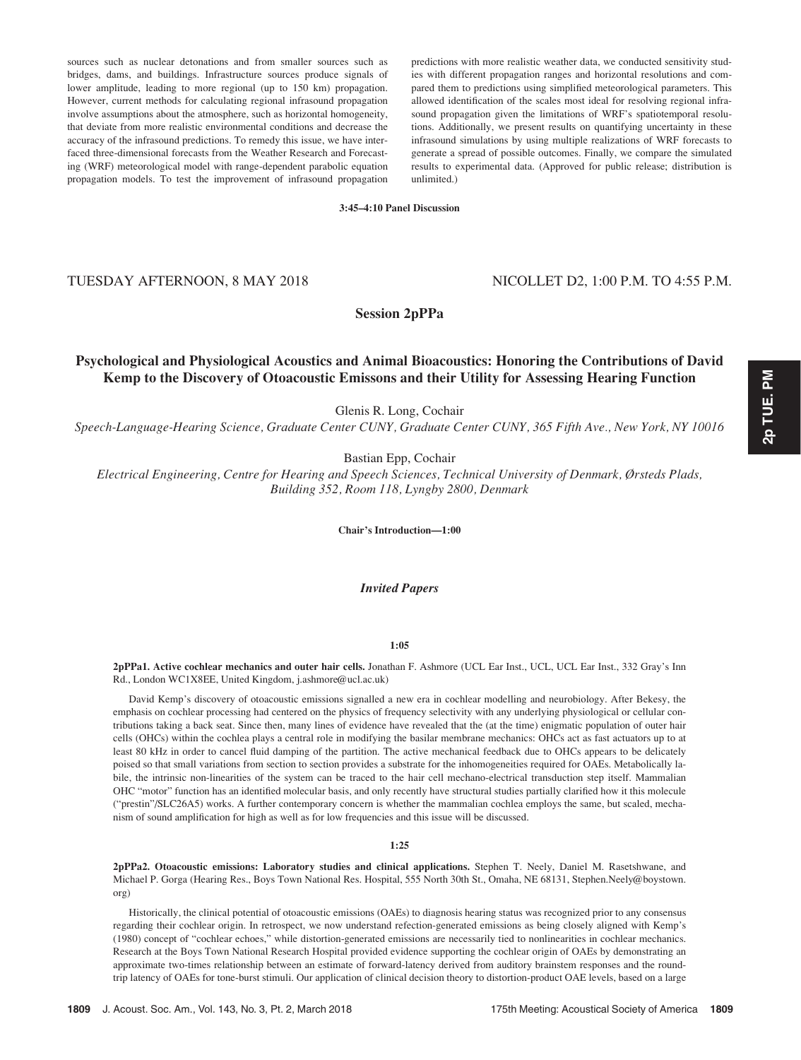sources such as nuclear detonations and from smaller sources such as bridges, dams, and buildings. Infrastructure sources produce signals of lower amplitude, leading to more regional (up to 150 km) propagation. However, current methods for calculating regional infrasound propagation involve assumptions about the atmosphere, such as horizontal homogeneity, that deviate from more realistic environmental conditions and decrease the accuracy of the infrasound predictions. To remedy this issue, we have interfaced three-dimensional forecasts from the Weather Research and Forecasting (WRF) meteorological model with range-dependent parabolic equation propagation models. To test the improvement of infrasound propagation

predictions with more realistic weather data, we conducted sensitivity studies with different propagation ranges and horizontal resolutions and compared them to predictions using simplified meteorological parameters. This allowed identification of the scales most ideal for resolving regional infrasound propagation given the limitations of WRF's spatiotemporal resolutions. Additionally, we present results on quantifying uncertainty in these infrasound simulations by using multiple realizations of WRF forecasts to generate a spread of possible outcomes. Finally, we compare the simulated results to experimental data. (Approved for public release; distribution is unlimited.)

3:45–4:10 Panel Discussion

# TUESDAY AFTERNOON, 8 MAY 2018 NICOLLET D2, 1:00 P.M. TO 4:55 P.M.

Session 2pPPa

# Psychological and Physiological Acoustics and Animal Bioacoustics: Honoring the Contributions of David Kemp to the Discovery of Otoacoustic Emissons and their Utility for Assessing Hearing Function

Glenis R. Long, Cochair

Speech-Language-Hearing Science, Graduate Center CUNY, Graduate Center CUNY, 365 Fifth Ave., New York, NY 10016

Bastian Epp, Cochair

Electrical Engineering, Centre for Hearing and Speech Sciences, Technical University of Denmark, Ørsteds Plads, Building 352, Room 118, Lyngby 2800, Denmark

Chair's Introduction—1:00

# Invited Papers

#### 1:05

2pPPa1. Active cochlear mechanics and outer hair cells. Jonathan F. Ashmore (UCL Ear Inst., UCL, UCL Ear Inst., 332 Gray's Inn Rd., London WC1X8EE, United Kingdom, j.ashmore@ucl.ac.uk)

David Kemp's discovery of otoacoustic emissions signalled a new era in cochlear modelling and neurobiology. After Bekesy, the emphasis on cochlear processing had centered on the physics of frequency selectivity with any underlying physiological or cellular contributions taking a back seat. Since then, many lines of evidence have revealed that the (at the time) enigmatic population of outer hair cells (OHCs) within the cochlea plays a central role in modifying the basilar membrane mechanics: OHCs act as fast actuators up to at least 80 kHz in order to cancel fluid damping of the partition. The active mechanical feedback due to OHCs appears to be delicately poised so that small variations from section to section provides a substrate for the inhomogeneities required for OAEs. Metabolically labile, the intrinsic non-linearities of the system can be traced to the hair cell mechano-electrical transduction step itself. Mammalian OHC "motor" function has an identified molecular basis, and only recently have structural studies partially clarified how it this molecule ("prestin"/SLC26A5) works. A further contemporary concern is whether the mammalian cochlea employs the same, but scaled, mechanism of sound amplification for high as well as for low frequencies and this issue will be discussed.

#### 1:25

2pPPa2. Otoacoustic emissions: Laboratory studies and clinical applications. Stephen T. Neely, Daniel M. Rasetshwane, and Michael P. Gorga (Hearing Res., Boys Town National Res. Hospital, 555 North 30th St., Omaha, NE 68131, Stephen.Neely@boystown. org)

Historically, the clinical potential of otoacoustic emissions (OAEs) to diagnosis hearing status was recognized prior to any consensus regarding their cochlear origin. In retrospect, we now understand refection-generated emissions as being closely aligned with Kemp's (1980) concept of "cochlear echoes," while distortion-generated emissions are necessarily tied to nonlinearities in cochlear mechanics. Research at the Boys Town National Research Hospital provided evidence supporting the cochlear origin of OAEs by demonstrating an approximate two-times relationship between an estimate of forward-latency derived from auditory brainstem responses and the roundtrip latency of OAEs for tone-burst stimuli. Our application of clinical decision theory to distortion-product OAE levels, based on a large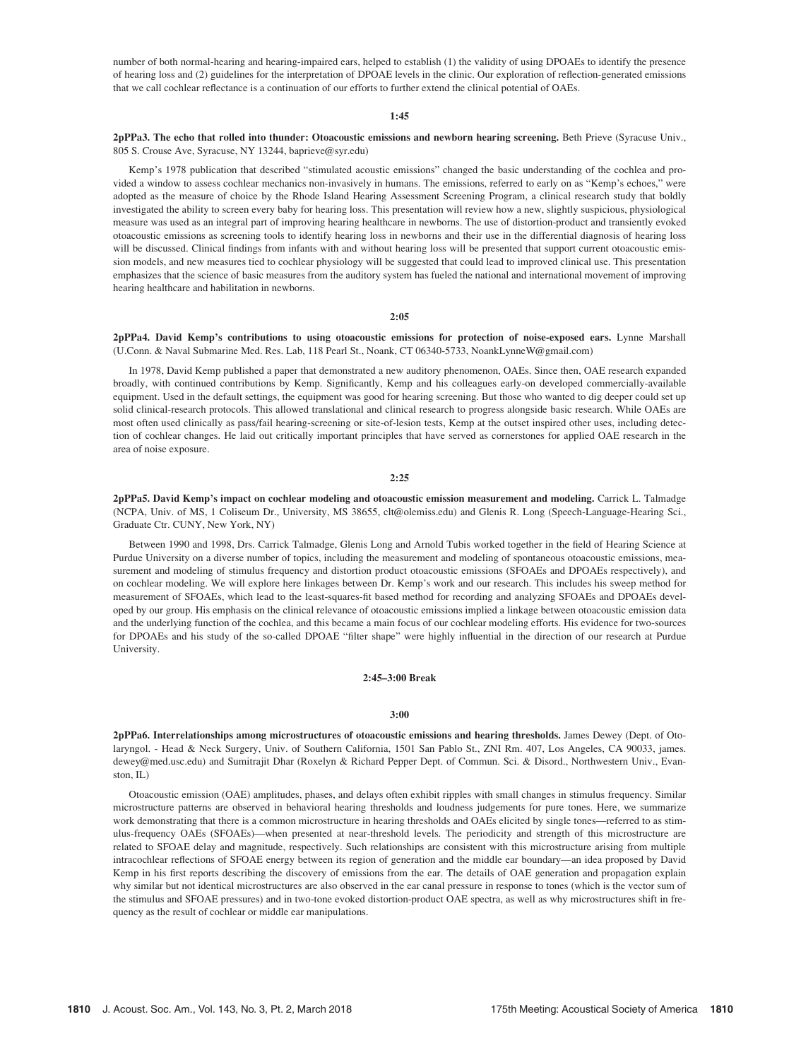number of both normal-hearing and hearing-impaired ears, helped to establish (1) the validity of using DPOAEs to identify the presence of hearing loss and (2) guidelines for the interpretation of DPOAE levels in the clinic. Our exploration of reflection-generated emissions that we call cochlear reflectance is a continuation of our efforts to further extend the clinical potential of OAEs.

#### 1:45

#### 2pPPa3. The echo that rolled into thunder: Otoacoustic emissions and newborn hearing screening. Beth Prieve (Syracuse Univ., 805 S. Crouse Ave, Syracuse, NY 13244, baprieve@syr.edu)

Kemp's 1978 publication that described "stimulated acoustic emissions" changed the basic understanding of the cochlea and provided a window to assess cochlear mechanics non-invasively in humans. The emissions, referred to early on as "Kemp's echoes," were adopted as the measure of choice by the Rhode Island Hearing Assessment Screening Program, a clinical research study that boldly investigated the ability to screen every baby for hearing loss. This presentation will review how a new, slightly suspicious, physiological measure was used as an integral part of improving hearing healthcare in newborns. The use of distortion-product and transiently evoked otoacoustic emissions as screening tools to identify hearing loss in newborns and their use in the differential diagnosis of hearing loss will be discussed. Clinical findings from infants with and without hearing loss will be presented that support current otoacoustic emission models, and new measures tied to cochlear physiology will be suggested that could lead to improved clinical use. This presentation emphasizes that the science of basic measures from the auditory system has fueled the national and international movement of improving hearing healthcare and habilitation in newborns.

#### 2:05

2pPPa4. David Kemp's contributions to using otoacoustic emissions for protection of noise-exposed ears. Lynne Marshall (U.Conn. & Naval Submarine Med. Res. Lab, 118 Pearl St., Noank, CT 06340-5733, NoankLynneW@gmail.com)

In 1978, David Kemp published a paper that demonstrated a new auditory phenomenon, OAEs. Since then, OAE research expanded broadly, with continued contributions by Kemp. Significantly, Kemp and his colleagues early-on developed commercially-available equipment. Used in the default settings, the equipment was good for hearing screening. But those who wanted to dig deeper could set up solid clinical-research protocols. This allowed translational and clinical research to progress alongside basic research. While OAEs are most often used clinically as pass/fail hearing-screening or site-of-lesion tests, Kemp at the outset inspired other uses, including detection of cochlear changes. He laid out critically important principles that have served as cornerstones for applied OAE research in the area of noise exposure.

2:25

2pPPa5. David Kemp's impact on cochlear modeling and otoacoustic emission measurement and modeling. Carrick L. Talmadge (NCPA, Univ. of MS, 1 Coliseum Dr., University, MS 38655, clt@olemiss.edu) and Glenis R. Long (Speech-Language-Hearing Sci., Graduate Ctr. CUNY, New York, NY)

Between 1990 and 1998, Drs. Carrick Talmadge, Glenis Long and Arnold Tubis worked together in the field of Hearing Science at Purdue University on a diverse number of topics, including the measurement and modeling of spontaneous otoacoustic emissions, measurement and modeling of stimulus frequency and distortion product otoacoustic emissions (SFOAEs and DPOAEs respectively), and on cochlear modeling. We will explore here linkages between Dr. Kemp's work and our research. This includes his sweep method for measurement of SFOAEs, which lead to the least-squares-fit based method for recording and analyzing SFOAEs and DPOAEs developed by our group. His emphasis on the clinical relevance of otoacoustic emissions implied a linkage between otoacoustic emission data and the underlying function of the cochlea, and this became a main focus of our cochlear modeling efforts. His evidence for two-sources for DPOAEs and his study of the so-called DPOAE "filter shape" were highly influential in the direction of our research at Purdue University.

#### 2:45–3:00 Break

#### 3:00

2pPPa6. Interrelationships among microstructures of otoacoustic emissions and hearing thresholds. James Dewey (Dept. of Otolaryngol. - Head & Neck Surgery, Univ. of Southern California, 1501 San Pablo St., ZNI Rm. 407, Los Angeles, CA 90033, james. dewey@med.usc.edu) and Sumitrajit Dhar (Roxelyn & Richard Pepper Dept. of Commun. Sci. & Disord., Northwestern Univ., Evanston, IL)

Otoacoustic emission (OAE) amplitudes, phases, and delays often exhibit ripples with small changes in stimulus frequency. Similar microstructure patterns are observed in behavioral hearing thresholds and loudness judgements for pure tones. Here, we summarize work demonstrating that there is a common microstructure in hearing thresholds and OAEs elicited by single tones—referred to as stimulus-frequency OAEs (SFOAEs)—when presented at near-threshold levels. The periodicity and strength of this microstructure are related to SFOAE delay and magnitude, respectively. Such relationships are consistent with this microstructure arising from multiple intracochlear reflections of SFOAE energy between its region of generation and the middle ear boundary—an idea proposed by David Kemp in his first reports describing the discovery of emissions from the ear. The details of OAE generation and propagation explain why similar but not identical microstructures are also observed in the ear canal pressure in response to tones (which is the vector sum of the stimulus and SFOAE pressures) and in two-tone evoked distortion-product OAE spectra, as well as why microstructures shift in frequency as the result of cochlear or middle ear manipulations.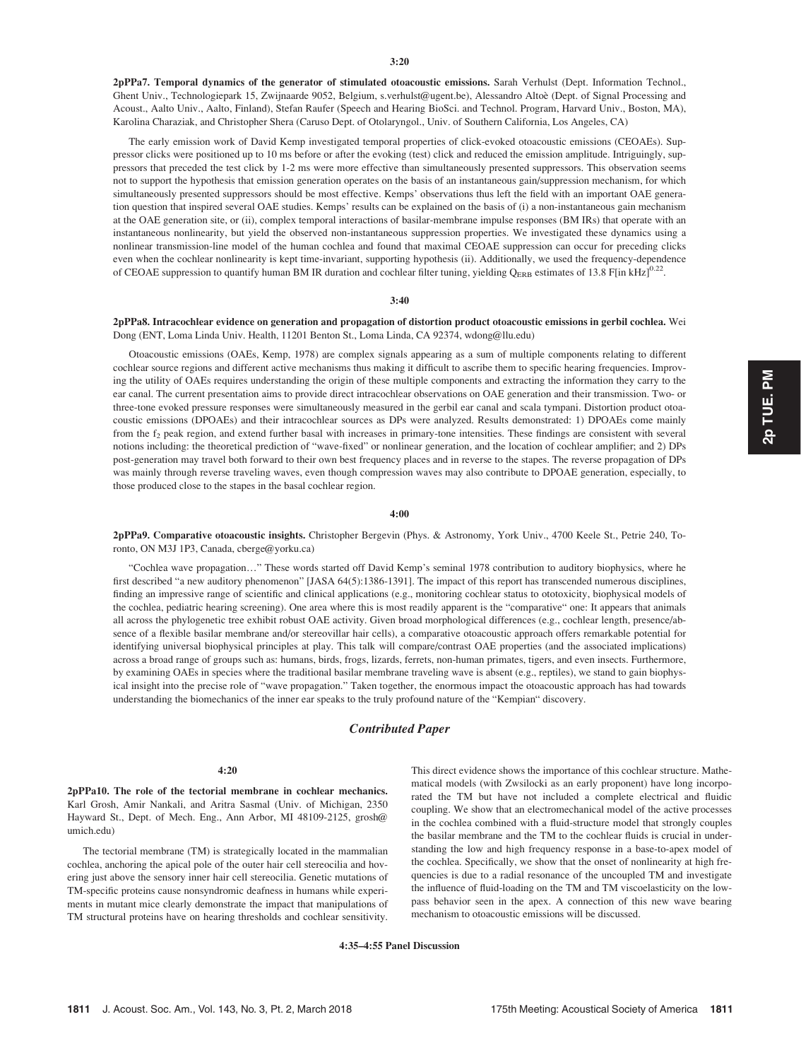2pPPa7. Temporal dynamics of the generator of stimulated otoacoustic emissions. Sarah Verhulst (Dept. Information Technol., Ghent Univ., Technologiepark 15, Zwijnaarde 9052, Belgium, s.verhulst@ugent.be), Alessandro Altoe` (Dept. of Signal Processing and Acoust., Aalto Univ., Aalto, Finland), Stefan Raufer (Speech and Hearing BioSci. and Technol. Program, Harvard Univ., Boston, MA), Karolina Charaziak, and Christopher Shera (Caruso Dept. of Otolaryngol., Univ. of Southern California, Los Angeles, CA)

The early emission work of David Kemp investigated temporal properties of click-evoked otoacoustic emissions (CEOAEs). Suppressor clicks were positioned up to 10 ms before or after the evoking (test) click and reduced the emission amplitude. Intriguingly, suppressors that preceded the test click by 1-2 ms were more effective than simultaneously presented suppressors. This observation seems not to support the hypothesis that emission generation operates on the basis of an instantaneous gain/suppression mechanism, for which simultaneously presented suppressors should be most effective. Kemps' observations thus left the field with an important OAE generation question that inspired several OAE studies. Kemps' results can be explained on the basis of (i) a non-instantaneous gain mechanism at the OAE generation site, or (ii), complex temporal interactions of basilar-membrane impulse responses (BM IRs) that operate with an instantaneous nonlinearity, but yield the observed non-instantaneous suppression properties. We investigated these dynamics using a nonlinear transmission-line model of the human cochlea and found that maximal CEOAE suppression can occur for preceding clicks even when the cochlear nonlinearity is kept time-invariant, supporting hypothesis (ii). Additionally, we used the frequency-dependence of CEOAE suppression to quantify human BM IR duration and cochlear filter tuning, yielding  $Q_{ERB}$  estimates of 13.8 F[in kHz]<sup>0.22</sup>.

#### 3:40

#### 2pPPa8. Intracochlear evidence on generation and propagation of distortion product otoacoustic emissions in gerbil cochlea. Wei Dong (ENT, Loma Linda Univ. Health, 11201 Benton St., Loma Linda, CA 92374, wdong@llu.edu)

Otoacoustic emissions (OAEs, Kemp, 1978) are complex signals appearing as a sum of multiple components relating to different cochlear source regions and different active mechanisms thus making it difficult to ascribe them to specific hearing frequencies. Improving the utility of OAEs requires understanding the origin of these multiple components and extracting the information they carry to the ear canal. The current presentation aims to provide direct intracochlear observations on OAE generation and their transmission. Two- or three-tone evoked pressure responses were simultaneously measured in the gerbil ear canal and scala tympani. Distortion product otoacoustic emissions (DPOAEs) and their intracochlear sources as DPs were analyzed. Results demonstrated: 1) DPOAEs come mainly from the f<sub>2</sub> peak region, and extend further basal with increases in primary-tone intensities. These findings are consistent with several notions including: the theoretical prediction of "wave-fixed" or nonlinear generation, and the location of cochlear amplifier; and 2) DPs post-generation may travel both forward to their own best frequency places and in reverse to the stapes. The reverse propagation of DPs was mainly through reverse traveling waves, even though compression waves may also contribute to DPOAE generation, especially, to those produced close to the stapes in the basal cochlear region.

#### 4:00

2pPPa9. Comparative otoacoustic insights. Christopher Bergevin (Phys. & Astronomy, York Univ., 4700 Keele St., Petrie 240, Toronto, ON M3J 1P3, Canada, cberge@yorku.ca)

"Cochlea wave propagation…" These words started off David Kemp's seminal 1978 contribution to auditory biophysics, where he first described "a new auditory phenomenon" [JASA 64(5):1386-1391]. The impact of this report has transcended numerous disciplines, finding an impressive range of scientific and clinical applications (e.g., monitoring cochlear status to ototoxicity, biophysical models of the cochlea, pediatric hearing screening). One area where this is most readily apparent is the "comparative" one: It appears that animals all across the phylogenetic tree exhibit robust OAE activity. Given broad morphological differences (e.g., cochlear length, presence/absence of a flexible basilar membrane and/or stereovillar hair cells), a comparative otoacoustic approach offers remarkable potential for identifying universal biophysical principles at play. This talk will compare/contrast OAE properties (and the associated implications) across a broad range of groups such as: humans, birds, frogs, lizards, ferrets, non-human primates, tigers, and even insects. Furthermore, by examining OAEs in species where the traditional basilar membrane traveling wave is absent (e.g., reptiles), we stand to gain biophysical insight into the precise role of "wave propagation." Taken together, the enormous impact the otoacoustic approach has had towards understanding the biomechanics of the inner ear speaks to the truly profound nature of the "Kempian" discovery.

#### Contributed Paper

#### 4:20

2pPPa10. The role of the tectorial membrane in cochlear mechanics. Karl Grosh, Amir Nankali, and Aritra Sasmal (Univ. of Michigan, 2350 Hayward St., Dept. of Mech. Eng., Ann Arbor, MI 48109-2125, grosh@ umich.edu)

The tectorial membrane (TM) is strategically located in the mammalian cochlea, anchoring the apical pole of the outer hair cell stereocilia and hovering just above the sensory inner hair cell stereocilia. Genetic mutations of TM-specific proteins cause nonsyndromic deafness in humans while experiments in mutant mice clearly demonstrate the impact that manipulations of TM structural proteins have on hearing thresholds and cochlear sensitivity. This direct evidence shows the importance of this cochlear structure. Mathematical models (with Zwsilocki as an early proponent) have long incorporated the TM but have not included a complete electrical and fluidic coupling. We show that an electromechanical model of the active processes in the cochlea combined with a fluid-structure model that strongly couples the basilar membrane and the TM to the cochlear fluids is crucial in understanding the low and high frequency response in a base-to-apex model of the cochlea. Specifically, we show that the onset of nonlinearity at high frequencies is due to a radial resonance of the uncoupled TM and investigate the influence of fluid-loading on the TM and TM viscoelasticity on the lowpass behavior seen in the apex. A connection of this new wave bearing mechanism to otoacoustic emissions will be discussed.

4:35–4:55 Panel Discussion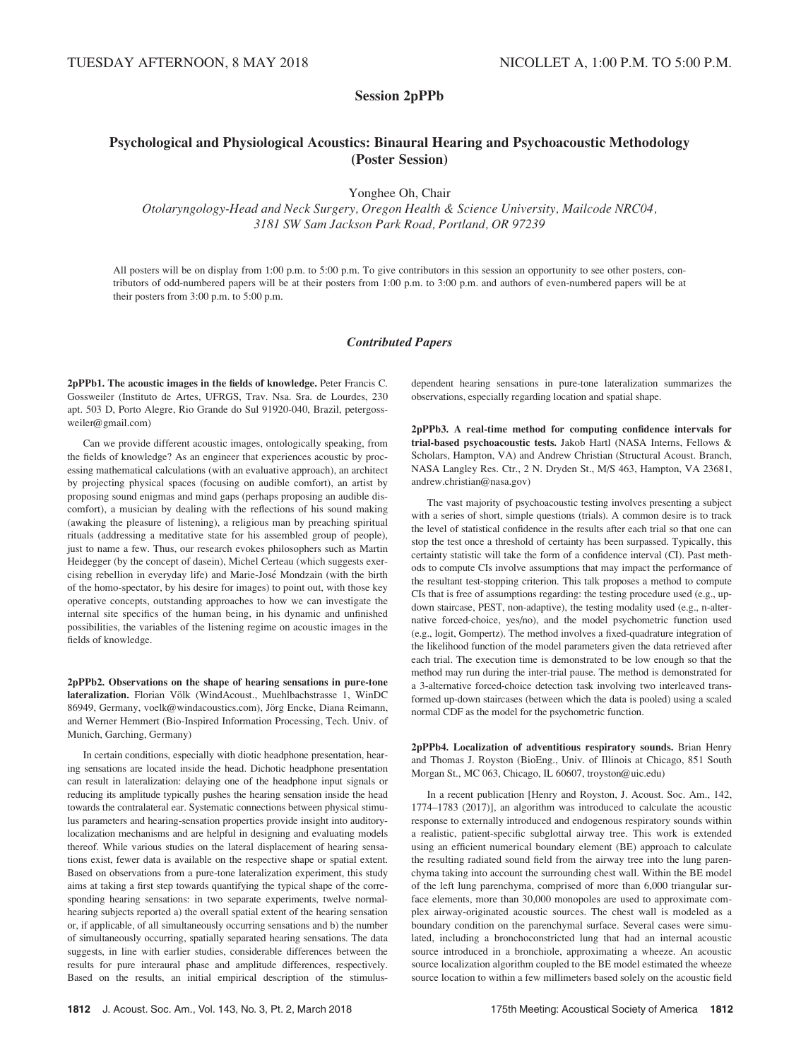Session 2pPPb

# Psychological and Physiological Acoustics: Binaural Hearing and Psychoacoustic Methodology (Poster Session)

Yonghee Oh, Chair

Otolaryngology-Head and Neck Surgery, Oregon Health & Science University, Mailcode NRC04, 3181 SW Sam Jackson Park Road, Portland, OR 97239

All posters will be on display from 1:00 p.m. to 5:00 p.m. To give contributors in this session an opportunity to see other posters, contributors of odd-numbered papers will be at their posters from 1:00 p.m. to 3:00 p.m. and authors of even-numbered papers will be at their posters from 3:00 p.m. to 5:00 p.m.

#### Contributed Papers

2pPPb1. The acoustic images in the fields of knowledge. Peter Francis C. Gossweiler (Instituto de Artes, UFRGS, Trav. Nsa. Sra. de Lourdes, 230 apt. 503 D, Porto Alegre, Rio Grande do Sul 91920-040, Brazil, petergossweiler@gmail.com)

Can we provide different acoustic images, ontologically speaking, from the fields of knowledge? As an engineer that experiences acoustic by processing mathematical calculations (with an evaluative approach), an architect by projecting physical spaces (focusing on audible comfort), an artist by proposing sound enigmas and mind gaps (perhaps proposing an audible discomfort), a musician by dealing with the reflections of his sound making (awaking the pleasure of listening), a religious man by preaching spiritual rituals (addressing a meditative state for his assembled group of people), just to name a few. Thus, our research evokes philosophers such as Martin Heidegger (by the concept of dasein), Michel Certeau (which suggests exercising rebellion in everyday life) and Marie-José Mondzain (with the birth of the homo-spectator, by his desire for images) to point out, with those key operative concepts, outstanding approaches to how we can investigate the internal site specifics of the human being, in his dynamic and unfinished possibilities, the variables of the listening regime on acoustic images in the fields of knowledge.

2pPPb2. Observations on the shape of hearing sensations in pure-tone lateralization. Florian Völk (WindAcoust., Muehlbachstrasse 1, WinDC 86949, Germany, voelk@windacoustics.com), Jörg Encke, Diana Reimann, and Werner Hemmert (Bio-Inspired Information Processing, Tech. Univ. of Munich, Garching, Germany)

In certain conditions, especially with diotic headphone presentation, hearing sensations are located inside the head. Dichotic headphone presentation can result in lateralization: delaying one of the headphone input signals or reducing its amplitude typically pushes the hearing sensation inside the head towards the contralateral ear. Systematic connections between physical stimulus parameters and hearing-sensation properties provide insight into auditorylocalization mechanisms and are helpful in designing and evaluating models thereof. While various studies on the lateral displacement of hearing sensations exist, fewer data is available on the respective shape or spatial extent. Based on observations from a pure-tone lateralization experiment, this study aims at taking a first step towards quantifying the typical shape of the corresponding hearing sensations: in two separate experiments, twelve normalhearing subjects reported a) the overall spatial extent of the hearing sensation or, if applicable, of all simultaneously occurring sensations and b) the number of simultaneously occurring, spatially separated hearing sensations. The data suggests, in line with earlier studies, considerable differences between the results for pure interaural phase and amplitude differences, respectively. Based on the results, an initial empirical description of the stimulusdependent hearing sensations in pure-tone lateralization summarizes the observations, especially regarding location and spatial shape.

2pPPb3. A real-time method for computing confidence intervals for trial-based psychoacoustic tests. Jakob Hartl (NASA Interns, Fellows & Scholars, Hampton, VA) and Andrew Christian (Structural Acoust. Branch, NASA Langley Res. Ctr., 2 N. Dryden St., M/S 463, Hampton, VA 23681, andrew.christian@nasa.gov)

The vast majority of psychoacoustic testing involves presenting a subject with a series of short, simple questions (trials). A common desire is to track the level of statistical confidence in the results after each trial so that one can stop the test once a threshold of certainty has been surpassed. Typically, this certainty statistic will take the form of a confidence interval (CI). Past methods to compute CIs involve assumptions that may impact the performance of the resultant test-stopping criterion. This talk proposes a method to compute CIs that is free of assumptions regarding: the testing procedure used (e.g., updown staircase, PEST, non-adaptive), the testing modality used (e.g., n-alternative forced-choice, yes/no), and the model psychometric function used (e.g., logit, Gompertz). The method involves a fixed-quadrature integration of the likelihood function of the model parameters given the data retrieved after each trial. The execution time is demonstrated to be low enough so that the method may run during the inter-trial pause. The method is demonstrated for a 3-alternative forced-choice detection task involving two interleaved transformed up-down staircases (between which the data is pooled) using a scaled normal CDF as the model for the psychometric function.

2pPPb4. Localization of adventitious respiratory sounds. Brian Henry and Thomas J. Royston (BioEng., Univ. of Illinois at Chicago, 851 South Morgan St., MC 063, Chicago, IL 60607, troyston@uic.edu)

In a recent publication [Henry and Royston, J. Acoust. Soc. Am., 142, 1774–1783 (2017)], an algorithm was introduced to calculate the acoustic response to externally introduced and endogenous respiratory sounds within a realistic, patient-specific subglottal airway tree. This work is extended using an efficient numerical boundary element (BE) approach to calculate the resulting radiated sound field from the airway tree into the lung parenchyma taking into account the surrounding chest wall. Within the BE model of the left lung parenchyma, comprised of more than 6,000 triangular surface elements, more than 30,000 monopoles are used to approximate complex airway-originated acoustic sources. The chest wall is modeled as a boundary condition on the parenchymal surface. Several cases were simulated, including a bronchoconstricted lung that had an internal acoustic source introduced in a bronchiole, approximating a wheeze. An acoustic source localization algorithm coupled to the BE model estimated the wheeze source location to within a few millimeters based solely on the acoustic field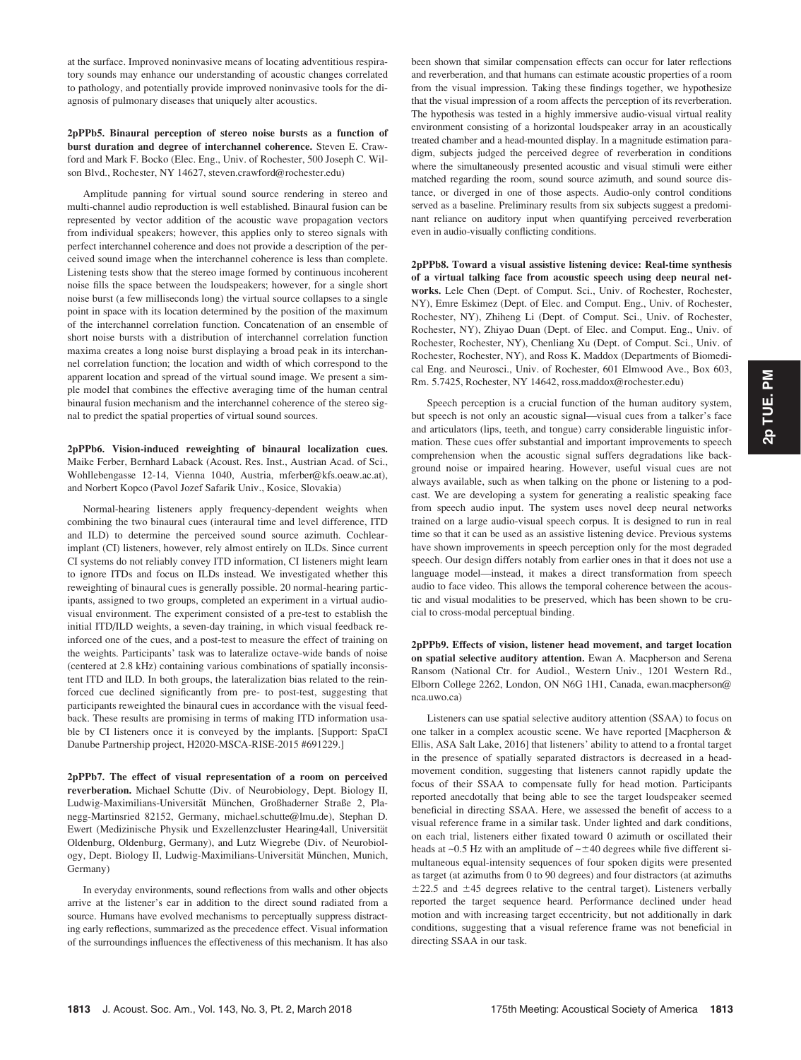at the surface. Improved noninvasive means of locating adventitious respiratory sounds may enhance our understanding of acoustic changes correlated to pathology, and potentially provide improved noninvasive tools for the diagnosis of pulmonary diseases that uniquely alter acoustics.

2pPPb5. Binaural perception of stereo noise bursts as a function of burst duration and degree of interchannel coherence. Steven E. Crawford and Mark F. Bocko (Elec. Eng., Univ. of Rochester, 500 Joseph C. Wilson Blvd., Rochester, NY 14627, steven.crawford@rochester.edu)

Amplitude panning for virtual sound source rendering in stereo and multi-channel audio reproduction is well established. Binaural fusion can be represented by vector addition of the acoustic wave propagation vectors from individual speakers; however, this applies only to stereo signals with perfect interchannel coherence and does not provide a description of the perceived sound image when the interchannel coherence is less than complete. Listening tests show that the stereo image formed by continuous incoherent noise fills the space between the loudspeakers; however, for a single short noise burst (a few milliseconds long) the virtual source collapses to a single point in space with its location determined by the position of the maximum of the interchannel correlation function. Concatenation of an ensemble of short noise bursts with a distribution of interchannel correlation function maxima creates a long noise burst displaying a broad peak in its interchannel correlation function; the location and width of which correspond to the apparent location and spread of the virtual sound image. We present a simple model that combines the effective averaging time of the human central binaural fusion mechanism and the interchannel coherence of the stereo signal to predict the spatial properties of virtual sound sources.

2pPPb6. Vision-induced reweighting of binaural localization cues. Maike Ferber, Bernhard Laback (Acoust. Res. Inst., Austrian Acad. of Sci., Wohllebengasse 12-14, Vienna 1040, Austria, mferber@kfs.oeaw.ac.at), and Norbert Kopco (Pavol Jozef Safarik Univ., Kosice, Slovakia)

Normal-hearing listeners apply frequency-dependent weights when combining the two binaural cues (interaural time and level difference, ITD and ILD) to determine the perceived sound source azimuth. Cochlearimplant (CI) listeners, however, rely almost entirely on ILDs. Since current CI systems do not reliably convey ITD information, CI listeners might learn to ignore ITDs and focus on ILDs instead. We investigated whether this reweighting of binaural cues is generally possible. 20 normal-hearing participants, assigned to two groups, completed an experiment in a virtual audiovisual environment. The experiment consisted of a pre-test to establish the initial ITD/ILD weights, a seven-day training, in which visual feedback reinforced one of the cues, and a post-test to measure the effect of training on the weights. Participants' task was to lateralize octave-wide bands of noise (centered at 2.8 kHz) containing various combinations of spatially inconsistent ITD and ILD. In both groups, the lateralization bias related to the reinforced cue declined significantly from pre- to post-test, suggesting that participants reweighted the binaural cues in accordance with the visual feedback. These results are promising in terms of making ITD information usable by CI listeners once it is conveyed by the implants. [Support: SpaCI Danube Partnership project, H2020-MSCA-RISE-2015 #691229.]

2pPPb7. The effect of visual representation of a room on perceived reverberation. Michael Schutte (Div. of Neurobiology, Dept. Biology II, Ludwig-Maximilians-Universität München, Großhaderner Straße 2, Planegg-Martinsried 82152, Germany, michael.schutte@lmu.de), Stephan D. Ewert (Medizinische Physik und Exzellenzcluster Hearing4all, Universität Oldenburg, Oldenburg, Germany), and Lutz Wiegrebe (Div. of Neurobiology, Dept. Biology II, Ludwig-Maximilians-Universität München, Munich, Germany)

In everyday environments, sound reflections from walls and other objects arrive at the listener's ear in addition to the direct sound radiated from a source. Humans have evolved mechanisms to perceptually suppress distracting early reflections, summarized as the precedence effect. Visual information of the surroundings influences the effectiveness of this mechanism. It has also been shown that similar compensation effects can occur for later reflections and reverberation, and that humans can estimate acoustic properties of a room from the visual impression. Taking these findings together, we hypothesize that the visual impression of a room affects the perception of its reverberation. The hypothesis was tested in a highly immersive audio-visual virtual reality environment consisting of a horizontal loudspeaker array in an acoustically treated chamber and a head-mounted display. In a magnitude estimation paradigm, subjects judged the perceived degree of reverberation in conditions where the simultaneously presented acoustic and visual stimuli were either matched regarding the room, sound source azimuth, and sound source distance, or diverged in one of those aspects. Audio-only control conditions served as a baseline. Preliminary results from six subjects suggest a predominant reliance on auditory input when quantifying perceived reverberation even in audio-visually conflicting conditions.

2pPPb8. Toward a visual assistive listening device: Real-time synthesis of a virtual talking face from acoustic speech using deep neural networks. Lele Chen (Dept. of Comput. Sci., Univ. of Rochester, Rochester, NY), Emre Eskimez (Dept. of Elec. and Comput. Eng., Univ. of Rochester, Rochester, NY), Zhiheng Li (Dept. of Comput. Sci., Univ. of Rochester, Rochester, NY), Zhiyao Duan (Dept. of Elec. and Comput. Eng., Univ. of Rochester, Rochester, NY), Chenliang Xu (Dept. of Comput. Sci., Univ. of Rochester, Rochester, NY), and Ross K. Maddox (Departments of Biomedical Eng. and Neurosci., Univ. of Rochester, 601 Elmwood Ave., Box 603, Rm. 5.7425, Rochester, NY 14642, ross.maddox@rochester.edu)

Speech perception is a crucial function of the human auditory system, but speech is not only an acoustic signal—visual cues from a talker's face and articulators (lips, teeth, and tongue) carry considerable linguistic information. These cues offer substantial and important improvements to speech comprehension when the acoustic signal suffers degradations like background noise or impaired hearing. However, useful visual cues are not always available, such as when talking on the phone or listening to a podcast. We are developing a system for generating a realistic speaking face from speech audio input. The system uses novel deep neural networks trained on a large audio-visual speech corpus. It is designed to run in real time so that it can be used as an assistive listening device. Previous systems have shown improvements in speech perception only for the most degraded speech. Our design differs notably from earlier ones in that it does not use a language model—instead, it makes a direct transformation from speech audio to face video. This allows the temporal coherence between the acoustic and visual modalities to be preserved, which has been shown to be crucial to cross-modal perceptual binding.

2pPPb9. Effects of vision, listener head movement, and target location on spatial selective auditory attention. Ewan A. Macpherson and Serena Ransom (National Ctr. for Audiol., Western Univ., 1201 Western Rd., Elborn College 2262, London, ON N6G 1H1, Canada, ewan.macpherson@ nca.uwo.ca)

Listeners can use spatial selective auditory attention (SSAA) to focus on one talker in a complex acoustic scene. We have reported [Macpherson & Ellis, ASA Salt Lake, 2016] that listeners' ability to attend to a frontal target in the presence of spatially separated distractors is decreased in a headmovement condition, suggesting that listeners cannot rapidly update the focus of their SSAA to compensate fully for head motion. Participants reported anecdotally that being able to see the target loudspeaker seemed beneficial in directing SSAA. Here, we assessed the benefit of access to a visual reference frame in a similar task. Under lighted and dark conditions, on each trial, listeners either fixated toward 0 azimuth or oscillated their heads at  $\sim$ 0.5 Hz with an amplitude of  $\sim$  ±40 degrees while five different simultaneous equal-intensity sequences of four spoken digits were presented as target (at azimuths from 0 to 90 degrees) and four distractors (at azimuths  $\pm$ 22.5 and  $\pm$ 45 degrees relative to the central target). Listeners verbally reported the target sequence heard. Performance declined under head motion and with increasing target eccentricity, but not additionally in dark conditions, suggesting that a visual reference frame was not beneficial in directing SSAA in our task.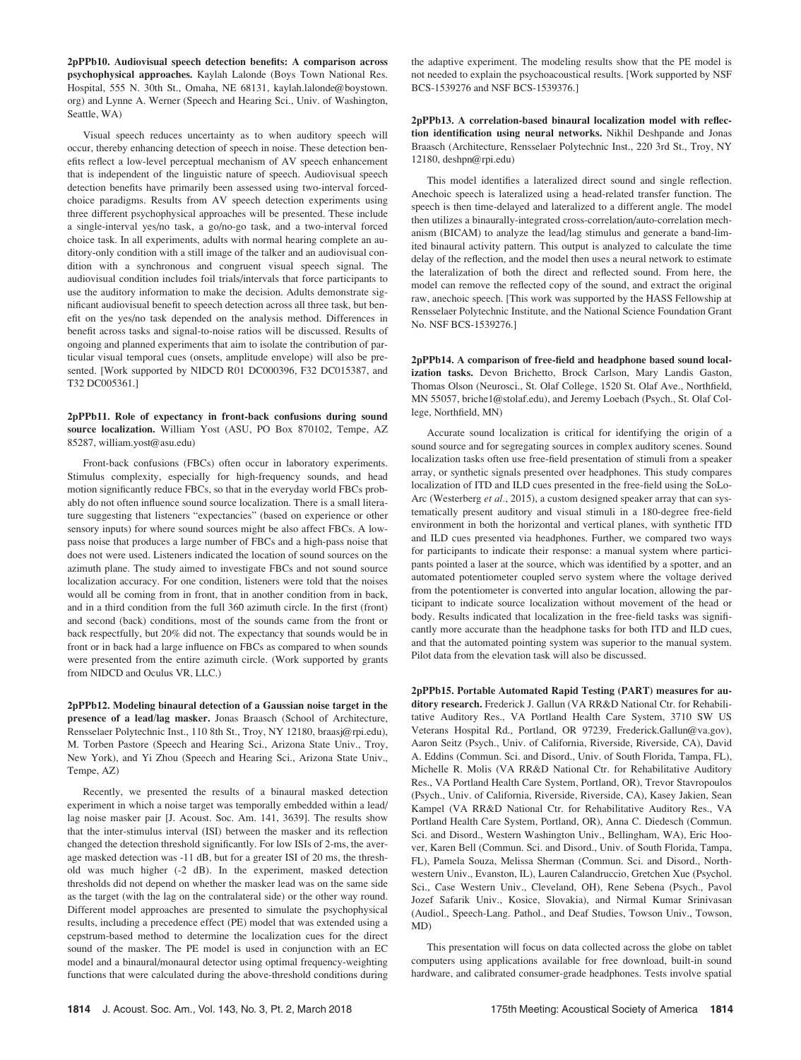2pPPb10. Audiovisual speech detection benefits: A comparison across psychophysical approaches. Kaylah Lalonde (Boys Town National Res. Hospital, 555 N. 30th St., Omaha, NE 68131, kaylah.lalonde@boystown. org) and Lynne A. Werner (Speech and Hearing Sci., Univ. of Washington, Seattle, WA)

Visual speech reduces uncertainty as to when auditory speech will occur, thereby enhancing detection of speech in noise. These detection benefits reflect a low-level perceptual mechanism of AV speech enhancement that is independent of the linguistic nature of speech. Audiovisual speech detection benefits have primarily been assessed using two-interval forcedchoice paradigms. Results from AV speech detection experiments using three different psychophysical approaches will be presented. These include a single-interval yes/no task, a go/no-go task, and a two-interval forced choice task. In all experiments, adults with normal hearing complete an auditory-only condition with a still image of the talker and an audiovisual condition with a synchronous and congruent visual speech signal. The audiovisual condition includes foil trials/intervals that force participants to use the auditory information to make the decision. Adults demonstrate significant audiovisual benefit to speech detection across all three task, but benefit on the yes/no task depended on the analysis method. Differences in benefit across tasks and signal-to-noise ratios will be discussed. Results of ongoing and planned experiments that aim to isolate the contribution of particular visual temporal cues (onsets, amplitude envelope) will also be presented. [Work supported by NIDCD R01 DC000396, F32 DC015387, and T32 DC005361.]

#### 2pPPb11. Role of expectancy in front-back confusions during sound source localization. William Yost (ASU, PO Box 870102, Tempe, AZ 85287, william.yost@asu.edu)

Front-back confusions (FBCs) often occur in laboratory experiments. Stimulus complexity, especially for high-frequency sounds, and head motion significantly reduce FBCs, so that in the everyday world FBCs probably do not often influence sound source localization. There is a small literature suggesting that listeners "expectancies" (based on experience or other sensory inputs) for where sound sources might be also affect FBCs. A lowpass noise that produces a large number of FBCs and a high-pass noise that does not were used. Listeners indicated the location of sound sources on the azimuth plane. The study aimed to investigate FBCs and not sound source localization accuracy. For one condition, listeners were told that the noises would all be coming from in front, that in another condition from in back, and in a third condition from the full 360 azimuth circle. In the first (front) and second (back) conditions, most of the sounds came from the front or back respectfully, but 20% did not. The expectancy that sounds would be in front or in back had a large influence on FBCs as compared to when sounds were presented from the entire azimuth circle. (Work supported by grants from NIDCD and Oculus VR, LLC.)

2pPPb12. Modeling binaural detection of a Gaussian noise target in the presence of a lead/lag masker. Jonas Braasch (School of Architecture, Rensselaer Polytechnic Inst., 110 8th St., Troy, NY 12180, braasj@rpi.edu), M. Torben Pastore (Speech and Hearing Sci., Arizona State Univ., Troy, New York), and Yi Zhou (Speech and Hearing Sci., Arizona State Univ., Tempe, AZ)

Recently, we presented the results of a binaural masked detection experiment in which a noise target was temporally embedded within a lead/ lag noise masker pair [J. Acoust. Soc. Am. 141, 3639]. The results show that the inter-stimulus interval (ISI) between the masker and its reflection changed the detection threshold significantly. For low ISIs of 2-ms, the average masked detection was -11 dB, but for a greater ISI of 20 ms, the threshold was much higher (-2 dB). In the experiment, masked detection thresholds did not depend on whether the masker lead was on the same side as the target (with the lag on the contralateral side) or the other way round. Different model approaches are presented to simulate the psychophysical results, including a precedence effect (PE) model that was extended using a cepstrum-based method to determine the localization cues for the direct sound of the masker. The PE model is used in conjunction with an EC model and a binaural/monaural detector using optimal frequency-weighting functions that were calculated during the above-threshold conditions during the adaptive experiment. The modeling results show that the PE model is not needed to explain the psychoacoustical results. [Work supported by NSF BCS-1539276 and NSF BCS-1539376.]

2pPPb13. A correlation-based binaural localization model with reflection identification using neural networks. Nikhil Deshpande and Jonas Braasch (Architecture, Rensselaer Polytechnic Inst., 220 3rd St., Troy, NY 12180, deshpn@rpi.edu)

This model identifies a lateralized direct sound and single reflection. Anechoic speech is lateralized using a head-related transfer function. The speech is then time-delayed and lateralized to a different angle. The model then utilizes a binaurally-integrated cross-correlation/auto-correlation mechanism (BICAM) to analyze the lead/lag stimulus and generate a band-limited binaural activity pattern. This output is analyzed to calculate the time delay of the reflection, and the model then uses a neural network to estimate the lateralization of both the direct and reflected sound. From here, the model can remove the reflected copy of the sound, and extract the original raw, anechoic speech. [This work was supported by the HASS Fellowship at Rensselaer Polytechnic Institute, and the National Science Foundation Grant No. NSF BCS-1539276.]

2pPPb14. A comparison of free-field and headphone based sound localization tasks. Devon Brichetto, Brock Carlson, Mary Landis Gaston, Thomas Olson (Neurosci., St. Olaf College, 1520 St. Olaf Ave., Northfield, MN 55057, briche1@stolaf.edu), and Jeremy Loebach (Psych., St. Olaf College, Northfield, MN)

Accurate sound localization is critical for identifying the origin of a sound source and for segregating sources in complex auditory scenes. Sound localization tasks often use free-field presentation of stimuli from a speaker array, or synthetic signals presented over headphones. This study compares localization of ITD and ILD cues presented in the free-field using the SoLo-Arc (Westerberg et al., 2015), a custom designed speaker array that can systematically present auditory and visual stimuli in a 180-degree free-field environment in both the horizontal and vertical planes, with synthetic ITD and ILD cues presented via headphones. Further, we compared two ways for participants to indicate their response: a manual system where participants pointed a laser at the source, which was identified by a spotter, and an automated potentiometer coupled servo system where the voltage derived from the potentiometer is converted into angular location, allowing the participant to indicate source localization without movement of the head or body. Results indicated that localization in the free-field tasks was significantly more accurate than the headphone tasks for both ITD and ILD cues, and that the automated pointing system was superior to the manual system. Pilot data from the elevation task will also be discussed.

2pPPb15. Portable Automated Rapid Testing (PART) measures for auditory research. Frederick J. Gallun (VA RR&D National Ctr. for Rehabilitative Auditory Res., VA Portland Health Care System, 3710 SW US Veterans Hospital Rd., Portland, OR 97239, Frederick.Gallun@va.gov), Aaron Seitz (Psych., Univ. of California, Riverside, Riverside, CA), David A. Eddins (Commun. Sci. and Disord., Univ. of South Florida, Tampa, FL), Michelle R. Molis (VA RR&D National Ctr. for Rehabilitative Auditory Res., VA Portland Health Care System, Portland, OR), Trevor Stavropoulos (Psych., Univ. of California, Riverside, Riverside, CA), Kasey Jakien, Sean Kampel (VA RR&D National Ctr. for Rehabilitative Auditory Res., VA Portland Health Care System, Portland, OR), Anna C. Diedesch (Commun. Sci. and Disord., Western Washington Univ., Bellingham, WA), Eric Hoover, Karen Bell (Commun. Sci. and Disord., Univ. of South Florida, Tampa, FL), Pamela Souza, Melissa Sherman (Commun. Sci. and Disord., Northwestern Univ., Evanston, IL), Lauren Calandruccio, Gretchen Xue (Psychol. Sci., Case Western Univ., Cleveland, OH), Rene Sebena (Psych., Pavol Jozef Safarik Univ., Kosice, Slovakia), and Nirmal Kumar Srinivasan (Audiol., Speech-Lang. Pathol., and Deaf Studies, Towson Univ., Towson, MD)

This presentation will focus on data collected across the globe on tablet computers using applications available for free download, built-in sound hardware, and calibrated consumer-grade headphones. Tests involve spatial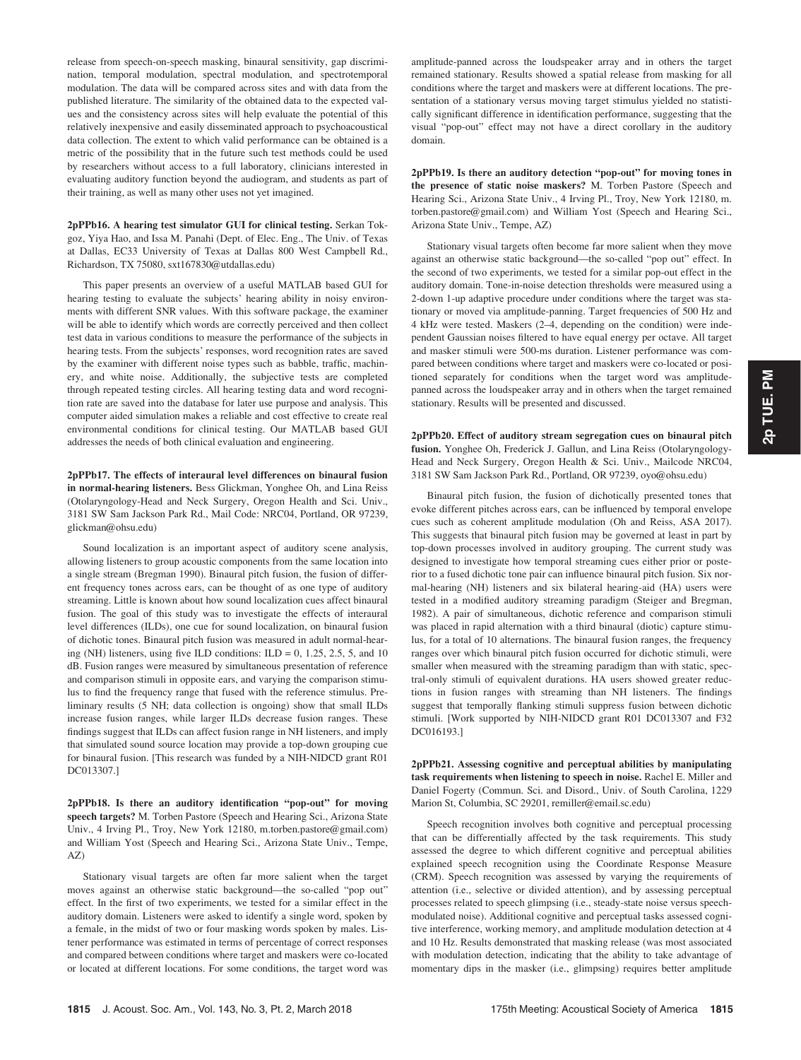release from speech-on-speech masking, binaural sensitivity, gap discrimination, temporal modulation, spectral modulation, and spectrotemporal modulation. The data will be compared across sites and with data from the published literature. The similarity of the obtained data to the expected values and the consistency across sites will help evaluate the potential of this relatively inexpensive and easily disseminated approach to psychoacoustical data collection. The extent to which valid performance can be obtained is a metric of the possibility that in the future such test methods could be used by researchers without access to a full laboratory, clinicians interested in evaluating auditory function beyond the audiogram, and students as part of their training, as well as many other uses not yet imagined.

2pPPb16. A hearing test simulator GUI for clinical testing. Serkan Tokgoz, Yiya Hao, and Issa M. Panahi (Dept. of Elec. Eng., The Univ. of Texas at Dallas, EC33 University of Texas at Dallas 800 West Campbell Rd., Richardson, TX 75080, sxt167830@utdallas.edu)

This paper presents an overview of a useful MATLAB based GUI for hearing testing to evaluate the subjects' hearing ability in noisy environments with different SNR values. With this software package, the examiner will be able to identify which words are correctly perceived and then collect test data in various conditions to measure the performance of the subjects in hearing tests. From the subjects' responses, word recognition rates are saved by the examiner with different noise types such as babble, traffic, machinery, and white noise. Additionally, the subjective tests are completed through repeated testing circles. All hearing testing data and word recognition rate are saved into the database for later use purpose and analysis. This computer aided simulation makes a reliable and cost effective to create real environmental conditions for clinical testing. Our MATLAB based GUI addresses the needs of both clinical evaluation and engineering.

2pPPb17. The effects of interaural level differences on binaural fusion in normal-hearing listeners. Bess Glickman, Yonghee Oh, and Lina Reiss (Otolaryngology-Head and Neck Surgery, Oregon Health and Sci. Univ., 3181 SW Sam Jackson Park Rd., Mail Code: NRC04, Portland, OR 97239, glickman@ohsu.edu)

Sound localization is an important aspect of auditory scene analysis, allowing listeners to group acoustic components from the same location into a single stream (Bregman 1990). Binaural pitch fusion, the fusion of different frequency tones across ears, can be thought of as one type of auditory streaming. Little is known about how sound localization cues affect binaural fusion. The goal of this study was to investigate the effects of interaural level differences (ILDs), one cue for sound localization, on binaural fusion of dichotic tones. Binaural pitch fusion was measured in adult normal-hearing (NH) listeners, using five ILD conditions:  $ILD = 0$ , 1.25, 2.5, 5, and 10 dB. Fusion ranges were measured by simultaneous presentation of reference and comparison stimuli in opposite ears, and varying the comparison stimulus to find the frequency range that fused with the reference stimulus. Preliminary results (5 NH; data collection is ongoing) show that small ILDs increase fusion ranges, while larger ILDs decrease fusion ranges. These findings suggest that ILDs can affect fusion range in NH listeners, and imply that simulated sound source location may provide a top-down grouping cue for binaural fusion. [This research was funded by a NIH-NIDCD grant R01 DC013307.]

2pPPb18. Is there an auditory identification "pop-out" for moving speech targets? M. Torben Pastore (Speech and Hearing Sci., Arizona State Univ., 4 Irving Pl., Troy, New York 12180, m.torben.pastore@gmail.com) and William Yost (Speech and Hearing Sci., Arizona State Univ., Tempe, AZ)

Stationary visual targets are often far more salient when the target moves against an otherwise static background—the so-called "pop out" effect. In the first of two experiments, we tested for a similar effect in the auditory domain. Listeners were asked to identify a single word, spoken by a female, in the midst of two or four masking words spoken by males. Listener performance was estimated in terms of percentage of correct responses and compared between conditions where target and maskers were co-located or located at different locations. For some conditions, the target word was amplitude-panned across the loudspeaker array and in others the target remained stationary. Results showed a spatial release from masking for all conditions where the target and maskers were at different locations. The presentation of a stationary versus moving target stimulus yielded no statistically significant difference in identification performance, suggesting that the visual "pop-out" effect may not have a direct corollary in the auditory domain.

2pPPb19. Is there an auditory detection "pop-out" for moving tones in the presence of static noise maskers? M. Torben Pastore (Speech and Hearing Sci., Arizona State Univ., 4 Irving Pl., Troy, New York 12180, m. torben.pastore@gmail.com) and William Yost (Speech and Hearing Sci., Arizona State Univ., Tempe, AZ)

Stationary visual targets often become far more salient when they move against an otherwise static background—the so-called "pop out" effect. In the second of two experiments, we tested for a similar pop-out effect in the auditory domain. Tone-in-noise detection thresholds were measured using a 2-down 1-up adaptive procedure under conditions where the target was stationary or moved via amplitude-panning. Target frequencies of 500 Hz and 4 kHz were tested. Maskers (2–4, depending on the condition) were independent Gaussian noises filtered to have equal energy per octave. All target and masker stimuli were 500-ms duration. Listener performance was compared between conditions where target and maskers were co-located or positioned separately for conditions when the target word was amplitudepanned across the loudspeaker array and in others when the target remained stationary. Results will be presented and discussed.

2pPPb20. Effect of auditory stream segregation cues on binaural pitch fusion. Yonghee Oh, Frederick J. Gallun, and Lina Reiss (Otolaryngology-Head and Neck Surgery, Oregon Health & Sci. Univ., Mailcode NRC04, 3181 SW Sam Jackson Park Rd., Portland, OR 97239, oyo@ohsu.edu)

Binaural pitch fusion, the fusion of dichotically presented tones that evoke different pitches across ears, can be influenced by temporal envelope cues such as coherent amplitude modulation (Oh and Reiss, ASA 2017). This suggests that binaural pitch fusion may be governed at least in part by top-down processes involved in auditory grouping. The current study was designed to investigate how temporal streaming cues either prior or posterior to a fused dichotic tone pair can influence binaural pitch fusion. Six normal-hearing (NH) listeners and six bilateral hearing-aid (HA) users were tested in a modified auditory streaming paradigm (Steiger and Bregman, 1982). A pair of simultaneous, dichotic reference and comparison stimuli was placed in rapid alternation with a third binaural (diotic) capture stimulus, for a total of 10 alternations. The binaural fusion ranges, the frequency ranges over which binaural pitch fusion occurred for dichotic stimuli, were smaller when measured with the streaming paradigm than with static, spectral-only stimuli of equivalent durations. HA users showed greater reductions in fusion ranges with streaming than NH listeners. The findings suggest that temporally flanking stimuli suppress fusion between dichotic stimuli. [Work supported by NIH-NIDCD grant R01 DC013307 and F32 DC016193.]

2pPPb21. Assessing cognitive and perceptual abilities by manipulating task requirements when listening to speech in noise. Rachel E. Miller and Daniel Fogerty (Commun. Sci. and Disord., Univ. of South Carolina, 1229 Marion St, Columbia, SC 29201, remiller@email.sc.edu)

Speech recognition involves both cognitive and perceptual processing that can be differentially affected by the task requirements. This study assessed the degree to which different cognitive and perceptual abilities explained speech recognition using the Coordinate Response Measure (CRM). Speech recognition was assessed by varying the requirements of attention (i.e., selective or divided attention), and by assessing perceptual processes related to speech glimpsing (i.e., steady-state noise versus speechmodulated noise). Additional cognitive and perceptual tasks assessed cognitive interference, working memory, and amplitude modulation detection at 4 and 10 Hz. Results demonstrated that masking release (was most associated with modulation detection, indicating that the ability to take advantage of momentary dips in the masker (i.e., glimpsing) requires better amplitude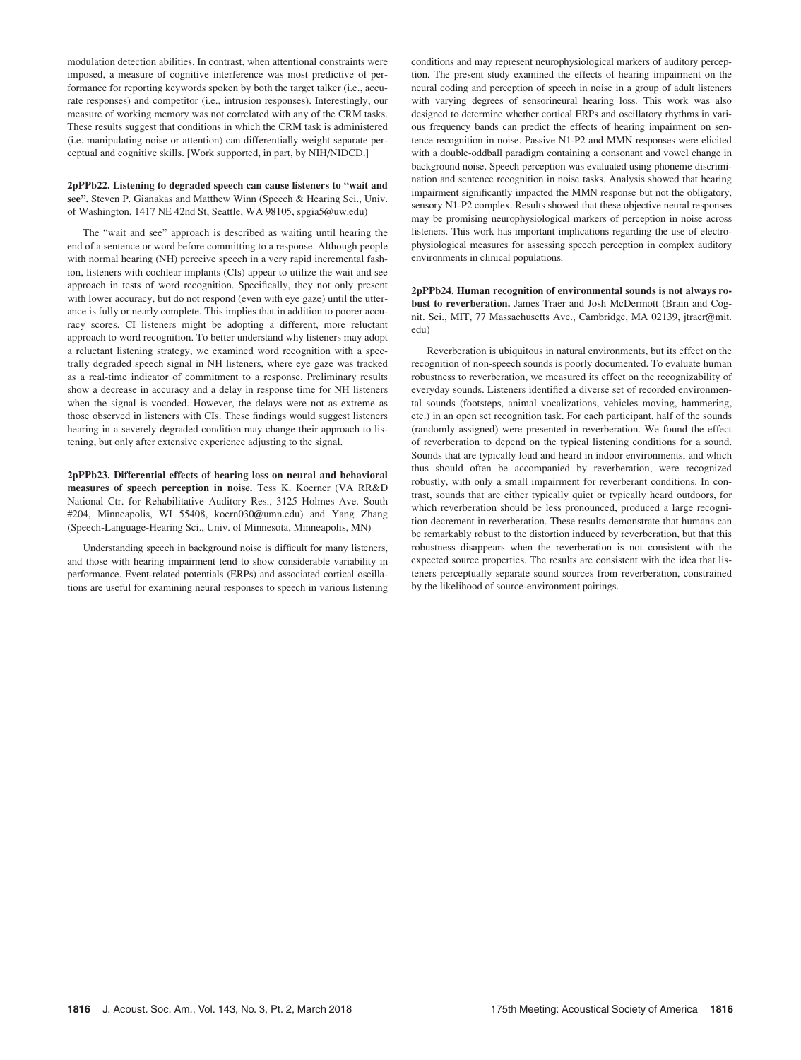modulation detection abilities. In contrast, when attentional constraints were imposed, a measure of cognitive interference was most predictive of performance for reporting keywords spoken by both the target talker (i.e., accurate responses) and competitor (i.e., intrusion responses). Interestingly, our measure of working memory was not correlated with any of the CRM tasks. These results suggest that conditions in which the CRM task is administered (i.e. manipulating noise or attention) can differentially weight separate perceptual and cognitive skills. [Work supported, in part, by NIH/NIDCD.]

#### 2pPPb22. Listening to degraded speech can cause listeners to "wait and see". Steven P. Gianakas and Matthew Winn (Speech & Hearing Sci., Univ. of Washington, 1417 NE 42nd St, Seattle, WA 98105, spgia5@uw.edu)

The "wait and see" approach is described as waiting until hearing the end of a sentence or word before committing to a response. Although people with normal hearing (NH) perceive speech in a very rapid incremental fashion, listeners with cochlear implants (CIs) appear to utilize the wait and see approach in tests of word recognition. Specifically, they not only present with lower accuracy, but do not respond (even with eye gaze) until the utterance is fully or nearly complete. This implies that in addition to poorer accuracy scores, CI listeners might be adopting a different, more reluctant approach to word recognition. To better understand why listeners may adopt a reluctant listening strategy, we examined word recognition with a spectrally degraded speech signal in NH listeners, where eye gaze was tracked as a real-time indicator of commitment to a response. Preliminary results show a decrease in accuracy and a delay in response time for NH listeners when the signal is vocoded. However, the delays were not as extreme as those observed in listeners with CIs. These findings would suggest listeners hearing in a severely degraded condition may change their approach to listening, but only after extensive experience adjusting to the signal.

2pPPb23. Differential effects of hearing loss on neural and behavioral measures of speech perception in noise. Tess K. Koerner (VA RR&D National Ctr. for Rehabilitative Auditory Res., 3125 Holmes Ave. South #204, Minneapolis, WI 55408, koern030@umn.edu) and Yang Zhang (Speech-Language-Hearing Sci., Univ. of Minnesota, Minneapolis, MN)

Understanding speech in background noise is difficult for many listeners, and those with hearing impairment tend to show considerable variability in performance. Event-related potentials (ERPs) and associated cortical oscillations are useful for examining neural responses to speech in various listening conditions and may represent neurophysiological markers of auditory perception. The present study examined the effects of hearing impairment on the neural coding and perception of speech in noise in a group of adult listeners with varying degrees of sensorineural hearing loss. This work was also designed to determine whether cortical ERPs and oscillatory rhythms in various frequency bands can predict the effects of hearing impairment on sentence recognition in noise. Passive N1-P2 and MMN responses were elicited with a double-oddball paradigm containing a consonant and vowel change in background noise. Speech perception was evaluated using phoneme discrimination and sentence recognition in noise tasks. Analysis showed that hearing impairment significantly impacted the MMN response but not the obligatory, sensory N1-P2 complex. Results showed that these objective neural responses may be promising neurophysiological markers of perception in noise across listeners. This work has important implications regarding the use of electrophysiological measures for assessing speech perception in complex auditory environments in clinical populations.

2pPPb24. Human recognition of environmental sounds is not always robust to reverberation. James Traer and Josh McDermott (Brain and Cognit. Sci., MIT, 77 Massachusetts Ave., Cambridge, MA 02139, jtraer@mit. edu)

Reverberation is ubiquitous in natural environments, but its effect on the recognition of non-speech sounds is poorly documented. To evaluate human robustness to reverberation, we measured its effect on the recognizability of everyday sounds. Listeners identified a diverse set of recorded environmental sounds (footsteps, animal vocalizations, vehicles moving, hammering, etc.) in an open set recognition task. For each participant, half of the sounds (randomly assigned) were presented in reverberation. We found the effect of reverberation to depend on the typical listening conditions for a sound. Sounds that are typically loud and heard in indoor environments, and which thus should often be accompanied by reverberation, were recognized robustly, with only a small impairment for reverberant conditions. In contrast, sounds that are either typically quiet or typically heard outdoors, for which reverberation should be less pronounced, produced a large recognition decrement in reverberation. These results demonstrate that humans can be remarkably robust to the distortion induced by reverberation, but that this robustness disappears when the reverberation is not consistent with the expected source properties. The results are consistent with the idea that listeners perceptually separate sound sources from reverberation, constrained by the likelihood of source-environment pairings.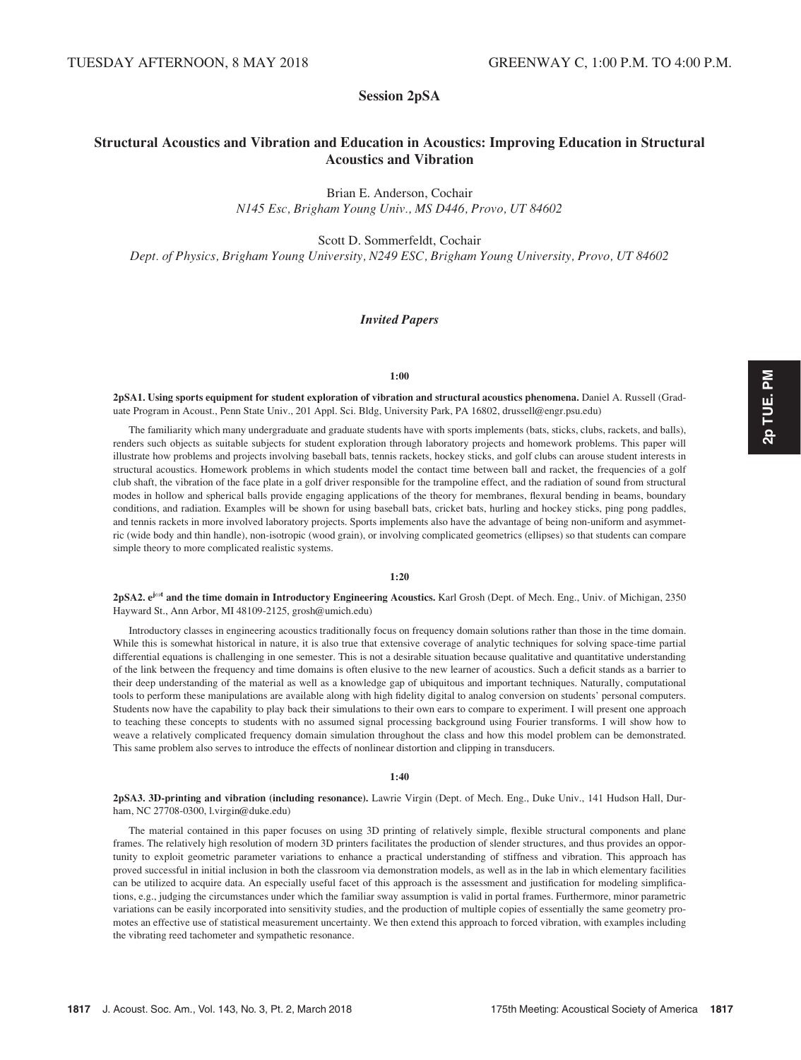# Session 2pSA

# Structural Acoustics and Vibration and Education in Acoustics: Improving Education in Structural Acoustics and Vibration

Brian E. Anderson, Cochair N145 Esc, Brigham Young Univ., MS D446, Provo, UT 84602

Scott D. Sommerfeldt, Cochair

Dept. of Physics, Brigham Young University, N249 ESC, Brigham Young University, Provo, UT 84602

#### Invited Papers

#### 1:00

2pSA1. Using sports equipment for student exploration of vibration and structural acoustics phenomena. Daniel A. Russell (Graduate Program in Acoust., Penn State Univ., 201 Appl. Sci. Bldg, University Park, PA 16802, drussell@engr.psu.edu)

The familiarity which many undergraduate and graduate students have with sports implements (bats, sticks, clubs, rackets, and balls), renders such objects as suitable subjects for student exploration through laboratory projects and homework problems. This paper will illustrate how problems and projects involving baseball bats, tennis rackets, hockey sticks, and golf clubs can arouse student interests in structural acoustics. Homework problems in which students model the contact time between ball and racket, the frequencies of a golf club shaft, the vibration of the face plate in a golf driver responsible for the trampoline effect, and the radiation of sound from structural modes in hollow and spherical balls provide engaging applications of the theory for membranes, flexural bending in beams, boundary conditions, and radiation. Examples will be shown for using baseball bats, cricket bats, hurling and hockey sticks, ping pong paddles, and tennis rackets in more involved laboratory projects. Sports implements also have the advantage of being non-uniform and asymmetric (wide body and thin handle), non-isotropic (wood grain), or involving complicated geometrics (ellipses) so that students can compare simple theory to more complicated realistic systems.

#### 1:20

2pSA2. e<sup>jot</sup> and the time domain in Introductory Engineering Acoustics. Karl Grosh (Dept. of Mech. Eng., Univ. of Michigan, 2350) Hayward St., Ann Arbor, MI 48109-2125, grosh@umich.edu)

Introductory classes in engineering acoustics traditionally focus on frequency domain solutions rather than those in the time domain. While this is somewhat historical in nature, it is also true that extensive coverage of analytic techniques for solving space-time partial differential equations is challenging in one semester. This is not a desirable situation because qualitative and quantitative understanding of the link between the frequency and time domains is often elusive to the new learner of acoustics. Such a deficit stands as a barrier to their deep understanding of the material as well as a knowledge gap of ubiquitous and important techniques. Naturally, computational tools to perform these manipulations are available along with high fidelity digital to analog conversion on students' personal computers. Students now have the capability to play back their simulations to their own ears to compare to experiment. I will present one approach to teaching these concepts to students with no assumed signal processing background using Fourier transforms. I will show how to weave a relatively complicated frequency domain simulation throughout the class and how this model problem can be demonstrated. This same problem also serves to introduce the effects of nonlinear distortion and clipping in transducers.

#### 1:40

2pSA3. 3D-printing and vibration (including resonance). Lawrie Virgin (Dept. of Mech. Eng., Duke Univ., 141 Hudson Hall, Durham, NC 27708-0300, l.virgin@duke.edu)

The material contained in this paper focuses on using 3D printing of relatively simple, flexible structural components and plane frames. The relatively high resolution of modern 3D printers facilitates the production of slender structures, and thus provides an opportunity to exploit geometric parameter variations to enhance a practical understanding of stiffness and vibration. This approach has proved successful in initial inclusion in both the classroom via demonstration models, as well as in the lab in which elementary facilities can be utilized to acquire data. An especially useful facet of this approach is the assessment and justification for modeling simplifications, e.g., judging the circumstances under which the familiar sway assumption is valid in portal frames. Furthermore, minor parametric variations can be easily incorporated into sensitivity studies, and the production of multiple copies of essentially the same geometry promotes an effective use of statistical measurement uncertainty. We then extend this approach to forced vibration, with examples including the vibrating reed tachometer and sympathetic resonance.

2p TUE. PM 2p TUE. PM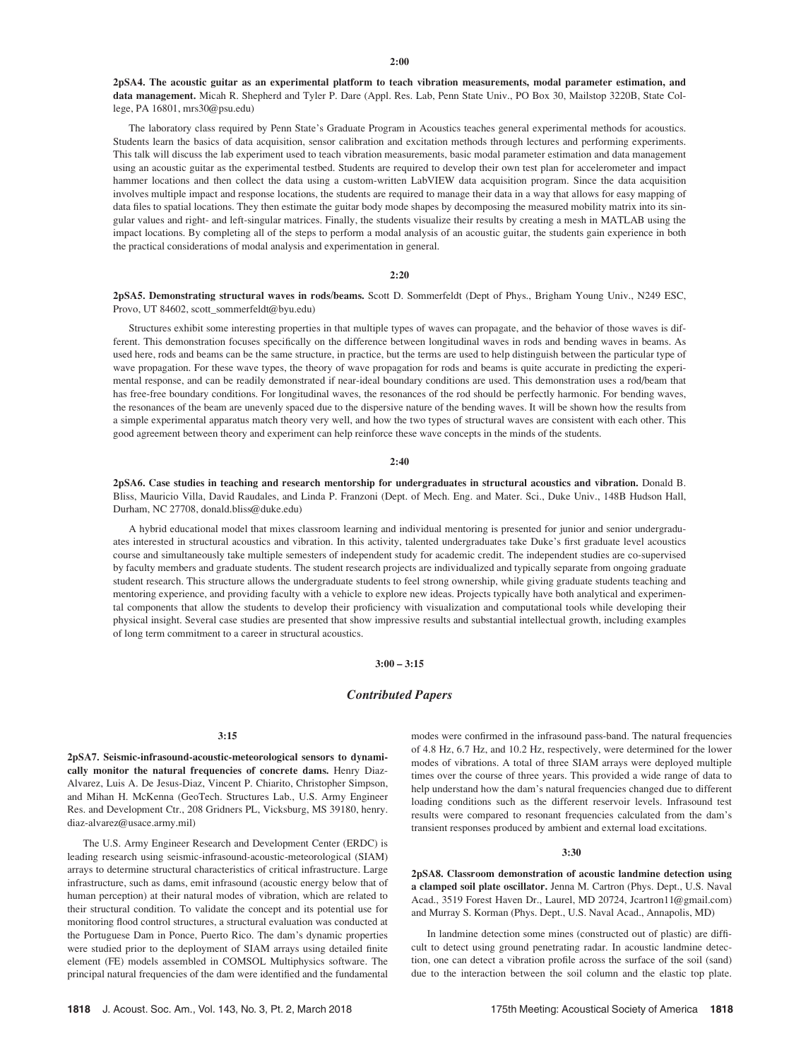#### $2:00$

2pSA4. The acoustic guitar as an experimental platform to teach vibration measurements, modal parameter estimation, and data management. Micah R. Shepherd and Tyler P. Dare (Appl. Res. Lab, Penn State Univ., PO Box 30, Mailstop 3220B, State College, PA 16801, mrs30@psu.edu)

The laboratory class required by Penn State's Graduate Program in Acoustics teaches general experimental methods for acoustics. Students learn the basics of data acquisition, sensor calibration and excitation methods through lectures and performing experiments. This talk will discuss the lab experiment used to teach vibration measurements, basic modal parameter estimation and data management using an acoustic guitar as the experimental testbed. Students are required to develop their own test plan for accelerometer and impact hammer locations and then collect the data using a custom-written LabVIEW data acquisition program. Since the data acquisition involves multiple impact and response locations, the students are required to manage their data in a way that allows for easy mapping of data files to spatial locations. They then estimate the guitar body mode shapes by decomposing the measured mobility matrix into its singular values and right- and left-singular matrices. Finally, the students visualize their results by creating a mesh in MATLAB using the impact locations. By completing all of the steps to perform a modal analysis of an acoustic guitar, the students gain experience in both the practical considerations of modal analysis and experimentation in general.

#### 2:20

2pSA5. Demonstrating structural waves in rods/beams. Scott D. Sommerfeldt (Dept of Phys., Brigham Young Univ., N249 ESC, Provo, UT 84602, scott\_sommerfeldt@byu.edu)

Structures exhibit some interesting properties in that multiple types of waves can propagate, and the behavior of those waves is different. This demonstration focuses specifically on the difference between longitudinal waves in rods and bending waves in beams. As used here, rods and beams can be the same structure, in practice, but the terms are used to help distinguish between the particular type of wave propagation. For these wave types, the theory of wave propagation for rods and beams is quite accurate in predicting the experimental response, and can be readily demonstrated if near-ideal boundary conditions are used. This demonstration uses a rod/beam that has free-free boundary conditions. For longitudinal waves, the resonances of the rod should be perfectly harmonic. For bending waves, the resonances of the beam are unevenly spaced due to the dispersive nature of the bending waves. It will be shown how the results from a simple experimental apparatus match theory very well, and how the two types of structural waves are consistent with each other. This good agreement between theory and experiment can help reinforce these wave concepts in the minds of the students.

#### 2:40

2pSA6. Case studies in teaching and research mentorship for undergraduates in structural acoustics and vibration. Donald B. Bliss, Mauricio Villa, David Raudales, and Linda P. Franzoni (Dept. of Mech. Eng. and Mater. Sci., Duke Univ., 148B Hudson Hall, Durham, NC 27708, donald.bliss@duke.edu)

A hybrid educational model that mixes classroom learning and individual mentoring is presented for junior and senior undergraduates interested in structural acoustics and vibration. In this activity, talented undergraduates take Duke's first graduate level acoustics course and simultaneously take multiple semesters of independent study for academic credit. The independent studies are co-supervised by faculty members and graduate students. The student research projects are individualized and typically separate from ongoing graduate student research. This structure allows the undergraduate students to feel strong ownership, while giving graduate students teaching and mentoring experience, and providing faculty with a vehicle to explore new ideas. Projects typically have both analytical and experimental components that allow the students to develop their proficiency with visualization and computational tools while developing their physical insight. Several case studies are presented that show impressive results and substantial intellectual growth, including examples of long term commitment to a career in structural acoustics.

#### $3:00 - 3:15$

### Contributed Papers

#### 3:15

2pSA7. Seismic-infrasound-acoustic-meteorological sensors to dynamically monitor the natural frequencies of concrete dams. Henry Diaz-Alvarez, Luis A. De Jesus-Diaz, Vincent P. Chiarito, Christopher Simpson, and Mihan H. McKenna (GeoTech. Structures Lab., U.S. Army Engineer Res. and Development Ctr., 208 Gridners PL, Vicksburg, MS 39180, henry. diaz-alvarez@usace.army.mil)

The U.S. Army Engineer Research and Development Center (ERDC) is leading research using seismic-infrasound-acoustic-meteorological (SIAM) arrays to determine structural characteristics of critical infrastructure. Large infrastructure, such as dams, emit infrasound (acoustic energy below that of human perception) at their natural modes of vibration, which are related to their structural condition. To validate the concept and its potential use for monitoring flood control structures, a structural evaluation was conducted at the Portuguese Dam in Ponce, Puerto Rico. The dam's dynamic properties were studied prior to the deployment of SIAM arrays using detailed finite element (FE) models assembled in COMSOL Multiphysics software. The principal natural frequencies of the dam were identified and the fundamental modes were confirmed in the infrasound pass-band. The natural frequencies of 4.8 Hz, 6.7 Hz, and 10.2 Hz, respectively, were determined for the lower modes of vibrations. A total of three SIAM arrays were deployed multiple times over the course of three years. This provided a wide range of data to help understand how the dam's natural frequencies changed due to different loading conditions such as the different reservoir levels. Infrasound test results were compared to resonant frequencies calculated from the dam's transient responses produced by ambient and external load excitations.

#### 3:30

2pSA8. Classroom demonstration of acoustic landmine detection using a clamped soil plate oscillator. Jenna M. Cartron (Phys. Dept., U.S. Naval Acad., 3519 Forest Haven Dr., Laurel, MD 20724, Jcartron11@gmail.com) and Murray S. Korman (Phys. Dept., U.S. Naval Acad., Annapolis, MD)

In landmine detection some mines (constructed out of plastic) are difficult to detect using ground penetrating radar. In acoustic landmine detection, one can detect a vibration profile across the surface of the soil (sand) due to the interaction between the soil column and the elastic top plate.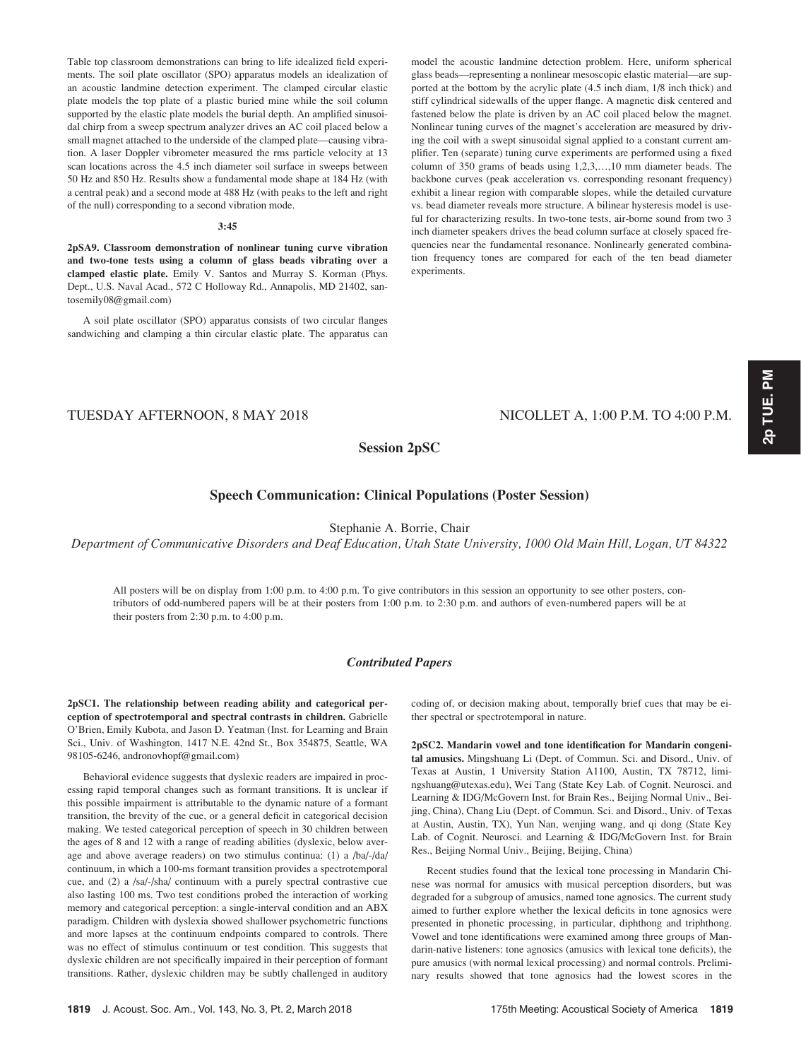Table top classroom demonstrations can bring to life idealized field experiments. The soil plate oscillator (SPO) apparatus models an idealization of an acoustic landmine detection experiment. The clamped circular elastic plate models the top plate of a plastic buried mine while the soil column supported by the elastic plate models the burial depth. An amplified sinusoidal chirp from a sweep spectrum analyzer drives an AC coil placed below a small magnet attached to the underside of the clamped plate—causing vibration. A laser Doppler vibrometer measured the rms particle velocity at 13 scan locations across the 4.5 inch diameter soil surface in sweeps between 50 Hz and 850 Hz. Results show a fundamental mode shape at 184 Hz (with a central peak) and a second mode at 488 Hz (with peaks to the left and right of the null) corresponding to a second vibration mode.

#### 3:45

2pSA9. Classroom demonstration of nonlinear tuning curve vibration and two-tone tests using a column of glass beads vibrating over a clamped elastic plate. Emily V. Santos and Murray S. Korman (Phys. Dept., U.S. Naval Acad., 572 C Holloway Rd., Annapolis, MD 21402, santosemily08@gmail.com)

A soil plate oscillator (SPO) apparatus consists of two circular flanges sandwiching and clamping a thin circular elastic plate. The apparatus can model the acoustic landmine detection problem. Here, uniform spherical glass beads—representing a nonlinear mesoscopic elastic material—are supported at the bottom by the acrylic plate (4.5 inch diam, 1/8 inch thick) and stiff cylindrical sidewalls of the upper flange. A magnetic disk centered and fastened below the plate is driven by an AC coil placed below the magnet. Nonlinear tuning curves of the magnet's acceleration are measured by driving the coil with a swept sinusoidal signal applied to a constant current amplifier. Ten (separate) tuning curve experiments are performed using a fixed column of 350 grams of beads using 1,2,3,…,10 mm diameter beads. The backbone curves (peak acceleration vs. corresponding resonant frequency) exhibit a linear region with comparable slopes, while the detailed curvature vs. bead diameter reveals more structure. A bilinear hysteresis model is useful for characterizing results. In two-tone tests, air-borne sound from two 3 inch diameter speakers drives the bead column surface at closely spaced frequencies near the fundamental resonance. Nonlinearly generated combination frequency tones are compared for each of the ten bead diameter experiments.

# TUESDAY AFTERNOON, 8 MAY 2018 NICOLLET A, 1:00 P.M. TO 4:00 P.M.

# Session 2pSC

# Speech Communication: Clinical Populations (Poster Session)

# Stephanie A. Borrie, Chair

Department of Communicative Disorders and Deaf Education, Utah State University, 1000 Old Main Hill, Logan, UT 84322

All posters will be on display from 1:00 p.m. to 4:00 p.m. To give contributors in this session an opportunity to see other posters, contributors of odd-numbered papers will be at their posters from 1:00 p.m. to 2:30 p.m. and authors of even-numbered papers will be at their posters from 2:30 p.m. to 4:00 p.m.

# Contributed Papers

2pSC1. The relationship between reading ability and categorical perception of spectrotemporal and spectral contrasts in children. Gabrielle O'Brien, Emily Kubota, and Jason D. Yeatman (Inst. for Learning and Brain Sci., Univ. of Washington, 1417 N.E. 42nd St., Box 354875, Seattle, WA 98105-6246, andronovhopf@gmail.com)

Behavioral evidence suggests that dyslexic readers are impaired in processing rapid temporal changes such as formant transitions. It is unclear if this possible impairment is attributable to the dynamic nature of a formant transition, the brevity of the cue, or a general deficit in categorical decision making. We tested categorical perception of speech in 30 children between the ages of 8 and 12 with a range of reading abilities (dyslexic, below average and above average readers) on two stimulus continua: (1) a /ba/-/da/ continuum, in which a 100-ms formant transition provides a spectrotemporal cue, and (2) a /sa/-/sha/ continuum with a purely spectral contrastive cue also lasting 100 ms. Two test conditions probed the interaction of working memory and categorical perception: a single-interval condition and an ABX paradigm. Children with dyslexia showed shallower psychometric functions and more lapses at the continuum endpoints compared to controls. There was no effect of stimulus continuum or test condition. This suggests that dyslexic children are not specifically impaired in their perception of formant transitions. Rather, dyslexic children may be subtly challenged in auditory coding of, or decision making about, temporally brief cues that may be either spectral or spectrotemporal in nature.

2pSC2. Mandarin vowel and tone identification for Mandarin congenital amusics. Mingshuang Li (Dept. of Commun. Sci. and Disord., Univ. of Texas at Austin, 1 University Station A1100, Austin, TX 78712, limingshuang@utexas.edu), Wei Tang (State Key Lab. of Cognit. Neurosci. and Learning & IDG/McGovern Inst. for Brain Res., Beijing Normal Univ., Beijing, China), Chang Liu (Dept. of Commun. Sci. and Disord., Univ. of Texas at Austin, Austin, TX), Yun Nan, wenjing wang, and qi dong (State Key Lab. of Cognit. Neurosci. and Learning & IDG/McGovern Inst. for Brain Res., Beijing Normal Univ., Beijing, Beijing, China)

Recent studies found that the lexical tone processing in Mandarin Chinese was normal for amusics with musical perception disorders, but was degraded for a subgroup of amusics, named tone agnosics. The current study aimed to further explore whether the lexical deficits in tone agnosics were presented in phonetic processing, in particular, diphthong and triphthong. Vowel and tone identifications were examined among three groups of Mandarin-native listeners: tone agnosics (amusics with lexical tone deficits), the pure amusics (with normal lexical processing) and normal controls. Preliminary results showed that tone agnosics had the lowest scores in the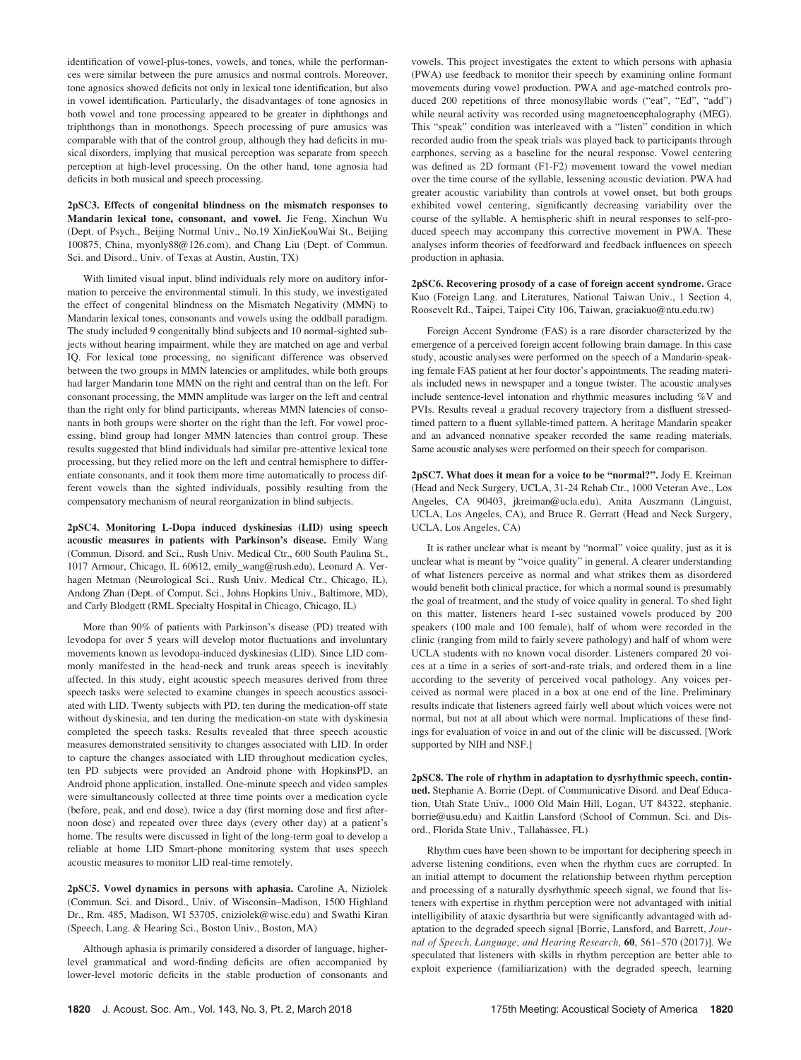identification of vowel-plus-tones, vowels, and tones, while the performances were similar between the pure amusics and normal controls. Moreover, tone agnosics showed deficits not only in lexical tone identification, but also in vowel identification. Particularly, the disadvantages of tone agnosics in both vowel and tone processing appeared to be greater in diphthongs and triphthongs than in monothongs. Speech processing of pure amusics was comparable with that of the control group, although they had deficits in musical disorders, implying that musical perception was separate from speech perception at high-level processing. On the other hand, tone agnosia had deficits in both musical and speech processing.

2pSC3. Effects of congenital blindness on the mismatch responses to Mandarin lexical tone, consonant, and vowel. Jie Feng, Xinchun Wu (Dept. of Psych., Beijing Normal Univ., No.19 XinJieKouWai St., Beijing 100875, China, myonly88@126.com), and Chang Liu (Dept. of Commun. Sci. and Disord., Univ. of Texas at Austin, Austin, TX)

With limited visual input, blind individuals rely more on auditory information to perceive the environmental stimuli. In this study, we investigated the effect of congenital blindness on the Mismatch Negativity (MMN) to Mandarin lexical tones, consonants and vowels using the oddball paradigm. The study included 9 congenitally blind subjects and 10 normal-sighted subjects without hearing impairment, while they are matched on age and verbal IQ. For lexical tone processing, no significant difference was observed between the two groups in MMN latencies or amplitudes, while both groups had larger Mandarin tone MMN on the right and central than on the left. For consonant processing, the MMN amplitude was larger on the left and central than the right only for blind participants, whereas MMN latencies of consonants in both groups were shorter on the right than the left. For vowel processing, blind group had longer MMN latencies than control group. These results suggested that blind individuals had similar pre-attentive lexical tone processing, but they relied more on the left and central hemisphere to differentiate consonants, and it took them more time automatically to process different vowels than the sighted individuals, possibly resulting from the compensatory mechanism of neural reorganization in blind subjects.

2pSC4. Monitoring L-Dopa induced dyskinesias (LID) using speech acoustic measures in patients with Parkinson's disease. Emily Wang (Commun. Disord. and Sci., Rush Univ. Medical Ctr., 600 South Paulina St., 1017 Armour, Chicago, IL 60612, emily\_wang@rush.edu), Leonard A. Verhagen Metman (Neurological Sci., Rush Univ. Medical Ctr., Chicago, IL), Andong Zhan (Dept. of Comput. Sci., Johns Hopkins Univ., Baltimore, MD), and Carly Blodgett (RML Specialty Hospital in Chicago, Chicago, IL)

More than 90% of patients with Parkinson's disease (PD) treated with levodopa for over 5 years will develop motor fluctuations and involuntary movements known as levodopa-induced dyskinesias (LID). Since LID commonly manifested in the head-neck and trunk areas speech is inevitably affected. In this study, eight acoustic speech measures derived from three speech tasks were selected to examine changes in speech acoustics associated with LID. Twenty subjects with PD, ten during the medication-off state without dyskinesia, and ten during the medication-on state with dyskinesia completed the speech tasks. Results revealed that three speech acoustic measures demonstrated sensitivity to changes associated with LID. In order to capture the changes associated with LID throughout medication cycles, ten PD subjects were provided an Android phone with HopkinsPD, an Android phone application, installed. One-minute speech and video samples were simultaneously collected at three time points over a medication cycle (before, peak, and end dose), twice a day (first morning dose and first afternoon dose) and repeated over three days (every other day) at a patient's home. The results were discussed in light of the long-term goal to develop a reliable at home LID Smart-phone monitoring system that uses speech acoustic measures to monitor LID real-time remotely.

2pSC5. Vowel dynamics in persons with aphasia. Caroline A. Niziolek (Commun. Sci. and Disord., Univ. of Wisconsin–Madison, 1500 Highland Dr., Rm. 485, Madison, WI 53705, cniziolek@wisc.edu) and Swathi Kiran (Speech, Lang. & Hearing Sci., Boston Univ., Boston, MA)

Although aphasia is primarily considered a disorder of language, higherlevel grammatical and word-finding deficits are often accompanied by lower-level motoric deficits in the stable production of consonants and vowels. This project investigates the extent to which persons with aphasia (PWA) use feedback to monitor their speech by examining online formant movements during vowel production. PWA and age-matched controls produced 200 repetitions of three monosyllabic words ("eat", "Ed", "add") while neural activity was recorded using magnetoencephalography (MEG). This "speak" condition was interleaved with a "listen" condition in which recorded audio from the speak trials was played back to participants through earphones, serving as a baseline for the neural response. Vowel centering was defined as 2D formant (F1-F2) movement toward the vowel median over the time course of the syllable, lessening acoustic deviation. PWA had greater acoustic variability than controls at vowel onset, but both groups exhibited vowel centering, significantly decreasing variability over the course of the syllable. A hemispheric shift in neural responses to self-produced speech may accompany this corrective movement in PWA. These analyses inform theories of feedforward and feedback influences on speech production in aphasia.

2pSC6. Recovering prosody of a case of foreign accent syndrome. Grace Kuo (Foreign Lang. and Literatures, National Taiwan Univ., 1 Section 4, Roosevelt Rd., Taipei, Taipei City 106, Taiwan, graciakuo@ntu.edu.tw)

Foreign Accent Syndrome (FAS) is a rare disorder characterized by the emergence of a perceived foreign accent following brain damage. In this case study, acoustic analyses were performed on the speech of a Mandarin-speaking female FAS patient at her four doctor's appointments. The reading materials included news in newspaper and a tongue twister. The acoustic analyses include sentence-level intonation and rhythmic measures including %V and PVIs. Results reveal a gradual recovery trajectory from a disfluent stressedtimed pattern to a fluent syllable-timed pattern. A heritage Mandarin speaker and an advanced nonnative speaker recorded the same reading materials. Same acoustic analyses were performed on their speech for comparison.

2pSC7. What does it mean for a voice to be "normal?". Jody E. Kreiman (Head and Neck Surgery, UCLA, 31-24 Rehab Ctr., 1000 Veteran Ave., Los Angeles, CA 90403, jkreiman@ucla.edu), Anita Auszmann (Linguist, UCLA, Los Angeles, CA), and Bruce R. Gerratt (Head and Neck Surgery, UCLA, Los Angeles, CA)

It is rather unclear what is meant by "normal" voice quality, just as it is unclear what is meant by "voice quality" in general. A clearer understanding of what listeners perceive as normal and what strikes them as disordered would benefit both clinical practice, for which a normal sound is presumably the goal of treatment, and the study of voice quality in general. To shed light on this matter, listeners heard 1-sec sustained vowels produced by 200 speakers (100 male and 100 female), half of whom were recorded in the clinic (ranging from mild to fairly severe pathology) and half of whom were UCLA students with no known vocal disorder. Listeners compared 20 voices at a time in a series of sort-and-rate trials, and ordered them in a line according to the severity of perceived vocal pathology. Any voices perceived as normal were placed in a box at one end of the line. Preliminary results indicate that listeners agreed fairly well about which voices were not normal, but not at all about which were normal. Implications of these findings for evaluation of voice in and out of the clinic will be discussed. [Work supported by NIH and NSF.]

2pSC8. The role of rhythm in adaptation to dysrhythmic speech, continued. Stephanie A. Borrie (Dept. of Communicative Disord. and Deaf Education, Utah State Univ., 1000 Old Main Hill, Logan, UT 84322, stephanie. borrie@usu.edu) and Kaitlin Lansford (School of Commun. Sci. and Disord., Florida State Univ., Tallahassee, FL)

Rhythm cues have been shown to be important for deciphering speech in adverse listening conditions, even when the rhythm cues are corrupted. In an initial attempt to document the relationship between rhythm perception and processing of a naturally dysrhythmic speech signal, we found that listeners with expertise in rhythm perception were not advantaged with initial intelligibility of ataxic dysarthria but were significantly advantaged with adaptation to the degraded speech signal [Borrie, Lansford, and Barrett, Journal of Speech, Language, and Hearing Research, 60, 561–570 (2017)]. We speculated that listeners with skills in rhythm perception are better able to exploit experience (familiarization) with the degraded speech, learning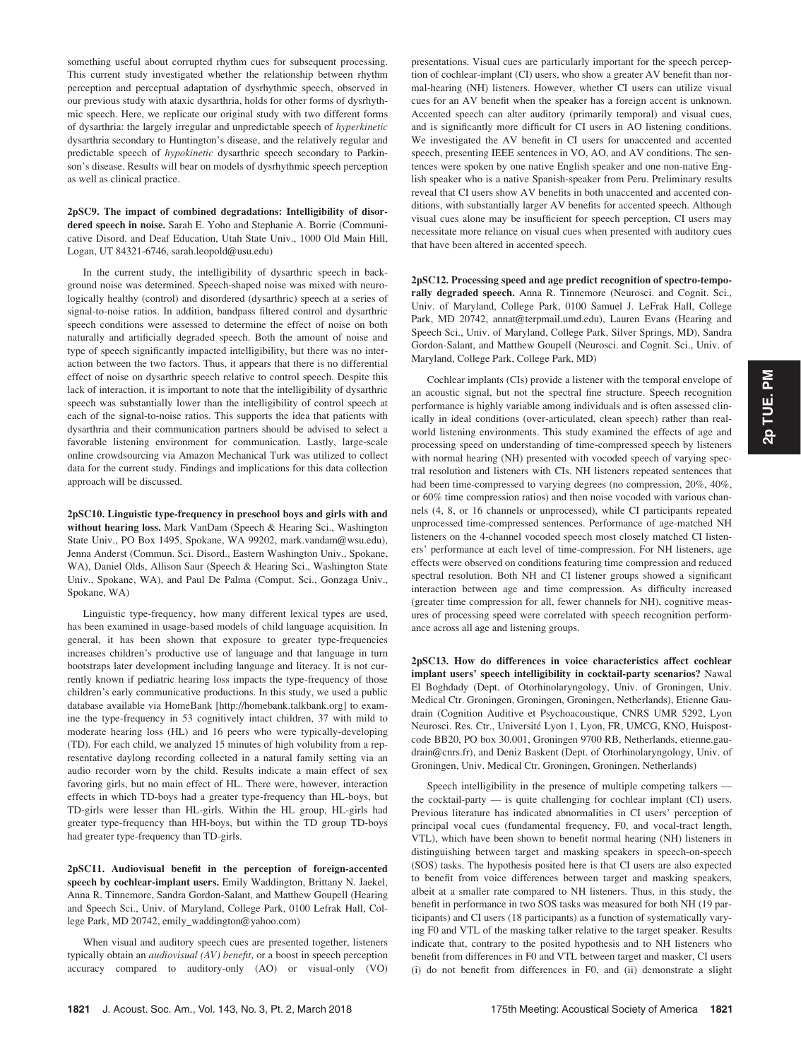something useful about corrupted rhythm cues for subsequent processing. This current study investigated whether the relationship between rhythm perception and perceptual adaptation of dysrhythmic speech, observed in our previous study with ataxic dysarthria, holds for other forms of dysrhythmic speech. Here, we replicate our original study with two different forms of dysarthria: the largely irregular and unpredictable speech of hyperkinetic dysarthria secondary to Huntington's disease, and the relatively regular and predictable speech of hypokinetic dysarthric speech secondary to Parkinson's disease. Results will bear on models of dysrhythmic speech perception as well as clinical practice.

### 2pSC9. The impact of combined degradations: Intelligibility of disordered speech in noise. Sarah E. Yoho and Stephanie A. Borrie (Communicative Disord. and Deaf Education, Utah State Univ., 1000 Old Main Hill, Logan, UT 84321-6746, sarah.leopold@usu.edu)

In the current study, the intelligibility of dysarthric speech in background noise was determined. Speech-shaped noise was mixed with neurologically healthy (control) and disordered (dysarthric) speech at a series of signal-to-noise ratios. In addition, bandpass filtered control and dysarthric speech conditions were assessed to determine the effect of noise on both naturally and artificially degraded speech. Both the amount of noise and type of speech significantly impacted intelligibility, but there was no interaction between the two factors. Thus, it appears that there is no differential effect of noise on dysarthric speech relative to control speech. Despite this lack of interaction, it is important to note that the intelligibility of dysarthric speech was substantially lower than the intelligibility of control speech at each of the signal-to-noise ratios. This supports the idea that patients with dysarthria and their communication partners should be advised to select a favorable listening environment for communication. Lastly, large-scale online crowdsourcing via Amazon Mechanical Turk was utilized to collect data for the current study. Findings and implications for this data collection approach will be discussed.

2pSC10. Linguistic type-frequency in preschool boys and girls with and without hearing loss. Mark VanDam (Speech & Hearing Sci., Washington State Univ., PO Box 1495, Spokane, WA 99202, mark.vandam@wsu.edu), Jenna Anderst (Commun. Sci. Disord., Eastern Washington Univ., Spokane, WA), Daniel Olds, Allison Saur (Speech & Hearing Sci., Washington State Univ., Spokane, WA), and Paul De Palma (Comput. Sci., Gonzaga Univ., Spokane, WA)

Linguistic type-frequency, how many different lexical types are used, has been examined in usage-based models of child language acquisition. In general, it has been shown that exposure to greater type-frequencies increases children's productive use of language and that language in turn bootstraps later development including language and literacy. It is not currently known if pediatric hearing loss impacts the type-frequency of those children's early communicative productions. In this study, we used a public database available via HomeBank [http://homebank.talkbank.org] to examine the type-frequency in 53 cognitively intact children, 37 with mild to moderate hearing loss (HL) and 16 peers who were typically-developing (TD). For each child, we analyzed 15 minutes of high volubility from a representative daylong recording collected in a natural family setting via an audio recorder worn by the child. Results indicate a main effect of sex favoring girls, but no main effect of HL. There were, however, interaction effects in which TD-boys had a greater type-frequency than HL-boys, but TD-girls were lesser than HL-girls. Within the HL group, HL-girls had greater type-frequency than HH-boys, but within the TD group TD-boys had greater type-frequency than TD-girls.

2pSC11. Audiovisual benefit in the perception of foreign-accented speech by cochlear-implant users. Emily Waddington, Brittany N. Jaekel, Anna R. Tinnemore, Sandra Gordon-Salant, and Matthew Goupell (Hearing and Speech Sci., Univ. of Maryland, College Park, 0100 Lefrak Hall, College Park, MD 20742, emily\_waddington@yahoo.com)

When visual and auditory speech cues are presented together, listeners typically obtain an *audiovisual* (AV) benefit, or a boost in speech perception accuracy compared to auditory-only (AO) or visual-only (VO) presentations. Visual cues are particularly important for the speech perception of cochlear-implant (CI) users, who show a greater AV benefit than normal-hearing (NH) listeners. However, whether CI users can utilize visual cues for an AV benefit when the speaker has a foreign accent is unknown. Accented speech can alter auditory (primarily temporal) and visual cues, and is significantly more difficult for CI users in AO listening conditions. We investigated the AV benefit in CI users for unaccented and accented speech, presenting IEEE sentences in VO, AO, and AV conditions. The sentences were spoken by one native English speaker and one non-native English speaker who is a native Spanish-speaker from Peru. Preliminary results reveal that CI users show AV benefits in both unaccented and accented conditions, with substantially larger AV benefits for accented speech. Although visual cues alone may be insufficient for speech perception, CI users may necessitate more reliance on visual cues when presented with auditory cues that have been altered in accented speech.

2pSC12. Processing speed and age predict recognition of spectro-temporally degraded speech. Anna R. Tinnemore (Neurosci. and Cognit. Sci., Univ. of Maryland, College Park, 0100 Samuel J. LeFrak Hall, College Park, MD 20742, annat@terpmail.umd.edu), Lauren Evans (Hearing and Speech Sci., Univ. of Maryland, College Park, Silver Springs, MD), Sandra Gordon-Salant, and Matthew Goupell (Neurosci. and Cognit. Sci., Univ. of Maryland, College Park, College Park, MD)

Cochlear implants (CIs) provide a listener with the temporal envelope of an acoustic signal, but not the spectral fine structure. Speech recognition performance is highly variable among individuals and is often assessed clinically in ideal conditions (over-articulated, clean speech) rather than realworld listening environments. This study examined the effects of age and processing speed on understanding of time-compressed speech by listeners with normal hearing (NH) presented with vocoded speech of varying spectral resolution and listeners with CIs. NH listeners repeated sentences that had been time-compressed to varying degrees (no compression, 20%, 40%, or 60% time compression ratios) and then noise vocoded with various channels (4, 8, or 16 channels or unprocessed), while CI participants repeated unprocessed time-compressed sentences. Performance of age-matched NH listeners on the 4-channel vocoded speech most closely matched CI listeners' performance at each level of time-compression. For NH listeners, age effects were observed on conditions featuring time compression and reduced spectral resolution. Both NH and CI listener groups showed a significant interaction between age and time compression. As difficulty increased (greater time compression for all, fewer channels for NH), cognitive measures of processing speed were correlated with speech recognition performance across all age and listening groups.

2pSC13. How do differences in voice characteristics affect cochlear implant users' speech intelligibility in cocktail-party scenarios? Nawal El Boghdady (Dept. of Otorhinolaryngology, Univ. of Groningen, Univ. Medical Ctr. Groningen, Groningen, Groningen, Netherlands), Etienne Gaudrain (Cognition Auditive et Psychoacoustique, CNRS UMR 5292, Lyon Neurosci. Res. Ctr., Université Lyon 1, Lyon, FR, UMCG, KNO, Huispostcode BB20, PO box 30.001, Groningen 9700 RB, Netherlands, etienne.gaudrain@cnrs.fr), and Deniz Baskent (Dept. of Otorhinolaryngology, Univ. of Groningen, Univ. Medical Ctr. Groningen, Groningen, Netherlands)

Speech intelligibility in the presence of multiple competing talkers the cocktail-party — is quite challenging for cochlear implant (CI) users. Previous literature has indicated abnormalities in CI users' perception of principal vocal cues (fundamental frequency, F0, and vocal-tract length, VTL), which have been shown to benefit normal hearing (NH) listeners in distinguishing between target and masking speakers in speech-on-speech (SOS) tasks. The hypothesis posited here is that CI users are also expected to benefit from voice differences between target and masking speakers, albeit at a smaller rate compared to NH listeners. Thus, in this study, the benefit in performance in two SOS tasks was measured for both NH (19 participants) and CI users (18 participants) as a function of systematically varying F0 and VTL of the masking talker relative to the target speaker. Results indicate that, contrary to the posited hypothesis and to NH listeners who benefit from differences in F0 and VTL between target and masker, CI users (i) do not benefit from differences in F0, and (ii) demonstrate a slight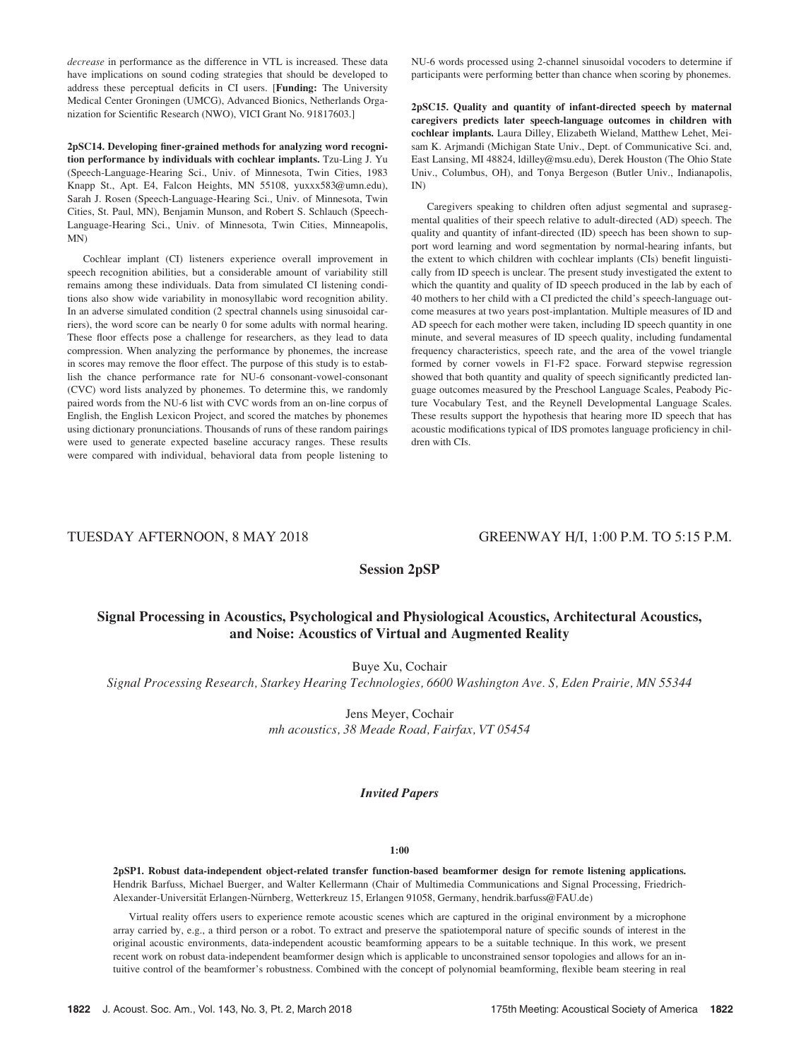decrease in performance as the difference in VTL is increased. These data have implications on sound coding strategies that should be developed to address these perceptual deficits in CI users. [Funding: The University Medical Center Groningen (UMCG), Advanced Bionics, Netherlands Organization for Scientific Research (NWO), VICI Grant No. 91817603.]

2pSC14. Developing finer-grained methods for analyzing word recognition performance by individuals with cochlear implants. Tzu-Ling J. Yu (Speech-Language-Hearing Sci., Univ. of Minnesota, Twin Cities, 1983 Knapp St., Apt. E4, Falcon Heights, MN 55108, yuxxx583@umn.edu), Sarah J. Rosen (Speech-Language-Hearing Sci., Univ. of Minnesota, Twin Cities, St. Paul, MN), Benjamin Munson, and Robert S. Schlauch (Speech-Language-Hearing Sci., Univ. of Minnesota, Twin Cities, Minneapolis, MN)

Cochlear implant (CI) listeners experience overall improvement in speech recognition abilities, but a considerable amount of variability still remains among these individuals. Data from simulated CI listening conditions also show wide variability in monosyllabic word recognition ability. In an adverse simulated condition (2 spectral channels using sinusoidal carriers), the word score can be nearly 0 for some adults with normal hearing. These floor effects pose a challenge for researchers, as they lead to data compression. When analyzing the performance by phonemes, the increase in scores may remove the floor effect. The purpose of this study is to establish the chance performance rate for NU-6 consonant-vowel-consonant (CVC) word lists analyzed by phonemes. To determine this, we randomly paired words from the NU-6 list with CVC words from an on-line corpus of English, the English Lexicon Project, and scored the matches by phonemes using dictionary pronunciations. Thousands of runs of these random pairings were used to generate expected baseline accuracy ranges. These results were compared with individual, behavioral data from people listening to NU-6 words processed using 2-channel sinusoidal vocoders to determine if participants were performing better than chance when scoring by phonemes.

2pSC15. Quality and quantity of infant-directed speech by maternal caregivers predicts later speech-language outcomes in children with cochlear implants. Laura Dilley, Elizabeth Wieland, Matthew Lehet, Meisam K. Arjmandi (Michigan State Univ., Dept. of Communicative Sci. and, East Lansing, MI 48824, ldilley@msu.edu), Derek Houston (The Ohio State Univ., Columbus, OH), and Tonya Bergeson (Butler Univ., Indianapolis, IN)

Caregivers speaking to children often adjust segmental and suprasegmental qualities of their speech relative to adult-directed (AD) speech. The quality and quantity of infant-directed (ID) speech has been shown to support word learning and word segmentation by normal-hearing infants, but the extent to which children with cochlear implants (CIs) benefit linguistically from ID speech is unclear. The present study investigated the extent to which the quantity and quality of ID speech produced in the lab by each of 40 mothers to her child with a CI predicted the child's speech-language outcome measures at two years post-implantation. Multiple measures of ID and AD speech for each mother were taken, including ID speech quantity in one minute, and several measures of ID speech quality, including fundamental frequency characteristics, speech rate, and the area of the vowel triangle formed by corner vowels in F1-F2 space. Forward stepwise regression showed that both quantity and quality of speech significantly predicted language outcomes measured by the Preschool Language Scales, Peabody Picture Vocabulary Test, and the Reynell Developmental Language Scales. These results support the hypothesis that hearing more ID speech that has acoustic modifications typical of IDS promotes language proficiency in children with CIs.

# TUESDAY AFTERNOON, 8 MAY 2018 GREENWAY H/I, 1:00 P.M. TO 5:15 P.M.

# Session 2pSP

# Signal Processing in Acoustics, Psychological and Physiological Acoustics, Architectural Acoustics, and Noise: Acoustics of Virtual and Augmented Reality

Buye Xu, Cochair

Signal Processing Research, Starkey Hearing Technologies, 6600 Washington Ave. S, Eden Prairie, MN 55344

Jens Meyer, Cochair mh acoustics, 38 Meade Road, Fairfax, VT 05454

# Invited Papers

#### 1:00

2pSP1. Robust data-independent object-related transfer function-based beamformer design for remote listening applications. Hendrik Barfuss, Michael Buerger, and Walter Kellermann (Chair of Multimedia Communications and Signal Processing, Friedrich-Alexander-Universität Erlangen-Nürnberg, Wetterkreuz 15, Erlangen 91058, Germany, hendrik.barfuss@FAU.de)

Virtual reality offers users to experience remote acoustic scenes which are captured in the original environment by a microphone array carried by, e.g., a third person or a robot. To extract and preserve the spatiotemporal nature of specific sounds of interest in the original acoustic environments, data-independent acoustic beamforming appears to be a suitable technique. In this work, we present recent work on robust data-independent beamformer design which is applicable to unconstrained sensor topologies and allows for an intuitive control of the beamformer's robustness. Combined with the concept of polynomial beamforming, flexible beam steering in real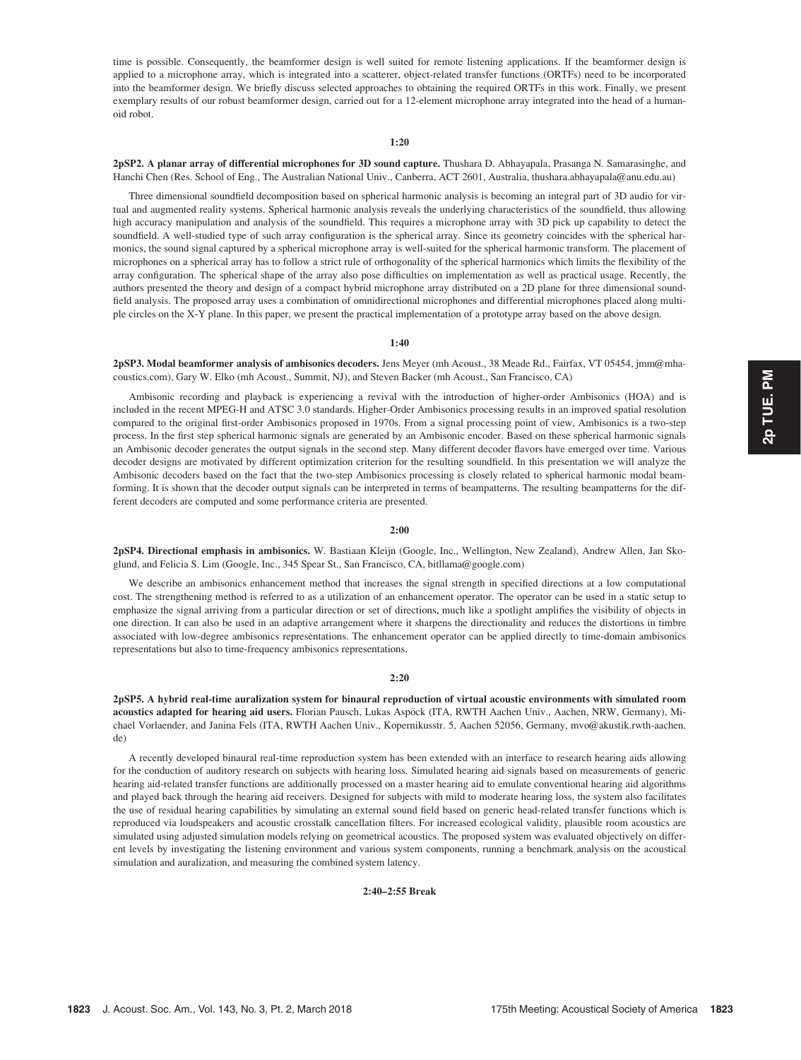time is possible. Consequently, the beamformer design is well suited for remote listening applications. If the beamformer design is applied to a microphone array, which is integrated into a scatterer, object-related transfer functions (ORTFs) need to be incorporated into the beamformer design. We briefly discuss selected approaches to obtaining the required ORTFs in this work. Finally, we present exemplary results of our robust beamformer design, carried out for a 12-element microphone array integrated into the head of a humanoid robot.

#### 1:20

2pSP2. A planar array of differential microphones for 3D sound capture. Thushara D. Abhayapala, Prasanga N. Samarasinghe, and Hanchi Chen (Res. School of Eng., The Australian National Univ., Canberra, ACT 2601, Australia, thushara.abhayapala@anu.edu.au)

Three dimensional soundfield decomposition based on spherical harmonic analysis is becoming an integral part of 3D audio for virtual and augmented reality systems. Spherical harmonic analysis reveals the underlying characteristics of the soundfield, thus allowing high accuracy manipulation and analysis of the soundfield. This requires a microphone array with 3D pick up capability to detect the soundfield. A well-studied type of such array configuration is the spherical array. Since its geometry coincides with the spherical harmonics, the sound signal captured by a spherical microphone array is well-suited for the spherical harmonic transform. The placement of microphones on a spherical array has to follow a strict rule of orthogonality of the spherical harmonics which limits the flexibility of the array configuration. The spherical shape of the array also pose difficulties on implementation as well as practical usage. Recently, the authors presented the theory and design of a compact hybrid microphone array distributed on a 2D plane for three dimensional soundfield analysis. The proposed array uses a combination of omnidirectional microphones and differential microphones placed along multiple circles on the X-Y plane. In this paper, we present the practical implementation of a prototype array based on the above design.

#### 1:40

2pSP3. Modal beamformer analysis of ambisonics decoders. Jens Meyer (mh Acoust., 38 Meade Rd., Fairfax, VT 05454, jmm@mhacoustics.com), Gary W. Elko (mh Acoust., Summit, NJ), and Steven Backer (mh Acoust., San Francisco, CA)

Ambisonic recording and playback is experiencing a revival with the introduction of higher-order Ambisonics (HOA) and is included in the recent MPEG-H and ATSC 3.0 standards. Higher-Order Ambisonics processing results in an improved spatial resolution compared to the original first-order Ambisonics proposed in 1970s. From a signal processing point of view, Ambisonics is a two-step process. In the first step spherical harmonic signals are generated by an Ambisonic encoder. Based on these spherical harmonic signals an Ambisonic decoder generates the output signals in the second step. Many different decoder flavors have emerged over time. Various decoder designs are motivated by different optimization criterion for the resulting soundfield. In this presentation we will analyze the Ambisonic decoders based on the fact that the two-step Ambisonics processing is closely related to spherical harmonic modal beamforming. It is shown that the decoder output signals can be interpreted in terms of beampatterns. The resulting beampatterns for the different decoders are computed and some performance criteria are presented.

#### 2:00

2pSP4. Directional emphasis in ambisonics. W. Bastiaan Kleijn (Google, Inc., Wellington, New Zealand), Andrew Allen, Jan Skoglund, and Felicia S. Lim (Google, Inc., 345 Spear St., San Francisco, CA, bitllama@google.com)

We describe an ambisonics enhancement method that increases the signal strength in specified directions at a low computational cost. The strengthening method is referred to as a utilization of an enhancement operator. The operator can be used in a static setup to emphasize the signal arriving from a particular direction or set of directions, much like a spotlight amplifies the visibility of objects in one direction. It can also be used in an adaptive arrangement where it sharpens the directionality and reduces the distortions in timbre associated with low-degree ambisonics representations. The enhancement operator can be applied directly to time-domain ambisonics representations but also to time-frequency ambisonics representations.

#### 2:20

2pSP5. A hybrid real-time auralization system for binaural reproduction of virtual acoustic environments with simulated room acoustics adapted for hearing aid users. Florian Pausch, Lukas Aspöck (ITA, RWTH Aachen Univ., Aachen, NRW, Germany), Michael Vorlaender, and Janina Fels (ITA, RWTH Aachen Univ., Kopernikusstr. 5, Aachen 52056, Germany, mvo@akustik.rwth-aachen. de)

A recently developed binaural real-time reproduction system has been extended with an interface to research hearing aids allowing for the conduction of auditory research on subjects with hearing loss. Simulated hearing aid signals based on measurements of generic hearing aid-related transfer functions are additionally processed on a master hearing aid to emulate conventional hearing aid algorithms and played back through the hearing aid receivers. Designed for subjects with mild to moderate hearing loss, the system also facilitates the use of residual hearing capabilities by simulating an external sound field based on generic head-related transfer functions which is reproduced via loudspeakers and acoustic crosstalk cancellation filters. For increased ecological validity, plausible room acoustics are simulated using adjusted simulation models relying on geometrical acoustics. The proposed system was evaluated objectively on different levels by investigating the listening environment and various system components, running a benchmark analysis on the acoustical simulation and auralization, and measuring the combined system latency.

# 2:40–2:55 Break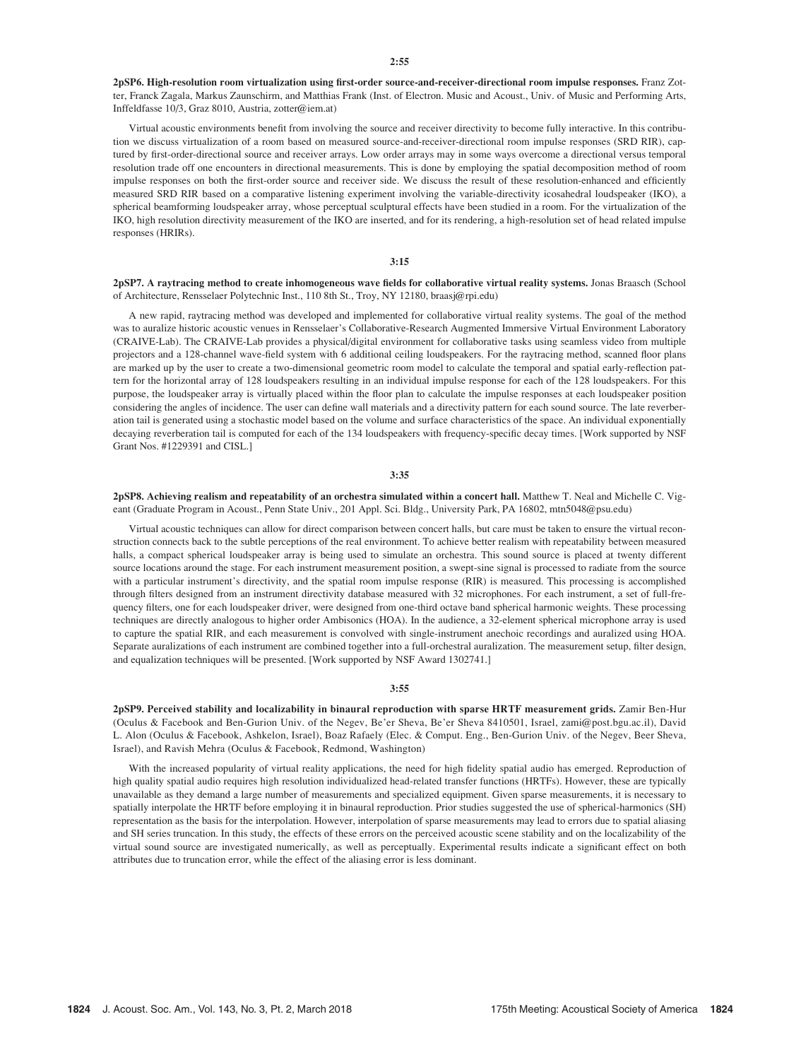2pSP6. High-resolution room virtualization using first-order source-and-receiver-directional room impulse responses. Franz Zotter, Franck Zagala, Markus Zaunschirm, and Matthias Frank (Inst. of Electron. Music and Acoust., Univ. of Music and Performing Arts, Inffeldfasse 10/3, Graz 8010, Austria, zotter@iem.at)

Virtual acoustic environments benefit from involving the source and receiver directivity to become fully interactive. In this contribution we discuss virtualization of a room based on measured source-and-receiver-directional room impulse responses (SRD RIR), captured by first-order-directional source and receiver arrays. Low order arrays may in some ways overcome a directional versus temporal resolution trade off one encounters in directional measurements. This is done by employing the spatial decomposition method of room impulse responses on both the first-order source and receiver side. We discuss the result of these resolution-enhanced and efficiently measured SRD RIR based on a comparative listening experiment involving the variable-directivity icosahedral loudspeaker (IKO), a spherical beamforming loudspeaker array, whose perceptual sculptural effects have been studied in a room. For the virtualization of the IKO, high resolution directivity measurement of the IKO are inserted, and for its rendering, a high-resolution set of head related impulse responses (HRIRs).

#### 3:15

2pSP7. A raytracing method to create inhomogeneous wave fields for collaborative virtual reality systems. Jonas Braasch (School of Architecture, Rensselaer Polytechnic Inst., 110 8th St., Troy, NY 12180, braasj@rpi.edu)

A new rapid, raytracing method was developed and implemented for collaborative virtual reality systems. The goal of the method was to auralize historic acoustic venues in Rensselaer's Collaborative-Research Augmented Immersive Virtual Environment Laboratory (CRAIVE-Lab). The CRAIVE-Lab provides a physical/digital environment for collaborative tasks using seamless video from multiple projectors and a 128-channel wave-field system with 6 additional ceiling loudspeakers. For the raytracing method, scanned floor plans are marked up by the user to create a two-dimensional geometric room model to calculate the temporal and spatial early-reflection pattern for the horizontal array of 128 loudspeakers resulting in an individual impulse response for each of the 128 loudspeakers. For this purpose, the loudspeaker array is virtually placed within the floor plan to calculate the impulse responses at each loudspeaker position considering the angles of incidence. The user can define wall materials and a directivity pattern for each sound source. The late reverberation tail is generated using a stochastic model based on the volume and surface characteristics of the space. An individual exponentially decaying reverberation tail is computed for each of the 134 loudspeakers with frequency-specific decay times. [Work supported by NSF Grant Nos. #1229391 and CISL.]

#### 3:35

2pSP8. Achieving realism and repeatability of an orchestra simulated within a concert hall. Matthew T. Neal and Michelle C. Vigeant (Graduate Program in Acoust., Penn State Univ., 201 Appl. Sci. Bldg., University Park, PA 16802, mtn5048@psu.edu)

Virtual acoustic techniques can allow for direct comparison between concert halls, but care must be taken to ensure the virtual reconstruction connects back to the subtle perceptions of the real environment. To achieve better realism with repeatability between measured halls, a compact spherical loudspeaker array is being used to simulate an orchestra. This sound source is placed at twenty different source locations around the stage. For each instrument measurement position, a swept-sine signal is processed to radiate from the source with a particular instrument's directivity, and the spatial room impulse response (RIR) is measured. This processing is accomplished through filters designed from an instrument directivity database measured with 32 microphones. For each instrument, a set of full-frequency filters, one for each loudspeaker driver, were designed from one-third octave band spherical harmonic weights. These processing techniques are directly analogous to higher order Ambisonics (HOA). In the audience, a 32-element spherical microphone array is used to capture the spatial RIR, and each measurement is convolved with single-instrument anechoic recordings and auralized using HOA. Separate auralizations of each instrument are combined together into a full-orchestral auralization. The measurement setup, filter design, and equalization techniques will be presented. [Work supported by NSF Award 1302741.]

#### 3:55

2pSP9. Perceived stability and localizability in binaural reproduction with sparse HRTF measurement grids. Zamir Ben-Hur (Oculus & Facebook and Ben-Gurion Univ. of the Negev, Be'er Sheva, Be'er Sheva 8410501, Israel, zami@post.bgu.ac.il), David L. Alon (Oculus & Facebook, Ashkelon, Israel), Boaz Rafaely (Elec. & Comput. Eng., Ben-Gurion Univ. of the Negev, Beer Sheva, Israel), and Ravish Mehra (Oculus & Facebook, Redmond, Washington)

With the increased popularity of virtual reality applications, the need for high fidelity spatial audio has emerged. Reproduction of high quality spatial audio requires high resolution individualized head-related transfer functions (HRTFs). However, these are typically unavailable as they demand a large number of measurements and specialized equipment. Given sparse measurements, it is necessary to spatially interpolate the HRTF before employing it in binaural reproduction. Prior studies suggested the use of spherical-harmonics (SH) representation as the basis for the interpolation. However, interpolation of sparse measurements may lead to errors due to spatial aliasing and SH series truncation. In this study, the effects of these errors on the perceived acoustic scene stability and on the localizability of the virtual sound source are investigated numerically, as well as perceptually. Experimental results indicate a significant effect on both attributes due to truncation error, while the effect of the aliasing error is less dominant.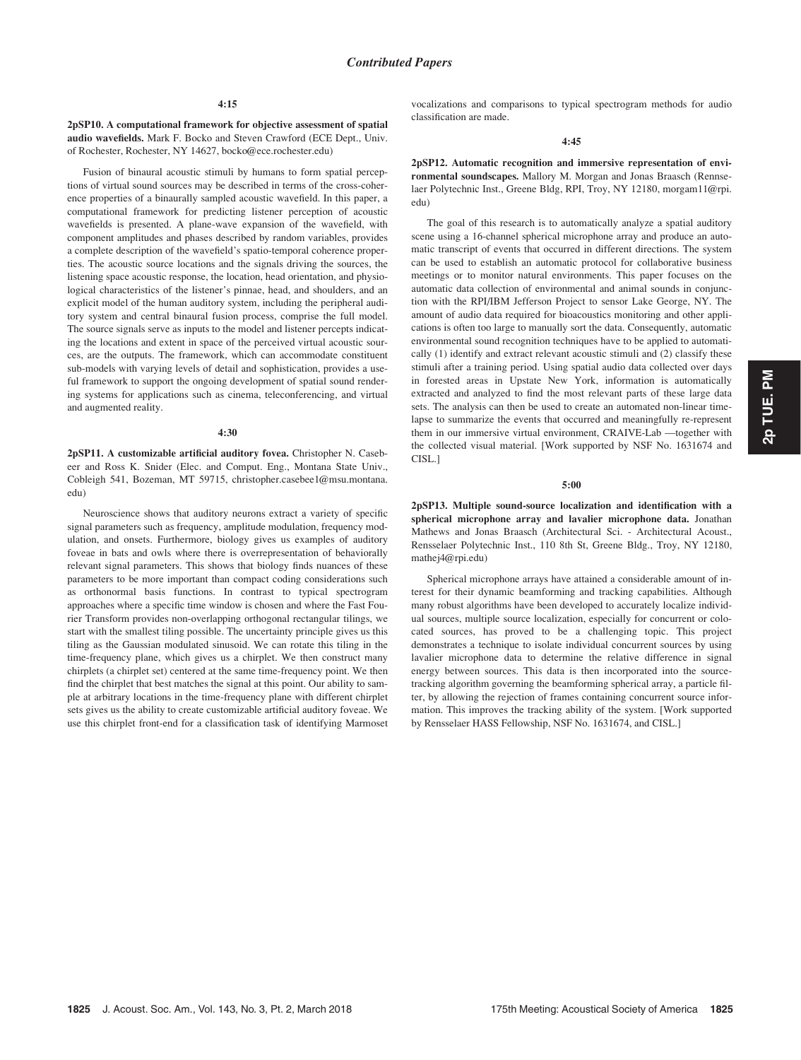2pSP10. A computational framework for objective assessment of spatial audio wavefields. Mark F. Bocko and Steven Crawford (ECE Dept., Univ. of Rochester, Rochester, NY 14627, bocko@ece.rochester.edu)

Fusion of binaural acoustic stimuli by humans to form spatial perceptions of virtual sound sources may be described in terms of the cross-coherence properties of a binaurally sampled acoustic wavefield. In this paper, a computational framework for predicting listener perception of acoustic wavefields is presented. A plane-wave expansion of the wavefield, with component amplitudes and phases described by random variables, provides a complete description of the wavefield's spatio-temporal coherence properties. The acoustic source locations and the signals driving the sources, the listening space acoustic response, the location, head orientation, and physiological characteristics of the listener's pinnae, head, and shoulders, and an explicit model of the human auditory system, including the peripheral auditory system and central binaural fusion process, comprise the full model. The source signals serve as inputs to the model and listener percepts indicating the locations and extent in space of the perceived virtual acoustic sources, are the outputs. The framework, which can accommodate constituent sub-models with varying levels of detail and sophistication, provides a useful framework to support the ongoing development of spatial sound rendering systems for applications such as cinema, teleconferencing, and virtual and augmented reality.

#### 4:30

2pSP11. A customizable artificial auditory fovea. Christopher N. Casebeer and Ross K. Snider (Elec. and Comput. Eng., Montana State Univ., Cobleigh 541, Bozeman, MT 59715, christopher.casebee1@msu.montana. edu)

Neuroscience shows that auditory neurons extract a variety of specific signal parameters such as frequency, amplitude modulation, frequency modulation, and onsets. Furthermore, biology gives us examples of auditory foveae in bats and owls where there is overrepresentation of behaviorally relevant signal parameters. This shows that biology finds nuances of these parameters to be more important than compact coding considerations such as orthonormal basis functions. In contrast to typical spectrogram approaches where a specific time window is chosen and where the Fast Fourier Transform provides non-overlapping orthogonal rectangular tilings, we start with the smallest tiling possible. The uncertainty principle gives us this tiling as the Gaussian modulated sinusoid. We can rotate this tiling in the time-frequency plane, which gives us a chirplet. We then construct many chirplets (a chirplet set) centered at the same time-frequency point. We then find the chirplet that best matches the signal at this point. Our ability to sample at arbitrary locations in the time-frequency plane with different chirplet sets gives us the ability to create customizable artificial auditory foveae. We use this chirplet front-end for a classification task of identifying Marmoset vocalizations and comparisons to typical spectrogram methods for audio classification are made.

#### 4:45

2pSP12. Automatic recognition and immersive representation of environmental soundscapes. Mallory M. Morgan and Jonas Braasch (Rennselaer Polytechnic Inst., Greene Bldg, RPI, Troy, NY 12180, morgam11@rpi. edu)

The goal of this research is to automatically analyze a spatial auditory scene using a 16-channel spherical microphone array and produce an automatic transcript of events that occurred in different directions. The system can be used to establish an automatic protocol for collaborative business meetings or to monitor natural environments. This paper focuses on the automatic data collection of environmental and animal sounds in conjunction with the RPI/IBM Jefferson Project to sensor Lake George, NY. The amount of audio data required for bioacoustics monitoring and other applications is often too large to manually sort the data. Consequently, automatic environmental sound recognition techniques have to be applied to automatically (1) identify and extract relevant acoustic stimuli and (2) classify these stimuli after a training period. Using spatial audio data collected over days in forested areas in Upstate New York, information is automatically extracted and analyzed to find the most relevant parts of these large data sets. The analysis can then be used to create an automated non-linear timelapse to summarize the events that occurred and meaningfully re-represent them in our immersive virtual environment, CRAIVE-Lab -- together with the collected visual material. [Work supported by NSF No. 1631674 and CISL.]

#### 5:00

2pSP13. Multiple sound-source localization and identification with a spherical microphone array and lavalier microphone data. Jonathan Mathews and Jonas Braasch (Architectural Sci. - Architectural Acoust., Rensselaer Polytechnic Inst., 110 8th St, Greene Bldg., Troy, NY 12180, mathej4@rpi.edu)

Spherical microphone arrays have attained a considerable amount of interest for their dynamic beamforming and tracking capabilities. Although many robust algorithms have been developed to accurately localize individual sources, multiple source localization, especially for concurrent or colocated sources, has proved to be a challenging topic. This project demonstrates a technique to isolate individual concurrent sources by using lavalier microphone data to determine the relative difference in signal energy between sources. This data is then incorporated into the sourcetracking algorithm governing the beamforming spherical array, a particle filter, by allowing the rejection of frames containing concurrent source information. This improves the tracking ability of the system. [Work supported by Rensselaer HASS Fellowship, NSF No. 1631674, and CISL.]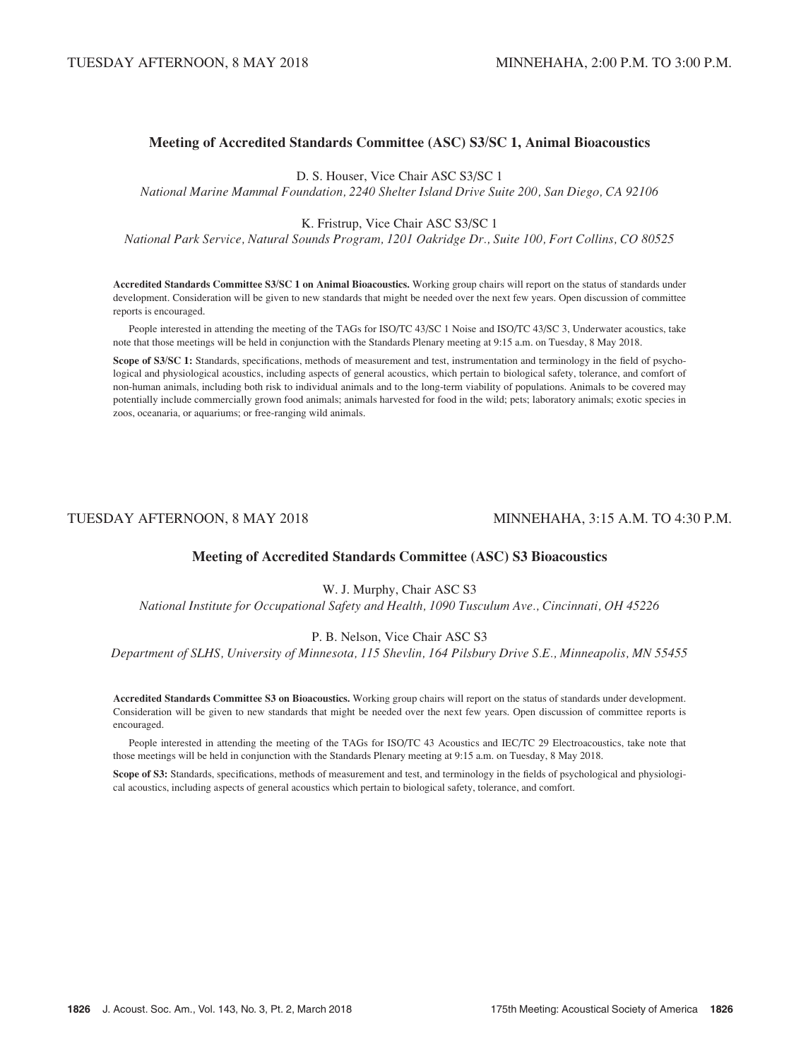# Meeting of Accredited Standards Committee (ASC) S3/SC 1, Animal Bioacoustics

D. S. Houser, Vice Chair ASC S3/SC 1

National Marine Mammal Foundation, 2240 Shelter Island Drive Suite 200, San Diego, CA 92106

K. Fristrup, Vice Chair ASC S3/SC 1

National Park Service, Natural Sounds Program, 1201 Oakridge Dr., Suite 100, Fort Collins, CO 80525

Accredited Standards Committee S3/SC 1 on Animal Bioacoustics. Working group chairs will report on the status of standards under development. Consideration will be given to new standards that might be needed over the next few years. Open discussion of committee reports is encouraged.

People interested in attending the meeting of the TAGs for ISO/TC 43/SC 1 Noise and ISO/TC 43/SC 3, Underwater acoustics, take note that those meetings will be held in conjunction with the Standards Plenary meeting at 9:15 a.m. on Tuesday, 8 May 2018.

Scope of S3/SC 1: Standards, specifications, methods of measurement and test, instrumentation and terminology in the field of psychological and physiological acoustics, including aspects of general acoustics, which pertain to biological safety, tolerance, and comfort of non-human animals, including both risk to individual animals and to the long-term viability of populations. Animals to be covered may potentially include commercially grown food animals; animals harvested for food in the wild; pets; laboratory animals; exotic species in zoos, oceanaria, or aquariums; or free-ranging wild animals.

# TUESDAY AFTERNOON, 8 MAY 2018 MINNEHAHA, 3:15 A.M. TO 4:30 P.M.

# Meeting of Accredited Standards Committee (ASC) S3 Bioacoustics

# W. J. Murphy, Chair ASC S3

National Institute for Occupational Safety and Health, 1090 Tusculum Ave., Cincinnati, OH 45226

# P. B. Nelson, Vice Chair ASC S3

Department of SLHS, University of Minnesota, 115 Shevlin, 164 Pilsbury Drive S.E., Minneapolis, MN 55455

Accredited Standards Committee S3 on Bioacoustics. Working group chairs will report on the status of standards under development. Consideration will be given to new standards that might be needed over the next few years. Open discussion of committee reports is encouraged.

People interested in attending the meeting of the TAGs for ISO/TC 43 Acoustics and IEC/TC 29 Electroacoustics, take note that those meetings will be held in conjunction with the Standards Plenary meeting at 9:15 a.m. on Tuesday, 8 May 2018.

Scope of S3: Standards, specifications, methods of measurement and test, and terminology in the fields of psychological and physiological acoustics, including aspects of general acoustics which pertain to biological safety, tolerance, and comfort.